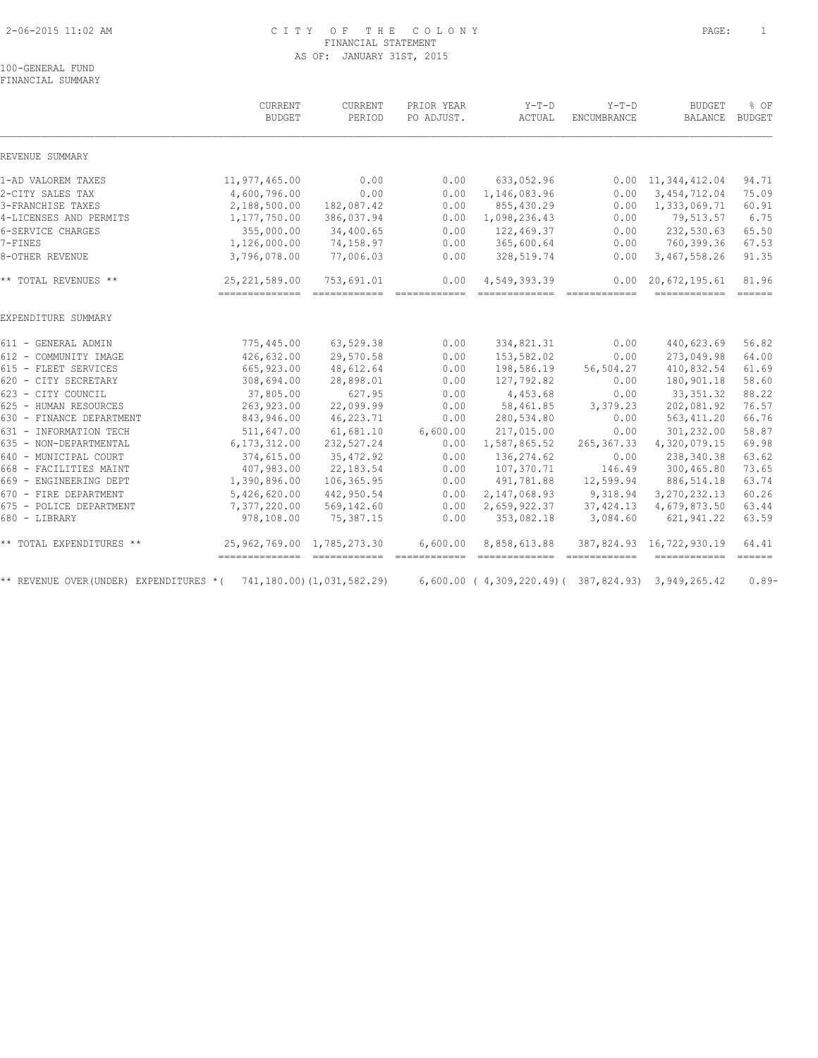# 2-06-2015 11:02 AM C I T Y O F T H E C O L O N Y PAGE: 1 FINANCIAL STATEMENT AS OF: JANUARY 31ST, 2015

100-GENERAL FUND FINANCIAL SUMMARY

|                                        | CURRENT<br><b>BUDGET</b>     | CURRENT<br>PERIOD          | PRIOR YEAR<br>PO ADJUST.                                                                                                                                                                                                                                                                                                                                                                                                                                                               | $Y-T-D$<br>ACTUAL                                 | $Y-T-D$<br><b>ENCUMBRANCE</b>                                                                                                                                                                                                                                                                                                                                                                                                                                                          | <b>BUDGET</b><br>BALANCE                                                                                                                                                                                                                                                                                                                                                                                                                                                       | % OF<br><b>BUDGET</b> |
|----------------------------------------|------------------------------|----------------------------|----------------------------------------------------------------------------------------------------------------------------------------------------------------------------------------------------------------------------------------------------------------------------------------------------------------------------------------------------------------------------------------------------------------------------------------------------------------------------------------|---------------------------------------------------|----------------------------------------------------------------------------------------------------------------------------------------------------------------------------------------------------------------------------------------------------------------------------------------------------------------------------------------------------------------------------------------------------------------------------------------------------------------------------------------|--------------------------------------------------------------------------------------------------------------------------------------------------------------------------------------------------------------------------------------------------------------------------------------------------------------------------------------------------------------------------------------------------------------------------------------------------------------------------------|-----------------------|
| REVENUE SUMMARY                        |                              |                            |                                                                                                                                                                                                                                                                                                                                                                                                                                                                                        |                                                   |                                                                                                                                                                                                                                                                                                                                                                                                                                                                                        |                                                                                                                                                                                                                                                                                                                                                                                                                                                                                |                       |
| 1-AD VALOREM TAXES                     | 11,977,465.00                | 0.00                       | 0.00                                                                                                                                                                                                                                                                                                                                                                                                                                                                                   | 633,052.96                                        |                                                                                                                                                                                                                                                                                                                                                                                                                                                                                        | $0.00 \quad 11,344,412.04$                                                                                                                                                                                                                                                                                                                                                                                                                                                     | 94.71                 |
| 2-CITY SALES TAX                       | 4,600,796.00                 | 0.00                       | 0.00                                                                                                                                                                                                                                                                                                                                                                                                                                                                                   | 1,146,083.96                                      | 0.00                                                                                                                                                                                                                                                                                                                                                                                                                                                                                   | 3, 454, 712.04                                                                                                                                                                                                                                                                                                                                                                                                                                                                 | 75.09                 |
| 3-FRANCHISE TAXES                      | 2,188,500.00                 | 182,087.42                 | 0.00                                                                                                                                                                                                                                                                                                                                                                                                                                                                                   | 855,430.29                                        | 0.00                                                                                                                                                                                                                                                                                                                                                                                                                                                                                   | 1,333,069.71                                                                                                                                                                                                                                                                                                                                                                                                                                                                   | 60.91                 |
| 4-LICENSES AND PERMITS                 | 1,177,750.00                 | 386,037.94                 | 0.00                                                                                                                                                                                                                                                                                                                                                                                                                                                                                   | 1,098,236.43                                      | 0.00                                                                                                                                                                                                                                                                                                                                                                                                                                                                                   | 79,513.57                                                                                                                                                                                                                                                                                                                                                                                                                                                                      | 6.75                  |
| 6-SERVICE CHARGES                      | 355,000.00                   | 34,400.65                  | 0.00                                                                                                                                                                                                                                                                                                                                                                                                                                                                                   | 122,469.37                                        | 0.00                                                                                                                                                                                                                                                                                                                                                                                                                                                                                   | 232,530.63                                                                                                                                                                                                                                                                                                                                                                                                                                                                     | 65.50                 |
| 7-FINES                                | 1,126,000.00                 | 74,158.97                  | 0.00                                                                                                                                                                                                                                                                                                                                                                                                                                                                                   | 365,600.64                                        | 0.00                                                                                                                                                                                                                                                                                                                                                                                                                                                                                   | 760,399.36                                                                                                                                                                                                                                                                                                                                                                                                                                                                     | 67.53                 |
| 8-OTHER REVENUE                        | 3,796,078.00                 | 77,006.03                  | 0.00                                                                                                                                                                                                                                                                                                                                                                                                                                                                                   | 328,519.74                                        | 0.00                                                                                                                                                                                                                                                                                                                                                                                                                                                                                   | 3,467,558.26                                                                                                                                                                                                                                                                                                                                                                                                                                                                   | 91.35                 |
| ** TOTAL REVENUES **                   | 25, 221, 589.00              | 753,691.01                 | 0.00                                                                                                                                                                                                                                                                                                                                                                                                                                                                                   | 4,549,393.39                                      | 0.00                                                                                                                                                                                                                                                                                                                                                                                                                                                                                   | 20,672,195.61                                                                                                                                                                                                                                                                                                                                                                                                                                                                  | 81.96                 |
|                                        | --------------- ------------ |                            | $\begin{array}{cccccccccc} \multicolumn{2}{c}{} & \multicolumn{2}{c}{} & \multicolumn{2}{c}{} & \multicolumn{2}{c}{} & \multicolumn{2}{c}{} & \multicolumn{2}{c}{} & \multicolumn{2}{c}{} & \multicolumn{2}{c}{} & \multicolumn{2}{c}{} & \multicolumn{2}{c}{} & \multicolumn{2}{c}{} & \multicolumn{2}{c}{} & \multicolumn{2}{c}{} & \multicolumn{2}{c}{} & \multicolumn{2}{c}{} & \multicolumn{2}{c}{} & \multicolumn{2}{c}{} & \multicolumn{2}{c}{} & \multicolumn{2}{c}{} & \mult$ | ==============                                    | $\begin{array}{cccccccccc} \multicolumn{2}{c}{} & \multicolumn{2}{c}{} & \multicolumn{2}{c}{} & \multicolumn{2}{c}{} & \multicolumn{2}{c}{} & \multicolumn{2}{c}{} & \multicolumn{2}{c}{} & \multicolumn{2}{c}{} & \multicolumn{2}{c}{} & \multicolumn{2}{c}{} & \multicolumn{2}{c}{} & \multicolumn{2}{c}{} & \multicolumn{2}{c}{} & \multicolumn{2}{c}{} & \multicolumn{2}{c}{} & \multicolumn{2}{c}{} & \multicolumn{2}{c}{} & \multicolumn{2}{c}{} & \multicolumn{2}{c}{} & \mult$ | $\begin{array}{cccccccccc} \multicolumn{2}{c}{{\color{red}a}} & \multicolumn{2}{c}{{\color{red}a}} & \multicolumn{2}{c}{{\color{red}a}} & \multicolumn{2}{c}{{\color{red}a}} & \multicolumn{2}{c}{{\color{red}a}} & \multicolumn{2}{c}{{\color{red}a}} & \multicolumn{2}{c}{{\color{red}a}} & \multicolumn{2}{c}{{\color{red}a}} & \multicolumn{2}{c}{{\color{red}a}} & \multicolumn{2}{c}{{\color{red}a}} & \multicolumn{2}{c}{{\color{red}a}} & \multicolumn{2}{c}{{\color{$ |                       |
| EXPENDITURE SUMMARY                    |                              |                            |                                                                                                                                                                                                                                                                                                                                                                                                                                                                                        |                                                   |                                                                                                                                                                                                                                                                                                                                                                                                                                                                                        |                                                                                                                                                                                                                                                                                                                                                                                                                                                                                |                       |
| 611 - GENERAL ADMIN                    | 775,445.00                   | 63,529.38                  | 0.00                                                                                                                                                                                                                                                                                                                                                                                                                                                                                   | 334,821.31                                        | 0.00                                                                                                                                                                                                                                                                                                                                                                                                                                                                                   | 440,623.69                                                                                                                                                                                                                                                                                                                                                                                                                                                                     | 56.82                 |
| 612 - COMMUNITY IMAGE                  | 426,632.00                   | 29,570.58                  | 0.00                                                                                                                                                                                                                                                                                                                                                                                                                                                                                   | 153,582.02                                        | 0.00                                                                                                                                                                                                                                                                                                                                                                                                                                                                                   | 273,049.98                                                                                                                                                                                                                                                                                                                                                                                                                                                                     | 64.00                 |
| 615 - FLEET SERVICES                   | 665, 923.00                  | 48,612.64                  | 0.00                                                                                                                                                                                                                                                                                                                                                                                                                                                                                   | 198,586.19                                        | 56,504.27                                                                                                                                                                                                                                                                                                                                                                                                                                                                              | 410,832.54                                                                                                                                                                                                                                                                                                                                                                                                                                                                     | 61.69                 |
| 620 - CITY SECRETARY                   | 308,694.00                   | 28,898.01                  | 0.00                                                                                                                                                                                                                                                                                                                                                                                                                                                                                   | 127,792.82                                        | 0.00                                                                                                                                                                                                                                                                                                                                                                                                                                                                                   | 180,901.18                                                                                                                                                                                                                                                                                                                                                                                                                                                                     | 58.60                 |
| 623 - CITY COUNCIL                     | 37,805.00                    | 627.95                     | 0.00                                                                                                                                                                                                                                                                                                                                                                                                                                                                                   | 4,453.68                                          | 0.00                                                                                                                                                                                                                                                                                                                                                                                                                                                                                   | 33, 351.32                                                                                                                                                                                                                                                                                                                                                                                                                                                                     | 88.22                 |
| 625 - HUMAN RESOURCES                  | 263,923.00                   | 22,099.99                  | 0.00                                                                                                                                                                                                                                                                                                                                                                                                                                                                                   | 58,461.85                                         | 3,379.23                                                                                                                                                                                                                                                                                                                                                                                                                                                                               | 202,081.92                                                                                                                                                                                                                                                                                                                                                                                                                                                                     | 76.57                 |
| 630 - FINANCE DEPARTMENT               | 843,946.00                   | 46,223.71                  | 0.00                                                                                                                                                                                                                                                                                                                                                                                                                                                                                   | 280,534.80                                        | 0.00                                                                                                                                                                                                                                                                                                                                                                                                                                                                                   | 563, 411.20                                                                                                                                                                                                                                                                                                                                                                                                                                                                    | 66.76                 |
| 631 - INFORMATION TECH                 | 511,647.00                   | 61,681.10                  | 6,600.00                                                                                                                                                                                                                                                                                                                                                                                                                                                                               | 217,015.00                                        | 0.00                                                                                                                                                                                                                                                                                                                                                                                                                                                                                   | 301,232.00                                                                                                                                                                                                                                                                                                                                                                                                                                                                     | 58.87                 |
| 635 - NON-DEPARTMENTAL                 | 6, 173, 312.00               | 232,527.24                 | 0.00                                                                                                                                                                                                                                                                                                                                                                                                                                                                                   | 1,587,865.52                                      | 265,367.33                                                                                                                                                                                                                                                                                                                                                                                                                                                                             | 4,320,079.15                                                                                                                                                                                                                                                                                                                                                                                                                                                                   | 69.98                 |
| 640 - MUNICIPAL COURT                  | 374,615.00                   | 35, 472.92                 | 0.00                                                                                                                                                                                                                                                                                                                                                                                                                                                                                   | 136, 274.62                                       | 0.00                                                                                                                                                                                                                                                                                                                                                                                                                                                                                   | 238,340.38                                                                                                                                                                                                                                                                                                                                                                                                                                                                     | 63.62                 |
| 668 - FACILITIES MAINT                 | 407,983.00                   | 22,183.54                  | 0.00                                                                                                                                                                                                                                                                                                                                                                                                                                                                                   | 107,370.71                                        | 146.49                                                                                                                                                                                                                                                                                                                                                                                                                                                                                 | 300,465.80                                                                                                                                                                                                                                                                                                                                                                                                                                                                     | 73.65                 |
| 669 - ENGINEERING DEPT                 | 1,390,896.00                 | 106,365.95                 | 0.00                                                                                                                                                                                                                                                                                                                                                                                                                                                                                   | 491,781.88                                        | 12,599.94                                                                                                                                                                                                                                                                                                                                                                                                                                                                              | 886, 514.18                                                                                                                                                                                                                                                                                                                                                                                                                                                                    | 63.74                 |
| 670 - FIRE DEPARTMENT                  | 5,426,620.00                 | 442,950.54                 | 0.00                                                                                                                                                                                                                                                                                                                                                                                                                                                                                   | 2,147,068.93                                      | 9,318.94                                                                                                                                                                                                                                                                                                                                                                                                                                                                               | 3, 270, 232.13                                                                                                                                                                                                                                                                                                                                                                                                                                                                 | 60.26                 |
| 675 - POLICE DEPARTMENT                | 7,377,220.00                 | 569,142.60                 | 0.00                                                                                                                                                                                                                                                                                                                                                                                                                                                                                   | 2,659,922.37                                      | 37, 424.13                                                                                                                                                                                                                                                                                                                                                                                                                                                                             | 4,679,873.50                                                                                                                                                                                                                                                                                                                                                                                                                                                                   | 63.44                 |
| 680 - LIBRARY                          | 978,108.00                   | 75,387.15                  | 0.00                                                                                                                                                                                                                                                                                                                                                                                                                                                                                   | 353,082.18                                        | 3,084.60                                                                                                                                                                                                                                                                                                                                                                                                                                                                               | 621,941.22                                                                                                                                                                                                                                                                                                                                                                                                                                                                     | 63.59                 |
| ** TOTAL EXPENDITURES **               | 25,962,769.00 1,785,273.30   |                            | 6,600.00                                                                                                                                                                                                                                                                                                                                                                                                                                                                               | 8,858,613.88                                      | $\begin{array}{cccccccccc} \multicolumn{2}{c}{} & \multicolumn{2}{c}{} & \multicolumn{2}{c}{} & \multicolumn{2}{c}{} & \multicolumn{2}{c}{} & \multicolumn{2}{c}{} & \multicolumn{2}{c}{} & \multicolumn{2}{c}{} & \multicolumn{2}{c}{} & \multicolumn{2}{c}{} & \multicolumn{2}{c}{} & \multicolumn{2}{c}{} & \multicolumn{2}{c}{} & \multicolumn{2}{c}{} & \multicolumn{2}{c}{} & \multicolumn{2}{c}{} & \multicolumn{2}{c}{} & \multicolumn{2}{c}{} & \multicolumn{2}{c}{} & \mult$ | 387,824.93 16,722,930.19                                                                                                                                                                                                                                                                                                                                                                                                                                                       | 64.41                 |
| ** REVENUE OVER(UNDER) EXPENDITURES *( |                              | 741,180.00) (1,031,582.29) |                                                                                                                                                                                                                                                                                                                                                                                                                                                                                        | 6,600.00 (4,309,220.49) (387,824.93) 3,949,265.42 |                                                                                                                                                                                                                                                                                                                                                                                                                                                                                        |                                                                                                                                                                                                                                                                                                                                                                                                                                                                                | $0.89-$               |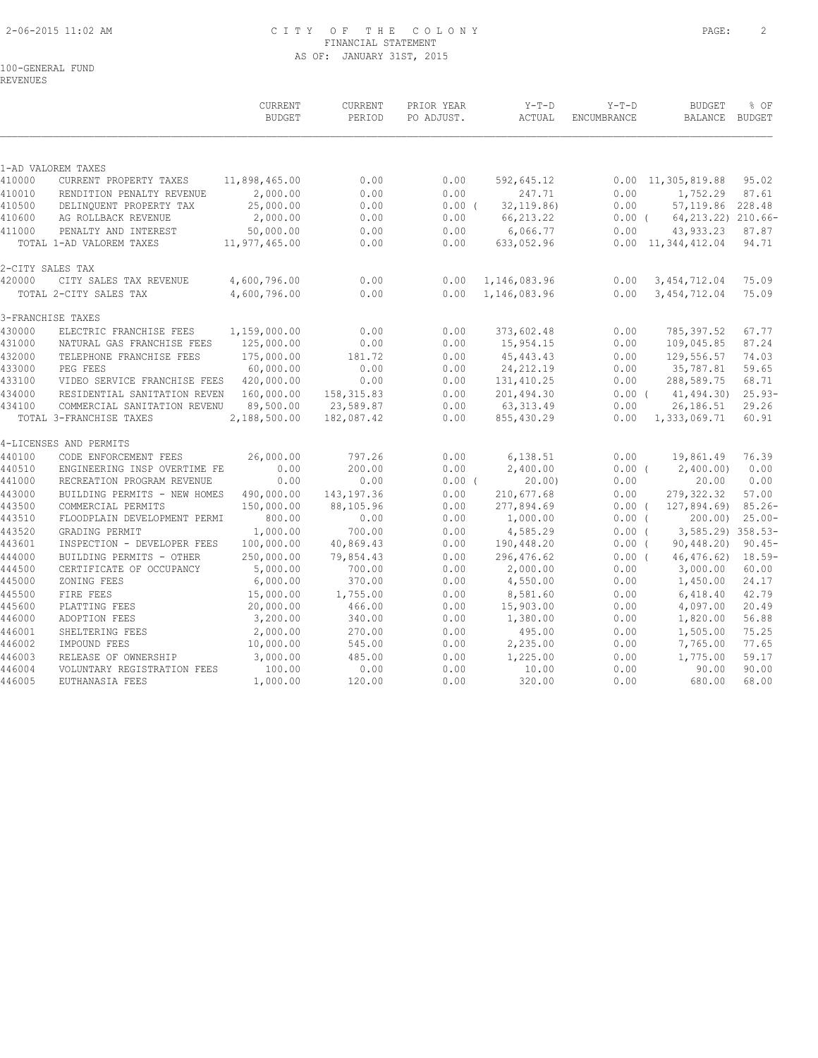# 2-06-2015 11:02 AM C I T Y O F T H E C O L O N Y PAGE: 2 FINANCIAL STATEMENT AS OF: JANUARY 31ST, 2015

100-GENERAL FUND

REVENUES

| 1-AD VALOREM TAXES<br>11,898,465.00<br>0.00<br>0.00<br>95.02<br>CURRENT PROPERTY TAXES<br>592,645.12<br>$0.00 \quad 11,305,819.88$<br>2,000.00<br>0.00<br>0.00<br>247.71<br>0.00<br>1,752.29<br>87.61<br>RENDITION PENALTY REVENUE<br>25,000.00<br>32, 119.86<br>57, 119.86 228.48<br>DELINQUENT PROPERTY TAX<br>0.00<br>$0.00$ (<br>0.00<br>2,000.00<br>0.00<br>0.00<br>66, 213.22<br>AG ROLLBACK REVENUE<br>$0.00$ (<br>50,000.00<br>0.00<br>0.00<br>6,066.77<br>0.00<br>43,933.23<br>PENALTY AND INTEREST<br>87.87<br>$0.00 \quad 11,344,412.04$<br>TOTAL 1-AD VALOREM TAXES<br>11,977,465.00<br>0.00<br>0.00<br>633,052.96<br>94.71<br>2-CITY SALES TAX<br>0.00<br>75.09<br>CITY SALES TAX REVENUE<br>4,600,796.00<br>0.00<br>1,146,083.96<br>0.00<br>3, 454, 712.04<br>0.00<br>TOTAL 2-CITY SALES TAX<br>4,600,796.00<br>0.00<br>1,146,083.96<br>0.00<br>3, 454, 712.04<br>75.09<br>3-FRANCHISE TAXES<br>1,159,000.00<br>0.00<br>0.00<br>373,602.48<br>0.00<br>785,397.52<br>67.77<br>ELECTRIC FRANCHISE FEES<br>431000<br>125,000.00<br>0.00<br>0.00<br>15,954.15<br>109,045.85<br>87.24<br>NATURAL GAS FRANCHISE FEES<br>0.00<br>432000<br>175,000.00<br>45, 443. 43<br>129,556.57<br>74.03<br>181.72<br>0.00<br>0.00<br>TELEPHONE FRANCHISE FEES<br>60,000.00<br>24, 212.19<br>35,787.81<br>59.65<br>433000<br>PEG FEES<br>0.00<br>0.00<br>0.00<br>433100<br>VIDEO SERVICE FRANCHISE FEES<br>420,000.00<br>0.00<br>0.00<br>131, 410.25<br>0.00<br>288,589.75<br>68.71<br>434000<br>158, 315.83<br>201,494.30<br>41,494.30)<br>RESIDENTIAL SANITATION REVEN<br>160,000.00<br>0.00<br>0.00(<br>434100<br>89,500.00<br>23,589.87<br>0.00<br>63, 313.49<br>26,186.51<br>29.26<br>COMMERCIAL SANITATION REVENU<br>0.00<br>182,087.42<br>60.91<br>TOTAL 3-FRANCHISE TAXES<br>2,188,500.00<br>0.00<br>855,430.29<br>0.00<br>1,333,069.71<br>4-LICENSES AND PERMITS<br>26,000.00<br>797.26<br>0.00<br>6,138.51<br>0.00<br>19,861.49<br>76.39<br>CODE ENFORCEMENT FEES<br>0.00<br>2,400.00)<br>200.00<br>0.00<br>2,400.00<br>0.00<br>ENGINEERING INSP OVERTIME FE<br>$0.00$ (<br>0.00<br>0.00<br>0.00<br>441000<br>RECREATION PROGRAM REVENUE<br>$0.00$ (<br>20.00<br>0.00<br>20.00<br>490,000.00<br>143, 197.36<br>0.00<br>279, 322.32<br>57.00<br>443000<br>BUILDING PERMITS - NEW HOMES<br>210,677.68<br>0.00<br>443500<br>150,000.00<br>88,105.96<br>0.00<br>277,894.69<br>127,894.69)<br>COMMERCIAL PERMITS<br>$0.00$ (<br>443510<br>FLOODPLAIN DEVELOPMENT PERMI<br>800.00<br>0.00<br>0.00<br>1,000.00<br>0.00(<br>200.00<br>443520<br>GRADING PERMIT<br>1,000.00<br>700.00<br>0.00<br>4,585.29<br>0.00(<br>443601<br>INSPECTION - DEVELOPER FEES<br>100,000.00<br>40,869.43<br>0.00<br>190,448.20<br>0.00(<br>90,448.20<br>250,000.00<br>79,854.43<br>0.00<br>296,476.62<br>46, 476.62<br>444000<br>BUILDING PERMITS - OTHER<br>0.00(<br>444500<br>5,000.00<br>700.00<br>0.00<br>2,000.00<br>0.00<br>3,000.00<br>60.00<br>CERTIFICATE OF OCCUPANCY<br>6,000.00<br>370.00<br>24.17<br>445000<br>ZONING FEES<br>0.00<br>4,550.00<br>0.00<br>1,450.00<br>42.79<br>445500<br>15,000.00<br>1,755.00<br>0.00<br>8,581.60<br>0.00<br>6,418.40<br>FIRE FEES<br>445600<br>PLATTING FEES<br>20,000.00<br>466.00<br>0.00<br>15,903.00<br>0.00<br>4,097.00<br>20.49<br>446000<br>3,200.00<br>1,380.00<br>0.00<br>1,820.00<br>56.88<br>ADOPTION FEES<br>340.00<br>0.00<br>75.25<br>446001<br>2,000.00<br>0.00<br>0.00<br>1,505.00<br>SHELTERING FEES<br>270.00<br>495.00<br>446002<br>IMPOUND FEES<br>10,000.00<br>545.00<br>0.00<br>2,235.00<br>0.00<br>7,765.00<br>77.65<br>59.17<br>446003<br>3,000.00<br>485.00<br>0.00<br>1,225.00<br>0.00<br>1,775.00<br>RELEASE OF OWNERSHIP<br>90.00<br>100.00<br>0.00<br>0.00<br>0.00<br>90.00<br>VOLUNTARY REGISTRATION FEES<br>10.00<br>120.00<br>0.00<br>0.00<br>680.00<br>68.00<br>EUTHANASIA FEES<br>1,000.00<br>320.00 |        | CURRENT<br><b>BUDGET</b> | CURRENT<br>PERIOD | PRIOR YEAR<br>PO ADJUST. | $Y-T-D$<br>ACTUAL | $Y-T-D$<br>ENCUMBRANCE | <b>BUDGET</b><br>BALANCE BUDGET | % OF |
|----------------------------------------------------------------------------------------------------------------------------------------------------------------------------------------------------------------------------------------------------------------------------------------------------------------------------------------------------------------------------------------------------------------------------------------------------------------------------------------------------------------------------------------------------------------------------------------------------------------------------------------------------------------------------------------------------------------------------------------------------------------------------------------------------------------------------------------------------------------------------------------------------------------------------------------------------------------------------------------------------------------------------------------------------------------------------------------------------------------------------------------------------------------------------------------------------------------------------------------------------------------------------------------------------------------------------------------------------------------------------------------------------------------------------------------------------------------------------------------------------------------------------------------------------------------------------------------------------------------------------------------------------------------------------------------------------------------------------------------------------------------------------------------------------------------------------------------------------------------------------------------------------------------------------------------------------------------------------------------------------------------------------------------------------------------------------------------------------------------------------------------------------------------------------------------------------------------------------------------------------------------------------------------------------------------------------------------------------------------------------------------------------------------------------------------------------------------------------------------------------------------------------------------------------------------------------------------------------------------------------------------------------------------------------------------------------------------------------------------------------------------------------------------------------------------------------------------------------------------------------------------------------------------------------------------------------------------------------------------------------------------------------------------------------------------------------------------------------------------------------------------------------------------------------------------------------------------------------------------------------------------------------------------------------------------------------------------------------------------------------------------------------------------------------------------------------------------------------------------------------------------------------------------------------------------------------------------------------------------------------------------------------------------------------------------------------------------------------------------------------------------------------------------------------------------------------------------------------------------|--------|--------------------------|-------------------|--------------------------|-------------------|------------------------|---------------------------------|------|
| 64, 213. 22) 210. 66-<br>$25.93-$<br>$85.26 -$<br>$25.00 -$<br>3,585.29) 358.53-<br>$90.45 -$<br>$18.59-$                                                                                                                                                                                                                                                                                                                                                                                                                                                                                                                                                                                                                                                                                                                                                                                                                                                                                                                                                                                                                                                                                                                                                                                                                                                                                                                                                                                                                                                                                                                                                                                                                                                                                                                                                                                                                                                                                                                                                                                                                                                                                                                                                                                                                                                                                                                                                                                                                                                                                                                                                                                                                                                                                                                                                                                                                                                                                                                                                                                                                                                                                                                                                                                                                                                                                                                                                                                                                                                                                                                                                                                                                                                                                                                                                      |        |                          |                   |                          |                   |                        |                                 |      |
|                                                                                                                                                                                                                                                                                                                                                                                                                                                                                                                                                                                                                                                                                                                                                                                                                                                                                                                                                                                                                                                                                                                                                                                                                                                                                                                                                                                                                                                                                                                                                                                                                                                                                                                                                                                                                                                                                                                                                                                                                                                                                                                                                                                                                                                                                                                                                                                                                                                                                                                                                                                                                                                                                                                                                                                                                                                                                                                                                                                                                                                                                                                                                                                                                                                                                                                                                                                                                                                                                                                                                                                                                                                                                                                                                                                                                                                                | 410000 |                          |                   |                          |                   |                        |                                 |      |
|                                                                                                                                                                                                                                                                                                                                                                                                                                                                                                                                                                                                                                                                                                                                                                                                                                                                                                                                                                                                                                                                                                                                                                                                                                                                                                                                                                                                                                                                                                                                                                                                                                                                                                                                                                                                                                                                                                                                                                                                                                                                                                                                                                                                                                                                                                                                                                                                                                                                                                                                                                                                                                                                                                                                                                                                                                                                                                                                                                                                                                                                                                                                                                                                                                                                                                                                                                                                                                                                                                                                                                                                                                                                                                                                                                                                                                                                | 410010 |                          |                   |                          |                   |                        |                                 |      |
|                                                                                                                                                                                                                                                                                                                                                                                                                                                                                                                                                                                                                                                                                                                                                                                                                                                                                                                                                                                                                                                                                                                                                                                                                                                                                                                                                                                                                                                                                                                                                                                                                                                                                                                                                                                                                                                                                                                                                                                                                                                                                                                                                                                                                                                                                                                                                                                                                                                                                                                                                                                                                                                                                                                                                                                                                                                                                                                                                                                                                                                                                                                                                                                                                                                                                                                                                                                                                                                                                                                                                                                                                                                                                                                                                                                                                                                                | 410500 |                          |                   |                          |                   |                        |                                 |      |
|                                                                                                                                                                                                                                                                                                                                                                                                                                                                                                                                                                                                                                                                                                                                                                                                                                                                                                                                                                                                                                                                                                                                                                                                                                                                                                                                                                                                                                                                                                                                                                                                                                                                                                                                                                                                                                                                                                                                                                                                                                                                                                                                                                                                                                                                                                                                                                                                                                                                                                                                                                                                                                                                                                                                                                                                                                                                                                                                                                                                                                                                                                                                                                                                                                                                                                                                                                                                                                                                                                                                                                                                                                                                                                                                                                                                                                                                | 410600 |                          |                   |                          |                   |                        |                                 |      |
|                                                                                                                                                                                                                                                                                                                                                                                                                                                                                                                                                                                                                                                                                                                                                                                                                                                                                                                                                                                                                                                                                                                                                                                                                                                                                                                                                                                                                                                                                                                                                                                                                                                                                                                                                                                                                                                                                                                                                                                                                                                                                                                                                                                                                                                                                                                                                                                                                                                                                                                                                                                                                                                                                                                                                                                                                                                                                                                                                                                                                                                                                                                                                                                                                                                                                                                                                                                                                                                                                                                                                                                                                                                                                                                                                                                                                                                                | 411000 |                          |                   |                          |                   |                        |                                 |      |
|                                                                                                                                                                                                                                                                                                                                                                                                                                                                                                                                                                                                                                                                                                                                                                                                                                                                                                                                                                                                                                                                                                                                                                                                                                                                                                                                                                                                                                                                                                                                                                                                                                                                                                                                                                                                                                                                                                                                                                                                                                                                                                                                                                                                                                                                                                                                                                                                                                                                                                                                                                                                                                                                                                                                                                                                                                                                                                                                                                                                                                                                                                                                                                                                                                                                                                                                                                                                                                                                                                                                                                                                                                                                                                                                                                                                                                                                |        |                          |                   |                          |                   |                        |                                 |      |
|                                                                                                                                                                                                                                                                                                                                                                                                                                                                                                                                                                                                                                                                                                                                                                                                                                                                                                                                                                                                                                                                                                                                                                                                                                                                                                                                                                                                                                                                                                                                                                                                                                                                                                                                                                                                                                                                                                                                                                                                                                                                                                                                                                                                                                                                                                                                                                                                                                                                                                                                                                                                                                                                                                                                                                                                                                                                                                                                                                                                                                                                                                                                                                                                                                                                                                                                                                                                                                                                                                                                                                                                                                                                                                                                                                                                                                                                |        |                          |                   |                          |                   |                        |                                 |      |
|                                                                                                                                                                                                                                                                                                                                                                                                                                                                                                                                                                                                                                                                                                                                                                                                                                                                                                                                                                                                                                                                                                                                                                                                                                                                                                                                                                                                                                                                                                                                                                                                                                                                                                                                                                                                                                                                                                                                                                                                                                                                                                                                                                                                                                                                                                                                                                                                                                                                                                                                                                                                                                                                                                                                                                                                                                                                                                                                                                                                                                                                                                                                                                                                                                                                                                                                                                                                                                                                                                                                                                                                                                                                                                                                                                                                                                                                | 420000 |                          |                   |                          |                   |                        |                                 |      |
|                                                                                                                                                                                                                                                                                                                                                                                                                                                                                                                                                                                                                                                                                                                                                                                                                                                                                                                                                                                                                                                                                                                                                                                                                                                                                                                                                                                                                                                                                                                                                                                                                                                                                                                                                                                                                                                                                                                                                                                                                                                                                                                                                                                                                                                                                                                                                                                                                                                                                                                                                                                                                                                                                                                                                                                                                                                                                                                                                                                                                                                                                                                                                                                                                                                                                                                                                                                                                                                                                                                                                                                                                                                                                                                                                                                                                                                                |        |                          |                   |                          |                   |                        |                                 |      |
|                                                                                                                                                                                                                                                                                                                                                                                                                                                                                                                                                                                                                                                                                                                                                                                                                                                                                                                                                                                                                                                                                                                                                                                                                                                                                                                                                                                                                                                                                                                                                                                                                                                                                                                                                                                                                                                                                                                                                                                                                                                                                                                                                                                                                                                                                                                                                                                                                                                                                                                                                                                                                                                                                                                                                                                                                                                                                                                                                                                                                                                                                                                                                                                                                                                                                                                                                                                                                                                                                                                                                                                                                                                                                                                                                                                                                                                                |        |                          |                   |                          |                   |                        |                                 |      |
|                                                                                                                                                                                                                                                                                                                                                                                                                                                                                                                                                                                                                                                                                                                                                                                                                                                                                                                                                                                                                                                                                                                                                                                                                                                                                                                                                                                                                                                                                                                                                                                                                                                                                                                                                                                                                                                                                                                                                                                                                                                                                                                                                                                                                                                                                                                                                                                                                                                                                                                                                                                                                                                                                                                                                                                                                                                                                                                                                                                                                                                                                                                                                                                                                                                                                                                                                                                                                                                                                                                                                                                                                                                                                                                                                                                                                                                                | 430000 |                          |                   |                          |                   |                        |                                 |      |
|                                                                                                                                                                                                                                                                                                                                                                                                                                                                                                                                                                                                                                                                                                                                                                                                                                                                                                                                                                                                                                                                                                                                                                                                                                                                                                                                                                                                                                                                                                                                                                                                                                                                                                                                                                                                                                                                                                                                                                                                                                                                                                                                                                                                                                                                                                                                                                                                                                                                                                                                                                                                                                                                                                                                                                                                                                                                                                                                                                                                                                                                                                                                                                                                                                                                                                                                                                                                                                                                                                                                                                                                                                                                                                                                                                                                                                                                |        |                          |                   |                          |                   |                        |                                 |      |
|                                                                                                                                                                                                                                                                                                                                                                                                                                                                                                                                                                                                                                                                                                                                                                                                                                                                                                                                                                                                                                                                                                                                                                                                                                                                                                                                                                                                                                                                                                                                                                                                                                                                                                                                                                                                                                                                                                                                                                                                                                                                                                                                                                                                                                                                                                                                                                                                                                                                                                                                                                                                                                                                                                                                                                                                                                                                                                                                                                                                                                                                                                                                                                                                                                                                                                                                                                                                                                                                                                                                                                                                                                                                                                                                                                                                                                                                |        |                          |                   |                          |                   |                        |                                 |      |
|                                                                                                                                                                                                                                                                                                                                                                                                                                                                                                                                                                                                                                                                                                                                                                                                                                                                                                                                                                                                                                                                                                                                                                                                                                                                                                                                                                                                                                                                                                                                                                                                                                                                                                                                                                                                                                                                                                                                                                                                                                                                                                                                                                                                                                                                                                                                                                                                                                                                                                                                                                                                                                                                                                                                                                                                                                                                                                                                                                                                                                                                                                                                                                                                                                                                                                                                                                                                                                                                                                                                                                                                                                                                                                                                                                                                                                                                |        |                          |                   |                          |                   |                        |                                 |      |
|                                                                                                                                                                                                                                                                                                                                                                                                                                                                                                                                                                                                                                                                                                                                                                                                                                                                                                                                                                                                                                                                                                                                                                                                                                                                                                                                                                                                                                                                                                                                                                                                                                                                                                                                                                                                                                                                                                                                                                                                                                                                                                                                                                                                                                                                                                                                                                                                                                                                                                                                                                                                                                                                                                                                                                                                                                                                                                                                                                                                                                                                                                                                                                                                                                                                                                                                                                                                                                                                                                                                                                                                                                                                                                                                                                                                                                                                |        |                          |                   |                          |                   |                        |                                 |      |
|                                                                                                                                                                                                                                                                                                                                                                                                                                                                                                                                                                                                                                                                                                                                                                                                                                                                                                                                                                                                                                                                                                                                                                                                                                                                                                                                                                                                                                                                                                                                                                                                                                                                                                                                                                                                                                                                                                                                                                                                                                                                                                                                                                                                                                                                                                                                                                                                                                                                                                                                                                                                                                                                                                                                                                                                                                                                                                                                                                                                                                                                                                                                                                                                                                                                                                                                                                                                                                                                                                                                                                                                                                                                                                                                                                                                                                                                |        |                          |                   |                          |                   |                        |                                 |      |
|                                                                                                                                                                                                                                                                                                                                                                                                                                                                                                                                                                                                                                                                                                                                                                                                                                                                                                                                                                                                                                                                                                                                                                                                                                                                                                                                                                                                                                                                                                                                                                                                                                                                                                                                                                                                                                                                                                                                                                                                                                                                                                                                                                                                                                                                                                                                                                                                                                                                                                                                                                                                                                                                                                                                                                                                                                                                                                                                                                                                                                                                                                                                                                                                                                                                                                                                                                                                                                                                                                                                                                                                                                                                                                                                                                                                                                                                |        |                          |                   |                          |                   |                        |                                 |      |
|                                                                                                                                                                                                                                                                                                                                                                                                                                                                                                                                                                                                                                                                                                                                                                                                                                                                                                                                                                                                                                                                                                                                                                                                                                                                                                                                                                                                                                                                                                                                                                                                                                                                                                                                                                                                                                                                                                                                                                                                                                                                                                                                                                                                                                                                                                                                                                                                                                                                                                                                                                                                                                                                                                                                                                                                                                                                                                                                                                                                                                                                                                                                                                                                                                                                                                                                                                                                                                                                                                                                                                                                                                                                                                                                                                                                                                                                |        |                          |                   |                          |                   |                        |                                 |      |
|                                                                                                                                                                                                                                                                                                                                                                                                                                                                                                                                                                                                                                                                                                                                                                                                                                                                                                                                                                                                                                                                                                                                                                                                                                                                                                                                                                                                                                                                                                                                                                                                                                                                                                                                                                                                                                                                                                                                                                                                                                                                                                                                                                                                                                                                                                                                                                                                                                                                                                                                                                                                                                                                                                                                                                                                                                                                                                                                                                                                                                                                                                                                                                                                                                                                                                                                                                                                                                                                                                                                                                                                                                                                                                                                                                                                                                                                |        |                          |                   |                          |                   |                        |                                 |      |
|                                                                                                                                                                                                                                                                                                                                                                                                                                                                                                                                                                                                                                                                                                                                                                                                                                                                                                                                                                                                                                                                                                                                                                                                                                                                                                                                                                                                                                                                                                                                                                                                                                                                                                                                                                                                                                                                                                                                                                                                                                                                                                                                                                                                                                                                                                                                                                                                                                                                                                                                                                                                                                                                                                                                                                                                                                                                                                                                                                                                                                                                                                                                                                                                                                                                                                                                                                                                                                                                                                                                                                                                                                                                                                                                                                                                                                                                | 440100 |                          |                   |                          |                   |                        |                                 |      |
|                                                                                                                                                                                                                                                                                                                                                                                                                                                                                                                                                                                                                                                                                                                                                                                                                                                                                                                                                                                                                                                                                                                                                                                                                                                                                                                                                                                                                                                                                                                                                                                                                                                                                                                                                                                                                                                                                                                                                                                                                                                                                                                                                                                                                                                                                                                                                                                                                                                                                                                                                                                                                                                                                                                                                                                                                                                                                                                                                                                                                                                                                                                                                                                                                                                                                                                                                                                                                                                                                                                                                                                                                                                                                                                                                                                                                                                                | 440510 |                          |                   |                          |                   |                        |                                 |      |
|                                                                                                                                                                                                                                                                                                                                                                                                                                                                                                                                                                                                                                                                                                                                                                                                                                                                                                                                                                                                                                                                                                                                                                                                                                                                                                                                                                                                                                                                                                                                                                                                                                                                                                                                                                                                                                                                                                                                                                                                                                                                                                                                                                                                                                                                                                                                                                                                                                                                                                                                                                                                                                                                                                                                                                                                                                                                                                                                                                                                                                                                                                                                                                                                                                                                                                                                                                                                                                                                                                                                                                                                                                                                                                                                                                                                                                                                |        |                          |                   |                          |                   |                        |                                 |      |
|                                                                                                                                                                                                                                                                                                                                                                                                                                                                                                                                                                                                                                                                                                                                                                                                                                                                                                                                                                                                                                                                                                                                                                                                                                                                                                                                                                                                                                                                                                                                                                                                                                                                                                                                                                                                                                                                                                                                                                                                                                                                                                                                                                                                                                                                                                                                                                                                                                                                                                                                                                                                                                                                                                                                                                                                                                                                                                                                                                                                                                                                                                                                                                                                                                                                                                                                                                                                                                                                                                                                                                                                                                                                                                                                                                                                                                                                |        |                          |                   |                          |                   |                        |                                 |      |
|                                                                                                                                                                                                                                                                                                                                                                                                                                                                                                                                                                                                                                                                                                                                                                                                                                                                                                                                                                                                                                                                                                                                                                                                                                                                                                                                                                                                                                                                                                                                                                                                                                                                                                                                                                                                                                                                                                                                                                                                                                                                                                                                                                                                                                                                                                                                                                                                                                                                                                                                                                                                                                                                                                                                                                                                                                                                                                                                                                                                                                                                                                                                                                                                                                                                                                                                                                                                                                                                                                                                                                                                                                                                                                                                                                                                                                                                |        |                          |                   |                          |                   |                        |                                 |      |
|                                                                                                                                                                                                                                                                                                                                                                                                                                                                                                                                                                                                                                                                                                                                                                                                                                                                                                                                                                                                                                                                                                                                                                                                                                                                                                                                                                                                                                                                                                                                                                                                                                                                                                                                                                                                                                                                                                                                                                                                                                                                                                                                                                                                                                                                                                                                                                                                                                                                                                                                                                                                                                                                                                                                                                                                                                                                                                                                                                                                                                                                                                                                                                                                                                                                                                                                                                                                                                                                                                                                                                                                                                                                                                                                                                                                                                                                |        |                          |                   |                          |                   |                        |                                 |      |
|                                                                                                                                                                                                                                                                                                                                                                                                                                                                                                                                                                                                                                                                                                                                                                                                                                                                                                                                                                                                                                                                                                                                                                                                                                                                                                                                                                                                                                                                                                                                                                                                                                                                                                                                                                                                                                                                                                                                                                                                                                                                                                                                                                                                                                                                                                                                                                                                                                                                                                                                                                                                                                                                                                                                                                                                                                                                                                                                                                                                                                                                                                                                                                                                                                                                                                                                                                                                                                                                                                                                                                                                                                                                                                                                                                                                                                                                |        |                          |                   |                          |                   |                        |                                 |      |
|                                                                                                                                                                                                                                                                                                                                                                                                                                                                                                                                                                                                                                                                                                                                                                                                                                                                                                                                                                                                                                                                                                                                                                                                                                                                                                                                                                                                                                                                                                                                                                                                                                                                                                                                                                                                                                                                                                                                                                                                                                                                                                                                                                                                                                                                                                                                                                                                                                                                                                                                                                                                                                                                                                                                                                                                                                                                                                                                                                                                                                                                                                                                                                                                                                                                                                                                                                                                                                                                                                                                                                                                                                                                                                                                                                                                                                                                |        |                          |                   |                          |                   |                        |                                 |      |
|                                                                                                                                                                                                                                                                                                                                                                                                                                                                                                                                                                                                                                                                                                                                                                                                                                                                                                                                                                                                                                                                                                                                                                                                                                                                                                                                                                                                                                                                                                                                                                                                                                                                                                                                                                                                                                                                                                                                                                                                                                                                                                                                                                                                                                                                                                                                                                                                                                                                                                                                                                                                                                                                                                                                                                                                                                                                                                                                                                                                                                                                                                                                                                                                                                                                                                                                                                                                                                                                                                                                                                                                                                                                                                                                                                                                                                                                |        |                          |                   |                          |                   |                        |                                 |      |
|                                                                                                                                                                                                                                                                                                                                                                                                                                                                                                                                                                                                                                                                                                                                                                                                                                                                                                                                                                                                                                                                                                                                                                                                                                                                                                                                                                                                                                                                                                                                                                                                                                                                                                                                                                                                                                                                                                                                                                                                                                                                                                                                                                                                                                                                                                                                                                                                                                                                                                                                                                                                                                                                                                                                                                                                                                                                                                                                                                                                                                                                                                                                                                                                                                                                                                                                                                                                                                                                                                                                                                                                                                                                                                                                                                                                                                                                |        |                          |                   |                          |                   |                        |                                 |      |
|                                                                                                                                                                                                                                                                                                                                                                                                                                                                                                                                                                                                                                                                                                                                                                                                                                                                                                                                                                                                                                                                                                                                                                                                                                                                                                                                                                                                                                                                                                                                                                                                                                                                                                                                                                                                                                                                                                                                                                                                                                                                                                                                                                                                                                                                                                                                                                                                                                                                                                                                                                                                                                                                                                                                                                                                                                                                                                                                                                                                                                                                                                                                                                                                                                                                                                                                                                                                                                                                                                                                                                                                                                                                                                                                                                                                                                                                |        |                          |                   |                          |                   |                        |                                 |      |
|                                                                                                                                                                                                                                                                                                                                                                                                                                                                                                                                                                                                                                                                                                                                                                                                                                                                                                                                                                                                                                                                                                                                                                                                                                                                                                                                                                                                                                                                                                                                                                                                                                                                                                                                                                                                                                                                                                                                                                                                                                                                                                                                                                                                                                                                                                                                                                                                                                                                                                                                                                                                                                                                                                                                                                                                                                                                                                                                                                                                                                                                                                                                                                                                                                                                                                                                                                                                                                                                                                                                                                                                                                                                                                                                                                                                                                                                |        |                          |                   |                          |                   |                        |                                 |      |
|                                                                                                                                                                                                                                                                                                                                                                                                                                                                                                                                                                                                                                                                                                                                                                                                                                                                                                                                                                                                                                                                                                                                                                                                                                                                                                                                                                                                                                                                                                                                                                                                                                                                                                                                                                                                                                                                                                                                                                                                                                                                                                                                                                                                                                                                                                                                                                                                                                                                                                                                                                                                                                                                                                                                                                                                                                                                                                                                                                                                                                                                                                                                                                                                                                                                                                                                                                                                                                                                                                                                                                                                                                                                                                                                                                                                                                                                |        |                          |                   |                          |                   |                        |                                 |      |
|                                                                                                                                                                                                                                                                                                                                                                                                                                                                                                                                                                                                                                                                                                                                                                                                                                                                                                                                                                                                                                                                                                                                                                                                                                                                                                                                                                                                                                                                                                                                                                                                                                                                                                                                                                                                                                                                                                                                                                                                                                                                                                                                                                                                                                                                                                                                                                                                                                                                                                                                                                                                                                                                                                                                                                                                                                                                                                                                                                                                                                                                                                                                                                                                                                                                                                                                                                                                                                                                                                                                                                                                                                                                                                                                                                                                                                                                |        |                          |                   |                          |                   |                        |                                 |      |
|                                                                                                                                                                                                                                                                                                                                                                                                                                                                                                                                                                                                                                                                                                                                                                                                                                                                                                                                                                                                                                                                                                                                                                                                                                                                                                                                                                                                                                                                                                                                                                                                                                                                                                                                                                                                                                                                                                                                                                                                                                                                                                                                                                                                                                                                                                                                                                                                                                                                                                                                                                                                                                                                                                                                                                                                                                                                                                                                                                                                                                                                                                                                                                                                                                                                                                                                                                                                                                                                                                                                                                                                                                                                                                                                                                                                                                                                |        |                          |                   |                          |                   |                        |                                 |      |
|                                                                                                                                                                                                                                                                                                                                                                                                                                                                                                                                                                                                                                                                                                                                                                                                                                                                                                                                                                                                                                                                                                                                                                                                                                                                                                                                                                                                                                                                                                                                                                                                                                                                                                                                                                                                                                                                                                                                                                                                                                                                                                                                                                                                                                                                                                                                                                                                                                                                                                                                                                                                                                                                                                                                                                                                                                                                                                                                                                                                                                                                                                                                                                                                                                                                                                                                                                                                                                                                                                                                                                                                                                                                                                                                                                                                                                                                |        |                          |                   |                          |                   |                        |                                 |      |
|                                                                                                                                                                                                                                                                                                                                                                                                                                                                                                                                                                                                                                                                                                                                                                                                                                                                                                                                                                                                                                                                                                                                                                                                                                                                                                                                                                                                                                                                                                                                                                                                                                                                                                                                                                                                                                                                                                                                                                                                                                                                                                                                                                                                                                                                                                                                                                                                                                                                                                                                                                                                                                                                                                                                                                                                                                                                                                                                                                                                                                                                                                                                                                                                                                                                                                                                                                                                                                                                                                                                                                                                                                                                                                                                                                                                                                                                | 446004 |                          |                   |                          |                   |                        |                                 |      |
|                                                                                                                                                                                                                                                                                                                                                                                                                                                                                                                                                                                                                                                                                                                                                                                                                                                                                                                                                                                                                                                                                                                                                                                                                                                                                                                                                                                                                                                                                                                                                                                                                                                                                                                                                                                                                                                                                                                                                                                                                                                                                                                                                                                                                                                                                                                                                                                                                                                                                                                                                                                                                                                                                                                                                                                                                                                                                                                                                                                                                                                                                                                                                                                                                                                                                                                                                                                                                                                                                                                                                                                                                                                                                                                                                                                                                                                                | 446005 |                          |                   |                          |                   |                        |                                 |      |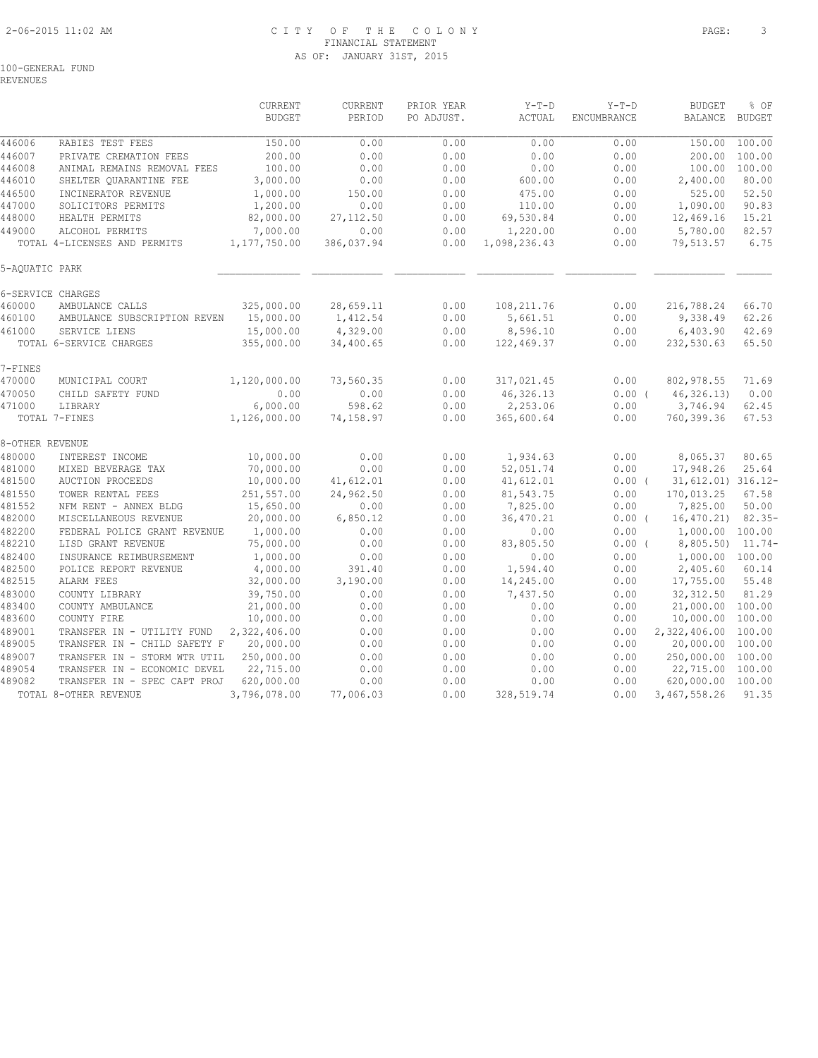# 2-06-2015 11:02 AM C I T Y O F T H E C O L O N Y PAGE: 3 FINANCIAL STATEMENT AS OF: JANUARY 31ST, 2015

100-GENERAL FUND

REVENUES

|                 |                              | CURRENT       | CURRENT    | PRIOR YEAR | $Y-T-D$      | $Y-T-D$            | <b>BUDGET</b>      | % OF          |
|-----------------|------------------------------|---------------|------------|------------|--------------|--------------------|--------------------|---------------|
|                 |                              | <b>BUDGET</b> | PERIOD     | PO ADJUST. | ACTUAL       | <b>ENCUMBRANCE</b> | <b>BALANCE</b>     | <b>BUDGET</b> |
|                 |                              |               |            |            |              |                    |                    |               |
| 446006          | RABIES TEST FEES             | 150.00        | 0.00       | 0.00       | 0.00         | 0.00               | 150.00             | 100.00        |
| 446007          | PRIVATE CREMATION FEES       | 200.00        | 0.00       | 0.00       | 0.00         | 0.00               | 200.00             | 100.00        |
| 446008          | ANIMAL REMAINS REMOVAL FEES  | 100.00        | 0.00       | 0.00       | 0.00         | 0.00               | 100.00             | 100.00        |
| 446010          | SHELTER QUARANTINE FEE       | 3,000.00      | 0.00       | 0.00       | 600.00       | 0.00               | 2,400.00           | 80.00         |
| 446500          | INCINERATOR REVENUE          | 1,000.00      | 150.00     | 0.00       | 475.00       | 0.00               | 525.00             | 52.50         |
| 447000          | SOLICITORS PERMITS           | 1,200.00      | 0.00       | 0.00       | 110.00       | 0.00               | 1,090.00           | 90.83         |
| 448000          | HEALTH PERMITS               | 82,000.00     | 27, 112.50 | 0.00       | 69,530.84    | 0.00               | 12,469.16          | 15.21         |
| 449000          | ALCOHOL PERMITS              | 7,000.00      | 0.00       | 0.00       | 1,220.00     | 0.00               | 5,780.00           | 82.57         |
|                 | TOTAL 4-LICENSES AND PERMITS | 1,177,750.00  | 386,037.94 | 0.00       | 1,098,236.43 | 0.00               | 79,513.57          | 6.75          |
| 5-AQUATIC PARK  |                              |               |            |            |              |                    |                    |               |
|                 | 6-SERVICE CHARGES            |               |            |            |              |                    |                    |               |
| 460000          | AMBULANCE CALLS              | 325,000.00    | 28,659.11  | 0.00       | 108, 211.76  | 0.00               | 216,788.24         | 66.70         |
| 460100          | AMBULANCE SUBSCRIPTION REVEN | 15,000.00     | 1,412.54   | 0.00       | 5,661.51     | 0.00               | 9,338.49           | 62.26         |
| 461000          | SERVICE LIENS                | 15,000.00     | 4,329.00   | 0.00       | 8,596.10     | 0.00               | 6,403.90           | 42.69         |
|                 | TOTAL 6-SERVICE CHARGES      | 355,000.00    | 34,400.65  | 0.00       | 122,469.37   | 0.00               | 232,530.63         | 65.50         |
| 7-FINES         |                              |               |            |            |              |                    |                    |               |
| 470000          | MUNICIPAL COURT              | 1,120,000.00  | 73,560.35  | 0.00       | 317,021.45   | 0.00               | 802,978.55         | 71.69         |
| 470050          | CHILD SAFETY FUND            | 0.00          | 0.00       | 0.00       | 46,326.13    | 0.00(              | 46, 326.13         | 0.00          |
| 471000          | LIBRARY                      | 6,000.00      | 598.62     | 0.00       | 2,253.06     | 0.00               | 3,746.94           | 62.45         |
|                 | TOTAL 7-FINES                | 1,126,000.00  | 74,158.97  | 0.00       | 365,600.64   | 0.00               | 760,399.36         | 67.53         |
| 8-OTHER REVENUE |                              |               |            |            |              |                    |                    |               |
| 480000          | INTEREST INCOME              | 10,000.00     | 0.00       | 0.00       | 1,934.63     | 0.00               | 8,065.37           | 80.65         |
| 481000          | MIXED BEVERAGE TAX           | 70,000.00     | 0.00       | 0.00       | 52,051.74    | 0.00               | 17,948.26          | 25.64         |
| 481500          | <b>AUCTION PROCEEDS</b>      | 10,000.00     | 41,612.01  | 0.00       | 41,612.01    | $0.00$ (           | 31,612.01) 316.12- |               |
| 481550          | TOWER RENTAL FEES            | 251,557.00    | 24,962.50  | 0.00       | 81,543.75    | 0.00               | 170,013.25         | 67.58         |
| 481552          | NFM RENT - ANNEX BLDG        | 15,650.00     | 0.00       | 0.00       | 7,825.00     | 0.00               | 7,825.00           | 50.00         |
| 482000          | MISCELLANEOUS REVENUE        | 20,000.00     | 6,850.12   | 0.00       | 36,470.21    | $0.00$ (           | 16, 470.21         | $82.35 -$     |
| 482200          | FEDERAL POLICE GRANT REVENUE | 1,000.00      | 0.00       | 0.00       | 0.00         | 0.00               | 1,000.00 100.00    |               |
| 482210          | LISD GRANT REVENUE           | 75,000.00     | 0.00       | 0.00       | 83,805.50    | $0.00$ (           | 8,805.50)          | $11.74-$      |
| 482400          | INSURANCE REIMBURSEMENT      | 1,000.00      | 0.00       | 0.00       | 0.00         | 0.00               | 1,000.00 100.00    |               |
| 482500          | POLICE REPORT REVENUE        | 4,000.00      | 391.40     | 0.00       | 1,594.40     | 0.00               | 2,405.60           | 60.14         |
| 482515          | ALARM FEES                   | 32,000.00     | 3,190.00   | 0.00       | 14,245.00    | 0.00               | 17,755.00          | 55.48         |
| 483000          | COUNTY LIBRARY               | 39,750.00     | 0.00       | 0.00       | 7,437.50     | 0.00               | 32, 312.50         | 81.29         |
| 483400          | COUNTY AMBULANCE             | 21,000.00     | 0.00       | 0.00       | 0.00         | 0.00               | 21,000.00 100.00   |               |
| 483600          | COUNTY FIRE                  | 10,000.00     | 0.00       | 0.00       | 0.00         | 0.00               | 10,000.00          | 100.00        |
| 489001          | TRANSFER IN - UTILITY FUND   | 2,322,406.00  | 0.00       | 0.00       | 0.00         | 0.00               | 2,322,406.00       | 100.00        |
| 489005          | TRANSFER IN - CHILD SAFETY F | 20,000.00     | 0.00       | 0.00       | 0.00         | 0.00               | 20,000.00          | 100.00        |
| 489007          | TRANSFER IN - STORM WTR UTIL | 250,000.00    | 0.00       | 0.00       | 0.00         | 0.00               | 250,000.00         | 100.00        |
| 489054          | TRANSFER IN - ECONOMIC DEVEL | 22,715.00     | 0.00       | 0.00       | 0.00         | 0.00               | 22,715.00          | 100.00        |
| 489082          | TRANSFER IN - SPEC CAPT PROJ | 620,000.00    | 0.00       | 0.00       | 0.00         | 0.00               | 620,000.00         | 100.00        |
|                 | TOTAL 8-OTHER REVENUE        | 3,796,078.00  | 77,006.03  | 0.00       | 328,519.74   | 0.00               | 3,467,558.26       | 91.35         |
|                 |                              |               |            |            |              |                    |                    |               |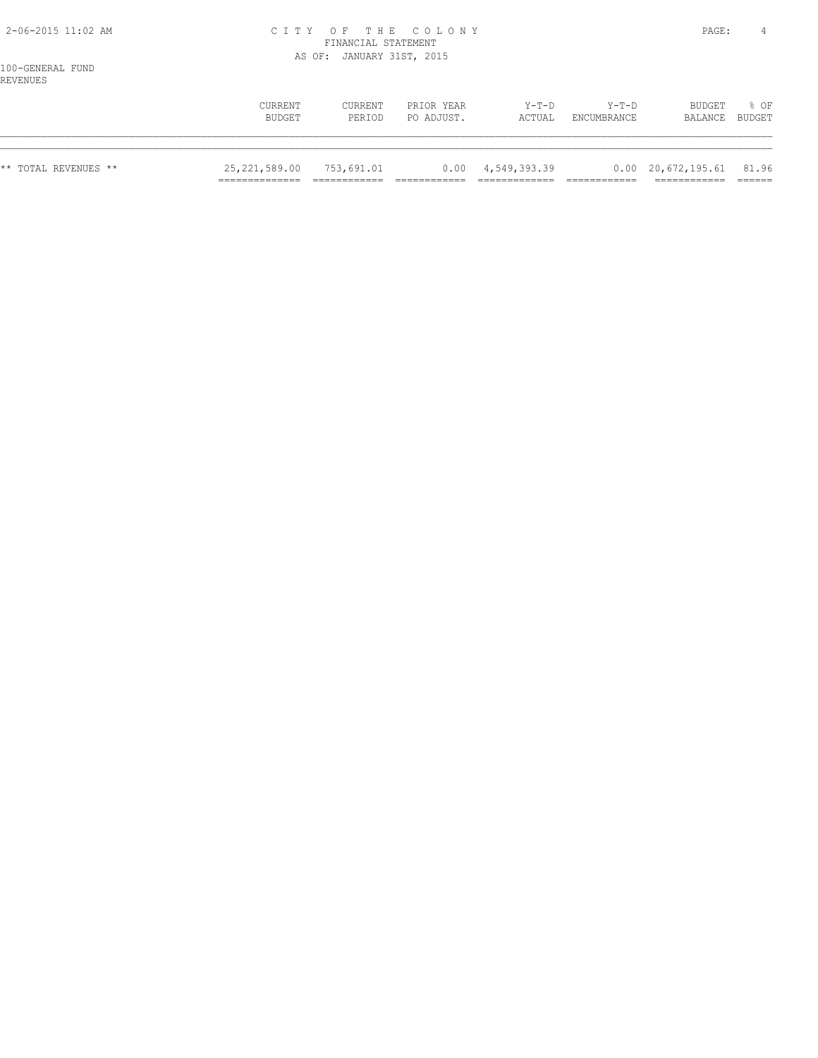## 2-06-2015 11:02 AM C I T Y O F T H E C O L O N Y PAGE: 4 FINANCIAL STATEMENT AS OF: JANUARY 31ST, 2015

|                      | CURRENT<br>BUDGET | CURRENT<br>PERIOD | PRIOR YEAR<br>PO ADJUST. | Y-T-D<br>ACTUAL           | $Y-T-D$<br>ENCUMBRANCE | BUDGET<br>BALANCE BUDGET               | 8 OF |
|----------------------|-------------------|-------------------|--------------------------|---------------------------|------------------------|----------------------------------------|------|
| ** TOTAL REVENUES ** | 25, 221, 589.00   | 753,691.01        |                          | $0.00 \quad 4,549,393.39$ |                        | $0.00 \quad 20,672,195.61 \quad 81.96$ |      |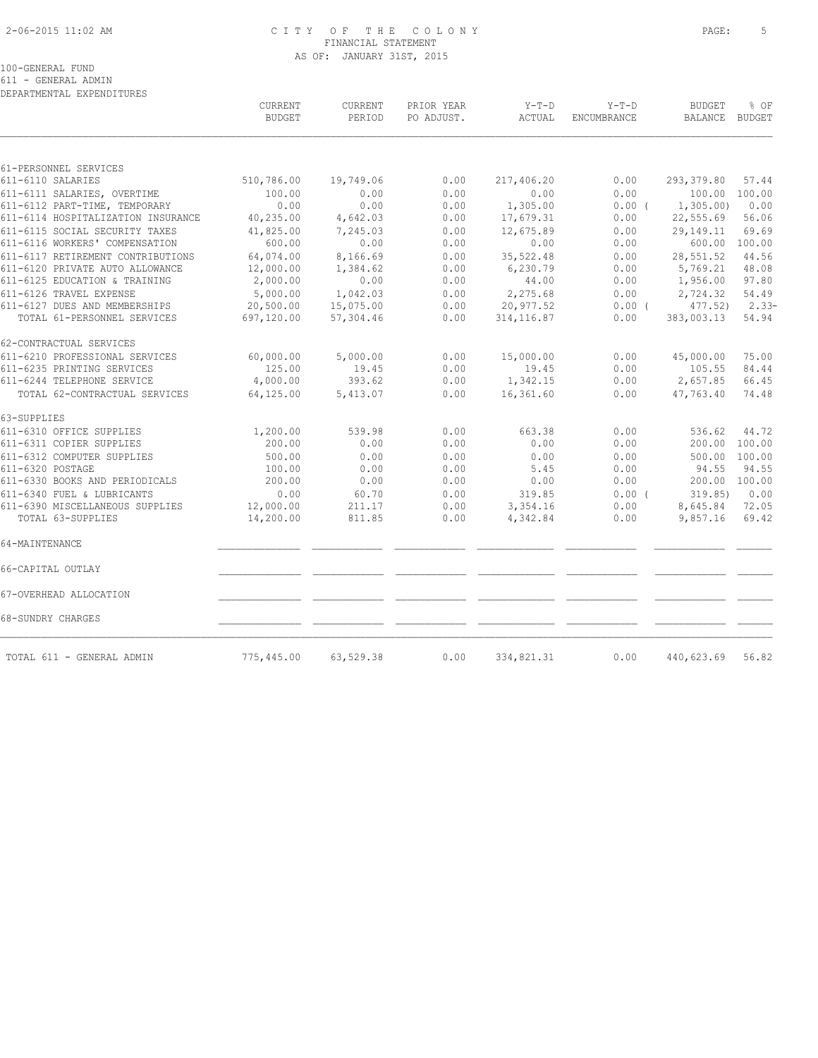# 2-06-2015 11:02 AM C I T Y O F T H E C O L O N Y PAGE: 5 FINANCIAL STATEMENT AS OF: JANUARY 31ST, 2015

|                                                      | CURRENT<br><b>BUDGET</b> | CURRENT<br>PERIOD | PRIOR YEAR<br>PO ADJUST. | $Y-T-D$<br>ACTUAL    | $Y-T-D$<br>ENCUMBRANCE | <b>BUDGET</b><br><b>BALANCE</b> | % OF<br>BUDGET |
|------------------------------------------------------|--------------------------|-------------------|--------------------------|----------------------|------------------------|---------------------------------|----------------|
|                                                      |                          |                   |                          |                      |                        |                                 |                |
| 61-PERSONNEL SERVICES<br>611-6110 SALARIES           | 510,786.00               | 19,749.06         | 0.00                     | 217,406.20           | 0.00                   | 293, 379.80                     | 57.44          |
| 611-6111 SALARIES, OVERTIME                          | 100.00                   | 0.00              | 0.00                     | 0.00                 | 0.00                   | 100.00                          | 100.00         |
| 611-6112 PART-TIME, TEMPORARY                        | 0.00                     | 0.00              | 0.00                     | 1,305.00             | 0.00(                  | 1, 305.00                       | 0.00           |
| 611-6114 HOSPITALIZATION INSURANCE                   | 40,235.00                | 4,642.03          | 0.00                     | 17,679.31            | 0.00                   | 22,555.69                       | 56.06          |
| 611-6115 SOCIAL SECURITY TAXES                       | 41,825.00                | 7,245.03          | 0.00                     | 12,675.89            | 0.00                   | 29,149.11                       | 69.69          |
| 611-6116 WORKERS' COMPENSATION                       | 600.00                   | 0.00              | 0.00                     | 0.00                 | 0.00                   | 600.00                          | 100.00         |
| 611-6117 RETIREMENT CONTRIBUTIONS                    | 64,074.00                | 8,166.69          | 0.00                     | 35, 522.48           | 0.00                   | 28,551.52                       | 44.56          |
| 611-6120 PRIVATE AUTO ALLOWANCE                      | 12,000.00                | 1,384.62          | 0.00                     | 6,230.79             | 0.00                   | 5,769.21                        | 48.08          |
| 611-6125 EDUCATION & TRAINING                        | 2,000.00                 | 0.00              | 0.00                     | 44.00                | 0.00                   | 1,956.00                        | 97.80          |
| 611-6126 TRAVEL EXPENSE                              | 5,000.00                 | 1,042.03          | 0.00                     | 2,275.68             | 0.00                   | 2,724.32                        | 54.49          |
| 611-6127 DUES AND MEMBERSHIPS                        | 20,500.00                | 15,075.00         | 0.00                     | 20,977.52            | $0.00$ (               | $477.52$ )                      | $2.33-$        |
| TOTAL 61-PERSONNEL SERVICES                          | 697,120.00               | 57,304.46         | 0.00                     | 314, 116.87          | 0.00                   | 383,003.13                      | 54.94          |
| 62-CONTRACTUAL SERVICES                              |                          |                   |                          |                      |                        |                                 |                |
| 611-6210 PROFESSIONAL SERVICES                       | 60,000.00                | 5,000.00          | 0.00                     | 15,000.00            | 0.00                   | 45,000.00                       | 75.00          |
| 611-6235 PRINTING SERVICES                           | 125.00                   | 19.45             | 0.00                     | 19.45                | 0.00                   | 105.55                          | 84.44          |
| 611-6244 TELEPHONE SERVICE                           | 4,000.00                 | 393.62            | 0.00                     | 1,342.15             | 0.00                   | 2,657.85                        | 66.45          |
| TOTAL 62-CONTRACTUAL SERVICES                        | 64,125.00                | 5,413.07          | 0.00                     | 16,361.60            | 0.00                   | 47,763.40                       | 74.48          |
| 63-SUPPLIES                                          |                          |                   |                          |                      |                        |                                 |                |
| 611-6310 OFFICE SUPPLIES                             | 1,200.00                 | 539.98            | 0.00                     | 663.38               | 0.00                   | 536.62                          | 44.72          |
| 611-6311 COPIER SUPPLIES                             | 200.00                   | 0.00              | 0.00                     | 0.00                 | 0.00                   | 200.00                          | 100.00         |
| 611-6312 COMPUTER SUPPLIES                           | 500.00                   | 0.00              | 0.00                     | 0.00                 | 0.00                   | 500.00                          | 100.00         |
| 611-6320 POSTAGE                                     | 100.00                   | 0.00              | 0.00                     | 5.45                 | 0.00                   | 94.55                           | 94.55          |
| 611-6330 BOOKS AND PERIODICALS                       | 200.00                   | 0.00              | 0.00                     | 0.00                 | 0.00                   | 200.00                          | 100.00         |
| 611-6340 FUEL & LUBRICANTS                           | 0.00                     | 60.70             | 0.00                     | 319.85               | 0.00(                  | 319.85                          | 0.00           |
| 611-6390 MISCELLANEOUS SUPPLIES<br>TOTAL 63-SUPPLIES | 12,000.00<br>14,200.00   | 211.17<br>811.85  | 0.00<br>0.00             | 3,354.16<br>4,342.84 | 0.00<br>0.00           | 8,645.84<br>9,857.16            | 72.05<br>69.42 |
| 64-MAINTENANCE                                       |                          |                   |                          |                      |                        |                                 |                |
|                                                      |                          |                   |                          |                      |                        |                                 |                |
| 66-CAPITAL OUTLAY                                    |                          |                   |                          |                      |                        |                                 |                |
| 67-OVERHEAD ALLOCATION                               |                          |                   |                          |                      |                        |                                 |                |
| 68-SUNDRY CHARGES                                    |                          |                   |                          |                      |                        |                                 |                |
| TOTAL 611 - GENERAL ADMIN                            | 775,445.00               | 63,529.38         | 0.00                     | 334,821.31           | 0.00                   | 440,623.69                      | 56.82          |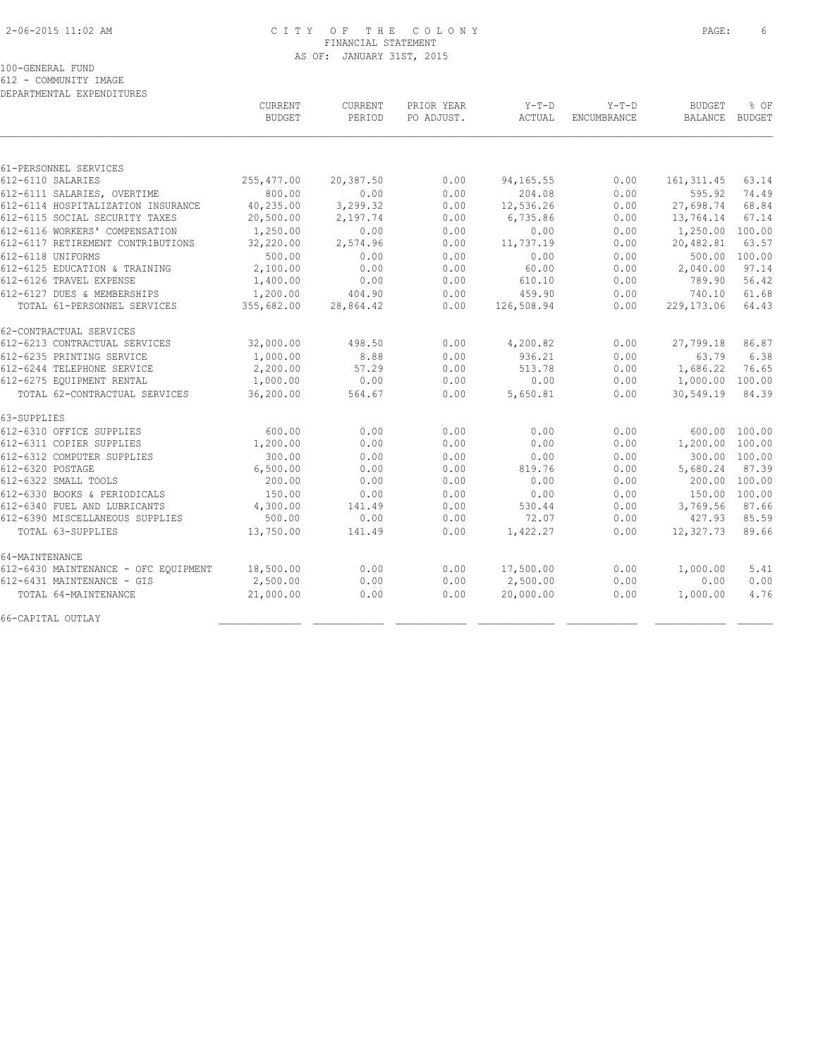# 2-06-2015 11:02 AM C I T Y O F T H E C O L O N Y PAGE: 6 FINANCIAL STATEMENT AS OF: JANUARY 31ST, 2015

### 100-GENERAL FUND

612 - COMMUNITY IMAGE

DEPARTMENTAL EXPENDITURES

|                                      | CURRENT<br><b>BUDGET</b> | <b>CURRENT</b><br>PERIOD | PRIOR YEAR<br>PO ADJUST. | $Y-T-D$<br>ACTUAL | $Y-T-D$<br>ENCUMBRANCE | <b>BUDGET</b><br><b>BALANCE</b> | % OF<br>BUDGET |
|--------------------------------------|--------------------------|--------------------------|--------------------------|-------------------|------------------------|---------------------------------|----------------|
|                                      |                          |                          |                          |                   |                        |                                 |                |
| 61-PERSONNEL SERVICES                |                          |                          |                          |                   |                        |                                 |                |
| 612-6110 SALARIES                    | 255,477.00               | 20,387.50                | 0.00                     | 94,165.55         | 0.00                   | 161, 311.45                     | 63.14          |
| 612-6111 SALARIES, OVERTIME          | 800.00                   | 0.00                     | 0.00                     | 204.08            | 0.00                   | 595.92                          | 74.49          |
| 612-6114 HOSPITALIZATION INSURANCE   | 40,235.00                | 3,299.32                 | 0.00                     | 12,536.26         | 0.00                   | 27,698.74                       | 68.84          |
| 612-6115 SOCIAL SECURITY TAXES       | 20,500.00                | 2,197.74                 | 0.00                     | 6,735.86          | 0.00                   | 13,764.14                       | 67.14          |
| 612-6116 WORKERS' COMPENSATION       | 1,250.00                 | 0.00                     | 0.00                     | 0.00              | 0.00                   | 1,250.00                        | 100.00         |
| 612-6117 RETIREMENT CONTRIBUTIONS    | 32,220.00                | 2,574.96                 | 0.00                     | 11,737.19         | 0.00                   | 20,482.81                       | 63.57          |
| 612-6118 UNIFORMS                    | 500.00                   | 0.00                     | 0.00                     | 0.00              | 0.00                   | 500.00                          | 100.00         |
| 612-6125 EDUCATION & TRAINING        | 2,100.00                 | 0.00                     | 0.00                     | 60.00             | 0.00                   | 2,040.00                        | 97.14          |
| 612-6126 TRAVEL EXPENSE              | 1,400.00                 | 0.00                     | 0.00                     | 610.10            | 0.00                   | 789.90                          | 56.42          |
| 612-6127 DUES & MEMBERSHIPS          | 1,200.00                 | 404.90                   | 0.00                     | 459.90            | 0.00                   | 740.10                          | 61.68          |
| TOTAL 61-PERSONNEL SERVICES          | 355,682.00               | 28,864.42                | 0.00                     | 126,508.94        | 0.00                   | 229, 173.06                     | 64.43          |
| 62-CONTRACTUAL SERVICES              |                          |                          |                          |                   |                        |                                 |                |
| 612-6213 CONTRACTUAL SERVICES        | 32,000.00                | 498.50                   | 0.00                     | 4,200.82          | 0.00                   | 27,799.18                       | 86.87          |
| 612-6235 PRINTING SERVICE            | 1,000.00                 | 8.88                     | 0.00                     | 936.21            | 0.00                   | 63.79                           | 6.38           |
| 612-6244 TELEPHONE SERVICE           | 2,200.00                 | 57.29                    | 0.00                     | 513.78            | 0.00                   | 1,686.22                        | 76.65          |
| 612-6275 EQUIPMENT RENTAL            | 1,000.00                 | 0.00                     | 0.00                     | 0.00              | 0.00                   | 1,000.00 100.00                 |                |
| TOTAL 62-CONTRACTUAL SERVICES        | 36,200.00                | 564.67                   | 0.00                     | 5,650.81          | 0.00                   | 30,549.19                       | 84.39          |
| 63-SUPPLIES                          |                          |                          |                          |                   |                        |                                 |                |
| 612-6310 OFFICE SUPPLIES             | 600.00                   | 0.00                     | 0.00                     | 0.00              | 0.00                   |                                 | 600.00 100.00  |
| 612-6311 COPIER SUPPLIES             | 1,200.00                 | 0.00                     | 0.00                     | 0.00              | 0.00                   | 1,200.00 100.00                 |                |
| 612-6312 COMPUTER SUPPLIES           | 300.00                   | 0.00                     | 0.00                     | 0.00              | 0.00                   |                                 | 300.00 100.00  |
| 612-6320 POSTAGE                     | 6,500.00                 | 0.00                     | 0.00                     | 819.76            | 0.00                   | 5,680.24                        | 87.39          |
| 612-6322 SMALL TOOLS                 | 200.00                   | 0.00                     | 0.00                     | 0.00              | 0.00                   | 200.00                          | 100.00         |
| 612-6330 BOOKS & PERIODICALS         | 150.00                   | 0.00                     | 0.00                     | 0.00              | 0.00                   |                                 | 150.00 100.00  |
| 612-6340 FUEL AND LUBRICANTS         | 4,300.00                 | 141.49                   | 0.00                     | 530.44            | 0.00                   | 3,769.56                        | 87.66          |
| 612-6390 MISCELLANEOUS SUPPLIES      | 500.00                   | 0.00                     | 0.00                     | 72.07             | 0.00                   | 427.93                          | 85.59          |
| TOTAL 63-SUPPLIES                    | 13,750.00                | 141.49                   | 0.00                     | 1,422.27          | 0.00                   | 12,327.73                       | 89.66          |
| 64-MAINTENANCE                       |                          |                          |                          |                   |                        |                                 |                |
| 612-6430 MAINTENANCE - OFC EOUIPMENT | 18,500.00                | 0.00                     | 0.00                     | 17,500.00         | 0.00                   | 1,000.00                        | 5.41           |
| 612-6431 MAINTENANCE - GIS           | 2,500.00                 | 0.00                     | 0.00                     | 2,500.00          | 0.00                   | 0.00                            | 0.00           |
| TOTAL 64-MAINTENANCE                 | 21,000.00                | 0.00                     | 0.00                     | 20,000.00         | 0.00                   | 1,000.00                        | 4.76           |
| 66-CAPITAL OUTLAY                    |                          |                          |                          |                   |                        |                                 |                |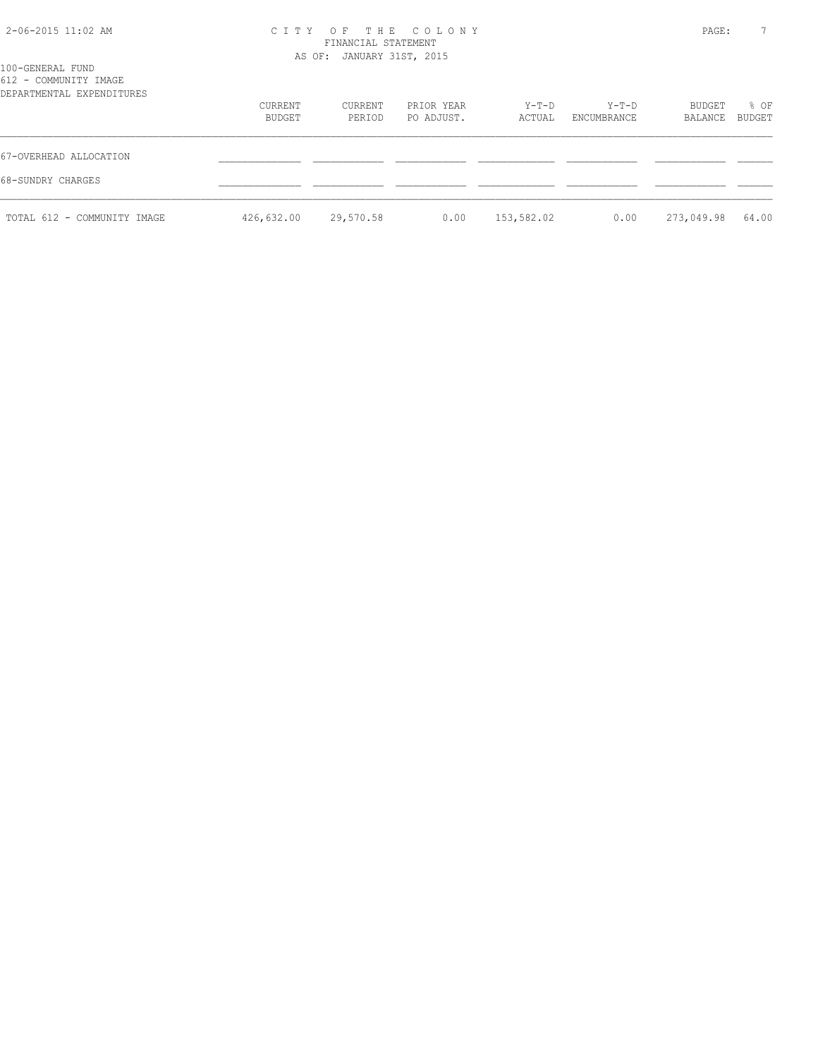# 2-06-2015 11:02 AM C I T Y O F T H E C O L O N Y PAGE: 7 FINANCIAL STATEMENT

| 100-GENERAL FUND                                   |                   | AS OF: JANUARY 31ST, 2015 |                          |                 |                      |                   |                |
|----------------------------------------------------|-------------------|---------------------------|--------------------------|-----------------|----------------------|-------------------|----------------|
| 612 - COMMUNITY IMAGE<br>DEPARTMENTAL EXPENDITURES |                   |                           |                          |                 |                      |                   |                |
|                                                    | CURRENT<br>BUDGET | CURRENT<br>PERIOD         | PRIOR YEAR<br>PO ADJUST. | Y-T-D<br>ACTUAL | Y-T-D<br>ENCUMBRANCE | BUDGET<br>BALANCE | % OF<br>BUDGET |
| 67-OVERHEAD ALLOCATION                             |                   |                           |                          |                 |                      |                   |                |
| 68-SUNDRY CHARGES                                  |                   |                           |                          |                 |                      |                   |                |
| TOTAL 612 - COMMUNITY IMAGE                        | 426,632.00        | 29,570.58                 | 0.00                     | 153,582.02      | 0.00                 | 273,049.98        | 64.00          |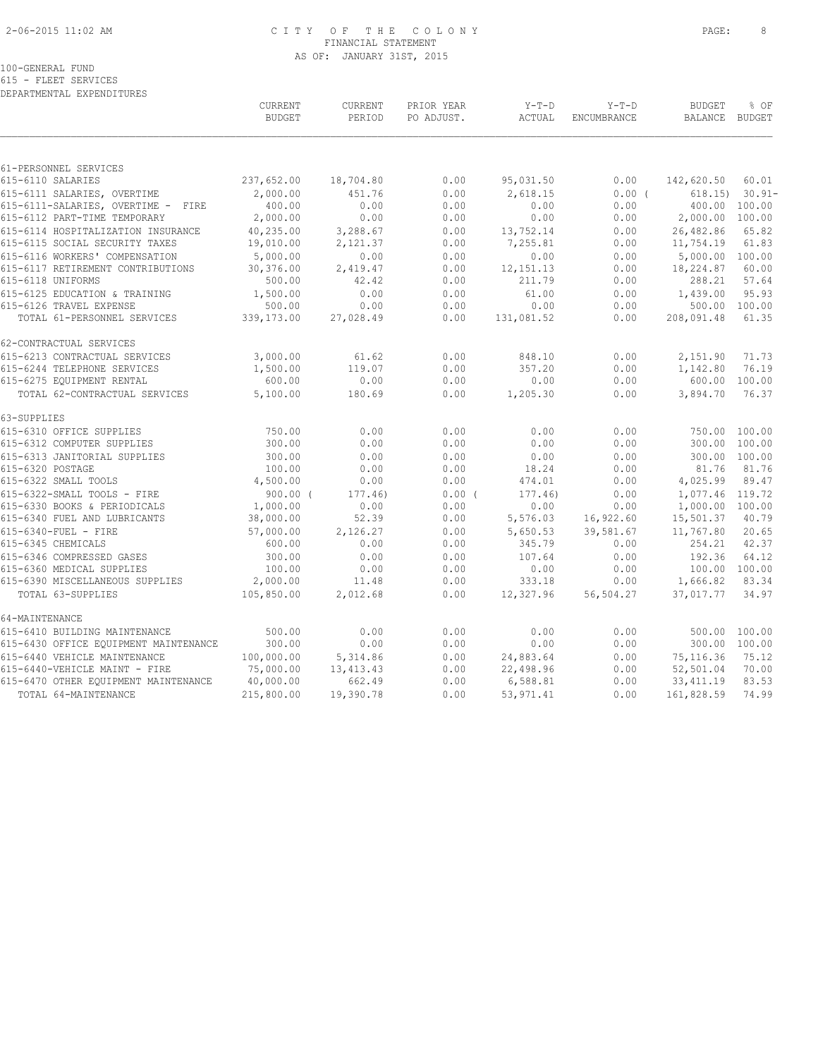# 2-06-2015 11:02 AM C I T Y O F T H E C O L O N Y PAGE: 8 FINANCIAL STATEMENT AS OF: JANUARY 31ST, 2015

100-GENERAL FUND

615 - FLEET SERVICES DEPARTMENTAL EXPENDITURES

|                                       | CURRENT<br><b>BUDGET</b> | CURRENT<br>PERIOD | PRIOR YEAR<br>PO ADJUST. | $Y-T-D$<br>ACTUAL | $Y-T-D$<br>ENCUMBRANCE | <b>BUDGET</b><br><b>BALANCE</b> | % OF<br>BUDGET |
|---------------------------------------|--------------------------|-------------------|--------------------------|-------------------|------------------------|---------------------------------|----------------|
|                                       |                          |                   |                          |                   |                        |                                 |                |
| 61-PERSONNEL SERVICES                 |                          |                   |                          |                   |                        |                                 |                |
| 615-6110 SALARIES                     | 237,652.00               | 18,704.80         | 0.00                     | 95,031.50         | 0.00                   | 142,620.50                      | 60.01          |
| 615-6111 SALARIES, OVERTIME           | 2,000.00                 | 451.76            | 0.00                     | 2,618.15          | 0.00(                  | 618.15                          | $30.91 -$      |
| 615-6111-SALARIES, OVERTIME - FIRE    | 400.00                   | 0.00              | 0.00                     | 0.00              | 0.00                   |                                 | 400.00 100.00  |
| 615-6112 PART-TIME TEMPORARY          | 2,000.00                 | 0.00              | 0.00                     | 0.00              | 0.00                   | 2,000.00 100.00                 |                |
| 615-6114 HOSPITALIZATION INSURANCE    | 40,235.00                | 3,288.67          | 0.00                     | 13,752.14         | 0.00                   | 26,482.86                       | 65.82          |
| 615-6115 SOCIAL SECURITY TAXES        | 19,010.00                | 2,121.37          | 0.00                     | 7,255.81          | 0.00                   | 11,754.19                       | 61.83          |
| 615-6116 WORKERS' COMPENSATION        | 5,000.00                 | 0.00              | 0.00                     | 0.00              | 0.00                   | 5,000.00 100.00                 |                |
| 615-6117 RETIREMENT CONTRIBUTIONS     | 30,376.00                | 2,419.47          | 0.00                     | 12, 151. 13       | 0.00                   | 18,224.87                       | 60.00          |
| 615-6118 UNIFORMS                     | 500.00                   | 42.42             | 0.00                     | 211.79            | 0.00                   | 288.21                          | 57.64          |
| 615-6125 EDUCATION & TRAINING         | 1,500.00                 | 0.00              | 0.00                     | 61.00             | 0.00                   | 1,439.00                        | 95.93          |
| 615-6126 TRAVEL EXPENSE               | 500.00                   | 0.00              | 0.00                     | 0.00              | 0.00                   |                                 | 500.00 100.00  |
| TOTAL 61-PERSONNEL SERVICES           | 339,173.00               | 27,028.49         | 0.00                     | 131,081.52        | 0.00                   | 208,091.48                      | 61.35          |
| 62-CONTRACTUAL SERVICES               |                          |                   |                          |                   |                        |                                 |                |
| 615-6213 CONTRACTUAL SERVICES         | 3,000.00                 | 61.62             | 0.00                     | 848.10            | 0.00                   | 2,151.90                        | 71.73          |
| 615-6244 TELEPHONE SERVICES           | 1,500.00                 | 119.07            | 0.00                     | 357.20            | 0.00                   | 1,142.80                        | 76.19          |
| 615-6275 EQUIPMENT RENTAL             | 600.00                   | 0.00              | 0.00                     | 0.00              | 0.00                   | 600.00                          | 100.00         |
| TOTAL 62-CONTRACTUAL SERVICES         | 5,100.00                 | 180.69            | 0.00                     | 1,205.30          | 0.00                   | 3,894.70                        | 76.37          |
| 63-SUPPLIES                           |                          |                   |                          |                   |                        |                                 |                |
| 615-6310 OFFICE SUPPLIES              | 750.00                   | 0.00              | 0.00                     | 0.00              | 0.00                   |                                 | 750.00 100.00  |
| 615-6312 COMPUTER SUPPLIES            | 300.00                   | 0.00              | 0.00                     | 0.00              | 0.00                   | 300.00                          | 100.00         |
| 615-6313 JANITORIAL SUPPLIES          | 300.00                   | 0.00              | 0.00                     | 0.00              | 0.00                   |                                 | 300.00 100.00  |
| 615-6320 POSTAGE                      | 100.00                   | 0.00              | 0.00                     | 18.24             | 0.00                   | 81.76                           | 81.76          |
| 615-6322 SMALL TOOLS                  | 4,500.00                 | 0.00              | 0.00                     | 474.01            | 0.00                   | 4,025.99                        | 89.47          |
| 615-6322-SMALL TOOLS - FIRE           | $900.00$ (               | 177.46)           | 0.00(                    | 177.46            | 0.00                   | 1,077.46 119.72                 |                |
| 615-6330 BOOKS & PERIODICALS          | 1,000.00                 | 0.00              | 0.00                     | 0.00              | 0.00                   | 1,000.00 100.00                 |                |
| 615-6340 FUEL AND LUBRICANTS          | 38,000.00                | 52.39             | 0.00                     | 5,576.03          | 16,922.60              | 15,501.37                       | 40.79          |
| 615-6340-FUEL - FIRE                  | 57,000.00                | 2,126.27          | 0.00                     | 5,650.53          | 39,581.67              | 11,767.80                       | 20.65          |
| 615-6345 CHEMICALS                    | 600.00                   | 0.00              | 0.00                     | 345.79            | 0.00                   | 254.21                          | 42.37          |
| 615-6346 COMPRESSED GASES             | 300.00                   | 0.00              | 0.00                     | 107.64            | 0.00                   | 192.36                          | 64.12          |
| 615-6360 MEDICAL SUPPLIES             | 100.00                   | 0.00              | 0.00                     | 0.00              | 0.00                   |                                 | 100.00 100.00  |
| 615-6390 MISCELLANEOUS SUPPLIES       | 2,000.00                 | 11.48             | 0.00                     | 333.18            | 0.00                   | 1,666.82                        | 83.34          |
| TOTAL 63-SUPPLIES                     | 105,850.00               | 2,012.68          | 0.00                     | 12,327.96         | 56,504.27              | 37,017.77                       | 34.97          |
| 64-MAINTENANCE                        |                          |                   |                          |                   |                        |                                 |                |
| 615-6410 BUILDING MAINTENANCE         | 500.00                   | 0.00              | 0.00                     | 0.00              | 0.00                   | 500.00                          | 100.00         |
| 615-6430 OFFICE EQUIPMENT MAINTENANCE | 300.00                   | 0.00              | 0.00                     | 0.00              | 0.00                   |                                 | 300.00 100.00  |
| 615-6440 VEHICLE MAINTENANCE          | 100,000.00               | 5,314.86          | 0.00                     | 24,883.64         | 0.00                   | 75, 116.36                      | 75.12          |
| 615-6440-VEHICLE MAINT - FIRE         | 75,000.00                | 13, 413. 43       | 0.00                     | 22,498.96         | 0.00                   | 52,501.04                       | 70.00          |
| 615-6470 OTHER EQUIPMENT MAINTENANCE  | 40,000.00                | 662.49            | 0.00                     | 6,588.81          | 0.00                   | 33, 411.19                      | 83.53          |
| TOTAL 64-MAINTENANCE                  | 215,800.00               | 19,390.78         | 0.00                     | 53, 971.41        | 0.00                   | 161,828.59                      | 74.99          |
|                                       |                          |                   |                          |                   |                        |                                 |                |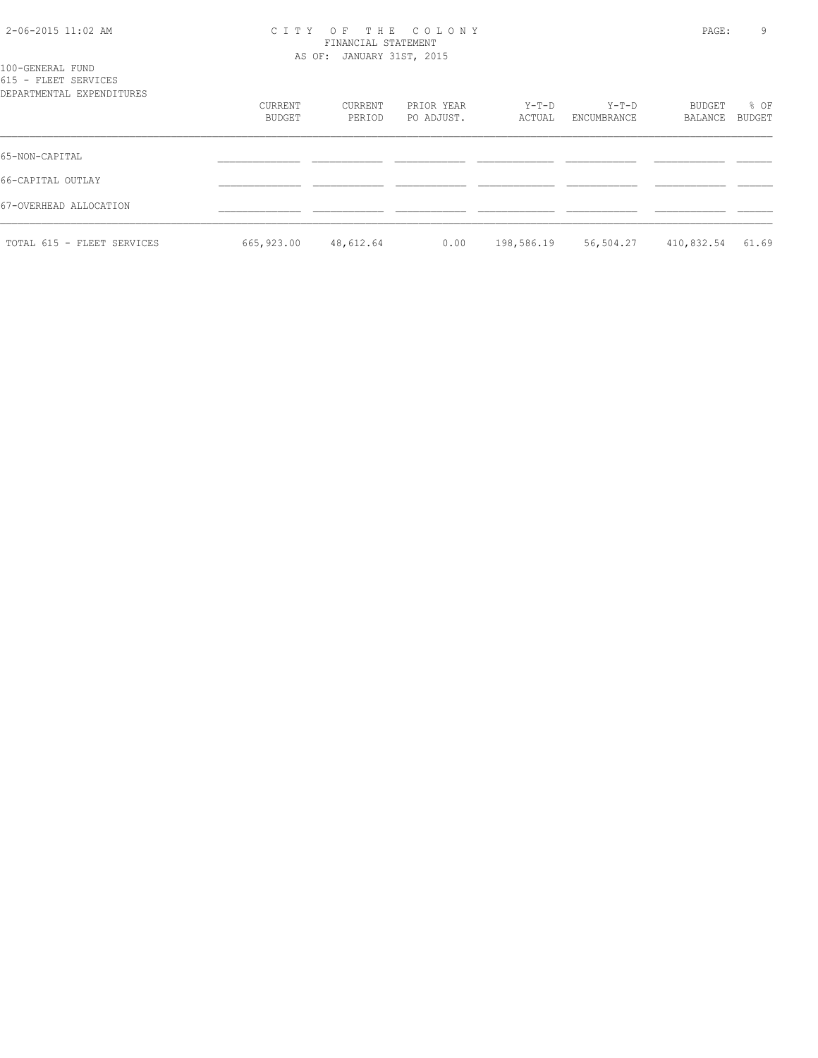# 2-06-2015 11:02 AM C I T Y O F T H E C O L O N Y PAGE: 9 FINANCIAL STATEMENT

|                                                                       |                   | AS OF: JANUARY 31ST, 2015 |                          |                 |                        |                   |                |
|-----------------------------------------------------------------------|-------------------|---------------------------|--------------------------|-----------------|------------------------|-------------------|----------------|
| 100-GENERAL FUND<br>615 - FLEET SERVICES<br>DEPARTMENTAL EXPENDITURES |                   |                           |                          |                 |                        |                   |                |
|                                                                       | CURRENT<br>BUDGET | CURRENT<br>PERIOD         | PRIOR YEAR<br>PO ADJUST. | Y-T-D<br>ACTUAL | $Y-T-D$<br>ENCUMBRANCE | BUDGET<br>BALANCE | % OF<br>BUDGET |
| 65-NON-CAPITAL                                                        |                   |                           |                          |                 |                        |                   |                |
| 66-CAPITAL OUTLAY                                                     |                   |                           |                          |                 |                        |                   |                |
| 67-OVERHEAD ALLOCATION                                                |                   |                           |                          |                 |                        |                   |                |
| TOTAL 615 - FLEET SERVICES                                            | 665,923.00        | 48,612.64                 | 0.00                     | 198,586.19      | 56,504.27              | 410,832.54        | 61.69          |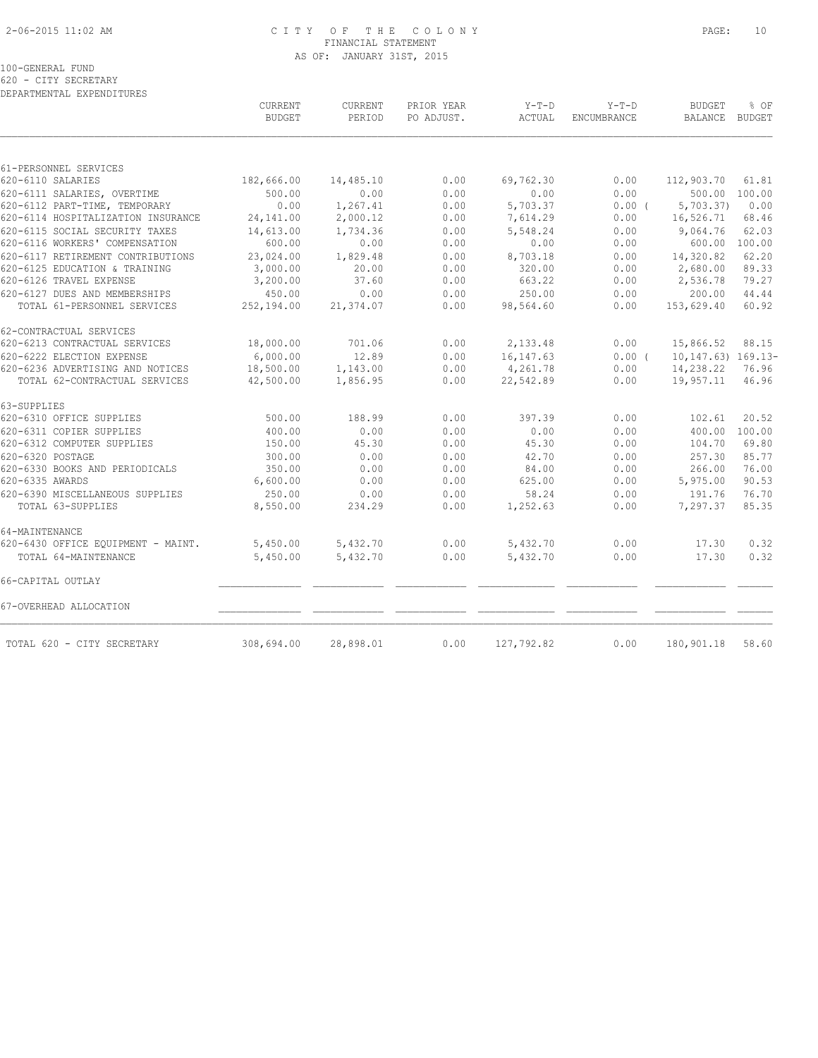# 2-06-2015 11:02 AM C I T Y O F T H E C O L O N Y PAGE: 10 FINANCIAL STATEMENT AS OF: JANUARY 31ST, 2015

100-GENERAL FUND

620 - CITY SECRETARY

| DEPARTMENTAL EXPENDITURES                                |                          |                          |                          |                   |                               |                                 |                |
|----------------------------------------------------------|--------------------------|--------------------------|--------------------------|-------------------|-------------------------------|---------------------------------|----------------|
|                                                          | CURRENT<br><b>BUDGET</b> | <b>CURRENT</b><br>PERIOD | PRIOR YEAR<br>PO ADJUST. | $Y-T-D$<br>ACTUAL | $Y-T-D$<br><b>ENCUMBRANCE</b> | <b>BUDGET</b><br><b>BALANCE</b> | % OF<br>BUDGET |
|                                                          |                          |                          |                          |                   |                               |                                 |                |
| 61-PERSONNEL SERVICES                                    |                          |                          |                          |                   |                               |                                 |                |
| 620-6110 SALARIES                                        | 182,666.00               | 14,485.10                | 0.00                     | 69,762.30         | 0.00                          | 112,903.70                      | 61.81          |
| 620-6111 SALARIES, OVERTIME                              | 500.00                   | 0.00                     | 0.00                     | 0.00              | 0.00                          | 500.00                          | 100.00         |
| 620-6112 PART-TIME, TEMPORARY                            | 0.00                     | 1,267.41                 | 0.00                     | 5,703.37          | 0.00(                         | 5,703.37                        | 0.00           |
| 620-6114 HOSPITALIZATION INSURANCE                       | 24,141.00                | 2,000.12                 | 0.00                     | 7,614.29          | 0.00                          | 16,526.71                       | 68.46          |
| 620-6115 SOCIAL SECURITY TAXES                           | 14,613.00                | 1,734.36                 | 0.00                     | 5,548.24          | 0.00                          | 9,064.76                        | 62.03          |
| 620-6116 WORKERS' COMPENSATION                           | 600.00                   | 0.00                     | 0.00                     | 0.00              | 0.00                          | 600.00                          | 100.00         |
| 620-6117 RETIREMENT CONTRIBUTIONS                        | 23,024.00                | 1,829.48                 | 0.00                     | 8,703.18          | 0.00                          | 14,320.82                       | 62.20          |
| 620-6125 EDUCATION & TRAINING<br>620-6126 TRAVEL EXPENSE | 3,000.00<br>3,200.00     | 20.00<br>37.60           | 0.00<br>0.00             | 320.00<br>663.22  | 0.00<br>0.00                  | 2,680.00<br>2,536.78            | 89.33<br>79.27 |
| 620-6127 DUES AND MEMBERSHIPS                            | 450.00                   | 0.00                     | 0.00                     | 250.00            | 0.00                          | 200.00                          | 44.44          |
| TOTAL 61-PERSONNEL SERVICES                              | 252,194.00               | 21,374.07                | 0.00                     | 98,564.60         | 0.00                          | 153,629.40                      | 60.92          |
|                                                          |                          |                          |                          |                   |                               |                                 |                |
| 62-CONTRACTUAL SERVICES                                  |                          |                          |                          |                   |                               |                                 |                |
| 620-6213 CONTRACTUAL SERVICES                            | 18,000.00                | 701.06                   | 0.00                     | 2,133.48          | 0.00                          | 15,866.52                       | 88.15          |
| 620-6222 ELECTION EXPENSE                                | 6,000.00                 | 12.89                    | 0.00                     | 16, 147.63        | 0.00(                         | $10, 147.63)$ $169.13-$         |                |
| 620-6236 ADVERTISING AND NOTICES                         | 18,500.00                | 1,143.00                 | 0.00                     | 4,261.78          | 0.00                          | 14,238.22                       | 76.96          |
| TOTAL 62-CONTRACTUAL SERVICES                            | 42,500.00                | 1,856.95                 | 0.00                     | 22,542.89         | 0.00                          | 19,957.11                       | 46.96          |
| 63-SUPPLIES                                              |                          |                          |                          |                   |                               |                                 |                |
| 620-6310 OFFICE SUPPLIES                                 | 500.00                   | 188.99                   | 0.00                     | 397.39            | 0.00                          | 102.61                          | 20.52          |
| 620-6311 COPIER SUPPLIES                                 | 400.00                   | 0.00                     | 0.00                     | 0.00              | 0.00                          | 400.00                          | 100.00         |
| 620-6312 COMPUTER SUPPLIES                               | 150.00                   | 45.30                    | 0.00                     | 45.30             | 0.00                          | 104.70                          | 69.80          |
| 620-6320 POSTAGE                                         | 300.00                   | 0.00                     | 0.00                     | 42.70             | 0.00                          | 257.30                          | 85.77          |
| 620-6330 BOOKS AND PERIODICALS                           | 350.00                   | 0.00                     | 0.00                     | 84.00             | 0.00                          | 266.00                          | 76.00          |
| 620-6335 AWARDS                                          | 6,600.00                 | 0.00                     | 0.00                     | 625.00            | 0.00                          | 5,975.00                        | 90.53          |
| 620-6390 MISCELLANEOUS SUPPLIES                          | 250.00                   | 0.00                     | 0.00                     | 58.24             | 0.00                          | 191.76                          | 76.70          |
| TOTAL 63-SUPPLIES                                        | 8,550.00                 | 234.29                   | 0.00                     | 1,252.63          | 0.00                          | 7,297.37                        | 85.35          |
| 64-MAINTENANCE                                           |                          |                          |                          |                   |                               |                                 |                |
| 620-6430 OFFICE EQUIPMENT - MAINT.                       | 5,450.00                 | 5,432.70                 | 0.00                     | 5,432.70          | 0.00                          | 17.30                           | 0.32           |
| TOTAL 64-MAINTENANCE                                     | 5,450.00                 | 5,432.70                 | 0.00                     | 5,432.70          | 0.00                          | 17.30                           | 0.32           |
| 66-CAPITAL OUTLAY                                        |                          |                          |                          |                   |                               |                                 |                |
|                                                          |                          |                          |                          |                   |                               |                                 |                |
| 67-OVERHEAD ALLOCATION                                   |                          |                          |                          |                   |                               |                                 |                |
| TOTAL 620 - CITY SECRETARY                               | 308,694.00               | 28,898.01                | 0.00                     | 127,792.82        | 0.00                          | 180,901.18                      | 58.60          |
|                                                          |                          |                          |                          |                   |                               |                                 |                |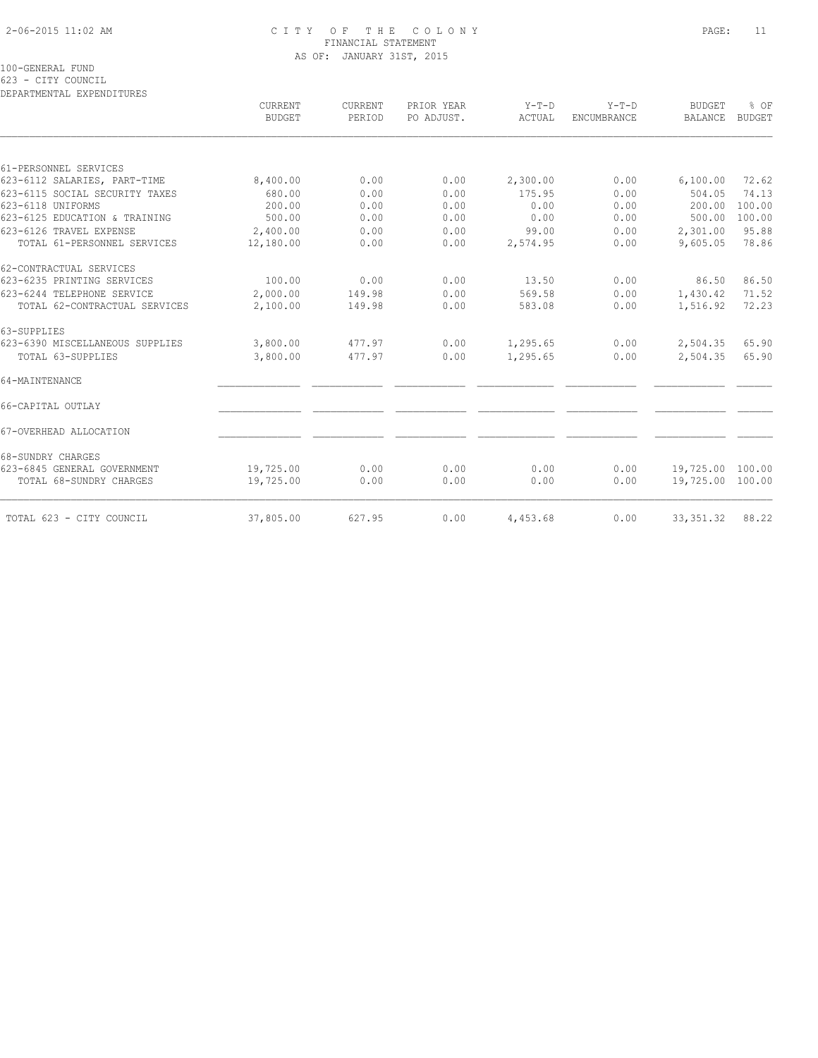# 2-06-2015 11:02 AM C I T Y O F T H E C O L O N Y PAGE: 11 FINANCIAL STATEMENT AS OF: JANUARY 31ST, 2015

100-GENERAL FUND

623 - CITY COUNCIL

| DEPARTMENTAL EXPENDITURES       |                          |                   |                          |                   |                        |                          |                       |
|---------------------------------|--------------------------|-------------------|--------------------------|-------------------|------------------------|--------------------------|-----------------------|
|                                 | CURRENT<br><b>BUDGET</b> | CURRENT<br>PERIOD | PRIOR YEAR<br>PO ADJUST. | $Y-T-D$<br>ACTUAL | $Y-T-D$<br>ENCUMBRANCE | <b>BUDGET</b><br>BALANCE | % OF<br><b>BUDGET</b> |
|                                 |                          |                   |                          |                   |                        |                          |                       |
| 61-PERSONNEL SERVICES           |                          |                   |                          |                   |                        |                          |                       |
| 623-6112 SALARIES, PART-TIME    | 8,400.00                 | 0.00              | 0.00                     | 2,300.00          | 0.00                   | 6,100.00                 | 72.62                 |
| 623-6115 SOCIAL SECURITY TAXES  | 680.00                   | 0.00              | 0.00                     | 175.95            | 0.00                   | 504.05                   | 74.13                 |
| 623-6118 UNIFORMS               | 200.00                   | 0.00              | 0.00                     | 0.00              | 0.00                   | 200.00                   | 100.00                |
| 623-6125 EDUCATION & TRAINING   | 500.00                   | 0.00              | 0.00                     | 0.00              | 0.00                   | 500.00                   | 100.00                |
| 623-6126 TRAVEL EXPENSE         | 2,400.00                 | 0.00              | 0.00                     | 99.00             | 0.00                   | 2,301.00                 | 95.88                 |
| TOTAL 61-PERSONNEL SERVICES     | 12,180.00                | 0.00              | 0.00                     | 2,574.95          | 0.00                   | 9,605.05                 | 78.86                 |
| 62-CONTRACTUAL SERVICES         |                          |                   |                          |                   |                        |                          |                       |
| 623-6235 PRINTING SERVICES      | 100.00                   | 0.00              | 0.00                     | 13.50             | 0.00                   | 86.50                    | 86.50                 |
| 623-6244 TELEPHONE SERVICE      | 2,000.00                 | 149.98            | 0.00                     | 569.58            | 0.00                   | 1,430.42                 | 71.52                 |
| TOTAL 62-CONTRACTUAL SERVICES   | 2,100.00                 | 149.98            | 0.00                     | 583.08            | 0.00                   | 1,516.92                 | 72.23                 |
| 63-SUPPLIES                     |                          |                   |                          |                   |                        |                          |                       |
| 623-6390 MISCELLANEOUS SUPPLIES | 3,800.00                 | 477.97            | 0.00                     | 1,295.65          | 0.00                   | 2,504.35                 | 65.90                 |
| TOTAL 63-SUPPLIES               | 3,800.00                 | 477.97            | 0.00                     | 1,295.65          | 0.00                   | 2,504.35                 | 65.90                 |
| 64-MAINTENANCE                  |                          |                   |                          |                   |                        |                          |                       |
| 66-CAPITAL OUTLAY               |                          |                   |                          |                   |                        |                          |                       |
| 67-OVERHEAD ALLOCATION          |                          |                   |                          |                   |                        |                          |                       |
| 68-SUNDRY CHARGES               |                          |                   |                          |                   |                        |                          |                       |
| 623-6845 GENERAL GOVERNMENT     | 19,725.00                | 0.00              | 0.00                     | 0.00              | 0.00                   | 19,725.00 100.00         |                       |
| TOTAL 68-SUNDRY CHARGES         | 19,725.00                | 0.00              | 0.00                     | 0.00              | 0.00                   | 19,725.00 100.00         |                       |
| TOTAL 623 - CITY COUNCIL        | 37,805.00                | 627.95            | 0.00                     | 4,453.68          | 0.00                   | 33, 351.32               | 88.22                 |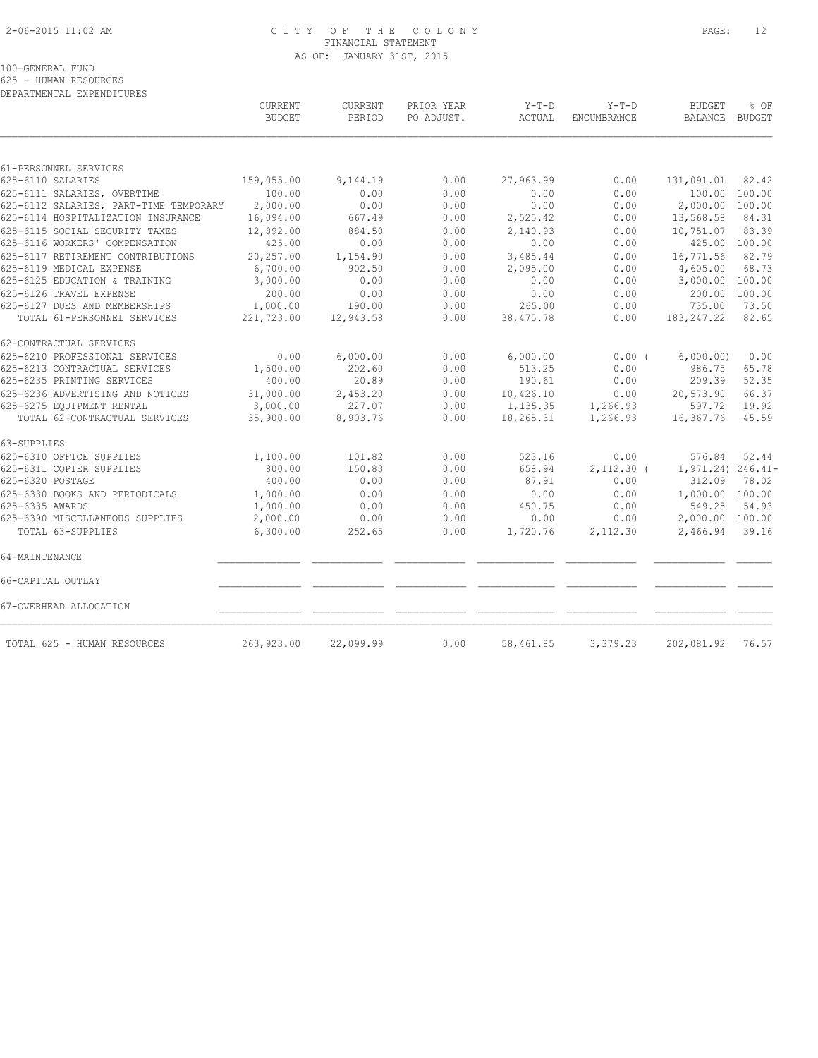# 2-06-2015 11:02 AM C I T Y O F T H E C O L O N Y PAGE: 12 FINANCIAL STATEMENT AS OF: JANUARY 31ST, 2015

100-GENERAL FUND

625 - HUMAN RESOURCES DEPARTMENTAL EXPENDITURES

|                                        | CURRENT<br><b>BUDGET</b> | CURRENT<br>PERIOD | PRIOR YEAR<br>PO ADJUST. | $Y-T-D$<br>ACTUAL | $Y-T-D$<br>ENCUMBRANCE | <b>BUDGET</b><br><b>BALANCE</b> | % OF<br><b>BUDGET</b> |
|----------------------------------------|--------------------------|-------------------|--------------------------|-------------------|------------------------|---------------------------------|-----------------------|
|                                        |                          |                   |                          |                   |                        |                                 |                       |
| 61-PERSONNEL SERVICES                  |                          |                   |                          |                   |                        |                                 |                       |
| 625-6110 SALARIES                      | 159,055.00               | 9,144.19          | 0.00                     | 27,963.99         | 0.00                   | 131,091.01                      | 82.42                 |
| 625-6111 SALARIES, OVERTIME            | 100.00                   | 0.00              | 0.00                     | 0.00              | 0.00                   | 100.00                          | 100.00                |
| 625-6112 SALARIES, PART-TIME TEMPORARY | 2,000.00                 | 0.00              | 0.00                     | 0.00              | 0.00                   | 2,000.00                        | 100.00                |
| 625-6114 HOSPITALIZATION INSURANCE     | 16,094.00                | 667.49            | 0.00                     | 2,525.42          | 0.00                   | 13,568.58                       | 84.31                 |
| 625-6115 SOCIAL SECURITY TAXES         | 12,892.00                | 884.50            | 0.00                     | 2,140.93          | 0.00                   | 10,751.07                       | 83.39                 |
| 625-6116 WORKERS' COMPENSATION         | 425.00                   | 0.00              | 0.00                     | 0.00              | 0.00                   | 425.00 100.00                   |                       |
| 625-6117 RETIREMENT CONTRIBUTIONS      | 20,257.00                | 1,154.90          | 0.00                     | 3,485.44          | 0.00                   | 16,771.56                       | 82.79                 |
| 625-6119 MEDICAL EXPENSE               | 6,700.00                 | 902.50            | 0.00                     | 2,095.00          | 0.00                   | 4,605.00                        | 68.73                 |
| 625-6125 EDUCATION & TRAINING          | 3,000.00                 | 0.00              | 0.00                     | 0.00              | 0.00                   | 3,000.00                        | 100.00                |
| 625-6126 TRAVEL EXPENSE                | 200.00                   | 0.00              | 0.00                     | 0.00              | 0.00                   | 200.00                          | 100.00                |
| 625-6127 DUES AND MEMBERSHIPS          | 1,000.00                 | 190.00            | 0.00                     | 265.00            | 0.00                   | 735.00                          | 73.50                 |
| TOTAL 61-PERSONNEL SERVICES            | 221,723.00               | 12,943.58         | 0.00                     | 38,475.78         | 0.00                   | 183, 247.22                     | 82.65                 |
| 62-CONTRACTUAL SERVICES                |                          |                   |                          |                   |                        |                                 |                       |
| 625-6210 PROFESSIONAL SERVICES         | 0.00                     | 6,000.00          | 0.00                     | 6,000.00          | 0.00(                  | 6,000.00)                       | 0.00                  |
| 625-6213 CONTRACTUAL SERVICES          | 1,500.00                 | 202.60            | 0.00                     | 513.25            | 0.00                   | 986.75                          | 65.78                 |
| 625-6235 PRINTING SERVICES             | 400.00                   | 20.89             | 0.00                     | 190.61            | 0.00                   | 209.39                          | 52.35                 |
| 625-6236 ADVERTISING AND NOTICES       | 31,000.00                | 2,453.20          | 0.00                     | 10,426.10         | 0.00                   | 20,573.90                       | 66.37                 |
| 625-6275 EQUIPMENT RENTAL              | 3,000.00                 | 227.07            | 0.00                     | 1,135.35          | 1,266.93               | 597.72                          | 19.92                 |
| TOTAL 62-CONTRACTUAL SERVICES          | 35,900.00                | 8,903.76          | 0.00                     | 18,265.31         | 1,266.93               | 16,367.76                       | 45.59                 |
| 63-SUPPLIES                            |                          |                   |                          |                   |                        |                                 |                       |
| 625-6310 OFFICE SUPPLIES               | 1,100.00                 | 101.82            | 0.00                     | 523.16            | 0.00                   | 576.84                          | 52.44                 |
| 625-6311 COPIER SUPPLIES               | 800.00                   | 150.83            | 0.00                     | 658.94            | $2,112.30$ (           | 1,971.24) 246.41-               |                       |
| 625-6320 POSTAGE                       | 400.00                   | 0.00              | 0.00                     | 87.91             | 0.00                   | 312.09                          | 78.02                 |
| 625-6330 BOOKS AND PERIODICALS         | 1,000.00                 | 0.00              | 0.00                     | 0.00              | 0.00                   | 1,000.00 100.00                 |                       |
| 625-6335 AWARDS                        | 1,000.00                 | 0.00              | 0.00                     | 450.75            | 0.00                   | 549.25                          | 54.93                 |
| 625-6390 MISCELLANEOUS SUPPLIES        | 2,000.00                 | 0.00              | 0.00                     | 0.00              | 0.00                   | 2,000.00 100.00                 |                       |
| TOTAL 63-SUPPLIES                      | 6,300.00                 | 252.65            | 0.00                     | 1,720.76          | 2,112.30               | 2,466.94                        | 39.16                 |
| 64-MAINTENANCE                         |                          |                   |                          |                   |                        |                                 |                       |
| 66-CAPITAL OUTLAY                      |                          |                   |                          |                   |                        |                                 |                       |
| 67-OVERHEAD ALLOCATION                 |                          |                   |                          |                   |                        |                                 |                       |
| TOTAL 625 - HUMAN RESOURCES            | 263, 923.00              | 22,099.99         | 0.00                     | 58,461.85         | 3,379.23               | 202,081.92                      | 76.57                 |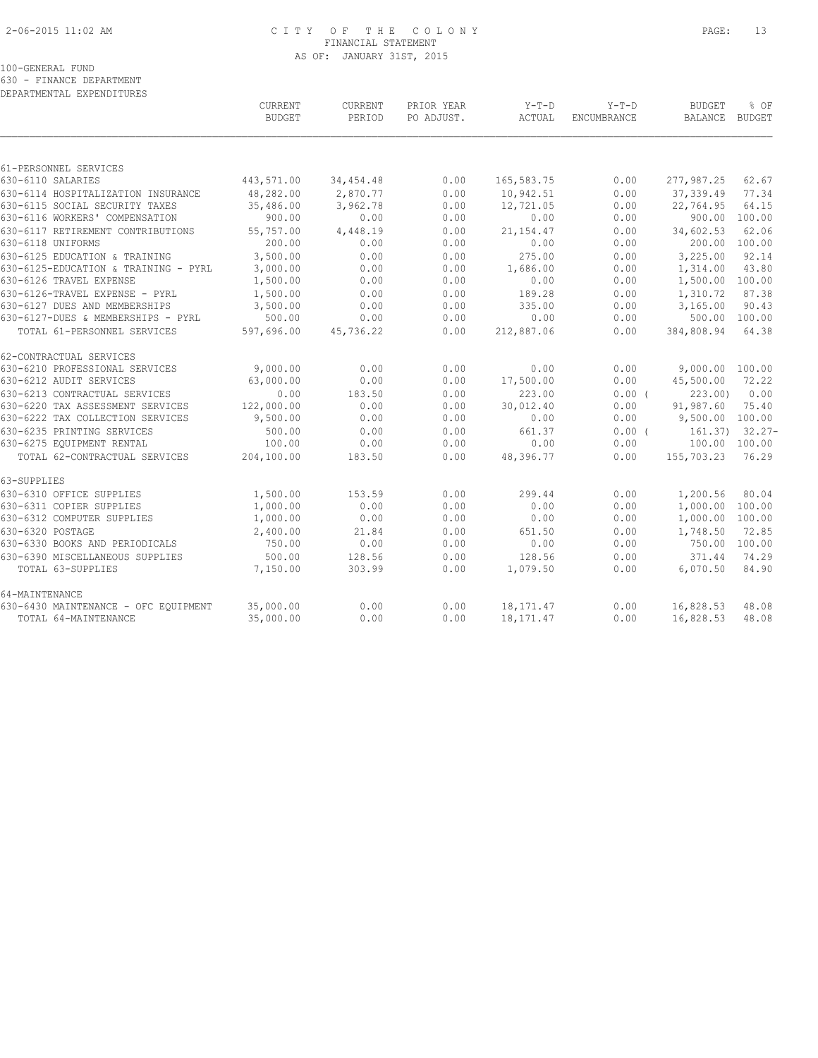# 2-06-2015 11:02 AM C I T Y O F T H E C O L O N Y PAGE: 13 FINANCIAL STATEMENT AS OF: JANUARY 31ST, 2015

100-GENERAL FUND

630 - FINANCE DEPARTMENT

| DEPARTMENTAL EXPENDITURES            |                |             |            |              |                    |                 |                      |
|--------------------------------------|----------------|-------------|------------|--------------|--------------------|-----------------|----------------------|
|                                      | <b>CURRENT</b> | CURRENT     | PRIOR YEAR | $Y-T-D$      | $Y-T-D$            | <b>BUDGET</b>   | % OF                 |
|                                      | <b>BUDGET</b>  | PERIOD      | PO ADJUST. | ACTUAL       | <b>ENCUMBRANCE</b> | BALANCE         | BUDGET               |
|                                      |                |             |            |              |                    |                 |                      |
| 61-PERSONNEL SERVICES                |                |             |            |              |                    |                 |                      |
| 630-6110 SALARIES                    | 443,571.00     | 34, 454. 48 | 0.00       | 165, 583. 75 | 0.00               | 277,987.25      | 62.67                |
| 630-6114 HOSPITALIZATION INSURANCE   | 48,282.00      | 2,870.77    | 0.00       | 10,942.51    | 0.00               | 37, 339.49      | 77.34                |
| 630-6115 SOCIAL SECURITY TAXES       | 35,486.00      | 3,962.78    | 0.00       | 12,721.05    | 0.00               | 22,764.95       | 64.15                |
| 630-6116 WORKERS' COMPENSATION       | 900.00         | 0.00        | 0.00       | 0.00         | 0.00               | 900.00          | 100.00               |
| 630-6117 RETIREMENT CONTRIBUTIONS    | 55,757.00      | 4,448.19    | 0.00       | 21, 154. 47  | 0.00               | 34,602.53       | 62.06                |
| 630-6118 UNIFORMS                    | 200.00         | 0.00        | 0.00       | 0.00         | 0.00               | 200.00          | 100.00               |
| 630-6125 EDUCATION & TRAINING        | 3,500.00       | 0.00        | 0.00       | 275.00       | 0.00               | 3,225.00        | 92.14                |
| 630-6125-EDUCATION & TRAINING - PYRL | 3,000.00       | 0.00        | 0.00       | 1,686.00     | 0.00               | 1,314.00        | 43.80                |
| 630-6126 TRAVEL EXPENSE              | 1,500.00       | 0.00        | 0.00       | 0.00         | 0.00               | 1,500.00        | 100.00               |
| 630-6126-TRAVEL EXPENSE - PYRL       | 1,500.00       | 0.00        | 0.00       | 189.28       | 0.00               | 1,310.72        | 87.38                |
| 630-6127 DUES AND MEMBERSHIPS        | 3,500.00       | 0.00        | 0.00       | 335.00       | 0.00               | 3,165.00        | 90.43                |
| 630-6127-DUES & MEMBERSHIPS - PYRL   | 500.00         | 0.00        | 0.00       | 0.00         | 0.00               | 500.00          | 100.00               |
| TOTAL 61-PERSONNEL SERVICES          | 597,696.00     | 45,736.22   | 0.00       | 212,887.06   | 0.00               | 384,808.94      | 64.38                |
| 62-CONTRACTUAL SERVICES              |                |             |            |              |                    |                 |                      |
| 630-6210 PROFESSIONAL SERVICES       | 9,000.00       | 0.00        | 0.00       | 0.00         | 0.00               | 9,000.00 100.00 |                      |
| 630-6212 AUDIT SERVICES              | 63,000.00      | 0.00        | 0.00       | 17,500.00    | 0.00               | 45,500.00       | 72.22                |
| 630-6213 CONTRACTUAL SERVICES        | 0.00           | 183.50      | 0.00       | 223.00       | 0.00(              | 223.00          | 0.00                 |
| 630-6220 TAX ASSESSMENT SERVICES     | 122,000.00     | 0.00        | 0.00       | 30,012.40    | 0.00               | 91,987.60       | 75.40                |
| 630-6222 TAX COLLECTION SERVICES     | 9,500.00       | 0.00        | 0.00       | 0.00         | 0.00               | 9,500.00 100.00 |                      |
| 630-6235 PRINTING SERVICES           | 500.00         | 0.00        | 0.00       | 661.37       | $0.00$ (           |                 | $161.37$ ) $32.27 -$ |
| 630-6275 EQUIPMENT RENTAL            | 100.00         | 0.00        | 0.00       | 0.00         | 0.00               | 100.00 100.00   |                      |
| TOTAL 62-CONTRACTUAL SERVICES        | 204,100.00     | 183.50      | 0.00       | 48,396.77    | 0.00               | 155,703.23      | 76.29                |
| 63-SUPPLIES                          |                |             |            |              |                    |                 |                      |
| 630-6310 OFFICE SUPPLIES             | 1,500.00       | 153.59      | 0.00       | 299.44       | 0.00               | 1,200.56        | 80.04                |
| 630-6311 COPIER SUPPLIES             | 1,000.00       | 0.00        | 0.00       | 0.00         | 0.00               | 1,000.00        | 100.00               |
| 630-6312 COMPUTER SUPPLIES           | 1,000.00       | 0.00        | 0.00       | 0.00         | 0.00               | 1,000.00        | 100.00               |
| 630-6320 POSTAGE                     | 2,400.00       | 21.84       | 0.00       | 651.50       | 0.00               | 1,748.50        | 72.85                |
| 630-6330 BOOKS AND PERIODICALS       | 750.00         | 0.00        | 0.00       | 0.00         | 0.00               |                 | 750.00 100.00        |
| 630-6390 MISCELLANEOUS SUPPLIES      | 500.00         | 128.56      | 0.00       | 128.56       | 0.00               | 371.44          | 74.29                |
| TOTAL 63-SUPPLIES                    | 7,150.00       | 303.99      | 0.00       | 1,079.50     | 0.00               | 6,070.50        | 84.90                |
| 64-MAINTENANCE                       |                |             |            |              |                    |                 |                      |
| 630-6430 MAINTENANCE - OFC EQUIPMENT | 35,000.00      | 0.00        | 0.00       | 18, 171.47   | 0.00               | 16,828.53       | 48.08                |
| TOTAL 64-MAINTENANCE                 | 35,000.00      | 0.00        | 0.00       | 18, 171. 47  | 0.00               | 16,828.53       | 48.08                |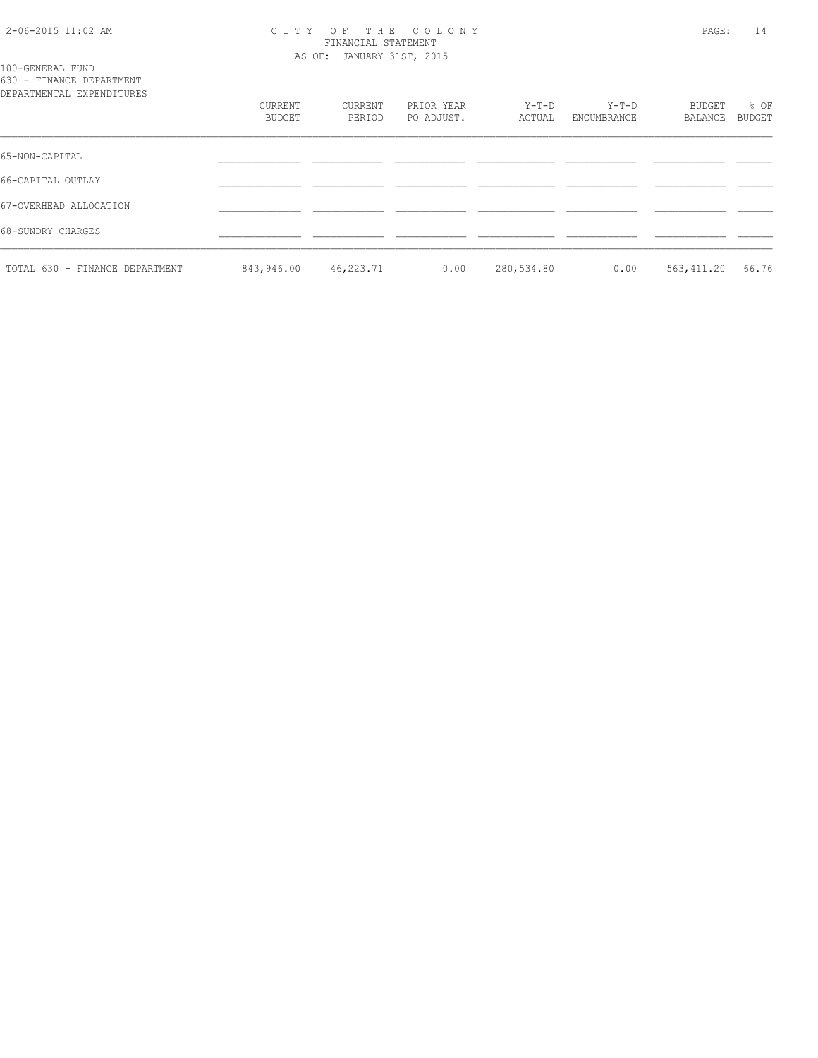## 2-06-2015 11:02 AM C I T Y O F T H E C O L O N Y PAGE: 14 FINANCIAL STATEMENT AS OF: JANUARY 31ST, 2015

100-GENERAL FUND 630 - FINANCE DEPARTMENT

| DEPARTMENTAL EXPENDITURES      |                   |                   |                          |                 |                      |                   |                |
|--------------------------------|-------------------|-------------------|--------------------------|-----------------|----------------------|-------------------|----------------|
|                                | CURRENT<br>BUDGET | CURRENT<br>PERIOD | PRIOR YEAR<br>PO ADJUST. | Y-T-D<br>ACTUAL | Y-T-D<br>ENCUMBRANCE | BUDGET<br>BALANCE | % OF<br>BUDGET |
| 65-NON-CAPITAL                 |                   |                   |                          |                 |                      |                   |                |
| 66-CAPITAL OUTLAY              |                   |                   |                          |                 |                      |                   |                |
| 67-OVERHEAD ALLOCATION         |                   |                   |                          |                 |                      |                   |                |
| 68-SUNDRY CHARGES              |                   |                   |                          |                 |                      |                   |                |
| TOTAL 630 - FINANCE DEPARTMENT | 843,946.00        | 46,223.71         | 0.00                     | 280,534.80      | 0.00                 | 563,411.20        | 66.76          |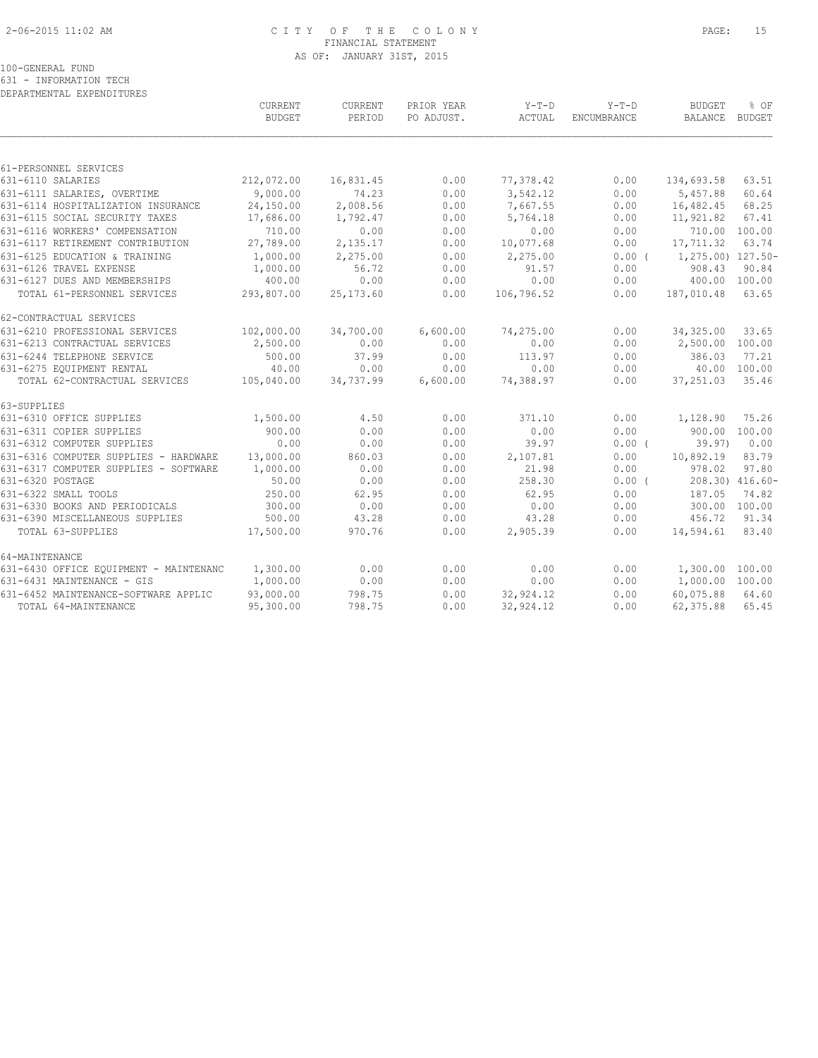# 2-06-2015 11:02 AM C I T Y O F T H E C O L O N Y PAGE: 15 FINANCIAL STATEMENT AS OF: JANUARY 31ST, 2015

100-GENERAL FUND

631 - INFORMATION TECH

| DEPARTMENTAL EXPENDITURES              |               |            |            |            |             |                   |                 |
|----------------------------------------|---------------|------------|------------|------------|-------------|-------------------|-----------------|
|                                        | CURRENT       | CURRENT    | PRIOR YEAR | $Y-T-D$    | $Y-T-D$     | <b>BUDGET</b>     | % OF            |
|                                        | <b>BUDGET</b> | PERIOD     | PO ADJUST. | ACTUAL     | ENCUMBRANCE | <b>BALANCE</b>    | <b>BUDGET</b>   |
|                                        |               |            |            |            |             |                   |                 |
| 61-PERSONNEL SERVICES                  |               |            |            |            |             |                   |                 |
| 631-6110 SALARIES                      | 212,072.00    | 16,831.45  | 0.00       | 77,378.42  | 0.00        | 134,693.58        | 63.51           |
| 631-6111 SALARIES, OVERTIME            | 9,000.00      | 74.23      | 0.00       | 3,542.12   | 0.00        | 5,457.88          | 60.64           |
| 631-6114 HOSPITALIZATION INSURANCE     | 24,150.00     | 2,008.56   | 0.00       | 7,667.55   | 0.00        | 16,482.45         | 68.25           |
| 631-6115 SOCIAL SECURITY TAXES         | 17,686.00     | 1,792.47   | 0.00       | 5,764.18   | 0.00        | 11,921.82         | 67.41           |
| 631-6116 WORKERS' COMPENSATION         | 710.00        | 0.00       | 0.00       | 0.00       | 0.00        |                   | 710.00 100.00   |
| 631-6117 RETIREMENT CONTRIBUTION       | 27,789.00     | 2,135.17   | 0.00       | 10,077.68  | 0.00        | 17,711.32         | 63.74           |
| 631-6125 EDUCATION & TRAINING          | 1,000.00      | 2,275.00   | 0.00       | 2,275.00   | 0.00(       | 1,275.00) 127.50- |                 |
| 631-6126 TRAVEL EXPENSE                | 1,000.00      | 56.72      | 0.00       | 91.57      | 0.00        | 908.43            | 90.84           |
| 631-6127 DUES AND MEMBERSHIPS          | 400.00        | 0.00       | 0.00       | 0.00       | 0.00        | 400.00            | 100.00          |
| TOTAL 61-PERSONNEL SERVICES            | 293,807.00    | 25, 173.60 | 0.00       | 106,796.52 | 0.00        | 187,010.48        | 63.65           |
| 62-CONTRACTUAL SERVICES                |               |            |            |            |             |                   |                 |
| 631-6210 PROFESSIONAL SERVICES         | 102,000.00    | 34,700.00  | 6,600.00   | 74,275.00  | 0.00        | 34, 325.00        | 33.65           |
| 631-6213 CONTRACTUAL SERVICES          | 2,500.00      | 0.00       | 0.00       | 0.00       | 0.00        | 2,500.00          | 100.00          |
| 631-6244 TELEPHONE SERVICE             | 500.00        | 37.99      | 0.00       | 113.97     | 0.00        | 386.03            | 77.21           |
| 631-6275 EQUIPMENT RENTAL              | 40.00         | 0.00       | 0.00       | 0.00       | 0.00        |                   | 40.00 100.00    |
| TOTAL 62-CONTRACTUAL SERVICES          | 105,040.00    | 34,737.99  | 6,600.00   | 74,388.97  | 0.00        | 37,251.03         | 35.46           |
| 63-SUPPLIES                            |               |            |            |            |             |                   |                 |
| 631-6310 OFFICE SUPPLIES               | 1,500.00      | 4.50       | 0.00       | 371.10     | 0.00        | 1,128.90          | 75.26           |
| 631-6311 COPIER SUPPLIES               | 900.00        | 0.00       | 0.00       | 0.00       | 0.00        | 900.00            | 100.00          |
| 631-6312 COMPUTER SUPPLIES             | 0.00          | 0.00       | 0.00       | 39.97      | $0.00$ (    | 39.97)            | 0.00            |
| 631-6316 COMPUTER SUPPLIES - HARDWARE  | 13,000.00     | 860.03     | 0.00       | 2,107.81   | 0.00        | 10,892.19         | 83.79           |
| 631-6317 COMPUTER SUPPLIES - SOFTWARE  | 1,000.00      | 0.00       | 0.00       | 21.98      | 0.00        | 978.02            | 97.80           |
| 631-6320 POSTAGE                       | 50.00         | 0.00       | 0.00       | 258.30     | $0.00$ (    |                   | 208.30) 416.60- |
| 631-6322 SMALL TOOLS                   | 250.00        | 62.95      | 0.00       | 62.95      | 0.00        | 187.05            | 74.82           |
| 631-6330 BOOKS AND PERIODICALS         | 300.00        | 0.00       | 0.00       | 0.00       | 0.00        |                   | 300.00 100.00   |
| 631-6390 MISCELLANEOUS SUPPLIES        | 500.00        | 43.28      | 0.00       | 43.28      | 0.00        | 456.72            | 91.34           |
| TOTAL 63-SUPPLIES                      | 17,500.00     | 970.76     | 0.00       | 2,905.39   | 0.00        | 14,594.61         | 83.40           |
| 64-MAINTENANCE                         |               |            |            |            |             |                   |                 |
| 631-6430 OFFICE EQUIPMENT - MAINTENANC | 1,300.00      | 0.00       | 0.00       | 0.00       | 0.00        | 1,300.00          | 100.00          |
| 631-6431 MAINTENANCE - GIS             | 1,000.00      | 0.00       | 0.00       | 0.00       | 0.00        | 1,000.00          | 100.00          |
| 631-6452 MAINTENANCE-SOFTWARE APPLIC   | 93,000.00     | 798.75     | 0.00       | 32,924.12  | 0.00        | 60,075.88         | 64.60           |
| TOTAL 64-MAINTENANCE                   | 95,300.00     | 798.75     | 0.00       | 32,924.12  | 0.00        | 62,375.88         | 65.45           |
|                                        |               |            |            |            |             |                   |                 |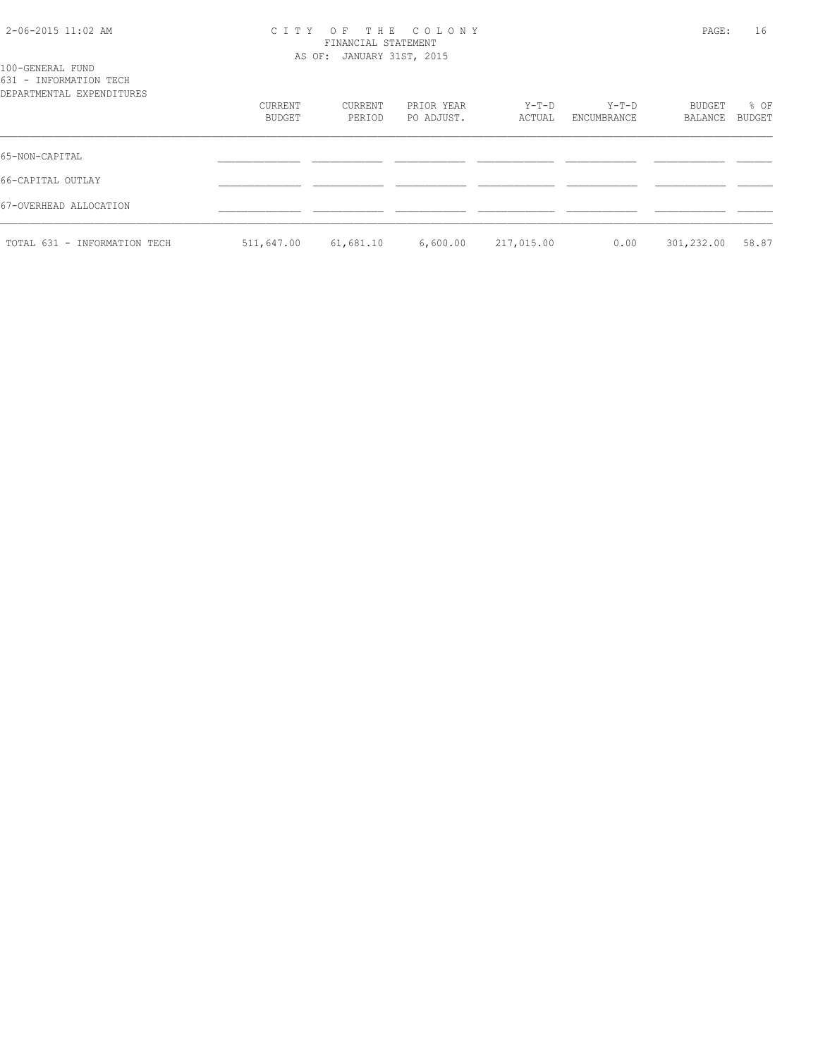# 2-06-2015 11:02 AM C I T Y O F T H E C O L O N Y PAGE: 16 FINANCIAL STATEMENT AS OF: JANUARY 31ST, 2015

| 100-GENERAL FUND          |  |
|---------------------------|--|
| 631 - INFORMATION TECH    |  |
| DEPARTMENTAL EXPENDITURES |  |

| DEPARTMENTAL EXPENDITURES    |            |           |            |            |             |            |        |
|------------------------------|------------|-----------|------------|------------|-------------|------------|--------|
|                              | CURRENT    | CURRENT   | PRIOR YEAR | Y-T-D      | Y-T-D       | BUDGET     | % OF   |
|                              | BUDGET     | PERIOD    | PO ADJUST. | ACTUAL     | ENCUMBRANCE | BALANCE    | BUDGET |
| 65-NON-CAPITAL               |            |           |            |            |             |            |        |
| 66-CAPITAL OUTLAY            |            |           |            |            |             |            |        |
| 67-OVERHEAD ALLOCATION       |            |           |            |            |             |            |        |
| TOTAL 631 - INFORMATION TECH | 511,647.00 | 61,681.10 | 6,600.00   | 217,015.00 | 0.00        | 301,232.00 | 58.87  |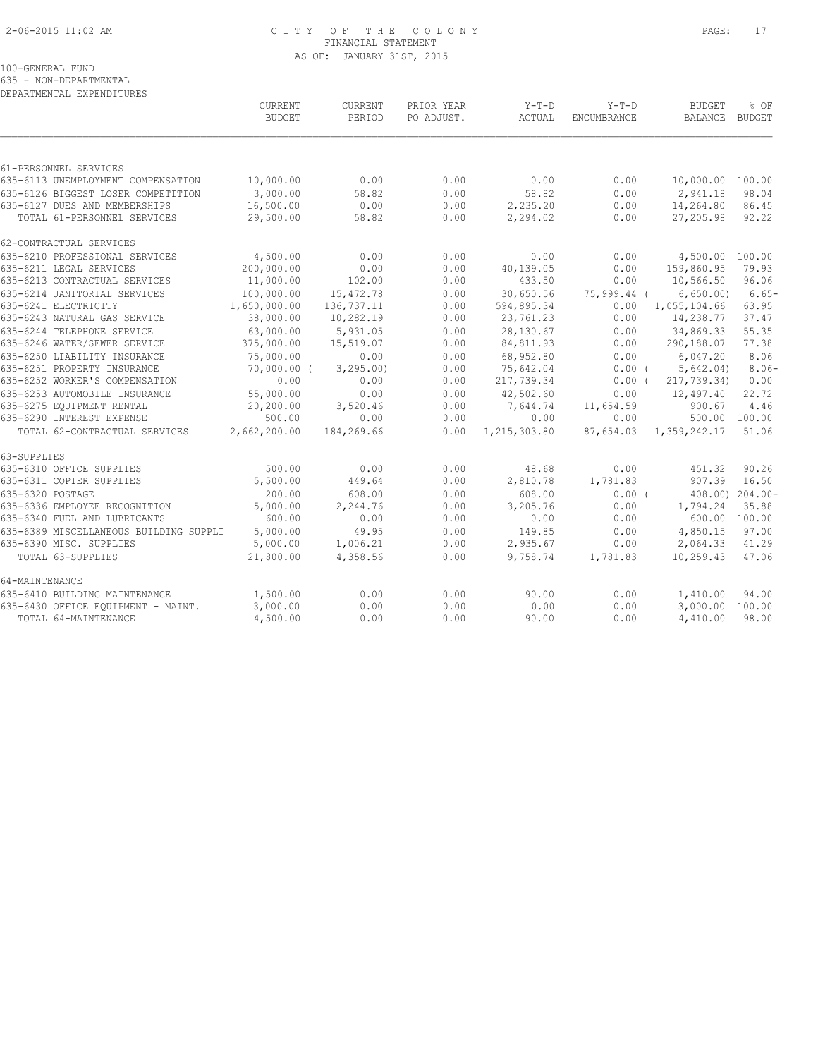# 2-06-2015 11:02 AM C I T Y O F T H E C O L O N Y PAGE: 17 FINANCIAL STATEMENT AS OF: JANUARY 31ST, 2015

100-GENERAL FUND

635 - NON-DEPARTMENTAL

| DEPARTMENTAL EXPENDITURES              |               |            |            |              |             |                           |                 |
|----------------------------------------|---------------|------------|------------|--------------|-------------|---------------------------|-----------------|
|                                        | CURRENT       | CURRENT    | PRIOR YEAR | Y-T-D        | $Y-T-D$     | <b>BUDGET</b>             | % OF            |
|                                        | <b>BUDGET</b> | PERIOD     | PO ADJUST. | ACTUAL       | ENCUMBRANCE | BALANCE                   | BUDGET          |
|                                        |               |            |            |              |             |                           |                 |
| 61-PERSONNEL SERVICES                  |               |            |            |              |             |                           |                 |
| 635-6113 UNEMPLOYMENT COMPENSATION     | 10,000.00     | 0.00       | 0.00       | 0.00         | 0.00        | 10,000.00 100.00          |                 |
| 635-6126 BIGGEST LOSER COMPETITION     | 3,000.00      | 58.82      | 0.00       | 58.82        | 0.00        | 2,941.18                  | 98.04           |
| 635-6127 DUES AND MEMBERSHIPS          | 16,500.00     | 0.00       | 0.00       | 2,235.20     | 0.00        | 14,264.80                 | 86.45           |
| TOTAL 61-PERSONNEL SERVICES            | 29,500.00     | 58.82      | 0.00       | 2,294.02     | 0.00        | 27,205.98                 | 92.22           |
| 62-CONTRACTUAL SERVICES                |               |            |            |              |             |                           |                 |
| 635-6210 PROFESSIONAL SERVICES         | 4,500.00      | 0.00       | 0.00       | 0.00         | 0.00        | 4,500.00 100.00           |                 |
| 635-6211 LEGAL SERVICES                | 200,000.00    | 0.00       | 0.00       | 40,139.05    | 0.00        | 159,860.95                | 79.93           |
| 635-6213 CONTRACTUAL SERVICES          | 11,000.00     | 102.00     | 0.00       | 433.50       | 0.00        | 10,566.50                 | 96.06           |
| 635-6214 JANITORIAL SERVICES           | 100,000.00    | 15,472.78  | 0.00       | 30,650.56    |             | 75,999.44 ( 6,650.00)     | $6.65-$         |
| 635-6241 ELECTRICITY                   | 1,650,000.00  | 136,737.11 | 0.00       | 594,895.34   |             | $0.00 \quad 1,055,104.66$ | 63.95           |
| 635-6243 NATURAL GAS SERVICE           | 38,000.00     | 10,282.19  | 0.00       | 23,761.23    | 0.00        | 14,238.77                 | 37.47           |
| 635-6244 TELEPHONE SERVICE             | 63,000.00     | 5,931.05   | 0.00       | 28,130.67    | 0.00        | 34,869.33                 | 55.35           |
| 635-6246 WATER/SEWER SERVICE           | 375,000.00    | 15,519.07  | 0.00       | 84,811.93    | 0.00        | 290,188.07                | 77.38           |
| 635-6250 LIABILITY INSURANCE           | 75,000.00     | 0.00       | 0.00       | 68,952.80    | 0.00        | 6,047.20                  | 8.06            |
| 635-6251 PROPERTY INSURANCE            | $70,000.00$ ( | 3, 295.00  | 0.00       | 75,642.04    | $0.00$ (    | 5,642.04)                 | $8.06-$         |
| 635-6252 WORKER'S COMPENSATION         | 0.00          | 0.00       | 0.00       | 217,739.34   | $0.00$ (    | 217,739.34)               | 0.00            |
| 635-6253 AUTOMOBILE INSURANCE          | 55,000.00     | 0.00       | 0.00       | 42,502.60    | 0.00        | 12,497.40                 | 22.72           |
| 635-6275 EQUIPMENT RENTAL              | 20,200.00     | 3,520.46   | 0.00       | 7,644.74     | 11,654.59   | 900.67                    | 4.46            |
| 635-6290 INTEREST EXPENSE              | 500.00        | 0.00       | 0.00       | 0.00         | 0.00        | 500.00 100.00             |                 |
| TOTAL 62-CONTRACTUAL SERVICES          | 2,662,200.00  | 184,269.66 | 0.00       | 1,215,303.80 |             | 87,654.03 1,359,242.17    | 51.06           |
| 63-SUPPLIES                            |               |            |            |              |             |                           |                 |
| 635-6310 OFFICE SUPPLIES               | 500.00        | 0.00       | 0.00       | 48.68        | 0.00        | 451.32                    | 90.26           |
| 635-6311 COPIER SUPPLIES               | 5,500.00      | 449.64     | 0.00       | 2,810.78     | 1,781.83    | 907.39                    | 16.50           |
| 635-6320 POSTAGE                       | 200.00        | 608.00     | 0.00       | 608.00       | 0.00(       |                           | 408.00) 204.00- |
| 635-6336 EMPLOYEE RECOGNITION          | 5,000.00      | 2,244.76   | 0.00       | 3,205.76     | 0.00        | 1,794.24                  | 35.88           |
| 635-6340 FUEL AND LUBRICANTS           | 600.00        | 0.00       | 0.00       | 0.00         | 0.00        | 600.00 100.00             |                 |
| 635-6389 MISCELLANEOUS BUILDING SUPPLI | 5,000.00      | 49.95      | 0.00       | 149.85       | 0.00        | 4,850.15                  | 97.00           |
| 635-6390 MISC. SUPPLIES                | 5,000.00      | 1,006.21   | 0.00       | 2,935.67     | 0.00        | 2,064.33                  | 41.29           |
| TOTAL 63-SUPPLIES                      | 21,800.00     | 4,358.56   | 0.00       | 9,758.74     | 1,781.83    | 10,259.43                 | 47.06           |
| 64-MAINTENANCE                         |               |            |            |              |             |                           |                 |
| 635-6410 BUILDING MAINTENANCE          | 1,500.00      | 0.00       | 0.00       | 90.00        | 0.00        | 1,410.00                  | 94.00           |
| 635-6430 OFFICE EQUIPMENT - MAINT.     | 3,000.00      | 0.00       | 0.00       | 0.00         | 0.00        | 3,000.00                  | 100.00          |
| TOTAL 64-MAINTENANCE                   | 4,500.00      | 0.00       | 0.00       | 90.00        | 0.00        | 4,410.00                  | 98.00           |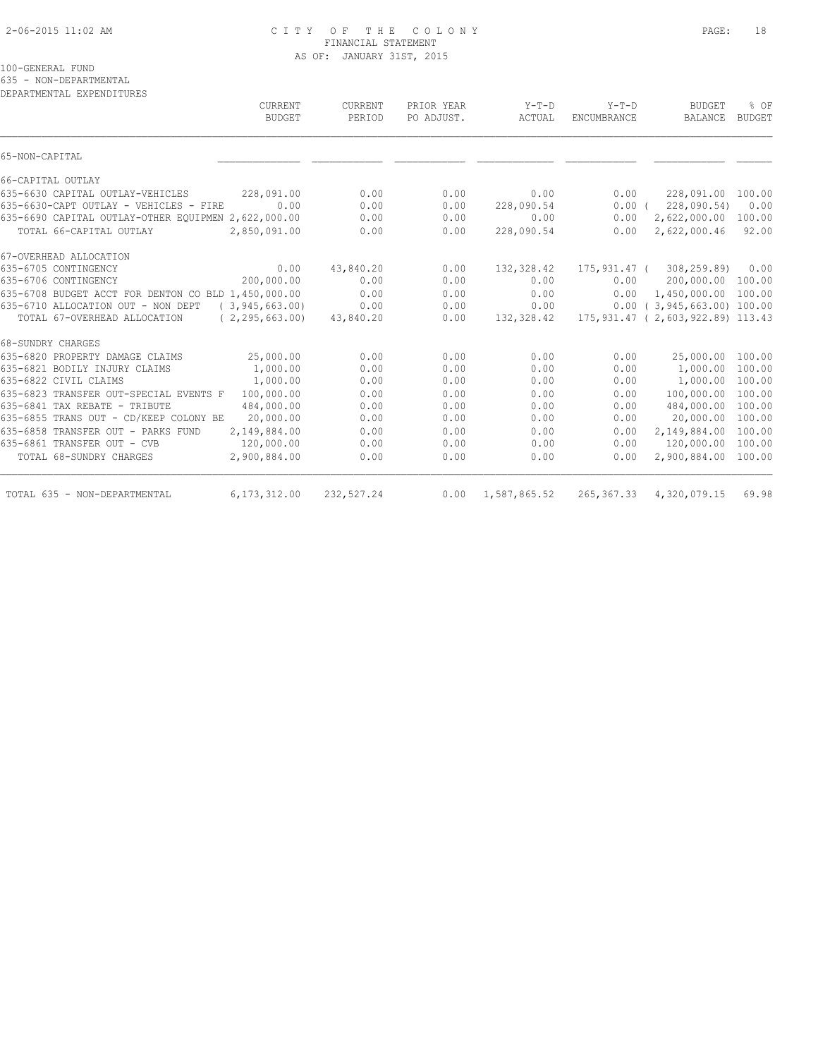# 2-06-2015 11:02 AM C I T Y O F T H E C O L O N Y PAGE: 18 FINANCIAL STATEMENT AS OF: JANUARY 31ST, 2015

100-GENERAL FUND

635 - NON-DEPARTMENTAL

| DEPARTMENTAL EXPENDITURES |  |
|---------------------------|--|
|                           |  |

| CURRENT<br><b>BUDGET</b>                                | <b>CURRENT</b><br>PERIOD | PRIOR YEAR<br>PO ADJUST. | $Y-T-D$<br>ACTUAL         | $Y-T-D$<br>ENCUMBRANCE | <b>BUDGET</b><br>BALANCE             | % OF<br><b>BUDGET</b> |
|---------------------------------------------------------|--------------------------|--------------------------|---------------------------|------------------------|--------------------------------------|-----------------------|
| 65-NON-CAPITAL                                          |                          |                          |                           |                        |                                      |                       |
| 66-CAPITAL OUTLAY                                       |                          |                          |                           |                        |                                      |                       |
| 635-6630 CAPITAL OUTLAY-VEHICLES<br>228,091.00          | 0.00                     | 0.00                     | 0.00                      | 0.00                   | 228,091.00 100.00                    |                       |
| 635-6630-CAPT OUTLAY - VEHICLES - FIRE<br>0.00          | 0.00                     | 0.00                     | 228,090.54                | 0.00(                  | 228,090.54)                          | 0.00                  |
| 635-6690 CAPITAL OUTLAY-OTHER EQUIPMEN 2,622,000.00     | 0.00                     | 0.00                     | 0.00                      | 0.00                   | 2,622,000.00                         | 100.00                |
| TOTAL 66-CAPITAL OUTLAY<br>2,850,091.00                 | 0.00                     | 0.00                     | 228,090.54                | 0.00                   | 2,622,000.46                         | 92.00                 |
| 67-OVERHEAD ALLOCATION                                  |                          |                          |                           |                        |                                      |                       |
| 0.00<br>635-6705 CONTINGENCY                            | 43,840.20                | 0.00                     | 132,328.42                |                        | 175,931.47 ( 308,259.89)             | 0.00                  |
| 200,000.00<br>635-6706 CONTINGENCY                      | 0.00                     | 0.00                     | 0.00                      | 0.00                   | 200,000.00                           | 100.00                |
| 635-6708 BUDGET ACCT FOR DENTON CO BLD 1,450,000.00     | 0.00                     | 0.00                     | 0.00                      | 0.00                   | 1,450,000.00                         | 100.00                |
| 635-6710 ALLOCATION OUT - NON DEPT<br>(3, 945, 663, 00) | 0.00                     | 0.00                     | 0.00                      |                        | $0.00$ ( 3,945,663.00) 100.00        |                       |
| TOTAL 67-OVERHEAD ALLOCATION<br>(2, 295, 663, 00)       | 43,840.20                | 0.00                     | 132,328.42                |                        | 175, 931.47 ( 2, 603, 922.89) 113.43 |                       |
| 68-SUNDRY CHARGES                                       |                          |                          |                           |                        |                                      |                       |
| 635-6820 PROPERTY DAMAGE CLAIMS<br>25,000.00            | 0.00                     | 0.00                     | 0.00                      | 0.00                   | 25,000.00                            | 100.00                |
| 1,000.00<br>635-6821 BODILY INJURY CLAIMS               | 0.00                     | 0.00                     | 0.00                      | 0.00                   | 1,000.00                             | 100.00                |
| 635-6822 CIVIL CLAIMS<br>1,000.00                       | 0.00                     | 0.00                     | 0.00                      | 0.00                   | 1,000.00                             | 100.00                |
| 635-6823 TRANSFER OUT-SPECIAL EVENTS F<br>100,000.00    | 0.00                     | 0.00                     | 0.00                      | 0.00                   | 100,000.00                           | 100.00                |
| 635-6841 TAX REBATE - TRIBUTE<br>484,000.00             | 0.00                     | 0.00                     | 0.00                      | 0.00                   | 484,000.00                           | 100.00                |
| 635-6855 TRANS OUT - CD/KEEP COLONY BE<br>20,000.00     | 0.00                     | 0.00                     | 0.00                      | 0.00                   | 20,000.00                            | 100.00                |
| 635-6858 TRANSFER OUT - PARKS FUND<br>2,149,884.00      | 0.00                     | 0.00                     | 0.00                      | 0.00                   | 2,149,884.00                         | 100.00                |
| 635-6861 TRANSFER OUT - CVB<br>120,000.00               | 0.00                     | 0.00                     | 0.00                      | 0.00                   | 120,000.00                           | 100.00                |
| 2,900,884.00<br>TOTAL 68-SUNDRY CHARGES                 | 0.00                     | 0.00                     | 0.00                      | 0.00                   | 2,900,884.00                         | 100.00                |
| 6,173,312.00<br>TOTAL 635 - NON-DEPARTMENTAL            | 232,527.24               |                          | $0.00 \quad 1,587,865.52$ |                        | 265, 367.33 4, 320, 079.15           | 69.98                 |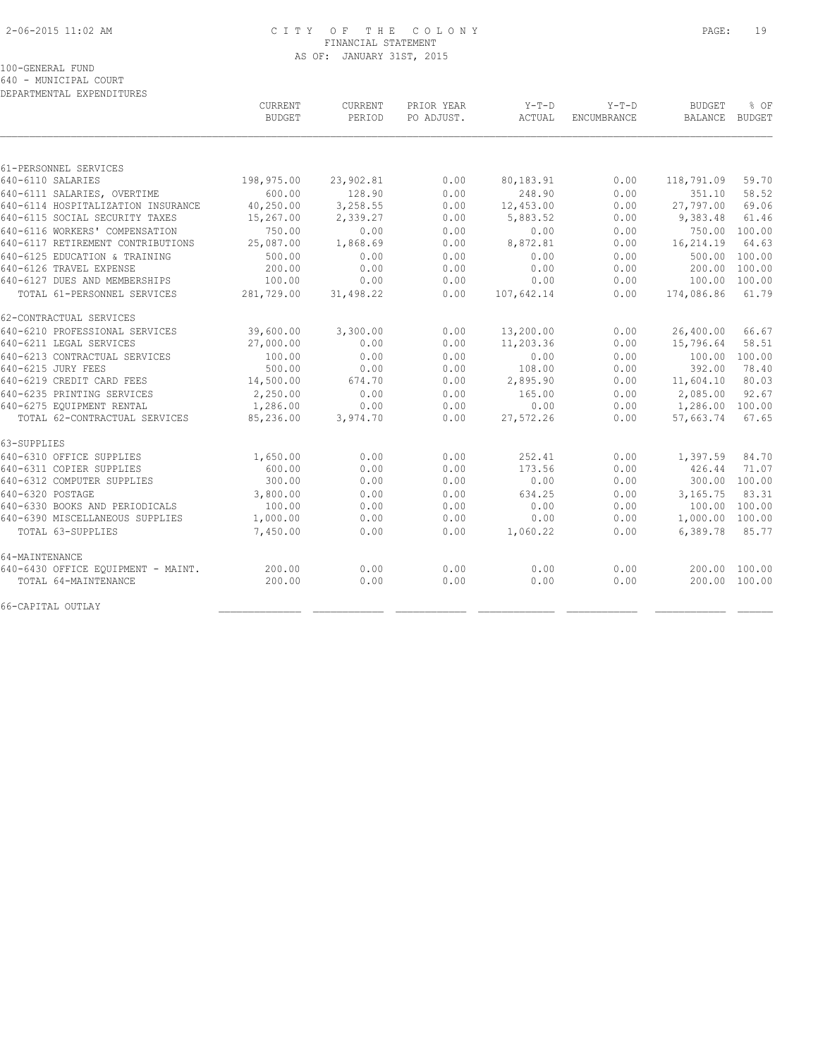# 2-06-2015 11:02 AM C I T Y O F T H E C O L O N Y PAGE: 19 FINANCIAL STATEMENT AS OF: JANUARY 31ST, 2015

100-GENERAL FUND

640 - MUNICIPAL COURT

| DEPARTMENTAL EXPENDITURES          |                          |                          |                          |                 |                               |                                 |                       |
|------------------------------------|--------------------------|--------------------------|--------------------------|-----------------|-------------------------------|---------------------------------|-----------------------|
|                                    | CURRENT<br><b>BUDGET</b> | <b>CURRENT</b><br>PERIOD | PRIOR YEAR<br>PO ADJUST. | Y-T-D<br>ACTUAL | $Y-T-D$<br><b>ENCUMBRANCE</b> | <b>BUDGET</b><br><b>BALANCE</b> | % OF<br><b>BUDGET</b> |
|                                    |                          |                          |                          |                 |                               |                                 |                       |
| 61-PERSONNEL SERVICES              |                          |                          |                          |                 |                               |                                 |                       |
| 640-6110 SALARIES                  | 198,975.00               | 23,902.81                | 0.00                     | 80,183.91       | 0.00                          | 118,791.09                      | 59.70                 |
| 640-6111 SALARIES, OVERTIME        | 600.00                   | 128.90                   | 0.00                     | 248.90          | 0.00                          | 351.10                          | 58.52                 |
| 640-6114 HOSPITALIZATION INSURANCE | 40,250.00                | 3,258.55                 | 0.00                     | 12,453.00       | 0.00                          | 27,797.00                       | 69.06                 |
| 640-6115 SOCIAL SECURITY TAXES     | 15,267.00                | 2,339.27                 | 0.00                     | 5,883.52        | 0.00                          | 9,383.48                        | 61.46                 |
| 640-6116 WORKERS' COMPENSATION     | 750.00                   | 0.00                     | 0.00                     | 0.00            | 0.00                          | 750.00                          | 100.00                |
| 640-6117 RETIREMENT CONTRIBUTIONS  | 25,087.00                | 1,868.69                 | 0.00                     | 8,872.81        | 0.00                          | 16,214.19                       | 64.63                 |
| 640-6125 EDUCATION & TRAINING      | 500.00                   | 0.00                     | 0.00                     | 0.00            | 0.00                          | 500.00                          | 100.00                |
| 640-6126 TRAVEL EXPENSE            | 200.00                   | 0.00                     | 0.00                     | 0.00            | 0.00                          | 200.00                          | 100.00                |
| 640-6127 DUES AND MEMBERSHIPS      | 100.00                   | 0.00                     | 0.00                     | 0.00            | 0.00                          | 100.00                          | 100.00                |
| TOTAL 61-PERSONNEL SERVICES        | 281,729.00               | 31,498.22                | 0.00                     | 107,642.14      | 0.00                          | 174,086.86                      | 61.79                 |
| 62-CONTRACTUAL SERVICES            |                          |                          |                          |                 |                               |                                 |                       |
| 640-6210 PROFESSIONAL SERVICES     | 39,600.00                | 3,300.00                 | 0.00                     | 13,200.00       | 0.00                          | 26,400.00                       | 66.67                 |
| 640-6211 LEGAL SERVICES            | 27,000.00                | 0.00                     | 0.00                     | 11,203.36       | 0.00                          | 15,796.64                       | 58.51                 |
| 640-6213 CONTRACTUAL SERVICES      | 100.00                   | 0.00                     | 0.00                     | 0.00            | 0.00                          | 100.00                          | 100.00                |
| 640-6215 JURY FEES                 | 500.00                   | 0.00                     | 0.00                     | 108.00          | 0.00                          | 392.00                          | 78.40                 |
| 640-6219 CREDIT CARD FEES          | 14,500.00                | 674.70                   | 0.00                     | 2,895.90        | 0.00                          | 11,604.10                       | 80.03                 |
| 640-6235 PRINTING SERVICES         | 2,250.00                 | 0.00                     | 0.00                     | 165.00          | 0.00                          | 2,085.00                        | 92.67                 |
| 640-6275 EQUIPMENT RENTAL          | 1,286.00                 | 0.00                     | 0.00                     | 0.00            | 0.00                          | 1,286.00                        | 100.00                |
| TOTAL 62-CONTRACTUAL SERVICES      | 85,236.00                | 3,974.70                 | 0.00                     | 27,572.26       | 0.00                          | 57,663.74                       | 67.65                 |
| 63-SUPPLIES                        |                          |                          |                          |                 |                               |                                 |                       |
| 640-6310 OFFICE SUPPLIES           | 1,650.00                 | 0.00                     | 0.00                     | 252.41          | 0.00                          | 1,397.59                        | 84.70                 |
| 640-6311 COPIER SUPPLIES           | 600.00                   | 0.00                     | 0.00                     | 173.56          | 0.00                          | 426.44                          | 71.07                 |
| 640-6312 COMPUTER SUPPLIES         | 300.00                   | 0.00                     | 0.00                     | 0.00            | 0.00                          |                                 | 300.00 100.00         |
| 640-6320 POSTAGE                   | 3,800.00                 | 0.00                     | 0.00                     | 634.25          | 0.00                          | 3,165.75                        | 83.31                 |
| 640-6330 BOOKS AND PERIODICALS     | 100.00                   | 0.00                     | 0.00                     | 0.00            | 0.00                          |                                 | 100.00 100.00         |
| 640-6390 MISCELLANEOUS SUPPLIES    | 1,000.00                 | 0.00                     | 0.00                     | 0.00            | 0.00                          | 1,000.00 100.00                 |                       |
| TOTAL 63-SUPPLIES                  | 7,450.00                 | 0.00                     | 0.00                     | 1,060.22        | 0.00                          | 6,389.78                        | 85.77                 |
| 64-MAINTENANCE                     |                          |                          |                          |                 |                               |                                 |                       |
| 640-6430 OFFICE EQUIPMENT - MAINT. | 200.00                   | 0.00                     | 0.00                     | 0.00            | 0.00                          |                                 | 200.00 100.00         |
| TOTAL 64-MAINTENANCE               | 200.00                   | 0.00                     | 0.00                     | 0.00            | 0.00                          |                                 | 200.00 100.00         |
| 66-CAPITAL OUTLAY                  |                          |                          |                          |                 |                               |                                 |                       |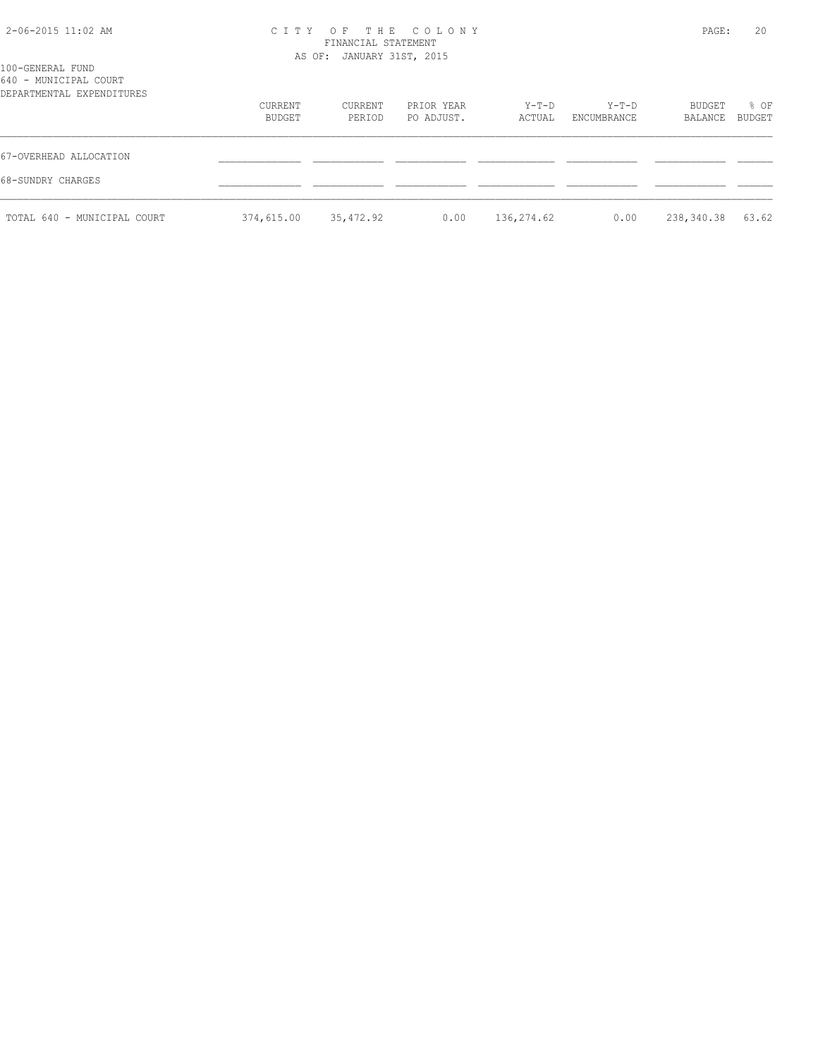# 2-06-2015 11:02 AM C I T Y O F T H E C O L O N Y PAGE: 20 FINANCIAL STATEMENT AS OF: JANUARY 31ST, 2015

| 100-GENERAL FUND<br>640 - MUNICIPAL COURT<br>DEPARTMENTAL EXPENDITURES |                          |                   |                          |                   |                      |                   |                |  |
|------------------------------------------------------------------------|--------------------------|-------------------|--------------------------|-------------------|----------------------|-------------------|----------------|--|
|                                                                        | CURRENT<br><b>BUDGET</b> | CURRENT<br>PERIOD | PRIOR YEAR<br>PO ADJUST. | $Y-T-D$<br>ACTUAL | Y-T-D<br>ENCUMBRANCE | BUDGET<br>BALANCE | % OF<br>BUDGET |  |
| 67-OVERHEAD ALLOCATION                                                 |                          |                   |                          |                   |                      |                   |                |  |
| 68-SUNDRY CHARGES                                                      |                          |                   |                          |                   |                      |                   |                |  |
| TOTAL 640 - MUNICIPAL COURT                                            | 374,615.00               | 35,472.92         | 0.00                     | 136,274.62        | 0.00                 | 238,340.38        | 63.62          |  |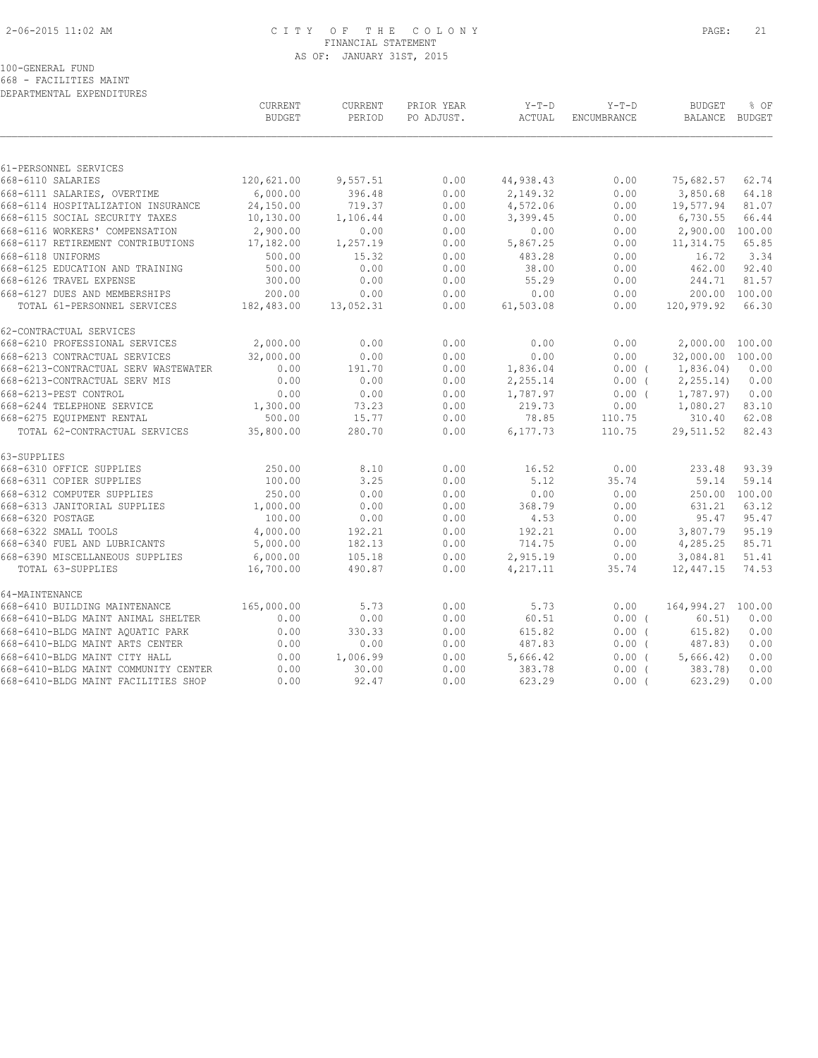# 2-06-2015 11:02 AM C I T Y O F T H E C O L O N Y PAGE: 21 FINANCIAL STATEMENT AS OF: JANUARY 31ST, 2015

### 100-GENERAL FUND

668 - FACILITIES MAINT DEPARTMENTAL EXPENDITURES

|                                                                     | <b>CURRENT</b><br><b>BUDGET</b> | <b>CURRENT</b><br>PERIOD | PRIOR YEAR<br>PO ADJUST. | $Y-T-D$<br>ACTUAL | $Y-T-D$<br>ENCUMBRANCE | <b>BUDGET</b><br><b>BALANCE</b> | % OF<br><b>BUDGET</b> |
|---------------------------------------------------------------------|---------------------------------|--------------------------|--------------------------|-------------------|------------------------|---------------------------------|-----------------------|
|                                                                     |                                 |                          |                          |                   |                        |                                 |                       |
| 61-PERSONNEL SERVICES<br>668-6110 SALARIES                          | 120,621.00                      | 9,557.51                 | 0.00                     | 44,938.43         | 0.00                   | 75,682.57                       | 62.74                 |
|                                                                     | 6,000.00                        | 396.48                   | 0.00                     | 2,149.32          | 0.00                   |                                 | 64.18                 |
| 668-6111 SALARIES, OVERTIME<br>668-6114 HOSPITALIZATION INSURANCE   | 24,150.00                       | 719.37                   | 0.00                     | 4,572.06          | 0.00                   | 3,850.68<br>19,577.94           | 81.07                 |
| 668-6115 SOCIAL SECURITY TAXES                                      | 10,130.00                       | 1,106.44                 | 0.00                     | 3,399.45          | 0.00                   | 6,730.55                        | 66.44                 |
|                                                                     | 2,900.00                        |                          |                          |                   |                        | 2,900.00 100.00                 |                       |
| 668-6116 WORKERS' COMPENSATION<br>668-6117 RETIREMENT CONTRIBUTIONS |                                 | 0.00                     | 0.00                     | 0.00              | 0.00                   |                                 |                       |
|                                                                     | 17,182.00                       | 1,257.19                 | 0.00                     | 5,867.25          | 0.00                   | 11, 314.75                      | 65.85                 |
| 668-6118 UNIFORMS                                                   | 500.00                          | 15.32                    | 0.00                     | 483.28            | 0.00                   | 16.72                           | 3.34                  |
| 668-6125 EDUCATION AND TRAINING                                     | 500.00                          | 0.00                     | 0.00                     | 38.00             | 0.00                   | 462.00                          | 92.40                 |
| 668-6126 TRAVEL EXPENSE                                             | 300.00                          | 0.00                     | 0.00                     | 55.29             | 0.00                   | 244.71                          | 81.57                 |
| 668-6127 DUES AND MEMBERSHIPS                                       | 200.00                          | 0.00                     | 0.00                     | 0.00              | 0.00                   | 200.00                          | 100.00                |
| TOTAL 61-PERSONNEL SERVICES                                         | 182,483.00                      | 13,052.31                | 0.00                     | 61,503.08         | 0.00                   | 120,979.92                      | 66.30                 |
| 62-CONTRACTUAL SERVICES                                             |                                 |                          |                          |                   |                        |                                 |                       |
| 668-6210 PROFESSIONAL SERVICES                                      | 2,000.00                        | 0.00                     | 0.00                     | 0.00              | 0.00                   | 2,000.00 100.00                 |                       |
| 668-6213 CONTRACTUAL SERVICES                                       | 32,000.00                       | 0.00                     | 0.00                     | 0.00              | 0.00                   | 32,000.00 100.00                |                       |
| 668-6213-CONTRACTUAL SERV WASTEWATER                                | 0.00                            | 191.70                   | 0.00                     | 1,836.04          | $0.00$ (               | 1,836.04)                       | 0.00                  |
| 668-6213-CONTRACTUAL SERV MIS                                       | 0.00                            | 0.00                     | 0.00                     | 2,255.14          | $0.00$ (               | 2, 255.14                       | 0.00                  |
| 668-6213-PEST CONTROL                                               | 0.00                            | 0.00                     | 0.00                     | 1,787.97          | $0.00$ (               | 1,787.97)                       | 0.00                  |
| 668-6244 TELEPHONE SERVICE                                          | 1,300.00                        | 73.23                    | 0.00                     | 219.73            | 0.00                   | 1,080.27                        | 83.10                 |
| 668-6275 EQUIPMENT RENTAL                                           | 500.00                          | 15.77                    | 0.00                     | 78.85             | 110.75                 | 310.40                          | 62.08                 |
| TOTAL 62-CONTRACTUAL SERVICES                                       | 35,800.00                       | 280.70                   | 0.00                     | 6,177.73          | 110.75                 | 29,511.52                       | 82.43                 |
| 63-SUPPLIES                                                         |                                 |                          |                          |                   |                        |                                 |                       |
| 668-6310 OFFICE SUPPLIES                                            | 250.00                          | 8.10                     | 0.00                     | 16.52             | 0.00                   | 233.48                          | 93.39                 |
| 668-6311 COPIER SUPPLIES                                            | 100.00                          | 3.25                     | 0.00                     | 5.12              | 35.74                  | 59.14                           | 59.14                 |
| 668-6312 COMPUTER SUPPLIES                                          | 250.00                          | 0.00                     | 0.00                     | 0.00              | 0.00                   | 250.00 100.00                   |                       |
| 668-6313 JANITORIAL SUPPLIES                                        | 1,000.00                        | 0.00                     | 0.00                     | 368.79            | 0.00                   | 631.21                          | 63.12                 |
| 668-6320 POSTAGE                                                    | 100.00                          | 0.00                     | 0.00                     | 4.53              | 0.00                   | 95.47                           | 95.47                 |
| 668-6322 SMALL TOOLS                                                | 4,000.00                        | 192.21                   | 0.00                     | 192.21            | 0.00                   | 3,807.79                        | 95.19                 |
| 668-6340 FUEL AND LUBRICANTS                                        | 5,000.00                        | 182.13                   | 0.00                     | 714.75            | 0.00                   | 4,285.25                        | 85.71                 |
| 668-6390 MISCELLANEOUS SUPPLIES                                     | 6,000.00                        | 105.18                   | 0.00                     | 2,915.19          | 0.00                   | 3,084.81                        | 51.41                 |
| TOTAL 63-SUPPLIES                                                   | 16,700.00                       | 490.87                   | 0.00                     | 4,217.11          | 35.74                  | 12,447.15                       | 74.53                 |
| 64-MAINTENANCE                                                      |                                 |                          |                          |                   |                        |                                 |                       |
| 668-6410 BUILDING MAINTENANCE                                       | 165,000.00                      | 5.73                     | 0.00                     | 5.73              | 0.00                   | 164,994.27 100.00               |                       |
| 668-6410-BLDG MAINT ANIMAL SHELTER                                  | 0.00                            | 0.00                     | 0.00                     | 60.51             | $0.00$ (               | 60.51)                          | 0.00                  |
| 668-6410-BLDG MAINT AOUATIC PARK                                    | 0.00                            | 330.33                   | 0.00                     | 615.82            | 0.00(                  | 615.82)                         | 0.00                  |
| 668-6410-BLDG MAINT ARTS CENTER                                     | 0.00                            | 0.00                     | 0.00                     | 487.83            | $0.00$ (               | 487.83)                         | 0.00                  |
| 668-6410-BLDG MAINT CITY HALL                                       | 0.00                            | 1,006.99                 | 0.00                     | 5,666.42          | 0.00(                  | 5,666.42                        | 0.00                  |
| 668-6410-BLDG MAINT COMMUNITY CENTER                                | 0.00                            | 30.00                    | 0.00                     | 383.78            | $0.00$ (               | 383.78)                         | 0.00                  |
| 668-6410-BLDG MAINT FACILITIES SHOP                                 | 0.00                            | 92.47                    | 0.00                     | 623.29            | $0.00$ (               | 623.29                          | 0.00                  |
|                                                                     |                                 |                          |                          |                   |                        |                                 |                       |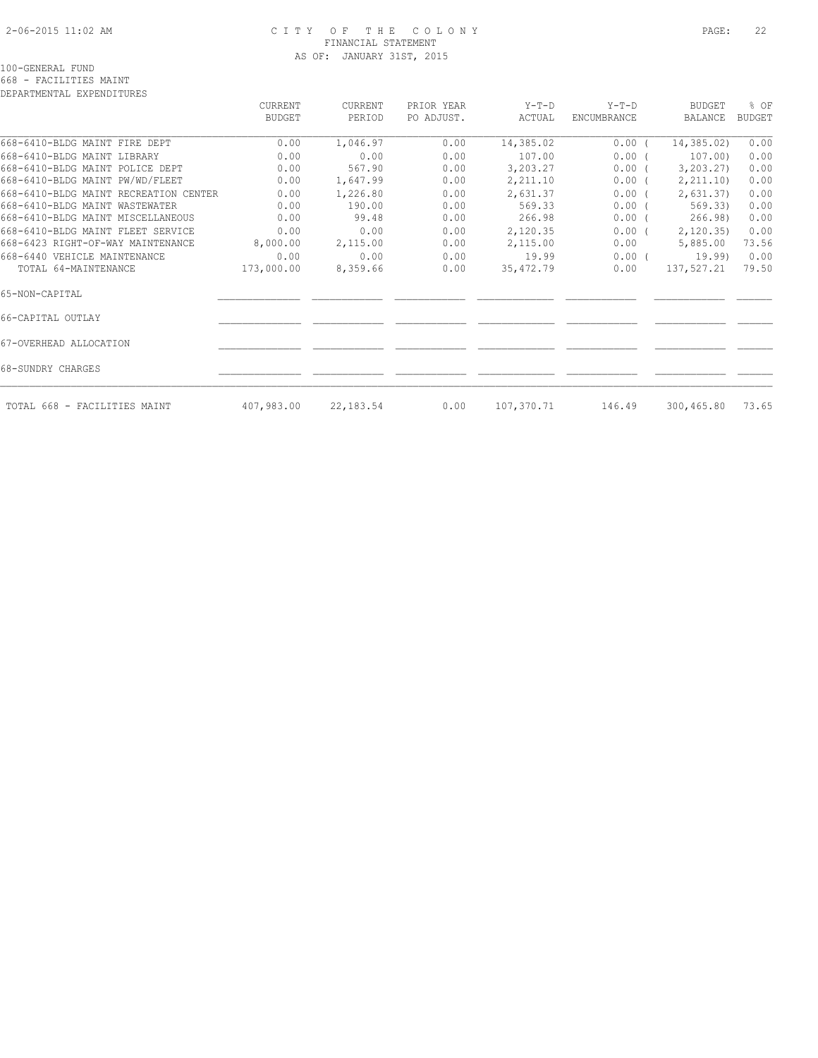# 2-06-2015 11:02 AM C I T Y O F T H E C O L O N Y PAGE: 22 FINANCIAL STATEMENT AS OF: JANUARY 31ST, 2015

100-GENERAL FUND

668 - FACILITIES MAINT DEPARTMENTAL EXPENDITURES

|                                       | CURRENT<br><b>BUDGET</b> | CURRENT<br>PERIOD | PRIOR YEAR<br>PO ADJUST. | $Y-T-D$<br>ACTUAL | $Y-T-D$<br><b>ENCUMBRANCE</b> | <b>BUDGET</b><br><b>BALANCE</b> | % OF<br><b>BUDGET</b> |
|---------------------------------------|--------------------------|-------------------|--------------------------|-------------------|-------------------------------|---------------------------------|-----------------------|
| 668-6410-BLDG MAINT FIRE DEPT         | 0.00                     | 1,046.97          | 0.00                     | 14,385.02         | $0.00$ (                      | 14,385.02)                      | 0.00                  |
| 668-6410-BLDG MAINT LIBRARY           | 0.00                     | 0.00              | 0.00                     | 107.00            | $0.00$ (                      | 107.00)                         | 0.00                  |
| 668-6410-BLDG MAINT POLICE DEPT       | 0.00                     | 567.90            | 0.00                     | 3,203.27          | $0.00$ (                      | 3, 203.27                       | 0.00                  |
| 668-6410-BLDG MAINT PW/WD/FLEET       | 0.00                     | 1,647.99          | 0.00                     | 2,211.10          | $0.00$ (                      | 2, 211.10                       | 0.00                  |
| 668-6410-BLDG MAINT RECREATION CENTER | 0.00                     | 1,226.80          | 0.00                     | 2,631.37          | $0.00$ (                      | 2,631.37                        | 0.00                  |
| 668-6410-BLDG MAINT WASTEWATER        | 0.00                     | 190.00            | 0.00                     | 569.33            | $0.00$ (                      | 569.33)                         | 0.00                  |
| 668-6410-BLDG MAINT MISCELLANEOUS     | 0.00                     | 99.48             | 0.00                     | 266.98            | $0.00$ (                      | 266.98)                         | 0.00                  |
| 668-6410-BLDG MAINT FLEET SERVICE     | 0.00                     | 0.00              | 0.00                     | 2,120.35          | $0.00$ (                      | 2,120.35                        | 0.00                  |
| 668-6423 RIGHT-OF-WAY MAINTENANCE     | 8,000.00                 | 2,115.00          | 0.00                     | 2,115.00          | 0.00                          | 5,885.00                        | 73.56                 |
| 668-6440 VEHICLE MAINTENANCE          | 0.00                     | 0.00              | 0.00                     | 19.99             | $0.00$ (                      | 19.99)                          | 0.00                  |
| TOTAL 64-MAINTENANCE                  | 173,000.00               | 8,359.66          | 0.00                     | 35,472.79         | 0.00                          | 137,527.21                      | 79.50                 |
| 65-NON-CAPITAL                        |                          |                   |                          |                   |                               |                                 |                       |
| 66-CAPITAL OUTLAY                     |                          |                   |                          |                   |                               |                                 |                       |
| 67-OVERHEAD ALLOCATION                |                          |                   |                          |                   |                               |                                 |                       |
| 68-SUNDRY CHARGES                     |                          |                   |                          |                   |                               |                                 |                       |
| TOTAL 668 - FACILITIES MAINT          | 407,983.00               | 22, 183.54        | 0.00                     | 107,370.71        | 146.49                        | 300,465.80                      | 73.65                 |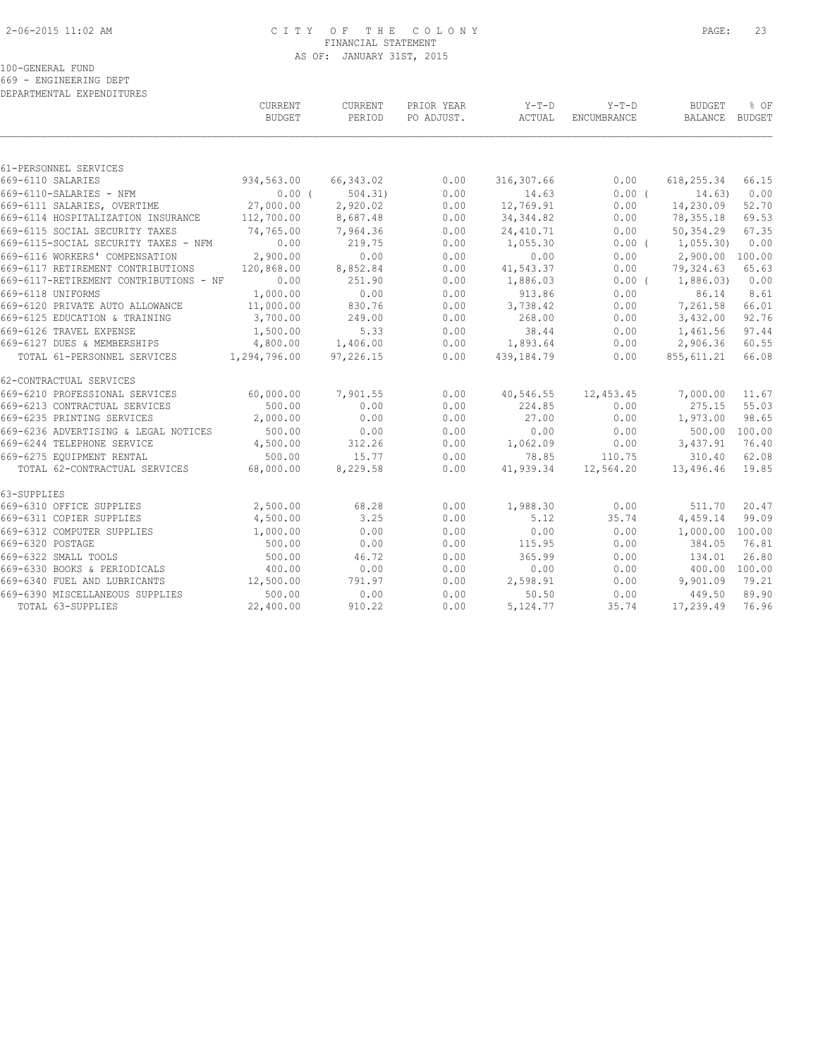# 2-06-2015 11:02 AM C I T Y O F T H E C O L O N Y PAGE: 23 FINANCIAL STATEMENT AS OF: JANUARY 31ST, 2015

#### 100-GENERAL FUND

669 - ENGINEERING DEPT

DEPARTMENTAL EXPENDITURES

|                                        | CURRENT<br><b>BUDGET</b> | CURRENT<br>PERIOD | PRIOR YEAR<br>PO ADJUST. | $Y-T-D$<br>ACTUAL | $Y-T-D$<br>ENCUMBRANCE | <b>BUDGET</b><br>BALANCE | % OF<br>BUDGET |
|----------------------------------------|--------------------------|-------------------|--------------------------|-------------------|------------------------|--------------------------|----------------|
|                                        |                          |                   |                          |                   |                        |                          |                |
| 61-PERSONNEL SERVICES                  |                          |                   |                          |                   |                        |                          |                |
| 669-6110 SALARIES                      | 934,563.00               | 66,343.02         | 0.00                     | 316,307.66        | 0.00                   | 618, 255.34              | 66.15          |
| 669-6110-SALARIES - NFM                | 0.00(                    | 504.31            | 0.00                     | 14.63             | 0.00(                  | 14.63)                   | 0.00           |
| 669-6111 SALARIES, OVERTIME            | 27,000.00                | 2,920.02          | 0.00                     | 12,769.91         | 0.00                   | 14,230.09                | 52.70          |
| 669-6114 HOSPITALIZATION INSURANCE     | 112,700.00               | 8,687.48          | 0.00                     | 34, 344.82        | 0.00                   | 78, 355.18               | 69.53          |
| 669-6115 SOCIAL SECURITY TAXES         | 74,765.00                | 7,964.36          | 0.00                     | 24, 410.71        | 0.00                   | 50,354.29                | 67.35          |
| 669-6115-SOCIAL SECURITY TAXES - NFM   | 0.00                     | 219.75            | 0.00                     | 1,055.30          | $0.00$ (               | 1,055.30)                | 0.00           |
| 669-6116 WORKERS' COMPENSATION         | 2,900.00                 | 0.00              | 0.00                     | 0.00              | 0.00                   | 2,900.00                 | 100.00         |
| 669-6117 RETIREMENT CONTRIBUTIONS      | 120,868.00               | 8,852.84          | 0.00                     | 41,543.37         | 0.00                   | 79,324.63                | 65.63          |
| 669-6117-RETIREMENT CONTRIBUTIONS - NF | 0.00                     | 251.90            | 0.00                     | 1,886.03          | $0.00$ (               | 1,886.03)                | 0.00           |
| 669-6118 UNIFORMS                      | 1,000.00                 | 0.00              | 0.00                     | 913.86            | 0.00                   | 86.14                    | 8.61           |
| 669-6120 PRIVATE AUTO ALLOWANCE        | 11,000.00                | 830.76            | 0.00                     | 3,738.42          | 0.00                   | 7,261.58                 | 66.01          |
| 669-6125 EDUCATION & TRAINING          | 3,700.00                 | 249.00            | 0.00                     | 268.00            | 0.00                   | 3,432.00                 | 92.76          |
| 669-6126 TRAVEL EXPENSE                | 1,500.00                 | 5.33              | 0.00                     | 38.44             | 0.00                   | 1,461.56                 | 97.44          |
| 669-6127 DUES & MEMBERSHIPS            | 4,800.00                 | 1,406.00          | 0.00                     | 1,893.64          | 0.00                   | 2,906.36                 | 60.55          |
| TOTAL 61-PERSONNEL SERVICES            | 1,294,796.00             | 97,226.15         | 0.00                     | 439,184.79        | 0.00                   | 855, 611.21              | 66.08          |
| 62-CONTRACTUAL SERVICES                |                          |                   |                          |                   |                        |                          |                |
| 669-6210 PROFESSIONAL SERVICES         | 60,000.00                | 7,901.55          | 0.00                     | 40,546.55         | 12,453.45              | 7,000.00                 | 11.67          |
| 669-6213 CONTRACTUAL SERVICES          | 500.00                   | 0.00              | 0.00                     | 224.85            | 0.00                   | 275.15                   | 55.03          |
| 669-6235 PRINTING SERVICES             | 2,000.00                 | 0.00              | 0.00                     | 27.00             | 0.00                   | 1,973.00                 | 98.65          |
| 669-6236 ADVERTISING & LEGAL NOTICES   | 500.00                   | 0.00              | 0.00                     | 0.00              | 0.00                   | 500.00                   | 100.00         |
| 669-6244 TELEPHONE SERVICE             | 4,500.00                 | 312.26            | 0.00                     | 1,062.09          | 0.00                   | 3,437.91                 | 76.40          |
| 669-6275 EQUIPMENT RENTAL              | 500.00                   | 15.77             | 0.00                     | 78.85             | 110.75                 | 310.40                   | 62.08          |
| TOTAL 62-CONTRACTUAL SERVICES          | 68,000.00                | 8,229.58          | 0.00                     | 41,939.34         | 12,564.20              | 13,496.46                | 19.85          |
| 63-SUPPLIES                            |                          |                   |                          |                   |                        |                          |                |
| 669-6310 OFFICE SUPPLIES               | 2,500.00                 | 68.28             | 0.00                     | 1,988.30          | 0.00                   | 511.70                   | 20.47          |
| 669-6311 COPIER SUPPLIES               | 4,500.00                 | 3.25              | 0.00                     | 5.12              | 35.74                  | 4,459.14                 | 99.09          |
| 669-6312 COMPUTER SUPPLIES             | 1,000.00                 | 0.00              | 0.00                     | 0.00              | 0.00                   | 1,000.00                 | 100.00         |
| 669-6320 POSTAGE                       | 500.00                   | 0.00              | 0.00                     | 115.95            | 0.00                   | 384.05                   | 76.81          |
| 669-6322 SMALL TOOLS                   | 500.00                   | 46.72             | 0.00                     | 365.99            | 0.00                   | 134.01                   | 26.80          |
| 669-6330 BOOKS & PERIODICALS           | 400.00                   | 0.00              | 0.00                     | 0.00              | 0.00                   | 400.00 100.00            |                |
| 669-6340 FUEL AND LUBRICANTS           | 12,500.00                | 791.97            | 0.00                     | 2,598.91          | 0.00                   | 9,901.09                 | 79.21          |
| 669-6390 MISCELLANEOUS SUPPLIES        | 500.00                   | 0.00              | 0.00                     | 50.50             | 0.00                   | 449.50                   | 89.90          |
| TOTAL 63-SUPPLIES                      | 22,400.00                | 910.22            | 0.00                     | 5,124.77          | 35.74                  | 17,239.49                | 76.96          |
|                                        |                          |                   |                          |                   |                        |                          |                |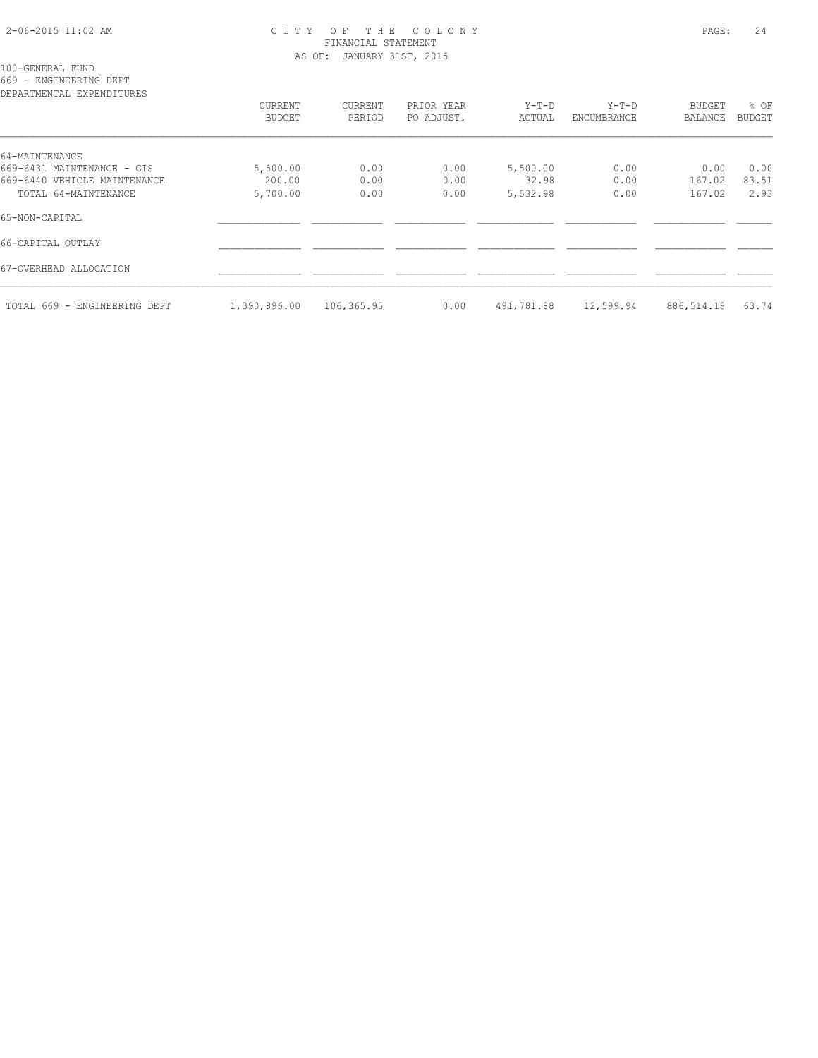# 2-06-2015 11:02 AM C I T Y O F T H E C O L O N Y PAGE: 24 FINANCIAL STATEMENT AS OF: JANUARY 31ST, 2015

100-GENERAL FUND

669 - ENGINEERING DEPT

| DEPARTMENTAL EXPENDITURES    |              |            |            |            |             |            |               |
|------------------------------|--------------|------------|------------|------------|-------------|------------|---------------|
|                              | CURRENT      | CURRENT    | PRIOR YEAR | $Y-T-D$    | $Y-T-D$     | BUDGET     | % OF          |
|                              | BUDGET       | PERIOD     | PO ADJUST. | ACTUAL     | ENCUMBRANCE | BALANCE    | <b>BUDGET</b> |
| 64-MAINTENANCE               |              |            |            |            |             |            |               |
| 669-6431 MAINTENANCE - GIS   | 5,500.00     | 0.00       | 0.00       | 5,500.00   | 0.00        | 0.00       | 0.00          |
| 669-6440 VEHICLE MAINTENANCE | 200.00       | 0.00       | 0.00       | 32.98      | 0.00        | 167.02     | 83.51         |
| TOTAL 64-MAINTENANCE         | 5,700.00     | 0.00       | 0.00       | 5,532.98   | 0.00        | 167.02     | 2.93          |
| 65-NON-CAPITAL               |              |            |            |            |             |            |               |
| 66-CAPITAL OUTLAY            |              |            |            |            |             |            |               |
| 67-OVERHEAD ALLOCATION       |              |            |            |            |             |            |               |
| TOTAL 669 - ENGINEERING DEPT | 1,390,896.00 | 106,365.95 | 0.00       | 491,781.88 | 12,599.94   | 886,514.18 | 63.74         |
|                              |              |            |            |            |             |            |               |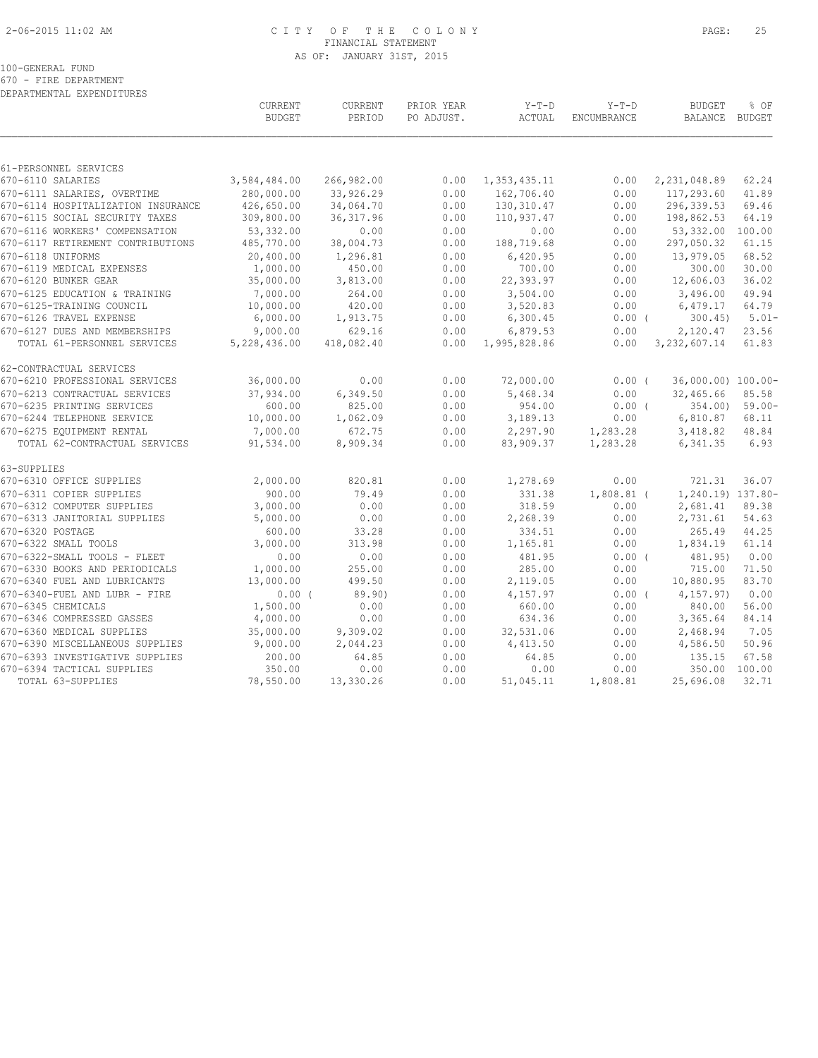# 2-06-2015 11:02 AM C I T Y O F T H E C O L O N Y PAGE: 25 FINANCIAL STATEMENT AS OF: JANUARY 31ST, 2015

100-GENERAL FUND

670 - FIRE DEPARTMENT DEPARTMENTAL EXPENDITURES

|                                                                   | CURRENT<br><b>BUDGET</b> | CURRENT<br>PERIOD    | PRIOR YEAR<br>PO ADJUST. | $Y-T-D$<br>ACTUAL     | $Y-T-D$<br>ENCUMBRANCE | <b>BUDGET</b><br>BALANCE BUDGET | % OF          |
|-------------------------------------------------------------------|--------------------------|----------------------|--------------------------|-----------------------|------------------------|---------------------------------|---------------|
|                                                                   |                          |                      |                          |                       |                        |                                 |               |
| 61-PERSONNEL SERVICES<br>670-6110 SALARIES                        | 3,584,484.00             | 266,982.00           | 0.00                     | 1,353,435.11          | 0.00                   | 2,231,048.89                    | 62.24         |
|                                                                   | 280,000.00               | 33,926.29            | 0.00                     | 162,706.40            | 0.00                   | 117,293.60                      | 41.89         |
| 670-6111 SALARIES, OVERTIME<br>670-6114 HOSPITALIZATION INSURANCE | 426,650.00               | 34,064.70            | 0.00                     | 130,310.47            | 0.00                   | 296,339.53                      | 69.46         |
| 670-6115 SOCIAL SECURITY TAXES                                    | 309,800.00               | 36, 317.96           | 0.00                     | 110,937.47            | 0.00                   | 198,862.53                      | 64.19         |
| 670-6116 WORKERS' COMPENSATION                                    | 53,332.00                | 0.00                 | 0.00                     | 0.00                  | 0.00                   | 53,332.00                       | 100.00        |
| 670-6117 RETIREMENT CONTRIBUTIONS                                 | 485,770.00               | 38,004.73            | 0.00                     | 188,719.68            | 0.00                   | 297,050.32                      | 61.15         |
| 670-6118 UNIFORMS                                                 | 20,400.00                | 1,296.81             | 0.00                     | 6,420.95              | 0.00                   | 13,979.05                       | 68.52         |
| 670-6119 MEDICAL EXPENSES                                         | 1,000.00                 | 450.00               | 0.00                     | 700.00                | 0.00                   | 300.00                          | 30.00         |
| 670-6120 BUNKER GEAR                                              | 35,000.00                | 3,813.00             | 0.00                     | 22,393.97             | 0.00                   | 12,606.03                       | 36.02         |
| 670-6125 EDUCATION & TRAINING                                     | 7,000.00                 | 264.00               | 0.00                     | 3,504.00              | 0.00                   | 3,496.00                        | 49.94         |
| 670-6125-TRAINING COUNCIL                                         | 10,000.00                | 420.00               | 0.00                     | 3,520.83              | 0.00                   | 6,479.17                        | 64.79         |
| 670-6126 TRAVEL EXPENSE                                           | 6,000.00                 | 1,913.75             | 0.00                     | 6,300.45              | $0.00$ (               | 300.45                          | $5.01 -$      |
| 670-6127 DUES AND MEMBERSHIPS                                     | 9,000.00                 | 629.16               | 0.00                     | 6,879.53              | 0.00                   | 2,120.47                        | 23.56         |
| TOTAL 61-PERSONNEL SERVICES                                       | 5,228,436.00             | 418,082.40           | 0.00                     | 1,995,828.86          | 0.00                   | 3, 232, 607.14                  | 61.83         |
| 62-CONTRACTUAL SERVICES                                           |                          |                      |                          |                       |                        |                                 |               |
| 670-6210 PROFESSIONAL SERVICES                                    | 36,000.00                | 0.00                 | 0.00                     | 72,000.00             | $0.00$ (               | 36,000.00) 100.00-              |               |
| 670-6213 CONTRACTUAL SERVICES                                     | 37,934.00                | 6,349.50             | 0.00                     | 5,468.34              | 0.00                   | 32,465.66                       | 85.58         |
| 670-6235 PRINTING SERVICES                                        | 600.00                   | 825.00               | 0.00                     | 954.00                | $0.00$ (               | 354.00)                         | $59.00 -$     |
| 670-6244 TELEPHONE SERVICE                                        | 10,000.00                | 1,062.09             | 0.00                     | 3,189.13              | 0.00                   | 6,810.87                        | 68.11         |
| 670-6275 EQUIPMENT RENTAL                                         | 7,000.00                 | 672.75               | 0.00                     | 2,297.90              | 1,283.28               | 3,418.82                        | 48.84         |
| TOTAL 62-CONTRACTUAL SERVICES                                     | 91,534.00                | 8,909.34             | 0.00                     | 83,909.37             | 1,283.28               | 6,341.35                        | 6.93          |
| 63-SUPPLIES                                                       |                          |                      |                          |                       |                        |                                 |               |
| 670-6310 OFFICE SUPPLIES                                          | 2,000.00                 | 820.81               | 0.00                     | 1,278.69              | 0.00                   | 721.31                          | 36.07         |
| 670-6311 COPIER SUPPLIES                                          | 900.00                   | 79.49                | 0.00                     | 331.38                | $1,808.81$ (           | 1,240.19) 137.80-               |               |
| 670-6312 COMPUTER SUPPLIES                                        | 3,000.00                 | 0.00                 | 0.00                     | 318.59                | 0.00                   | 2,681.41                        | 89.38         |
| 670-6313 JANITORIAL SUPPLIES                                      | 5,000.00                 | 0.00                 | 0.00                     | 2,268.39              | 0.00                   | 2,731.61                        | 54.63         |
| 670-6320 POSTAGE                                                  | 600.00                   | 33.28                | 0.00                     | 334.51                | 0.00                   | 265.49                          | 44.25         |
| 670-6322 SMALL TOOLS                                              | 3,000.00                 | 313.98               | 0.00                     | 1,165.81              | 0.00                   | 1,834.19                        | 61.14         |
| 670-6322-SMALL TOOLS - FLEET                                      | 0.00                     | 0.00                 | 0.00                     | 481.95                | $0.00$ (               | 481.95)                         | 0.00          |
| 670-6330 BOOKS AND PERIODICALS                                    | 1,000.00                 | 255.00               | 0.00                     | 285.00                | 0.00                   | 715.00                          | 71.50         |
| 670-6340 FUEL AND LUBRICANTS                                      | 13,000.00                | 499.50               | 0.00                     | 2,119.05              | 0.00                   | 10,880.95                       | 83.70         |
| 670-6340-FUEL AND LUBR - FIRE                                     | $0.00$ (                 | 89.90)               | 0.00                     | 4,157.97              | 0.00(                  | 4,157.97)                       | 0.00          |
| 670-6345 CHEMICALS<br>670-6346 COMPRESSED GASSES                  | 1,500.00                 | 0.00                 | 0.00                     | 660.00                | 0.00                   | 840.00                          | 56.00         |
|                                                                   | 4,000.00                 | 0.00                 | 0.00                     | 634.36                | 0.00                   | 3,365.64                        | 84.14         |
| 670-6360 MEDICAL SUPPLIES<br>670-6390 MISCELLANEOUS SUPPLIES      | 35,000.00<br>9,000.00    | 9,309.02<br>2,044.23 | 0.00<br>0.00             | 32,531.06<br>4,413.50 | 0.00<br>0.00           | 2,468.94<br>4,586.50            | 7.05<br>50.96 |
| 670-6393 INVESTIGATIVE SUPPLIES                                   | 200.00                   | 64.85                | 0.00                     | 64.85                 | 0.00                   | 135.15                          | 67.58         |
| 670-6394 TACTICAL SUPPLIES                                        | 350.00                   | 0.00                 | 0.00                     | 0.00                  | 0.00                   | 350.00                          | 100.00        |
| TOTAL 63-SUPPLIES                                                 | 78,550.00                | 13,330.26            | 0.00                     | 51,045.11             | 1,808.81               | 25,696.08                       | 32.71         |
|                                                                   |                          |                      |                          |                       |                        |                                 |               |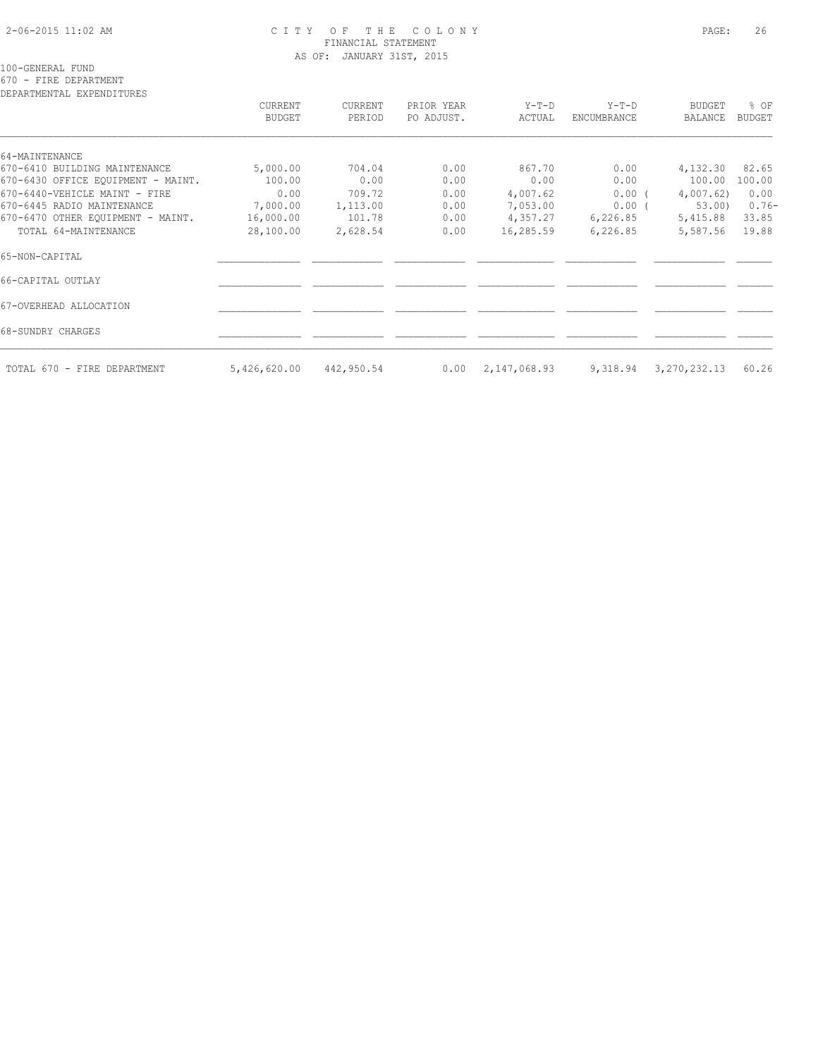# 2-06-2015 11:02 AM C I T Y O F T H E C O L O N Y PAGE: 26 FINANCIAL STATEMENT AS OF: JANUARY 31ST, 2015

100-GENERAL FUND

670 - FIRE DEPARTMENT

DEPARTMENTAL EXPENDITURES

| DEFAKTMENTAL EXFENDITUKES          | CURRENT<br><b>BUDGET</b> | CURRENT<br>PERIOD | PRIOR YEAR<br>PO ADJUST. | Y-T-D<br>ACTUAL | $Y-T-D$<br>ENCUMBRANCE | <b>BUDGET</b><br>BALANCE | % OF<br>BUDGET |
|------------------------------------|--------------------------|-------------------|--------------------------|-----------------|------------------------|--------------------------|----------------|
| 64-MAINTENANCE                     |                          |                   |                          |                 |                        |                          |                |
| 670-6410 BUILDING MAINTENANCE      | 5,000.00                 | 704.04            | 0.00                     | 867.70          | 0.00                   | 4,132.30                 | 82.65          |
| 670-6430 OFFICE EQUIPMENT - MAINT. | 100.00                   | 0.00              | 0.00                     | 0.00            | 0.00                   | 100.00                   | 100.00         |
| 670-6440-VEHICLE MAINT - FIRE      | 0.00                     | 709.72            | 0.00                     | 4,007.62        | 0.00(                  | 4,007.62)                | 0.00           |
| 670-6445 RADIO MAINTENANCE         | 7,000.00                 | 1,113.00          | 0.00                     | 7,053.00        | $0.00$ (               | 53.00                    | $0.76 -$       |
| 670-6470 OTHER EQUIPMENT - MAINT.  | 16,000.00                | 101.78            | 0.00                     | 4,357.27        | 6,226.85               | 5,415.88                 | 33.85          |
| TOTAL 64-MAINTENANCE               | 28,100.00                | 2,628.54          | 0.00                     | 16,285.59       | 6,226.85               | 5,587.56                 | 19.88          |
| 65-NON-CAPITAL                     |                          |                   |                          |                 |                        |                          |                |
| 66-CAPITAL OUTLAY                  |                          |                   |                          |                 |                        |                          |                |
| 67-OVERHEAD ALLOCATION             |                          |                   |                          |                 |                        |                          |                |
| 68-SUNDRY CHARGES                  |                          |                   |                          |                 |                        |                          |                |
| TOTAL 670 - FIRE DEPARTMENT        | 5,426,620.00             | 442,950.54        | 0.00                     | 2,147,068.93    | 9,318.94               | 3, 270, 232.13           | 60.26          |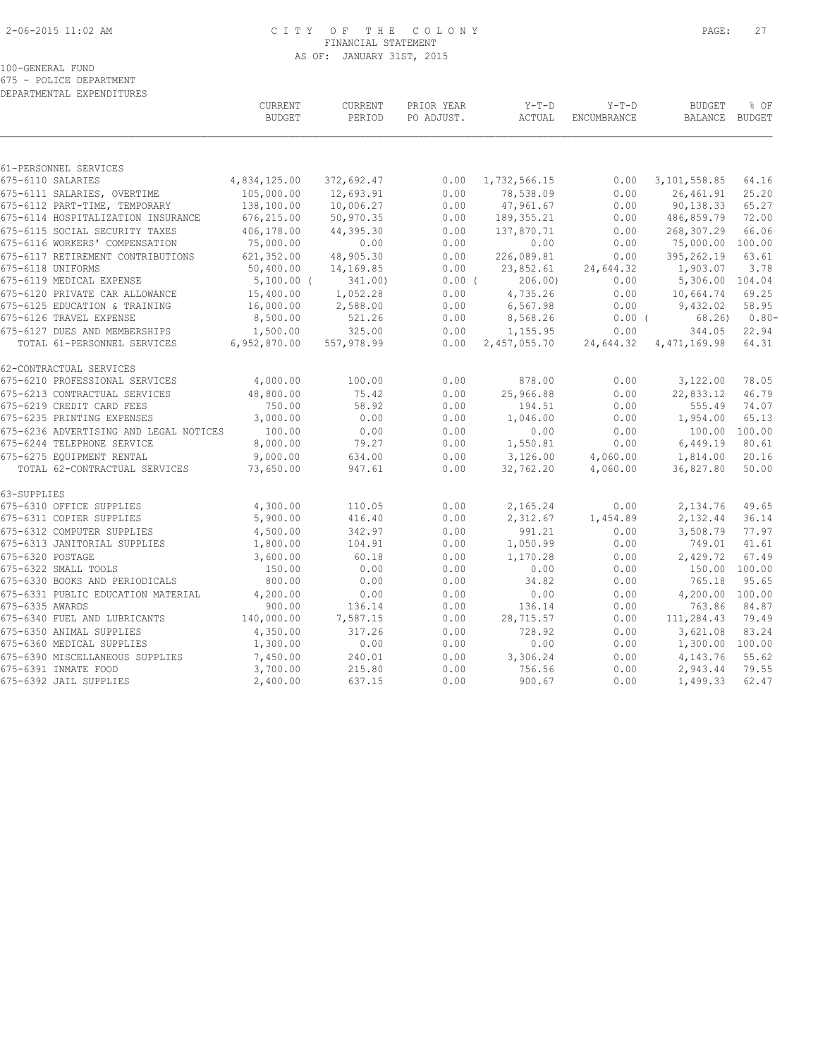# 2-06-2015 11:02 AM C I T Y O F T H E C O L O N Y PAGE: 27 FINANCIAL STATEMENT AS OF: JANUARY 31ST, 2015

### 100-GENERAL FUND

675 - POLICE DEPARTMENT

|                  | DEPARTMENTAL EXPENDITURES              |                          |                   |                          |                   |                               |                          |                       |
|------------------|----------------------------------------|--------------------------|-------------------|--------------------------|-------------------|-------------------------------|--------------------------|-----------------------|
|                  |                                        | CURRENT<br><b>BUDGET</b> | CURRENT<br>PERIOD | PRIOR YEAR<br>PO ADJUST. | $Y-T-D$<br>ACTUAL | $Y-T-D$<br><b>ENCUMBRANCE</b> | <b>BUDGET</b><br>BALANCE | % OF<br><b>BUDGET</b> |
|                  |                                        |                          |                   |                          |                   |                               |                          |                       |
|                  | 61-PERSONNEL SERVICES                  |                          |                   |                          |                   |                               |                          |                       |
|                  | 675-6110 SALARIES                      | 4,834,125.00             | 372,692.47        | 0.00                     | 1,732,566.15      | 0.00                          | 3, 101, 558.85           | 64.16                 |
|                  | 675-6111 SALARIES, OVERTIME            | 105,000.00               | 12,693.91         | 0.00                     | 78,538.09         | 0.00                          | 26,461.91                | 25.20                 |
|                  | 675-6112 PART-TIME, TEMPORARY          | 138,100.00               | 10,006.27         | 0.00                     | 47,961.67         | 0.00                          | 90,138.33                | 65.27                 |
|                  | 675-6114 HOSPITALIZATION INSURANCE     | 676,215.00               | 50,970.35         | 0.00                     | 189, 355.21       | 0.00                          | 486,859.79               | 72.00                 |
|                  | 675-6115 SOCIAL SECURITY TAXES         | 406,178.00               | 44,395.30         | 0.00                     | 137,870.71        | 0.00                          | 268,307.29               | 66.06                 |
|                  | 675-6116 WORKERS' COMPENSATION         | 75,000.00                | 0.00              | 0.00                     | 0.00              | 0.00                          | 75,000.00                | 100.00                |
|                  | 675-6117 RETIREMENT CONTRIBUTIONS      | 621,352.00               | 48,905.30         | 0.00                     | 226,089.81        | 0.00                          | 395,262.19               | 63.61                 |
|                  | 675-6118 UNIFORMS                      | 50,400.00                | 14,169.85         | 0.00                     | 23,852.61         | 24,644.32                     | 1,903.07                 | 3.78                  |
|                  | 675-6119 MEDICAL EXPENSE               | $5,100.00$ (             | 341.00)           | $0.00$ (                 | 206.00            | 0.00                          | 5,306.00                 | 104.04                |
|                  | 675-6120 PRIVATE CAR ALLOWANCE         | 15,400.00                | 1,052.28          | 0.00                     | 4,735.26          | 0.00                          | 10,664.74                | 69.25                 |
|                  | 675-6125 EDUCATION & TRAINING          | 16,000.00                | 2,588.00          | 0.00                     | 6,567.98          | 0.00                          | 9,432.02                 | 58.95                 |
|                  | 675-6126 TRAVEL EXPENSE                | 8,500.00                 | 521.26            | 0.00                     | 8,568.26          | 0.00(                         | 68.26)                   | $0.80 -$              |
|                  | 675-6127 DUES AND MEMBERSHIPS          | 1,500.00                 | 325.00            | 0.00                     | 1,155.95          | 0.00                          | 344.05                   | 22.94                 |
|                  | TOTAL 61-PERSONNEL SERVICES            | 6,952,870.00             | 557,978.99        | 0.00                     | 2,457,055.70      | 24,644.32                     | 4, 471, 169.98           | 64.31                 |
|                  | 62-CONTRACTUAL SERVICES                |                          |                   |                          |                   |                               |                          |                       |
|                  | 675-6210 PROFESSIONAL SERVICES         | 4,000.00                 | 100.00            | 0.00                     | 878.00            | 0.00                          | 3,122.00                 | 78.05                 |
|                  | 675-6213 CONTRACTUAL SERVICES          | 48,800.00                | 75.42             | 0.00                     | 25,966.88         | 0.00                          | 22,833.12                | 46.79                 |
|                  | 675-6219 CREDIT CARD FEES              | 750.00                   | 58.92             | 0.00                     | 194.51            | 0.00                          | 555.49                   | 74.07                 |
|                  | 675-6235 PRINTING EXPENSES             | 3,000.00                 | 0.00              | 0.00                     | 1,046.00          | 0.00                          | 1,954.00                 | 65.13                 |
|                  | 675-6236 ADVERTISING AND LEGAL NOTICES | 100.00                   | 0.00              | 0.00                     | 0.00              | 0.00                          | 100.00                   | 100.00                |
|                  | 675-6244 TELEPHONE SERVICE             | 8,000.00                 | 79.27             | 0.00                     | 1,550.81          | 0.00                          | 6,449.19                 | 80.61                 |
|                  | 675-6275 EOUIPMENT RENTAL              | 9,000.00                 | 634.00            | 0.00                     | 3,126.00          | 4,060.00                      | 1,814.00                 | 20.16                 |
|                  | TOTAL 62-CONTRACTUAL SERVICES          | 73,650.00                | 947.61            | 0.00                     | 32,762.20         | 4,060.00                      | 36,827.80                | 50.00                 |
| 63-SUPPLIES      |                                        |                          |                   |                          |                   |                               |                          |                       |
|                  | 675-6310 OFFICE SUPPLIES               | 4,300.00                 | 110.05            | 0.00                     | 2,165.24          | 0.00                          | 2,134.76                 | 49.65                 |
|                  | 675-6311 COPIER SUPPLIES               | 5,900.00                 | 416.40            | 0.00                     | 2,312.67          | 1,454.89                      | 2,132.44                 | 36.14                 |
|                  | 675-6312 COMPUTER SUPPLIES             | 4,500.00                 | 342.97            | 0.00                     | 991.21            | 0.00                          | 3,508.79                 | 77.97                 |
|                  | 675-6313 JANITORIAL SUPPLIES           | 1,800.00                 | 104.91            | 0.00                     | 1,050.99          | 0.00                          | 749.01                   | 41.61                 |
| 675-6320 POSTAGE |                                        | 3,600.00                 | 60.18             | 0.00                     | 1,170.28          | 0.00                          | 2,429.72                 | 67.49                 |
|                  | 675-6322 SMALL TOOLS                   | 150.00                   | 0.00              | 0.00                     | 0.00              | 0.00                          | 150.00                   | 100.00                |
|                  | 675-6330 BOOKS AND PERIODICALS         | 800.00                   | 0.00              | 0.00                     | 34.82             | 0.00                          | 765.18                   | 95.65                 |
|                  | 675-6331 PUBLIC EDUCATION MATERIAL     | 4,200.00                 | 0.00              | 0.00                     | 0.00              | 0.00                          | 4,200.00 100.00          |                       |
| 675-6335 AWARDS  |                                        | 900.00                   | 136.14            | 0.00                     | 136.14            | 0.00                          | 763.86                   | 84.87                 |
|                  | 675-6340 FUEL AND LUBRICANTS           | 140,000.00               | 7,587.15          | 0.00                     | 28,715.57         | 0.00                          | 111,284.43               | 79.49                 |
|                  | 675-6350 ANIMAL SUPPLIES               | 4,350.00                 | 317.26            | 0.00                     | 728.92            | 0.00                          | 3,621.08                 | 83.24                 |
|                  | 675-6360 MEDICAL SUPPLIES              | 1,300.00                 | 0.00              | 0.00                     | 0.00              | 0.00                          | 1,300.00                 | 100.00                |
|                  | 675-6390 MISCELLANEOUS SUPPLIES        | 7,450.00                 | 240.01            | 0.00                     | 3,306.24          | 0.00                          | 4,143.76                 | 55.62                 |
|                  | 675-6391 INMATE FOOD                   | 3,700.00                 | 215.80            | 0.00                     | 756.56            | 0.00                          | 2,943.44                 | 79.55                 |
|                  | 675-6392 JAIL SUPPLIES                 | 2,400.00                 | 637.15            | 0.00                     | 900.67            | 0.00                          | 1,499.33                 | 62.47                 |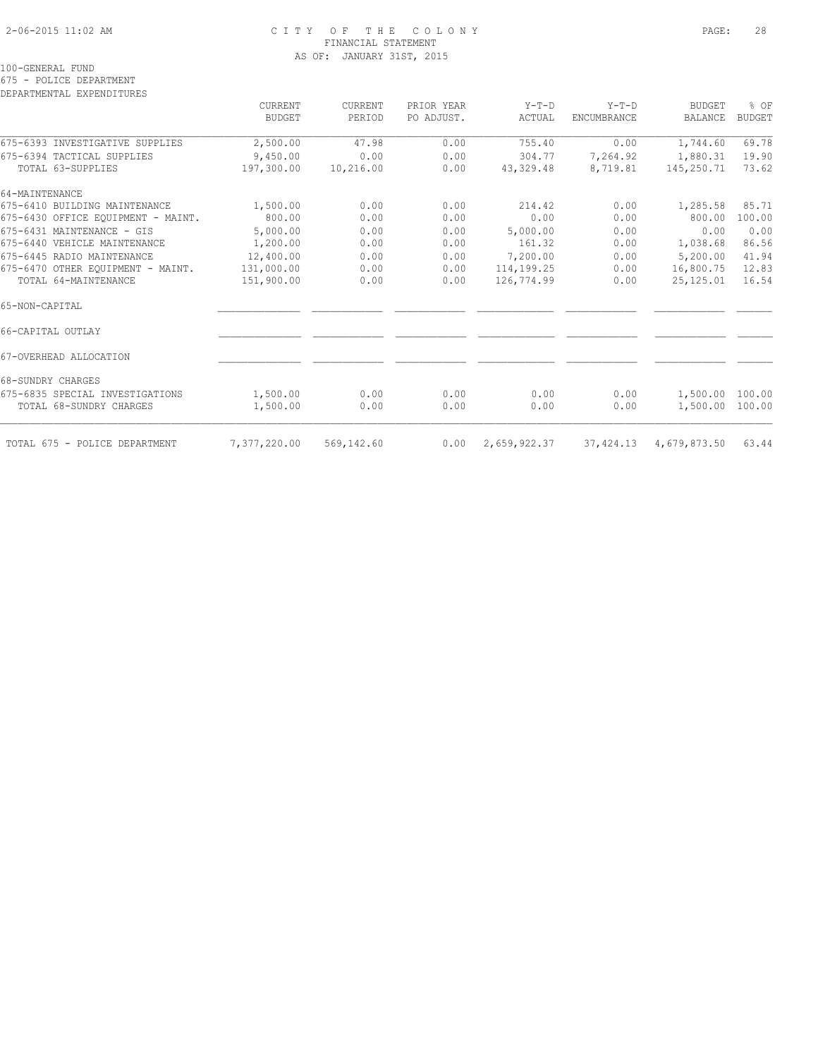# 2-06-2015 11:02 AM C I T Y O F T H E C O L O N Y PAGE: 28 FINANCIAL STATEMENT AS OF: JANUARY 31ST, 2015

100-GENERAL FUND

675 - POLICE DEPARTMENT

DEPARTMENTAL EXPENDITURES

|                                    | CURRENT<br>BUDGET | CURRENT<br>PERIOD | PRIOR YEAR<br>PO ADJUST. | $Y-T-D$<br>ACTUAL | $Y-T-D$<br>ENCUMBRANCE | <b>BUDGET</b><br><b>BALANCE</b> | % OF<br><b>BUDGET</b> |
|------------------------------------|-------------------|-------------------|--------------------------|-------------------|------------------------|---------------------------------|-----------------------|
| 675-6393 INVESTIGATIVE SUPPLIES    | 2,500.00          | 47.98             | 0.00                     | 755.40            | 0.00                   | 1,744.60                        | 69.78                 |
| 675-6394 TACTICAL SUPPLIES         | 9,450.00          | 0.00              | 0.00                     | 304.77            | 7,264.92               | 1,880.31                        | 19.90                 |
| TOTAL 63-SUPPLIES                  | 197,300.00        | 10,216.00         | 0.00                     | 43,329.48         | 8,719.81               | 145,250.71                      | 73.62                 |
| 64-MAINTENANCE                     |                   |                   |                          |                   |                        |                                 |                       |
| 675-6410 BUILDING MAINTENANCE      | 1,500.00          | 0.00              | 0.00                     | 214.42            | 0.00                   | 1,285.58                        | 85.71                 |
| 675-6430 OFFICE EOUIPMENT - MAINT. | 800.00            | 0.00              | 0.00                     | 0.00              | 0.00                   | 800.00                          | 100.00                |
| 675-6431 MAINTENANCE - GIS         | 5,000.00          | 0.00              | 0.00                     | 5,000.00          | 0.00                   | 0.00                            | 0.00                  |
| 675-6440 VEHICLE MAINTENANCE       | 1,200.00          | 0.00              | 0.00                     | 161.32            | 0.00                   | 1,038.68                        | 86.56                 |
| 675-6445 RADIO MAINTENANCE         | 12,400.00         | 0.00              | 0.00                     | 7,200.00          | 0.00                   | 5,200.00                        | 41.94                 |
| 675-6470 OTHER EOUIPMENT - MAINT.  | 131,000.00        | 0.00              | 0.00                     | 114,199.25        | 0.00                   | 16,800.75                       | 12.83                 |
| TOTAL 64-MAINTENANCE               | 151,900.00        | 0.00              | 0.00                     | 126,774.99        | 0.00                   | 25,125.01                       | 16.54                 |
| 65-NON-CAPITAL                     |                   |                   |                          |                   |                        |                                 |                       |
| 66-CAPITAL OUTLAY                  |                   |                   |                          |                   |                        |                                 |                       |
| 67-OVERHEAD ALLOCATION             |                   |                   |                          |                   |                        |                                 |                       |
| 68-SUNDRY CHARGES                  |                   |                   |                          |                   |                        |                                 |                       |
| 675-6835 SPECIAL INVESTIGATIONS    | 1,500.00          | 0.00              | 0.00                     | 0.00              | 0.00                   | 1,500.00 100.00                 |                       |
| TOTAL 68-SUNDRY CHARGES            | 1,500.00          | 0.00              | 0.00                     | 0.00              | 0.00                   | 1,500.00 100.00                 |                       |
| TOTAL 675 - POLICE DEPARTMENT      | 7,377,220.00      | 569,142.60        | 0.00                     | 2,659,922.37      | 37,424.13              | 4,679,873.50                    | 63.44                 |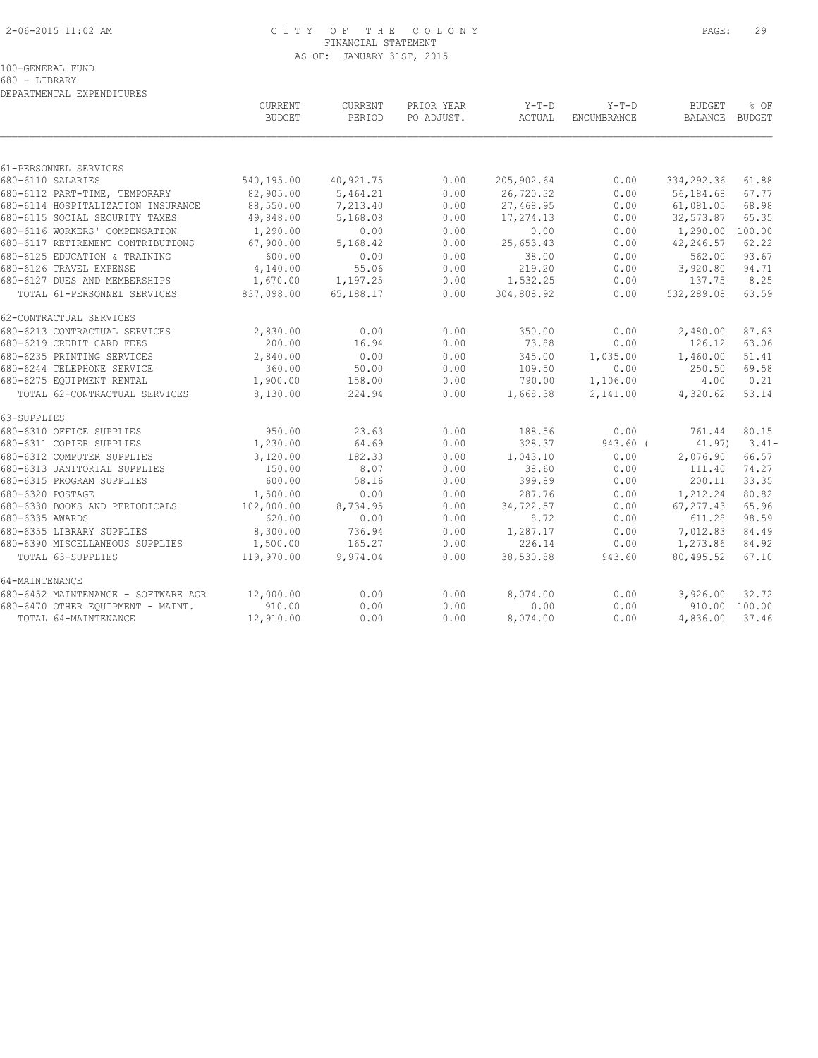# 2-06-2015 11:02 AM C I T Y O F T H E C O L O N Y PAGE: 29 FINANCIAL STATEMENT AS OF: JANUARY 31ST, 2015

100-GENERAL FUND

680 - LIBRARY DEPARTMENTAL EXPENDITURES

|                                     | CURRENT<br><b>BUDGET</b> | CURRENT<br>PERIOD | PRIOR YEAR<br>PO ADJUST. | $Y-T-D$<br>ACTUAL | $Y-T-D$<br>ENCUMBRANCE | <b>BUDGET</b><br>BALANCE | % OF<br>BUDGET |
|-------------------------------------|--------------------------|-------------------|--------------------------|-------------------|------------------------|--------------------------|----------------|
|                                     |                          |                   |                          |                   |                        |                          |                |
| 61-PERSONNEL SERVICES               |                          |                   |                          |                   |                        |                          |                |
| 680-6110 SALARIES                   | 540,195.00               | 40,921.75         | 0.00                     | 205,902.64        | 0.00                   | 334,292.36               | 61.88          |
| 680-6112 PART-TIME, TEMPORARY       | 82,905.00                | 5,464.21          | 0.00                     | 26,720.32         | 0.00                   | 56,184.68                | 67.77          |
| 680-6114 HOSPITALIZATION INSURANCE  | 88,550.00                | 7,213.40          | 0.00                     | 27,468.95         | 0.00                   | 61,081.05                | 68.98          |
| 680-6115 SOCIAL SECURITY TAXES      | 49,848.00                | 5,168.08          | 0.00                     | 17,274.13         | 0.00                   | 32,573.87                | 65.35          |
| 680-6116 WORKERS' COMPENSATION      | 1,290.00                 | 0.00              | 0.00                     | 0.00              | 0.00                   | 1,290.00                 | 100.00         |
| 680-6117 RETIREMENT CONTRIBUTIONS   | 67,900.00                | 5,168.42          | 0.00                     | 25,653.43         | 0.00                   | 42,246.57                | 62.22          |
| 680-6125 EDUCATION & TRAINING       | 600.00                   | 0.00              | 0.00                     | 38.00             | 0.00                   | 562.00                   | 93.67          |
| 680-6126 TRAVEL EXPENSE             | 4,140.00                 | 55.06             | 0.00                     | 219.20            | 0.00                   | 3,920.80                 | 94.71          |
| 680-6127 DUES AND MEMBERSHIPS       | 1,670.00                 | 1,197.25          | 0.00                     | 1,532.25          | 0.00                   | 137.75                   | 8.25           |
| TOTAL 61-PERSONNEL SERVICES         | 837,098.00               | 65,188.17         | 0.00                     | 304,808.92        | 0.00                   | 532,289.08               | 63.59          |
| 62-CONTRACTUAL SERVICES             |                          |                   |                          |                   |                        |                          |                |
| 680-6213 CONTRACTUAL SERVICES       | 2,830.00                 | 0.00              | 0.00                     | 350.00            | 0.00                   | 2,480.00                 | 87.63          |
| 680-6219 CREDIT CARD FEES           | 200.00                   | 16.94             | 0.00                     | 73.88             | 0.00                   | 126.12                   | 63.06          |
| 680-6235 PRINTING SERVICES          | 2,840.00                 | 0.00              | 0.00                     | 345.00            | 1,035.00               | 1,460.00                 | 51.41          |
| 680-6244 TELEPHONE SERVICE          | 360.00                   | 50.00             | 0.00                     | 109.50            | 0.00                   | 250.50                   | 69.58          |
| 680-6275 EQUIPMENT RENTAL           | 1,900.00                 | 158.00            | 0.00                     | 790.00            | 1,106.00               | 4.00                     | 0.21           |
| TOTAL 62-CONTRACTUAL SERVICES       | 8,130.00                 | 224.94            | 0.00                     | 1,668.38          | 2,141.00               | 4,320.62                 | 53.14          |
| 63-SUPPLIES                         |                          |                   |                          |                   |                        |                          |                |
| 680-6310 OFFICE SUPPLIES            | 950.00                   | 23.63             | 0.00                     | 188.56            | 0.00                   | 761.44                   | 80.15          |
| 680-6311 COPIER SUPPLIES            | 1,230.00                 | 64.69             | 0.00                     | 328.37            | $943.60$ (             | 41.97)                   | $3.41-$        |
| 680-6312 COMPUTER SUPPLIES          | 3,120.00                 | 182.33            | 0.00                     | 1,043.10          | 0.00                   | 2,076.90                 | 66.57          |
| 680-6313 JANITORIAL SUPPLIES        | 150.00                   | 8.07              | 0.00                     | 38.60             | 0.00                   | 111.40                   | 74.27          |
| 680-6315 PROGRAM SUPPLIES           | 600.00                   | 58.16             | 0.00                     | 399.89            | 0.00                   | 200.11                   | 33.35          |
| 680-6320 POSTAGE                    | 1,500.00                 | 0.00              | 0.00                     | 287.76            | 0.00                   | 1,212.24                 | 80.82          |
| 680-6330 BOOKS AND PERIODICALS      | 102,000.00               | 8,734.95          | 0.00                     | 34,722.57         | 0.00                   | 67, 277.43               | 65.96          |
| 680-6335 AWARDS                     | 620.00                   | 0.00              | 0.00                     | 8.72              | 0.00                   | 611.28                   | 98.59          |
| 680-6355 LIBRARY SUPPLIES           | 8,300.00                 | 736.94            | 0.00                     | 1,287.17          | 0.00                   | 7,012.83                 | 84.49          |
| 680-6390 MISCELLANEOUS SUPPLIES     | 1,500.00                 | 165.27            | 0.00                     | 226.14            | 0.00                   | 1,273.86                 | 84.92          |
| TOTAL 63-SUPPLIES                   | 119,970.00               | 9,974.04          | 0.00                     | 38,530.88         | 943.60                 | 80,495.52                | 67.10          |
| 64-MAINTENANCE                      |                          |                   |                          |                   |                        |                          |                |
| 680-6452 MAINTENANCE - SOFTWARE AGR | 12,000.00                | 0.00              | 0.00                     | 8,074.00          | 0.00                   | 3,926.00                 | 32.72          |
| 680-6470 OTHER EQUIPMENT - MAINT.   | 910.00                   | 0.00              | 0.00                     | 0.00              | 0.00                   |                          | 910.00 100.00  |
| TOTAL 64-MAINTENANCE                | 12,910.00                | 0.00              | 0.00                     | 8,074.00          | 0.00                   | 4,836.00                 | 37.46          |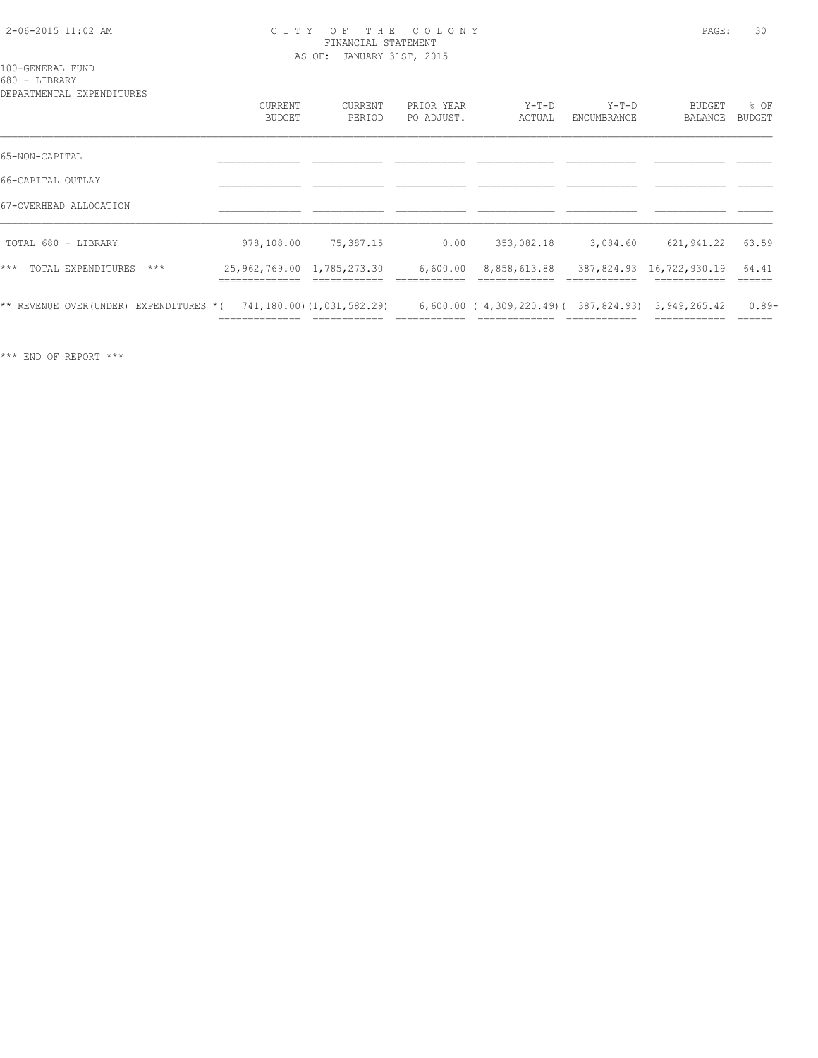## 2-06-2015 11:02 AM C I T Y O F T H E C O L O N Y PAGE: 30 FINANCIAL STATEMENT AS OF: JANUARY 31ST, 2015

### 100-GENERAL FUND 680 - LIBRARY

| DEPARTMENTAL EXPENDITURES              |                            |                            |                          |                                                     |                        |                          |                |
|----------------------------------------|----------------------------|----------------------------|--------------------------|-----------------------------------------------------|------------------------|--------------------------|----------------|
|                                        | CURRENT<br>BUDGET          | <b>CURRENT</b><br>PERIOD   | PRIOR YEAR<br>PO ADJUST. | $Y-T-D$<br>ACTUAL                                   | $Y-T-D$<br>ENCUMBRANCE | BUDGET<br>BALANCE        | % OF<br>BUDGET |
| 65-NON-CAPITAL                         |                            |                            |                          |                                                     |                        |                          |                |
| 66-CAPITAL OUTLAY                      |                            |                            |                          |                                                     |                        |                          |                |
| 67-OVERHEAD ALLOCATION                 |                            |                            |                          |                                                     |                        |                          |                |
| TOTAL 680 - LIBRARY                    | 978,108.00                 | 75,387.15                  | 0.00                     | 353,082.18                                          | 3,084.60               | 621, 941.22              | 63.59          |
| $***$<br>TOTAL EXPENDITURES<br>$***$   | 25,962,769.00 1,785,273.30 |                            | 6,600.00                 | 8,858,613.88                                        |                        | 387,824.93 16,722,930.19 | 64.41          |
| ** REVENUE OVER(UNDER) EXPENDITURES *( |                            | 741,180.00) (1,031,582.29) |                          | $6,600.00$ (4,309,220.49) (387,824.93) 3,949,265.42 |                        |                          | $0.89-$        |

\*\*\* END OF REPORT \*\*\*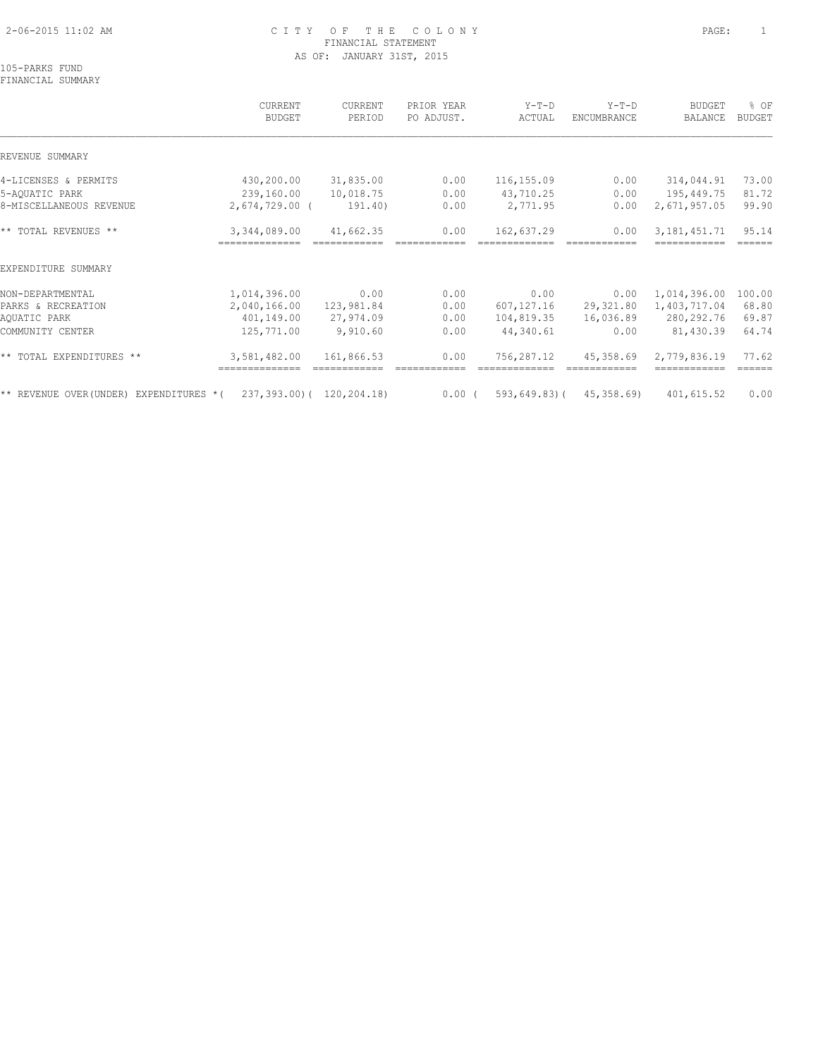# 2-06-2015 11:02 AM C I T Y O F T H E C O L O N Y PAGE: 1 FINANCIAL STATEMENT AS OF: JANUARY 31ST, 2015

105-PARKS FUND FINANCIAL SUMMARY

# CURRENT CURRENT PRIOR YEAR Y-T-D Y-T-D BUDGET % OF BUDGET PERIOD PO ADJUST. ACTUAL ENCUMBRANCE BALANCE BUDGET  $\mathcal{L} = \{ \mathcal{L} = \{ \mathcal{L} = \{ \mathcal{L} = \{ \mathcal{L} = \{ \mathcal{L} = \{ \mathcal{L} = \{ \mathcal{L} = \{ \mathcal{L} = \{ \mathcal{L} = \{ \mathcal{L} = \{ \mathcal{L} = \{ \mathcal{L} = \{ \mathcal{L} = \{ \mathcal{L} = \{ \mathcal{L} = \{ \mathcal{L} = \{ \mathcal{L} = \{ \mathcal{L} = \{ \mathcal{L} = \{ \mathcal{L} = \{ \mathcal{L} = \{ \mathcal{L} = \{ \mathcal{L} = \{ \mathcal{$ REVENUE SUMMARY 4-LICENSES & PERMITS 430,200.00 31,835.00 0.00 116,155.09 0.00 314,044.91 73.00 5-AQUATIC PARK 239,160.00 10,018.75 0.00 43,710.25 0.00 195,449.75 81.72 8-MISCELLANEOUS REVENUE 2,674,729.00 ( 191.40) 0.00 2,771.95 0.00 2,671,957.05 99.90 \*\* TOTAL REVENUES \*\* 3,344,089.00 41,662.35 0.00 162,637.29 0.00 3,181,451.71 95.14 ============== ============ ============ ============= ============ ============ ====== EXPENDITURE SUMMARY NON-DEPARTMENTAL 1,014,396.00 0.00 0.00 0.00 0.00 1,014,396.00 100.00 PARKS & RECREATION 2,040,166.00 123,981.84 0.00 607,127.16 29,321.80 1,403,717.04 68.80 AQUATIC PARK 401,149.00 27,974.09 0.00 104,819.35 16,036.89 280,292.76 69.87 COMMUNITY CENTER 125,771.00 9,910.60 0.00 44,340.61 0.00 81,430.39 64.74 \*\* TOTAL EXPENDITURES \*\* 3,581,482.00 161,866.53 0.00 756,287.12 45,358.69 2,779,836.19 77.62 ============== ============ ============ ============= ============ ============ ====== \*\* REVENUE OVER(UNDER) EXPENDITURES \*( 237,393.00)( 120,204.18) 0.00 ( 593,649.83)( 45,358.69) 401,615.52 0.00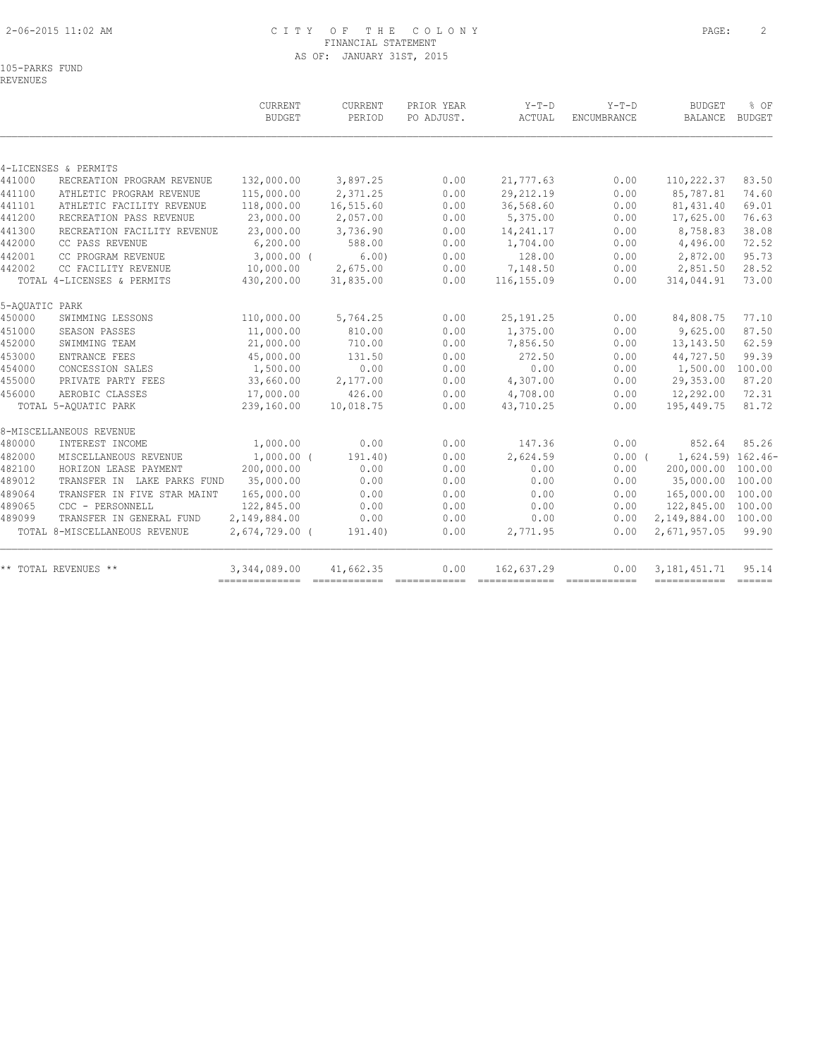# 2-06-2015 11:02 AM C I T Y O F T H E C O L O N Y PAGE: 2 FINANCIAL STATEMENT AS OF: JANUARY 31ST, 2015

105-PARKS FUND REVENUES

|                               | <b>BUDGET</b>    | PERIOD                      | PRIOR YEAR<br>PO ADJUST. | $Y-T-D$<br>ACTUAL | $Y-T-D$<br>ENCUMBRANCE | <b>BUDGET</b><br>BALANCE | % OF<br><b>BUDGET</b>         |
|-------------------------------|------------------|-----------------------------|--------------------------|-------------------|------------------------|--------------------------|-------------------------------|
|                               |                  |                             |                          |                   |                        |                          |                               |
| 4-LICENSES & PERMITS          |                  |                             |                          |                   |                        |                          |                               |
| RECREATION PROGRAM REVENUE    | 132,000.00       | 3,897.25                    | 0.00                     | 21,777.63         | 0.00                   | 110,222.37               | 83.50                         |
| ATHLETIC PROGRAM REVENUE      | 115,000.00       | 2,371.25                    | 0.00                     | 29, 212, 19       | 0.00                   | 85,787.81                | 74.60                         |
| ATHLETIC FACILITY REVENUE     | 118,000.00       | 16,515.60                   | 0.00                     | 36,568.60         | 0.00                   | 81, 431.40               | 69.01                         |
| RECREATION PASS REVENUE       | 23,000.00        | 2,057.00                    | 0.00                     | 5,375.00          | 0.00                   | 17,625.00                | 76.63                         |
| RECREATION FACILITY REVENUE   | 23,000.00        | 3,736.90                    | 0.00                     | 14,241.17         | 0.00                   | 8,758.83                 | 38.08                         |
| CC PASS REVENUE               | 6, 200.00        | 588.00                      | 0.00                     | 1,704.00          | 0.00                   | 4,496.00                 | 72.52                         |
| CC PROGRAM REVENUE            | $3,000.00$ (     | 6.00)                       | 0.00                     | 128.00            | 0.00                   | 2,872.00                 | 95.73                         |
| CC FACILITY REVENUE           | 10,000.00        | 2,675.00                    | 0.00                     | 7,148.50          | 0.00                   | 2,851.50                 | 28.52                         |
| TOTAL 4-LICENSES & PERMITS    | 430,200.00       | 31,835.00                   | 0.00                     | 116, 155.09       | 0.00                   | 314,044.91               | 73.00                         |
| 5-AOUATIC PARK                |                  |                             |                          |                   |                        |                          |                               |
| SWIMMING LESSONS              | 110,000.00       | 5,764.25                    | 0.00                     | 25, 191.25        | 0.00                   | 84,808.75                | 77.10                         |
| SEASON PASSES                 | 11,000.00        | 810.00                      | 0.00                     | 1,375.00          | 0.00                   | 9,625.00                 | 87.50                         |
| SWIMMING TEAM                 | 21,000.00        | 710.00                      | 0.00                     | 7,856.50          | 0.00                   | 13, 143.50               | 62.59                         |
| ENTRANCE FEES                 | 45,000.00        | 131.50                      | 0.00                     | 272.50            | 0.00                   | 44,727.50                | 99.39                         |
| CONCESSION SALES              | 1,500.00         | 0.00                        | 0.00                     | 0.00              | 0.00                   | 1,500.00                 | 100.00                        |
| PRIVATE PARTY FEES            | 33,660.00        | 2,177.00                    | 0.00                     | 4,307.00          | 0.00                   | 29,353.00                | 87.20                         |
| AEROBIC CLASSES               | 17,000.00        | 426.00                      | 0.00                     | 4,708.00          | 0.00                   | 12,292.00                | 72.31                         |
| TOTAL 5-AQUATIC PARK          | 239,160.00       | 10,018.75                   | 0.00                     | 43,710.25         | 0.00                   | 195,449.75               | 81.72                         |
| 8-MISCELLANEOUS REVENUE       |                  |                             |                          |                   |                        |                          |                               |
| INTEREST INCOME               | 1,000.00         | 0.00                        | 0.00                     | 147.36            | 0.00                   | 852.64                   | 85.26                         |
| MISCELLANEOUS REVENUE         | $1,000.00$ (     | 191.40                      | 0.00                     | 2,624.59          |                        | 1,624.59) 162.46-        |                               |
| HORIZON LEASE PAYMENT         | 200,000.00       | 0.00                        | 0.00                     | 0.00              | 0.00                   | 200,000.00               | 100.00                        |
|                               | 35,000.00        | 0.00                        | 0.00                     | 0.00              | 0.00                   | 35,000.00                | 100.00                        |
| TRANSFER IN FIVE STAR MAINT   | 165,000.00       | 0.00                        | 0.00                     | 0.00              | 0.00                   | 165,000.00 100.00        |                               |
| CDC - PERSONNELL              | 122,845.00       | 0.00                        | 0.00                     | 0.00              | 0.00                   | 122,845.00 100.00        |                               |
| TRANSFER IN GENERAL FUND      | 2,149,884.00     | 0.00                        | 0.00                     | 0.00              | 0.00                   | 2,149,884.00 100.00      |                               |
| TOTAL 8-MISCELLANEOUS REVENUE | $2,674,729.00$ ( | 191.40)                     | 0.00                     | 2,771.95          | 0.00                   | 2,671,957.05             | 99.90                         |
| ** TOTAL REVENUES **          | 3,344,089.00     | 41,662.35                   | 0.00                     | 162,637.29        | 0.00                   | 3, 181, 451.71           | 95.14                         |
|                               |                  | TRANSFER IN LAKE PARKS FUND |                          |                   |                        |                          | 0.00(<br>------------- ------ |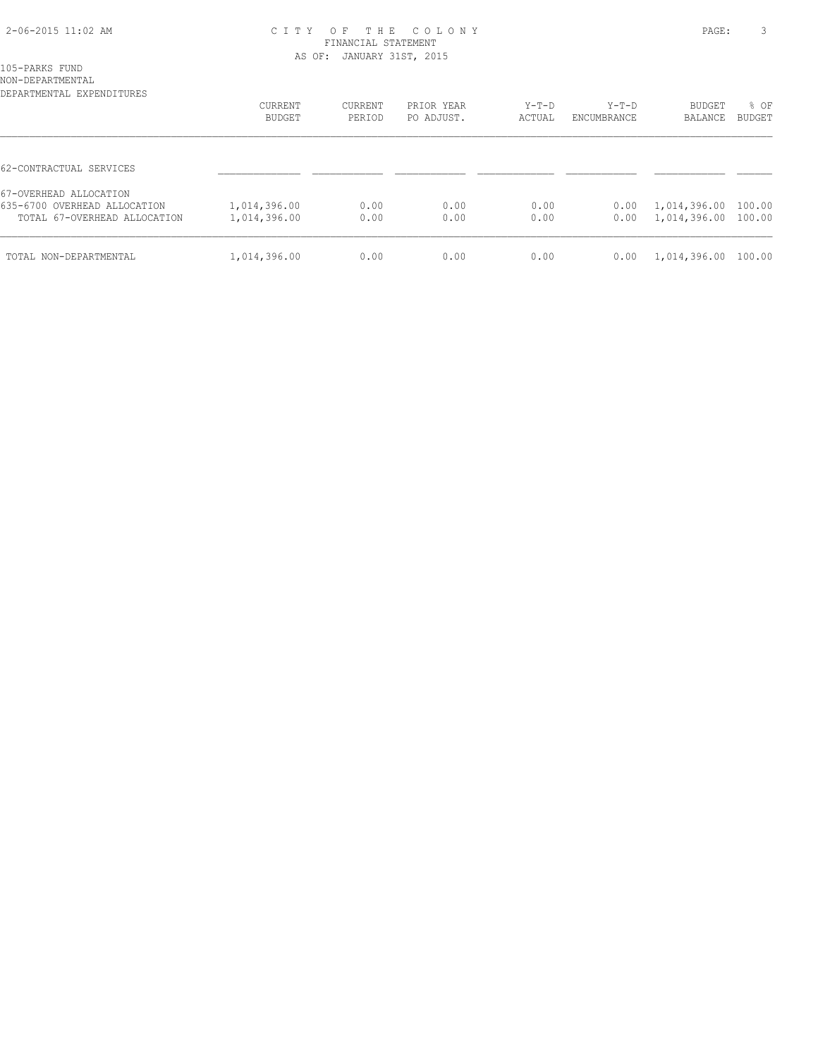# 2-06-2015 11:02 AM C I T Y O F T H E C O L O N Y PAGE: 3 FINANCIAL STATEMENT AS OF: JANUARY 31ST, 2015

105-PARKS FUND NON-DEPARTMENTAL

| DEPARTMENTAL EXPENDITURES    | <b>CURRENT</b> | <b>CURRENT</b> | PRIOR YEAR | $Y-T-D$ | $Y-T-D$     | <b>BUDGET</b> | % OF          |
|------------------------------|----------------|----------------|------------|---------|-------------|---------------|---------------|
|                              | BUDGET         | PERIOD         | PO ADJUST. | ACTUAL  | ENCUMBRANCE | BALANCE       | <b>BUDGET</b> |
| 62-CONTRACTUAL SERVICES      |                |                |            |         |             |               |               |
| 67-OVERHEAD ALLOCATION       |                |                |            |         |             |               |               |
| 635-6700 OVERHEAD ALLOCATION | 1,014,396.00   | 0.00           | 0.00       | 0.00    | 0.00        | 1,014,396.00  | 100.00        |
| TOTAL 67-OVERHEAD ALLOCATION | 1,014,396.00   | 0.00           | 0.00       | 0.00    | 0.00        | 1,014,396.00  | 100.00        |
| TOTAL NON-DEPARTMENTAL       | 1,014,396.00   | 0.00           | 0.00       | 0.00    | 0.00        | 1,014,396.00  | 100.00        |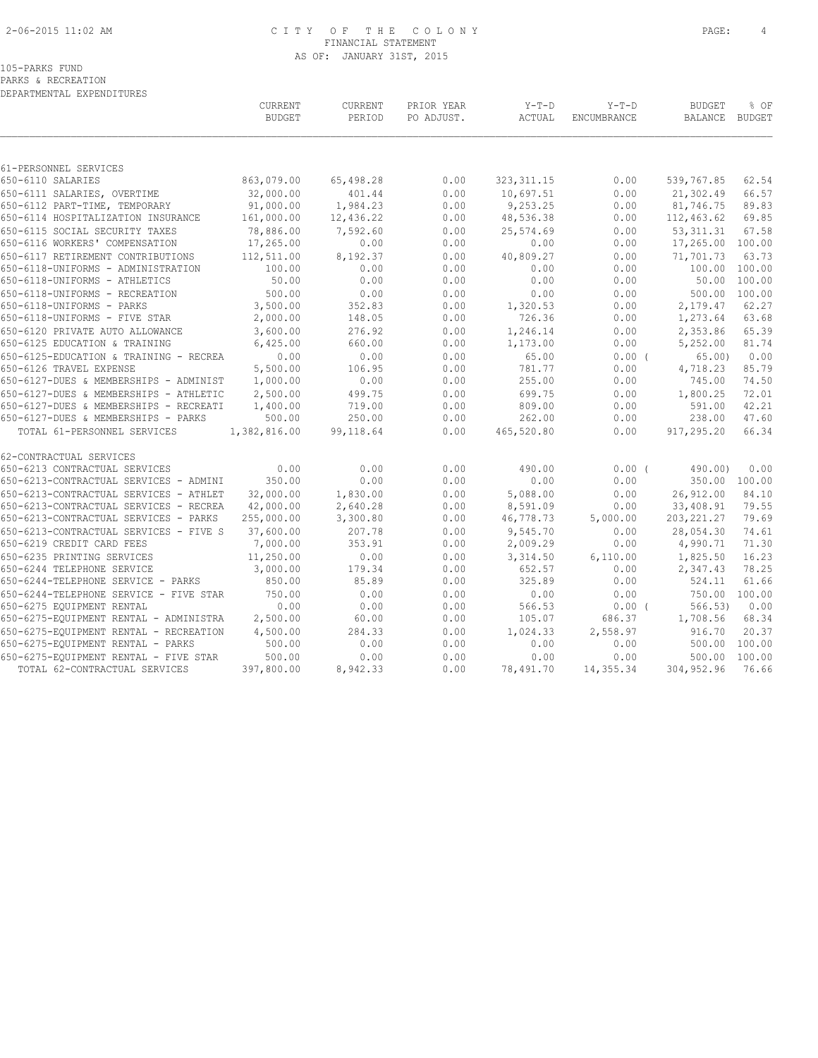# 2-06-2015 11:02 AM C I T Y O F T H E C O L O N Y PAGE: 4 FINANCIAL STATEMENT AS OF: JANUARY 31ST, 2015

PARKS & RECREATION DEPARTMENTAL EXPENDITURES

|                                                                     | CURRENT<br><b>BUDGET</b> | CURRENT<br>PERIOD     | PRIOR YEAR<br>PO ADJUST. | $Y-T-D$<br>ACTUAL     | $Y-T-D$<br>ENCUMBRANCE | <b>BUDGET</b><br>BALANCE   | % OF<br>BUDGET  |
|---------------------------------------------------------------------|--------------------------|-----------------------|--------------------------|-----------------------|------------------------|----------------------------|-----------------|
|                                                                     |                          |                       |                          |                       |                        |                            |                 |
| 61-PERSONNEL SERVICES<br>650-6110 SALARIES                          | 863,079.00               | 65,498.28             | 0.00                     | 323, 311.15           | 0.00                   | 539,767.85                 | 62.54           |
|                                                                     |                          |                       |                          |                       |                        |                            |                 |
| 650-6111 SALARIES, OVERTIME                                         | 32,000.00<br>91,000.00   | 401.44                | 0.00                     | 10,697.51             | 0.00                   | 21,302.49                  | 66.57           |
| 650-6112 PART-TIME, TEMPORARY                                       | 161,000.00               | 1,984.23<br>12,436.22 | 0.00<br>0.00             | 9,253.25<br>48,536.38 | 0.00                   | 81,746.75<br>112,463.62    | 89.83<br>69.85  |
| 650-6114 HOSPITALIZATION INSURANCE                                  |                          | 7,592.60              |                          |                       | 0.00                   |                            | 67.58           |
| 650-6115 SOCIAL SECURITY TAXES<br>650-6116 WORKERS' COMPENSATION    | 78,886.00<br>17,265.00   | 0.00                  | 0.00<br>0.00             | 25,574.69<br>0.00     | 0.00<br>0.00           | 53, 311.31<br>17,265.00    | 100.00          |
|                                                                     |                          |                       |                          |                       |                        |                            |                 |
| 650-6117 RETIREMENT CONTRIBUTIONS                                   | 112,511.00               | 8,192.37              | 0.00                     | 40,809.27             | 0.00                   | 71,701.73<br>100.00 100.00 | 63.73           |
| 650-6118-UNIFORMS - ADMINISTRATION<br>650-6118-UNIFORMS - ATHLETICS | 100.00<br>50.00          | 0.00<br>0.00          | 0.00<br>0.00             | 0.00<br>0.00          | 0.00<br>0.00           | 50.00                      | 100.00          |
|                                                                     | 500.00                   |                       |                          |                       |                        | 500.00                     |                 |
| 650-6118-UNIFORMS - RECREATION<br>650-6118-UNIFORMS - PARKS         | 3,500.00                 | 0.00<br>352.83        | 0.00<br>0.00             | 0.00<br>1,320.53      | 0.00<br>0.00           | 2,179.47                   | 100.00<br>62.27 |
| 650-6118-UNIFORMS - FIVE STAR                                       | 2,000.00                 | 148.05                | 0.00                     | 726.36                | 0.00                   | 1,273.64                   | 63.68           |
| 650-6120 PRIVATE AUTO ALLOWANCE                                     | 3,600.00                 | 276.92                | 0.00                     | 1,246.14              | 0.00                   | 2,353.86                   | 65.39           |
| 650-6125 EDUCATION & TRAINING                                       | 6,425.00                 | 660.00                | 0.00                     | 1,173.00              | 0.00                   | 5,252.00                   | 81.74           |
| 650-6125-EDUCATION & TRAINING - RECREA                              | 0.00                     |                       | 0.00                     |                       |                        |                            |                 |
| 650-6126 TRAVEL EXPENSE                                             | 5,500.00                 | 0.00<br>106.95        | 0.00                     | 65.00<br>781.77       | 0.00(<br>0.00          | 65.00                      | 0.00<br>85.79   |
| 650-6127-DUES & MEMBERSHIPS - ADMINIST                              | 1,000.00                 | 0.00                  | 0.00                     | 255.00                | 0.00                   | 4,718.23<br>745.00         | 74.50           |
| 650-6127-DUES & MEMBERSHIPS - ATHLETIC                              | 2,500.00                 | 499.75                |                          | 699.75                |                        |                            | 72.01           |
| 650-6127-DUES & MEMBERSHIPS - RECREATI                              | 1,400.00                 | 719.00                | 0.00<br>0.00             | 809.00                | 0.00<br>0.00           | 1,800.25<br>591.00         | 42.21           |
| 650-6127-DUES & MEMBERSHIPS - PARKS                                 | 500.00                   | 250.00                | 0.00                     | 262.00                | 0.00                   | 238.00                     | 47.60           |
| TOTAL 61-PERSONNEL SERVICES                                         | 1,382,816.00             | 99,118.64             | 0.00                     | 465,520.80            | 0.00                   | 917,295.20                 | 66.34           |
| 62-CONTRACTUAL SERVICES                                             |                          |                       |                          |                       |                        |                            |                 |
| 650-6213 CONTRACTUAL SERVICES                                       | 0.00                     | 0.00                  | 0.00                     | 490.00                | $0.00$ (               | 490.00)                    | 0.00            |
| 650-6213-CONTRACTUAL SERVICES - ADMINI                              | 350.00                   | 0.00                  | 0.00                     | 0.00                  | 0.00                   | 350.00 100.00              |                 |
| 650-6213-CONTRACTUAL SERVICES - ATHLET                              | 32,000.00                | 1,830.00              | 0.00                     | 5,088.00              | 0.00                   | 26,912.00                  | 84.10           |
| 650-6213-CONTRACTUAL SERVICES - RECREA                              | 42,000.00                | 2,640.28              | 0.00                     | 8,591.09              | 0.00                   | 33,408.91                  | 79.55           |
| 650-6213-CONTRACTUAL SERVICES - PARKS                               | 255,000.00               | 3,300.80              | 0.00                     | 46,778.73             | 5,000.00               | 203, 221.27                | 79.69           |
| 650-6213-CONTRACTUAL SERVICES - FIVE S                              | 37,600.00                | 207.78                | 0.00                     | 9,545.70              | 0.00                   | 28,054.30                  | 74.61           |
| 650-6219 CREDIT CARD FEES                                           | 7,000.00                 | 353.91                | 0.00                     | 2,009.29              | 0.00                   | 4,990.71                   | 71.30           |
| 650-6235 PRINTING SERVICES                                          | 11,250.00                | 0.00                  | 0.00                     | 3,314.50              | 6,110.00               | 1,825.50                   | 16.23           |
| 650-6244 TELEPHONE SERVICE                                          | 3,000.00                 | 179.34                | 0.00                     | 652.57                | 0.00                   | 2,347.43                   | 78.25           |
| 650-6244-TELEPHONE SERVICE - PARKS                                  | 850.00                   | 85.89                 | 0.00                     | 325.89                | 0.00                   | 524.11                     | 61.66           |
| 650-6244-TELEPHONE SERVICE - FIVE STAR                              | 750.00                   | 0.00                  | 0.00                     | 0.00                  | 0.00                   | 750.00                     | 100.00          |
| 650-6275 EQUIPMENT RENTAL                                           | 0.00                     | 0.00                  | 0.00                     | 566.53                | 0.00(                  | 566.53)                    | 0.00            |
| 650-6275-EQUIPMENT RENTAL - ADMINISTRA                              | 2,500.00                 | 60.00                 | 0.00                     | 105.07                | 686.37                 | 1,708.56                   | 68.34           |
| 650-6275-EQUIPMENT RENTAL - RECREATION                              | 4,500.00                 | 284.33                | 0.00                     | 1,024.33              | 2,558.97               | 916.70                     | 20.37           |
| 650-6275-EQUIPMENT RENTAL - PARKS                                   | 500.00                   | 0.00                  | 0.00                     | 0.00                  | 0.00                   | 500.00                     | 100.00          |
| 650-6275-EQUIPMENT RENTAL - FIVE STAR                               | 500.00                   | 0.00                  | 0.00                     | 0.00                  | 0.00                   | 500.00                     | 100.00          |
| TOTAL 62-CONTRACTUAL SERVICES                                       | 397,800.00               | 8,942.33              | 0.00                     | 78,491.70             | 14,355.34              | 304, 952.96                | 76.66           |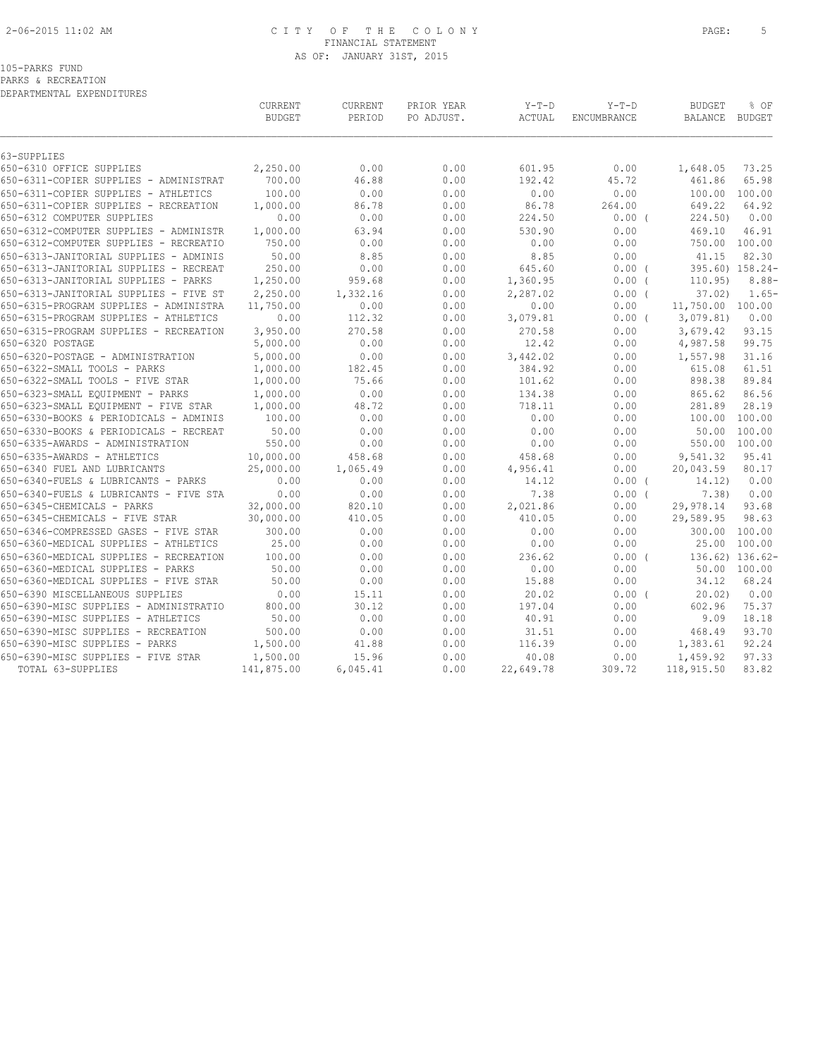# 2-06-2015 11:02 AM C I T Y O F T H E C O L O N Y PAGE: 5 FINANCIAL STATEMENT AS OF: JANUARY 31ST, 2015

PARKS & RECREATION DEPARTMENTAL EXPENDITURES

| DEPARTMENTAL EXPENDITURES              |                          |                   |                          |                   |                        |                          |                 |
|----------------------------------------|--------------------------|-------------------|--------------------------|-------------------|------------------------|--------------------------|-----------------|
|                                        | CURRENT<br><b>BUDGET</b> | CURRENT<br>PERIOD | PRIOR YEAR<br>PO ADJUST. | $Y-T-D$<br>ACTUAL | $Y-T-D$<br>ENCUMBRANCE | <b>BUDGET</b><br>BALANCE | % OF<br>BUDGET  |
|                                        |                          |                   |                          |                   |                        |                          |                 |
| 63-SUPPLIES                            |                          |                   |                          |                   |                        |                          |                 |
| 650-6310 OFFICE SUPPLIES               | 2,250.00                 | 0.00              | 0.00                     | 601.95            | 0.00                   | 1,648.05                 | 73.25           |
| 650-6311-COPIER SUPPLIES - ADMINISTRAT | 700.00                   | 46.88             | 0.00                     | 192.42            | 45.72                  | 461.86                   | 65.98           |
| 650-6311-COPIER SUPPLIES - ATHLETICS   | 100.00                   | 0.00              | 0.00                     | 0.00              | 0.00                   | 100.00                   | 100.00          |
| 650-6311-COPIER SUPPLIES - RECREATION  | 1,000.00                 | 86.78             | 0.00                     | 86.78             | 264.00                 | 649.22                   | 64.92           |
| 650-6312 COMPUTER SUPPLIES             | 0.00                     | 0.00              | 0.00                     | 224.50            | $0.00$ (               | 224.50                   | 0.00            |
| 650-6312-COMPUTER SUPPLIES - ADMINISTR | 1,000.00                 | 63.94             | 0.00                     | 530.90            | 0.00                   | 469.10                   | 46.91           |
| 650-6312-COMPUTER SUPPLIES - RECREATIO | 750.00                   | 0.00              | 0.00                     | 0.00              | 0.00                   | 750.00                   | 100.00          |
| 650-6313-JANITORIAL SUPPLIES - ADMINIS | 50.00                    | 8.85              | 0.00                     | 8.85              | 0.00                   | 41.15                    | 82.30           |
| 650-6313-JANITORIAL SUPPLIES - RECREAT | 250.00                   | 0.00              | 0.00                     | 645.60            | 0.00(                  |                          | 395.60) 158.24- |
| 650-6313-JANITORIAL SUPPLIES - PARKS   | 1,250.00                 | 959.68            | 0.00                     | 1,360.95          | $0.00$ (               | 110.95)                  | $8.88 -$        |
| 650-6313-JANITORIAL SUPPLIES - FIVE ST | 2,250.00                 | 1,332.16          | 0.00                     | 2,287.02          | 0.00(                  | 37.02                    | $1.65-$         |
| 650-6315-PROGRAM SUPPLIES - ADMINISTRA | 11,750.00                | 0.00              | 0.00                     | 0.00              | 0.00                   | 11,750.00 100.00         |                 |
| 650-6315-PROGRAM SUPPLIES - ATHLETICS  | 0.00                     | 112.32            | 0.00                     | 3,079.81          | $0.00$ (               | 3,079.81)                | 0.00            |
| 650-6315-PROGRAM SUPPLIES - RECREATION | 3,950.00                 | 270.58            | 0.00                     | 270.58            | 0.00                   | 3,679.42                 | 93.15           |
| 650-6320 POSTAGE                       | 5,000.00                 | 0.00              | 0.00                     | 12.42             | 0.00                   | 4,987.58                 | 99.75           |
| 650-6320-POSTAGE - ADMINISTRATION      | 5,000.00                 | 0.00              | 0.00                     | 3,442.02          | 0.00                   | 1,557.98                 | 31.16           |
| 650-6322-SMALL TOOLS - PARKS           | 1,000.00                 | 182.45            | 0.00                     | 384.92            | 0.00                   | 615.08                   | 61.51           |
| 650-6322-SMALL TOOLS - FIVE STAR       | 1,000.00                 | 75.66             | 0.00                     | 101.62            | 0.00                   | 898.38                   | 89.84           |
| 650-6323-SMALL EQUIPMENT - PARKS       | 1,000.00                 | 0.00              | 0.00                     | 134.38            | 0.00                   | 865.62                   | 86.56           |
| 650-6323-SMALL EOUIPMENT - FIVE STAR   | 1,000.00                 | 48.72             | 0.00                     | 718.11            | 0.00                   | 281.89                   | 28.19           |
| 650-6330-BOOKS & PERIODICALS - ADMINIS | 100.00                   | 0.00              | 0.00                     | 0.00              | 0.00                   | 100.00                   | 100.00          |
| 650-6330-BOOKS & PERIODICALS - RECREAT | 50.00                    | 0.00              | 0.00                     | 0.00              | 0.00                   | 50.00                    | 100.00          |
| 650-6335-AWARDS - ADMINISTRATION       | 550.00                   | 0.00              | 0.00                     | 0.00              | 0.00                   | 550.00                   | 100.00          |
| 650-6335-AWARDS - ATHLETICS            | 10,000.00                | 458.68            | 0.00                     | 458.68            | 0.00                   | 9,541.32                 | 95.41           |
| 650-6340 FUEL AND LUBRICANTS           | 25,000.00                | 1,065.49          | 0.00                     | 4,956.41          | 0.00                   | 20,043.59                | 80.17           |
| 650-6340-FUELS & LUBRICANTS - PARKS    | 0.00                     | 0.00              | 0.00                     | 14.12             | 0.00(                  | 14.12)                   | 0.00            |
| 650-6340-FUELS & LUBRICANTS - FIVE STA | 0.00                     | 0.00              | 0.00                     | 7.38              | 0.00(                  | 7.38)                    | 0.00            |
| 650-6345-CHEMICALS - PARKS             | 32,000.00                | 820.10            | 0.00                     | 2,021.86          | 0.00                   | 29,978.14                | 93.68           |
| 650-6345-CHEMICALS - FIVE STAR         | 30,000.00                | 410.05            | 0.00                     | 410.05            | 0.00                   | 29,589.95                | 98.63           |
| 650-6346-COMPRESSED GASES - FIVE STAR  | 300.00                   | 0.00              | 0.00                     | 0.00              | 0.00                   | 300.00                   | 100.00          |
| 650-6360-MEDICAL SUPPLIES - ATHLETICS  | 25.00                    | 0.00              | 0.00                     | 0.00              | 0.00                   | 25.00                    | 100.00          |
| 650-6360-MEDICAL SUPPLIES - RECREATION | 100.00                   | 0.00              | 0.00                     | 236.62            | 0.00(                  |                          | 136.62) 136.62- |
| 650-6360-MEDICAL SUPPLIES - PARKS      | 50.00                    | 0.00              | 0.00                     | 0.00              | 0.00                   | 50.00                    | 100.00          |
| 650-6360-MEDICAL SUPPLIES - FIVE STAR  | 50.00                    | 0.00              | 0.00                     | 15.88             | 0.00                   | 34.12                    | 68.24           |
| 650-6390 MISCELLANEOUS SUPPLIES        | 0.00                     | 15.11             | 0.00                     | 20.02             | 0.00(                  | 20.02                    | 0.00            |
| 650-6390-MISC SUPPLIES - ADMINISTRATIO | 800.00                   | 30.12             | 0.00                     | 197.04            | 0.00                   | 602.96                   | 75.37           |
| 650-6390-MISC SUPPLIES - ATHLETICS     | 50.00                    | 0.00              | 0.00                     | 40.91             | 0.00                   | 9.09                     | 18.18           |
| 650-6390-MISC SUPPLIES - RECREATION    | 500.00                   | 0.00              | 0.00                     | 31.51             | 0.00                   | 468.49                   | 93.70           |
| 650-6390-MISC SUPPLIES - PARKS         | 1,500.00                 | 41.88             | 0.00                     | 116.39            | 0.00                   | 1,383.61                 | 92.24           |
| 650-6390-MISC SUPPLIES - FIVE STAR     | 1,500.00                 | 15.96             | 0.00                     | 40.08             | 0.00                   | 1,459.92                 | 97.33           |
| TOTAL 63-SUPPLIES                      | 141,875.00               | 6,045.41          | 0.00                     | 22,649.78         | 309.72                 | 118,915.50               | 83.82           |
|                                        |                          |                   |                          |                   |                        |                          |                 |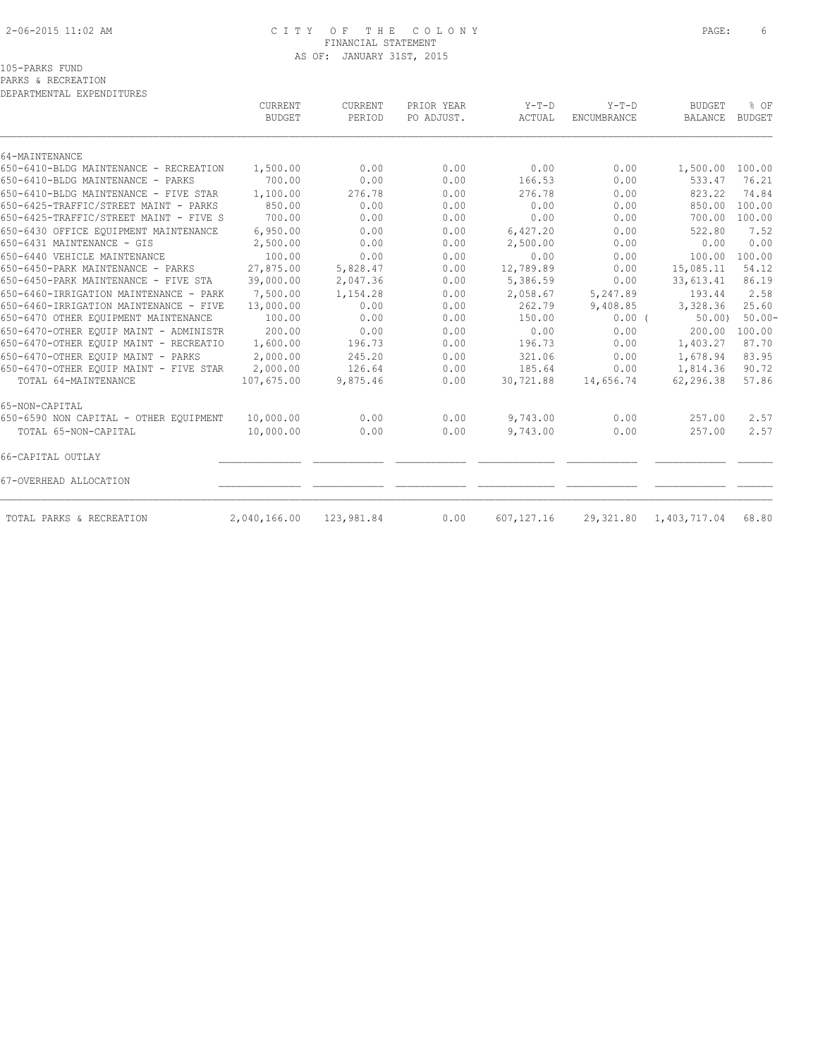# 2-06-2015 11:02 AM C I T Y O F T H E C O L O N Y PAGE: 6 FINANCIAL STATEMENT AS OF: JANUARY 31ST, 2015

PARKS & RECREATION

| DEPARTMENTAL EXPENDITURES              |                                 |                          |                          |                   |                               |                                 |                       |
|----------------------------------------|---------------------------------|--------------------------|--------------------------|-------------------|-------------------------------|---------------------------------|-----------------------|
|                                        | <b>CURRENT</b><br><b>BUDGET</b> | <b>CURRENT</b><br>PERIOD | PRIOR YEAR<br>PO ADJUST. | $Y-T-D$<br>ACTUAL | $Y-T-D$<br><b>ENCUMBRANCE</b> | <b>BUDGET</b><br><b>BALANCE</b> | % OF<br><b>BUDGET</b> |
| 64-MAINTENANCE                         |                                 |                          |                          |                   |                               |                                 |                       |
| 650-6410-BLDG MAINTENANCE - RECREATION | 1,500.00                        | 0.00                     | 0.00                     | 0.00              | 0.00                          | 1,500.00 100.00                 |                       |
| 650-6410-BLDG MAINTENANCE - PARKS      | 700.00                          | 0.00                     | 0.00                     | 166.53            | 0.00                          | 533.47                          | 76.21                 |
| 650-6410-BLDG MAINTENANCE - FIVE STAR  | 1,100.00                        | 276.78                   | 0.00                     | 276.78            | 0.00                          | 823.22                          | 74.84                 |
| 650-6425-TRAFFIC/STREET MAINT - PARKS  | 850.00                          | 0.00                     | 0.00                     | 0.00              | 0.00                          | 850.00                          | 100.00                |
| 650-6425-TRAFFIC/STREET MAINT - FIVE S | 700.00                          | 0.00                     | 0.00                     | 0.00              | 0.00                          | 700.00                          | 100.00                |
| 650-6430 OFFICE EQUIPMENT MAINTENANCE  | 6,950.00                        | 0.00                     | 0.00                     | 6,427.20          | 0.00                          | 522.80                          | 7.52                  |
| 650-6431 MAINTENANCE - GIS             | 2,500.00                        | 0.00                     | 0.00                     | 2,500.00          | 0.00                          | 0.00                            | 0.00                  |
| 650-6440 VEHICLE MAINTENANCE           | 100.00                          | 0.00                     | 0.00                     | 0.00              | 0.00                          | 100.00                          | 100.00                |
| 650-6450-PARK MAINTENANCE - PARKS      | 27,875.00                       | 5,828.47                 | 0.00                     | 12,789.89         | 0.00                          | 15,085.11                       | 54.12                 |
| 650-6450-PARK MAINTENANCE - FIVE STA   | 39,000.00                       | 2,047.36                 | 0.00                     | 5,386.59          | 0.00                          | 33,613.41                       | 86.19                 |
| 650-6460-IRRIGATION MAINTENANCE - PARK | 7,500.00                        | 1,154.28                 | 0.00                     | 2,058.67          | 5,247.89                      | 193.44                          | 2.58                  |
| 650-6460-IRRIGATION MAINTENANCE - FIVE | 13,000.00                       | 0.00                     | 0.00                     | 262.79            | 9,408.85                      | 3,328.36                        | 25.60                 |
| 650-6470 OTHER EQUIPMENT MAINTENANCE   | 100.00                          | 0.00                     | 0.00                     | 150.00            | $0.00$ (                      | 50.00                           | $50.00 -$             |
| 650-6470-OTHER EQUIP MAINT - ADMINISTR | 200.00                          | 0.00                     | 0.00                     | 0.00              | 0.00                          | 200.00                          | 100.00                |
| 650-6470-OTHER EQUIP MAINT - RECREATIO | 1,600.00                        | 196.73                   | 0.00                     | 196.73            | 0.00                          | 1,403.27                        | 87.70                 |
| 650-6470-OTHER EOUIP MAINT - PARKS     | 2,000.00                        | 245.20                   | 0.00                     | 321.06            | 0.00                          | 1,678.94                        | 83.95                 |
| 650-6470-OTHER EOUIP MAINT - FIVE STAR | 2,000.00                        | 126.64                   | 0.00                     | 185.64            | 0.00                          | 1,814.36                        | 90.72                 |
| TOTAL 64-MAINTENANCE                   | 107,675.00                      | 9,875.46                 | 0.00                     | 30,721.88         | 14,656.74                     | 62,296.38                       | 57.86                 |
| 65-NON-CAPITAL                         |                                 |                          |                          |                   |                               |                                 |                       |
| 650-6590 NON CAPITAL - OTHER EQUIPMENT | 10,000.00                       | 0.00                     | 0.00                     | 9,743.00          | 0.00                          | 257.00                          | 2.57                  |
| TOTAL 65-NON-CAPITAL                   | 10,000.00                       | 0.00                     | 0.00                     | 9,743.00          | 0.00                          | 257.00                          | 2.57                  |
| 66-CAPITAL OUTLAY                      |                                 |                          |                          |                   |                               |                                 |                       |
| 67-OVERHEAD ALLOCATION                 |                                 |                          |                          |                   |                               |                                 |                       |
| TOTAL PARKS & RECREATION               | 2,040,166.00                    | 123,981.84               | 0.00                     | 607,127.16        | 29,321.80                     | 1,403,717.04                    | 68.80                 |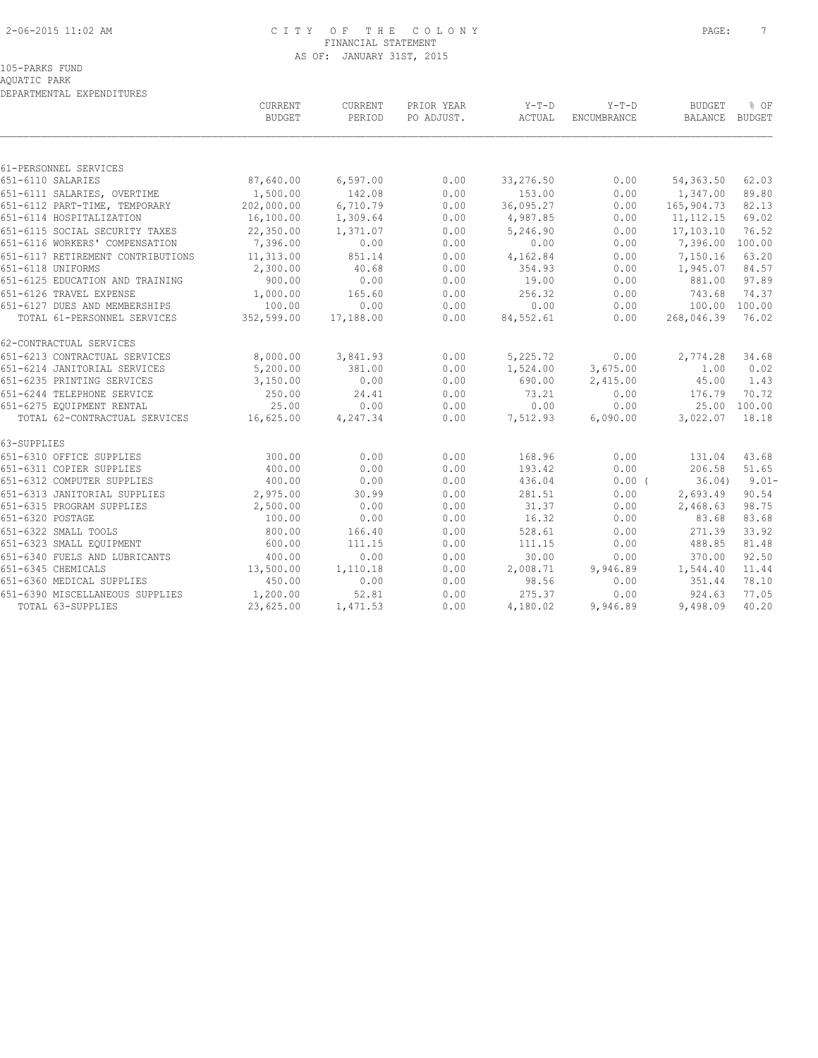# 2-06-2015 11:02 AM C I T Y O F T H E C O L O N Y PAGE: 7 FINANCIAL STATEMENT AS OF: JANUARY 31ST, 2015

AQUATIC PARK DEPARTMENTAL EXPENDITURES

|                                            | CURRENT<br><b>BUDGET</b> | CURRENT<br>PERIOD | PRIOR YEAR<br>PO ADJUST. | $Y-T-D$<br>ACTUAL | $Y-T-D$<br>ENCUMBRANCE | <b>BUDGET</b><br>BALANCE BUDGET | % OF         |
|--------------------------------------------|--------------------------|-------------------|--------------------------|-------------------|------------------------|---------------------------------|--------------|
|                                            |                          |                   |                          |                   |                        |                                 |              |
| 61-PERSONNEL SERVICES<br>651-6110 SALARIES | 87,640.00                | 6, 597.00         | 0.00                     | 33,276.50         | 0.00                   | 54,363.50                       | 62.03        |
| 651-6111 SALARIES, OVERTIME                | 1,500.00                 | 142.08            | 0.00                     | 153.00            | 0.00                   | 1,347.00                        | 89.80        |
| 651-6112 PART-TIME, TEMPORARY              | 202,000.00               | 6,710.79          | 0.00                     | 36,095.27         | 0.00                   | 165,904.73                      | 82.13        |
| 651-6114 HOSPITALIZATION                   | 16,100.00                | 1,309.64          | 0.00                     | 4,987.85          | 0.00                   | 11, 112. 15                     | 69.02        |
| 651-6115 SOCIAL SECURITY TAXES             | 22,350.00                | 1,371.07          | 0.00                     | 5,246.90          | 0.00                   | 17,103.10                       | 76.52        |
| 651-6116 WORKERS' COMPENSATION             | 7,396.00                 | 0.00              | 0.00                     | 0.00              | 0.00                   | 7,396.00 100.00                 |              |
| 651-6117 RETIREMENT CONTRIBUTIONS          | 11,313.00                | 851.14            | 0.00                     | 4,162.84          | 0.00                   | 7,150.16                        | 63.20        |
| 651-6118 UNIFORMS                          | 2,300.00                 | 40.68             | 0.00                     | 354.93            | 0.00                   | 1,945.07                        | 84.57        |
| 651-6125 EDUCATION AND TRAINING            | 900.00                   | 0.00              | 0.00                     | 19.00             | 0.00                   | 881.00                          | 97.89        |
| 651-6126 TRAVEL EXPENSE                    | 1,000.00                 | 165.60            | 0.00                     | 256.32            | 0.00                   | 743.68                          | 74.37        |
| 651-6127 DUES AND MEMBERSHIPS              | 100.00                   | 0.00              | 0.00                     | 0.00              | 0.00                   | 100.00 100.00                   |              |
| TOTAL 61-PERSONNEL SERVICES                | 352,599.00               | 17,188.00         | 0.00                     | 84,552.61         | 0.00                   | 268,046.39                      | 76.02        |
| 62-CONTRACTUAL SERVICES                    |                          |                   |                          |                   |                        |                                 |              |
| 651-6213 CONTRACTUAL SERVICES              | 8,000.00                 | 3,841.93          | 0.00                     | 5,225.72          | 0.00                   | 2,774.28                        | 34.68        |
| 651-6214 JANITORIAL SERVICES               | 5,200.00                 | 381.00            | 0.00                     | 1,524.00          | 3,675.00               | 1.00                            | 0.02         |
| 651-6235 PRINTING SERVICES                 | 3,150.00                 | 0.00              | 0.00                     | 690.00            | 2,415.00               | 45.00                           | 1.43         |
| 651-6244 TELEPHONE SERVICE                 | 250.00                   | 24.41             | 0.00                     | 73.21             | 0.00                   | 176.79                          | 70.72        |
| 651-6275 EQUIPMENT RENTAL                  | 25.00                    | 0.00              | 0.00                     | 0.00              | 0.00                   |                                 | 25.00 100.00 |
| TOTAL 62-CONTRACTUAL SERVICES              | 16,625.00                | 4,247.34          | 0.00                     | 7,512.93          | 6,090.00               | 3,022.07                        | 18.18        |
| 63-SUPPLIES                                |                          |                   |                          |                   |                        |                                 |              |
| 651-6310 OFFICE SUPPLIES                   | 300.00                   | 0.00              | 0.00                     | 168.96            | 0.00                   | 131.04                          | 43.68        |
| 651-6311 COPIER SUPPLIES                   | 400.00                   | 0.00              | 0.00                     | 193.42            | 0.00                   | 206.58                          | 51.65        |
| 651-6312 COMPUTER SUPPLIES                 | 400.00                   | 0.00              | 0.00                     | 436.04            | $0.00$ (               | 36.04)                          | $9.01 -$     |
| 651-6313 JANITORIAL SUPPLIES               | 2,975.00                 | 30.99             | 0.00                     | 281.51            | 0.00                   | 2,693.49                        | 90.54        |
| 651-6315 PROGRAM SUPPLIES                  | 2,500.00                 | 0.00              | 0.00                     | 31.37             | 0.00                   | 2,468.63                        | 98.75        |
| 651-6320 POSTAGE                           | 100.00                   | 0.00              | 0.00                     | 16.32             | 0.00                   | 83.68                           | 83.68        |
| 651-6322 SMALL TOOLS                       | 800.00                   | 166.40            | 0.00                     | 528.61            | 0.00                   | 271.39                          | 33.92        |
| 651-6323 SMALL EQUIPMENT                   | 600.00                   | 111.15            | 0.00                     | 111.15            | 0.00                   | 488.85                          | 81.48        |
| 651-6340 FUELS AND LUBRICANTS              | 400.00                   | 0.00              | 0.00                     | 30.00             | 0.00                   | 370.00                          | 92.50        |
| 651-6345 CHEMICALS                         | 13,500.00                | 1,110.18          | 0.00                     | 2,008.71          | 9,946.89               | 1,544.40                        | 11.44        |
| 651-6360 MEDICAL SUPPLIES                  | 450.00                   | 0.00              | 0.00                     | 98.56             | 0.00                   | 351.44                          | 78.10        |
| 651-6390 MISCELLANEOUS SUPPLIES            | 1,200.00                 | 52.81             | 0.00                     | 275.37            | 0.00                   | 924.63                          | 77.05        |
| TOTAL 63-SUPPLIES                          | 23,625.00                | 1,471.53          | 0.00                     | 4,180.02          | 9,946.89               | 9,498.09                        | 40.20        |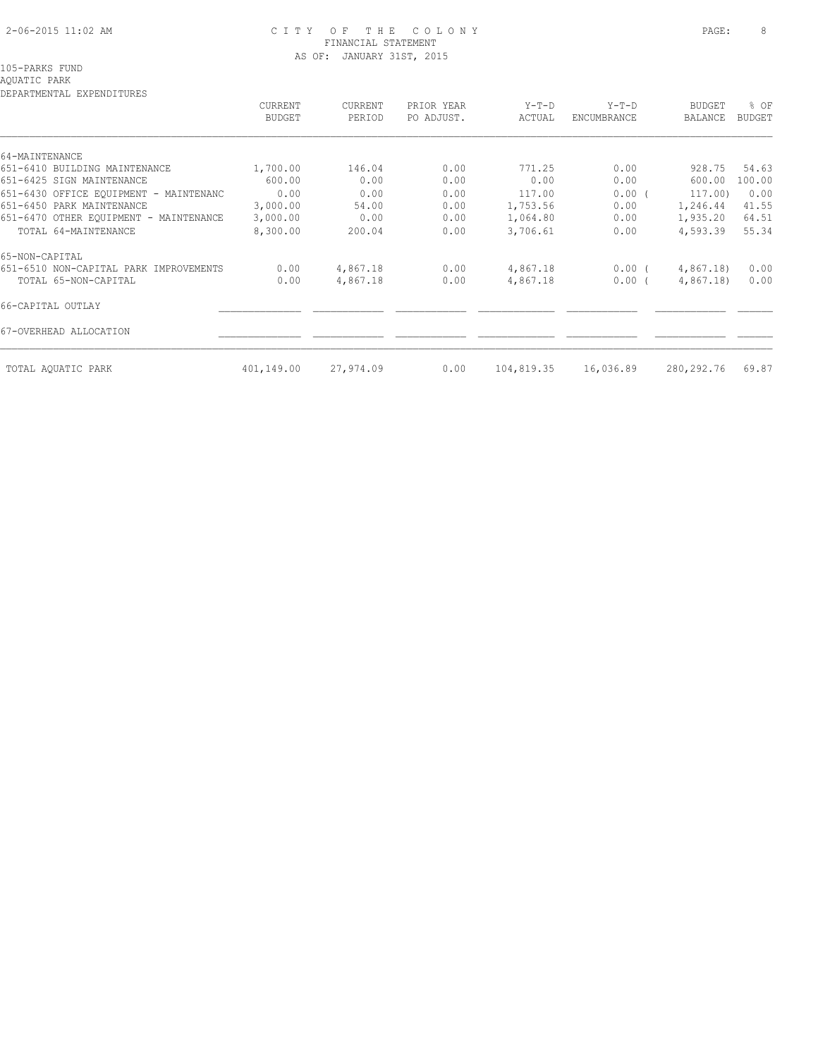# 2-06-2015 11:02 AM C I T Y O F T H E C O L O N Y PAGE: 8 FINANCIAL STATEMENT AS OF: JANUARY 31ST, 2015

# AQUATIC PARK

| ט ∟וט ביב שנת בגמב – בגמבים מבינות הגמבים של ב | CURRENT<br><b>BUDGET</b> | CURRENT<br>PERIOD | PRIOR YEAR<br>PO ADJUST. | $Y-T-D$<br>ACTUAL | $Y-T-D$<br>ENCUMBRANCE | <b>BUDGET</b><br>BALANCE | % OF<br><b>BUDGET</b> |
|------------------------------------------------|--------------------------|-------------------|--------------------------|-------------------|------------------------|--------------------------|-----------------------|
| 64-MAINTENANCE                                 |                          |                   |                          |                   |                        |                          |                       |
| 651-6410 BUILDING MAINTENANCE                  | 1,700.00                 | 146.04            | 0.00                     | 771.25            | 0.00                   | 928.75                   | 54.63                 |
| 651-6425 SIGN MAINTENANCE                      | 600.00                   | 0.00              | 0.00                     | 0.00              | 0.00                   | 600.00                   | 100.00                |
| 651-6430 OFFICE EOUIPMENT - MAINTENANC         | 0.00                     | 0.00              | 0.00                     | 117.00            | 0.00(                  | 117.00)                  | 0.00                  |
| 651-6450 PARK MAINTENANCE                      | 3,000.00                 | 54.00             | 0.00                     | 1,753.56          | 0.00                   | 1,246.44                 | 41.55                 |
| 651-6470 OTHER EQUIPMENT - MAINTENANCE         | 3,000.00                 | 0.00              | 0.00                     | 1,064.80          | 0.00                   | 1,935.20                 | 64.51                 |
| TOTAL 64-MAINTENANCE                           | 8,300.00                 | 200.04            | 0.00                     | 3,706.61          | 0.00                   | 4,593.39                 | 55.34                 |
| 65-NON-CAPITAL                                 |                          |                   |                          |                   |                        |                          |                       |
| 651-6510 NON-CAPITAL PARK IMPROVEMENTS         | 0.00                     | 4,867.18          | 0.00                     | 4,867.18          | $0.00$ (               | 4,867.18                 | 0.00                  |
| TOTAL 65-NON-CAPITAL                           | 0.00                     | 4,867.18          | 0.00                     | 4,867.18          | $0.00$ (               | 4,867.18)                | 0.00                  |
| 66-CAPITAL OUTLAY                              |                          |                   |                          |                   |                        |                          |                       |
| 67-OVERHEAD ALLOCATION                         |                          |                   |                          |                   |                        |                          |                       |
| TOTAL AQUATIC PARK                             | 401,149.00               | 27,974.09         | 0.00                     | 104,819.35        | 16,036.89              | 280, 292. 76             | 69.87                 |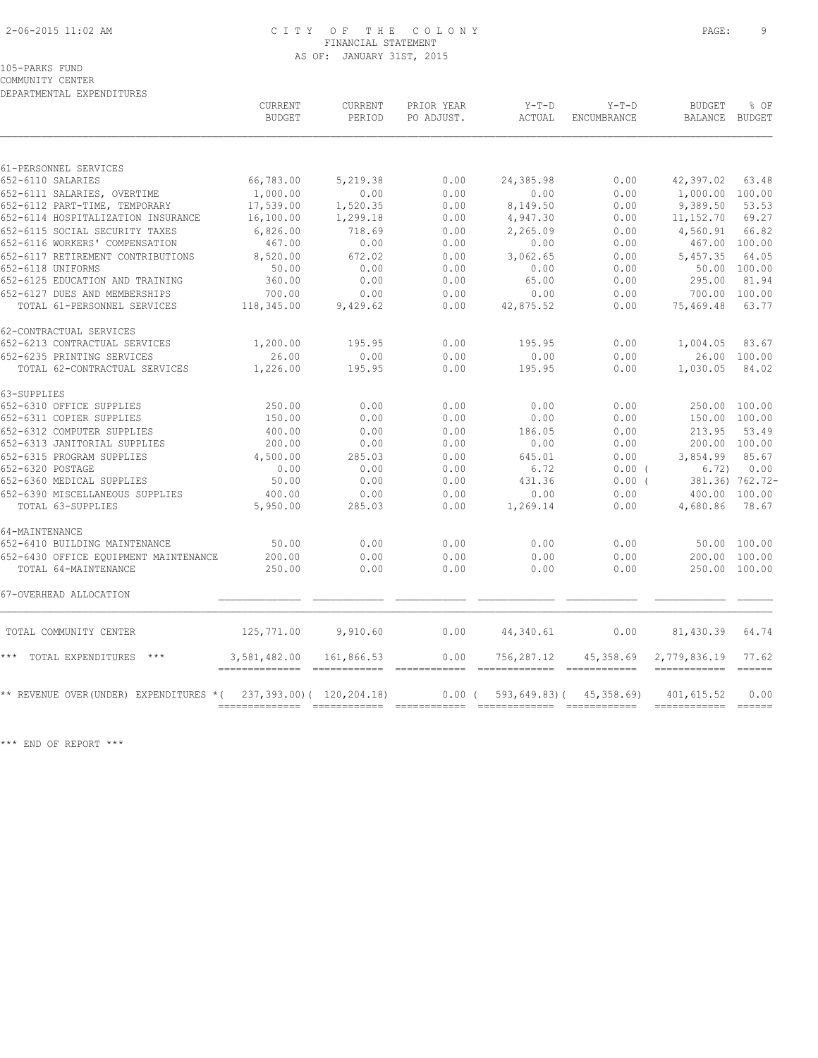# 2-06-2015 11:02 AM C I T Y O F T H E C O L O N Y PAGE: 9 FINANCIAL STATEMENT AS OF: JANUARY 31ST, 2015

### 105-PARKS FUND

COMMUNITY CENTER DEPARTMENTAL EXPENDITURES

| 61-PERSONNEL SERVICES<br>66,783.00<br>652-6110 SALARIES<br>5,219.38<br>0.00<br>24,385.98<br>0.00<br>652-6111 SALARIES, OVERTIME<br>1,000.00<br>0.00<br>0.00<br>0.00<br>0.00<br>17,539.00<br>1,520.35<br>0.00<br>8,149.50<br>0.00<br>652-6112 PART-TIME, TEMPORARY<br>652-6114 HOSPITALIZATION INSURANCE<br>16,100.00<br>1,299.18<br>0.00<br>4,947.30<br>0.00<br>652-6115 SOCIAL SECURITY TAXES<br>6,826.00<br>718.69<br>0.00<br>2,265.09<br>0.00 | 42,397.02<br>9,389.50<br>11, 152.70 | 63.48<br>1,000.00 100.00<br>53.53                                                                                                                                                                                                                                                                                                                                                                                                                                                                      |
|--------------------------------------------------------------------------------------------------------------------------------------------------------------------------------------------------------------------------------------------------------------------------------------------------------------------------------------------------------------------------------------------------------------------------------------------------|-------------------------------------|--------------------------------------------------------------------------------------------------------------------------------------------------------------------------------------------------------------------------------------------------------------------------------------------------------------------------------------------------------------------------------------------------------------------------------------------------------------------------------------------------------|
|                                                                                                                                                                                                                                                                                                                                                                                                                                                  |                                     |                                                                                                                                                                                                                                                                                                                                                                                                                                                                                                        |
|                                                                                                                                                                                                                                                                                                                                                                                                                                                  |                                     |                                                                                                                                                                                                                                                                                                                                                                                                                                                                                                        |
|                                                                                                                                                                                                                                                                                                                                                                                                                                                  |                                     |                                                                                                                                                                                                                                                                                                                                                                                                                                                                                                        |
|                                                                                                                                                                                                                                                                                                                                                                                                                                                  |                                     |                                                                                                                                                                                                                                                                                                                                                                                                                                                                                                        |
|                                                                                                                                                                                                                                                                                                                                                                                                                                                  |                                     | 69.27                                                                                                                                                                                                                                                                                                                                                                                                                                                                                                  |
|                                                                                                                                                                                                                                                                                                                                                                                                                                                  | 4,560.91                            | 66.82                                                                                                                                                                                                                                                                                                                                                                                                                                                                                                  |
| 652-6116 WORKERS' COMPENSATION<br>467.00<br>0.00<br>0.00<br>0.00<br>0.00                                                                                                                                                                                                                                                                                                                                                                         |                                     | 467.00 100.00                                                                                                                                                                                                                                                                                                                                                                                                                                                                                          |
| 652-6117 RETIREMENT CONTRIBUTIONS<br>672.02<br>0.00<br>3,062.65<br>0.00<br>8,520.00                                                                                                                                                                                                                                                                                                                                                              | 5,457.35                            | 64.05                                                                                                                                                                                                                                                                                                                                                                                                                                                                                                  |
| 652-6118 UNIFORMS<br>50.00<br>0.00<br>0.00<br>0.00<br>0.00                                                                                                                                                                                                                                                                                                                                                                                       |                                     | 50.00 100.00                                                                                                                                                                                                                                                                                                                                                                                                                                                                                           |
| 0.00<br>652-6125 EDUCATION AND TRAINING<br>360.00<br>0.00<br>65.00<br>0.00                                                                                                                                                                                                                                                                                                                                                                       | 295.00                              | 81.94                                                                                                                                                                                                                                                                                                                                                                                                                                                                                                  |
| 652-6127 DUES AND MEMBERSHIPS<br>700.00<br>0.00<br>0.00<br>0.00<br>0.00                                                                                                                                                                                                                                                                                                                                                                          | 700.00                              | 100.00                                                                                                                                                                                                                                                                                                                                                                                                                                                                                                 |
| TOTAL 61-PERSONNEL SERVICES<br>118,345.00<br>9,429.62<br>0.00<br>42,875.52<br>0.00                                                                                                                                                                                                                                                                                                                                                               | 75,469.48                           | 63.77                                                                                                                                                                                                                                                                                                                                                                                                                                                                                                  |
| 62-CONTRACTUAL SERVICES                                                                                                                                                                                                                                                                                                                                                                                                                          |                                     |                                                                                                                                                                                                                                                                                                                                                                                                                                                                                                        |
| 1,200.00<br>0.00<br>0.00<br>652-6213 CONTRACTUAL SERVICES<br>195.95<br>195.95                                                                                                                                                                                                                                                                                                                                                                    | 1,004.05                            | 83.67                                                                                                                                                                                                                                                                                                                                                                                                                                                                                                  |
| 26.00<br>0.00<br>0.00<br>0.00<br>652-6235 PRINTING SERVICES<br>0.00                                                                                                                                                                                                                                                                                                                                                                              |                                     | 26.00 100.00                                                                                                                                                                                                                                                                                                                                                                                                                                                                                           |
| TOTAL 62-CONTRACTUAL SERVICES<br>1,226.00<br>195.95<br>0.00<br>195.95<br>0.00                                                                                                                                                                                                                                                                                                                                                                    | 1,030.05                            | 84.02                                                                                                                                                                                                                                                                                                                                                                                                                                                                                                  |
| 63-SUPPLIES                                                                                                                                                                                                                                                                                                                                                                                                                                      |                                     |                                                                                                                                                                                                                                                                                                                                                                                                                                                                                                        |
| 652-6310 OFFICE SUPPLIES<br>250.00<br>0.00<br>0.00<br>0.00<br>0.00<br>0.00                                                                                                                                                                                                                                                                                                                                                                       |                                     | 250.00 100.00<br>150.00 100.00                                                                                                                                                                                                                                                                                                                                                                                                                                                                         |
| 0.00<br>0.00<br>652-6311 COPIER SUPPLIES<br>150.00<br>0.00<br>652-6312 COMPUTER SUPPLIES<br>0.00<br>0.00                                                                                                                                                                                                                                                                                                                                         | 213.95                              | 53.49                                                                                                                                                                                                                                                                                                                                                                                                                                                                                                  |
| 400.00<br>186.05<br>0.00<br>652-6313 JANITORIAL SUPPLIES<br>200.00<br>0.00<br>0.00<br>0.00<br>0.00                                                                                                                                                                                                                                                                                                                                               |                                     | 200.00 100.00                                                                                                                                                                                                                                                                                                                                                                                                                                                                                          |
| 652-6315 PROGRAM SUPPLIES<br>4,500.00<br>285.03<br>0.00<br>645.01<br>0.00                                                                                                                                                                                                                                                                                                                                                                        | 3,854.99                            | 85.67                                                                                                                                                                                                                                                                                                                                                                                                                                                                                                  |
| 0.00<br>652-6320 POSTAGE<br>0.00<br>0.00<br>6.72<br>$0.00$ (                                                                                                                                                                                                                                                                                                                                                                                     | 6.72)                               | 0.00                                                                                                                                                                                                                                                                                                                                                                                                                                                                                                   |
| 652-6360 MEDICAL SUPPLIES<br>50.00<br>0.00<br>0.00<br>431.36<br>0.00(                                                                                                                                                                                                                                                                                                                                                                            |                                     | 381.36) 762.72-                                                                                                                                                                                                                                                                                                                                                                                                                                                                                        |
| 652-6390 MISCELLANEOUS SUPPLIES<br>0.00<br>400.00<br>0.00<br>0.00<br>0.00                                                                                                                                                                                                                                                                                                                                                                        |                                     | 400.00 100.00                                                                                                                                                                                                                                                                                                                                                                                                                                                                                          |
| TOTAL 63-SUPPLIES<br>5,950.00<br>285.03<br>0.00<br>1,269.14<br>0.00                                                                                                                                                                                                                                                                                                                                                                              | 4,680.86                            | 78.67                                                                                                                                                                                                                                                                                                                                                                                                                                                                                                  |
| 64-MAINTENANCE                                                                                                                                                                                                                                                                                                                                                                                                                                   |                                     |                                                                                                                                                                                                                                                                                                                                                                                                                                                                                                        |
| 0.00<br>0.00<br>0.00<br>652-6410 BUILDING MAINTENANCE<br>50.00<br>0.00                                                                                                                                                                                                                                                                                                                                                                           |                                     | 50.00 100.00                                                                                                                                                                                                                                                                                                                                                                                                                                                                                           |
| 652-6430 OFFICE EQUIPMENT MAINTENANCE<br>200.00<br>0.00<br>0.00<br>0.00<br>0.00                                                                                                                                                                                                                                                                                                                                                                  |                                     | 200.00 100.00                                                                                                                                                                                                                                                                                                                                                                                                                                                                                          |
| TOTAL 64-MAINTENANCE<br>250.00<br>0.00<br>0.00<br>0.00<br>0.00                                                                                                                                                                                                                                                                                                                                                                                   |                                     | 250.00 100.00                                                                                                                                                                                                                                                                                                                                                                                                                                                                                          |
| 67-OVERHEAD ALLOCATION                                                                                                                                                                                                                                                                                                                                                                                                                           |                                     |                                                                                                                                                                                                                                                                                                                                                                                                                                                                                                        |
| 125,771.00<br>9,910.60<br>0.00<br>44,340.61<br>0.00<br>TOTAL COMMUNITY CENTER                                                                                                                                                                                                                                                                                                                                                                    | 81,430.39                           | 64.74                                                                                                                                                                                                                                                                                                                                                                                                                                                                                                  |
| * * *<br>TOTAL EXPENDITURES ***<br>3,581,482.00<br>161,866.53<br>0.00<br>756,287.12<br>45,358.69<br>2,779,836.19                                                                                                                                                                                                                                                                                                                                 |                                     | 77.62<br>$------$                                                                                                                                                                                                                                                                                                                                                                                                                                                                                      |
| ** REVENUE OVER (UNDER) EXPENDITURES *(<br>237,393.00) ( 120,204.18)<br>$0.00$ (<br>593,649.83)(<br>45,358.69)                                                                                                                                                                                                                                                                                                                                   | 401,615.52                          | 0.00<br>$\begin{array}{c} \multicolumn{3}{c} {\textbf{1}} & \multicolumn{3}{c} {\textbf{2}} & \multicolumn{3}{c} {\textbf{3}} \\ \multicolumn{3}{c} {\textbf{4}} & \multicolumn{3}{c} {\textbf{5}} & \multicolumn{3}{c} {\textbf{6}} \\ \multicolumn{3}{c} {\textbf{5}} & \multicolumn{3}{c} {\textbf{6}} & \multicolumn{3}{c} {\textbf{7}} \\ \multicolumn{3}{c} {\textbf{6}} & \multicolumn{3}{c} {\textbf{7}} & \multicolumn{3}{c} {\textbf{8}} \\ \multicolumn{3}{c} {\textbf{9}} & \multicolumn{$ |

\*\*\* END OF REPORT \*\*\*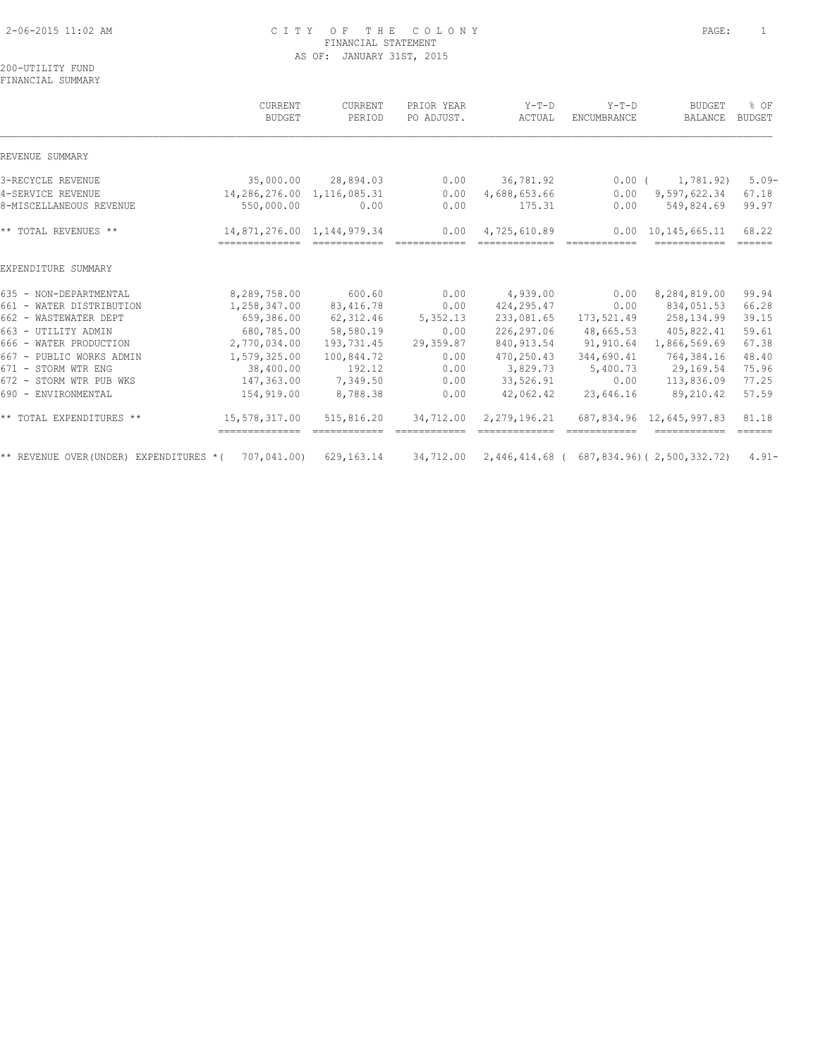# 2-06-2015 11:02 AM C I T Y O F T H E C O L O N Y PAGE: 1 FINANCIAL STATEMENT AS OF: JANUARY 31ST, 2015

200-UTILITY FUND FINANCIAL SUMMARY

|                                          | CURRENT<br><b>BUDGET</b>                     | CURRENT<br>PERIOD | PRIOR YEAR<br>PO ADJUST. | $Y-T-D$<br>ACTUAL | $Y-T-D$<br><b>ENCUMBRANCE</b> | <b>BUDGET</b><br>BALANCE                                                                                                                                                                                                                                                                                                                                                                                                                                                                                     | % OF<br><b>BUDGET</b>            |
|------------------------------------------|----------------------------------------------|-------------------|--------------------------|-------------------|-------------------------------|--------------------------------------------------------------------------------------------------------------------------------------------------------------------------------------------------------------------------------------------------------------------------------------------------------------------------------------------------------------------------------------------------------------------------------------------------------------------------------------------------------------|----------------------------------|
| REVENUE SUMMARY                          |                                              |                   |                          |                   |                               |                                                                                                                                                                                                                                                                                                                                                                                                                                                                                                              |                                  |
| 3-RECYCLE REVENUE                        | 35,000.00                                    | 28,894.03         | 0.00                     | 36,781.92         | $0.00$ (                      | 1,781.92)                                                                                                                                                                                                                                                                                                                                                                                                                                                                                                    | $5.09-$                          |
| 4-SERVICE REVENUE                        | 14,286,276.00                                | 1, 116, 085.31    | 0.00                     | 4,688,653.66      | 0.00                          | 9,597,622.34                                                                                                                                                                                                                                                                                                                                                                                                                                                                                                 | 67.18                            |
| 8-MISCELLANEOUS REVENUE                  | 550,000.00                                   | 0.00              | 0.00                     | 175.31            | 0.00                          | 549,824.69                                                                                                                                                                                                                                                                                                                                                                                                                                                                                                   | 99.97                            |
| ** TOTAL REVENUES **                     | 14,871,276.00 1,144,979.34<br>-------------- |                   | 0.00                     | 4,725,610.89      |                               | 0.00 10.145.665.11<br>$\begin{array}{cccccccccc} \multicolumn{2}{c}{} & \multicolumn{2}{c}{} & \multicolumn{2}{c}{} & \multicolumn{2}{c}{} & \multicolumn{2}{c}{} & \multicolumn{2}{c}{} & \multicolumn{2}{c}{} & \multicolumn{2}{c}{} & \multicolumn{2}{c}{} & \multicolumn{2}{c}{} & \multicolumn{2}{c}{} & \multicolumn{2}{c}{} & \multicolumn{2}{c}{} & \multicolumn{2}{c}{} & \multicolumn{2}{c}{} & \multicolumn{2}{c}{} & \multicolumn{2}{c}{} & \multicolumn{2}{c}{} & \multicolumn{2}{c}{} & \mult$ | 68.22<br>$=$ $=$ $=$ $=$ $=$ $=$ |
| EXPENDITURE SUMMARY                      |                                              |                   |                          |                   |                               |                                                                                                                                                                                                                                                                                                                                                                                                                                                                                                              |                                  |
| 635 - NON-DEPARTMENTAL                   | 8,289,758.00                                 | 600.60            | 0.00                     | 4,939.00          | 0.00                          | 8,284,819.00                                                                                                                                                                                                                                                                                                                                                                                                                                                                                                 | 99.94                            |
| 661 - WATER DISTRIBUTION                 | 1,258,347.00                                 | 83, 416.78        | 0.00                     | 424, 295.47       | 0.00                          | 834,051.53                                                                                                                                                                                                                                                                                                                                                                                                                                                                                                   | 66.28                            |
| 662 - WASTEWATER DEPT                    | 659,386.00                                   | 62, 312.46        | 5,352.13                 | 233,081.65        | 173,521.49                    | 258,134.99                                                                                                                                                                                                                                                                                                                                                                                                                                                                                                   | 39.15                            |
| 663 - UTILITY ADMIN                      | 680,785.00                                   | 58,580.19         | 0.00                     | 226,297.06        | 48,665.53                     | 405,822.41                                                                                                                                                                                                                                                                                                                                                                                                                                                                                                   | 59.61                            |
| 666 - WATER PRODUCTION                   | 2,770,034.00                                 | 193,731.45        | 29,359.87                | 840, 913.54       | 91,910.64                     | 1,866,569.69                                                                                                                                                                                                                                                                                                                                                                                                                                                                                                 | 67.38                            |
| 667 - PUBLIC WORKS ADMIN                 | 1,579,325.00                                 | 100,844.72        | 0.00                     | 470,250.43        | 344,690.41                    | 764,384.16                                                                                                                                                                                                                                                                                                                                                                                                                                                                                                   | 48.40                            |
| 671 - STORM WTR ENG                      | 38,400.00                                    | 192.12            | 0.00                     | 3,829.73          | 5,400.73                      | 29,169.54                                                                                                                                                                                                                                                                                                                                                                                                                                                                                                    | 75.96                            |
| 672 - STORM WTR PUB WKS                  | 147,363.00                                   | 7,349.50          | 0.00                     | 33,526.91         | 0.00                          | 113,836.09                                                                                                                                                                                                                                                                                                                                                                                                                                                                                                   | 77.25                            |
| 690 - ENVIRONMENTAL                      | 154,919.00                                   | 8,788.38          | 0.00                     | 42,062.42         | 23,646.16                     | 89,210.42                                                                                                                                                                                                                                                                                                                                                                                                                                                                                                    | 57.59                            |
| ** TOTAL EXPENDITURES **                 | 15,578,317.00                                | 515,816.20        | 34,712.00                | 2,279,196.21      |                               | 687,834.96 12,645,997.83                                                                                                                                                                                                                                                                                                                                                                                                                                                                                     | 81.18<br>$=$ $=$ $=$ $=$ $=$     |
| ** REVENUE OVER (UNDER) EXPENDITURES * ( | 707,041.00)                                  | 629, 163. 14      | 34,712.00                |                   |                               | 2,446,414.68 ( 687,834.96) ( 2,500,332.72)                                                                                                                                                                                                                                                                                                                                                                                                                                                                   | $4.91 -$                         |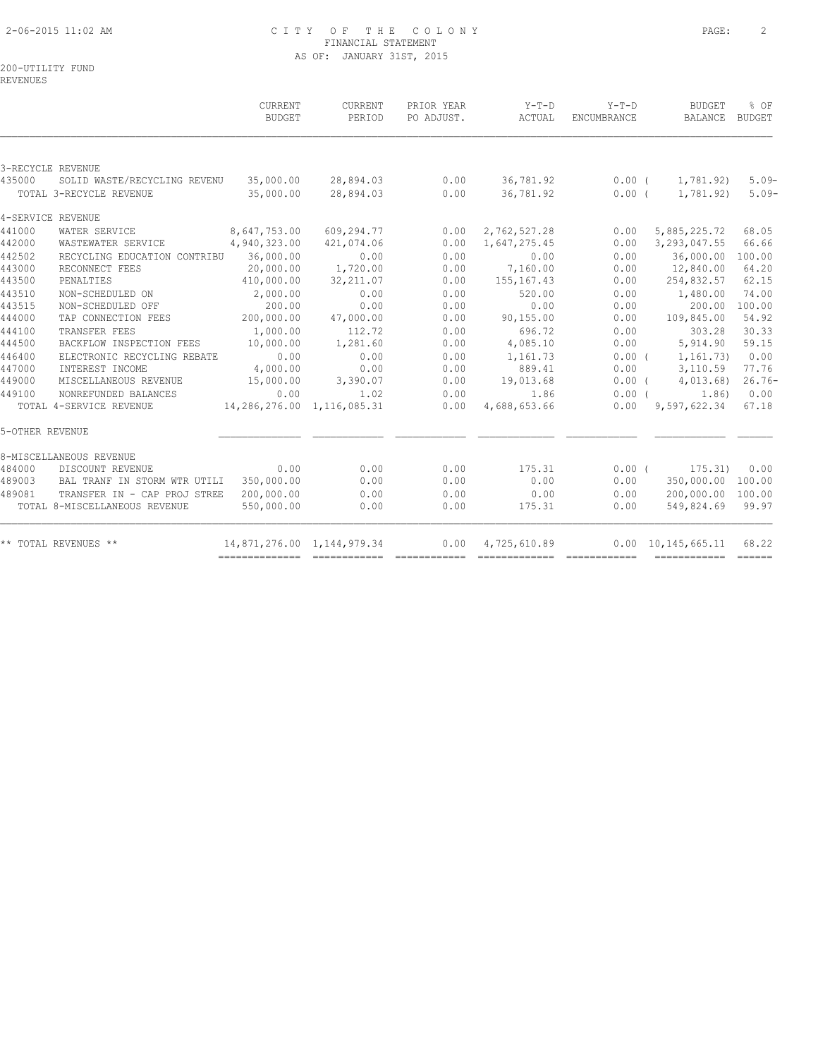# 2-06-2015 11:02 AM C I T Y O F T H E C O L O N Y PAGE: 2 FINANCIAL STATEMENT AS OF: JANUARY 31ST, 2015

REVENUES

|                 |                                         | <b>CURRENT</b><br><b>BUDGET</b>                            | <b>CURRENT</b><br>PERIOD   | PRIOR YEAR<br>PO ADJUST. | $Y-T-D$<br>ACTUAL          | $Y-T-D$<br>ENCUMBRANCE | <b>BUDGET</b><br>BALANCE   | % OF<br>BUDGET |
|-----------------|-----------------------------------------|------------------------------------------------------------|----------------------------|--------------------------|----------------------------|------------------------|----------------------------|----------------|
|                 |                                         |                                                            |                            |                          |                            |                        |                            |                |
|                 | 3-RECYCLE REVENUE                       |                                                            |                            |                          |                            |                        |                            |                |
| 435000          | SOLID WASTE/RECYCLING REVENU            | 35,000.00                                                  | 28,894.03                  | 0.00                     | 36,781.92                  | $0.00$ (               | 1,781.92)                  | $5.09-$        |
|                 | TOTAL 3-RECYCLE REVENUE                 | 35,000.00                                                  | 28,894.03                  | 0.00                     | 36,781.92                  | $0.00$ (               | 1,781.92)                  | $5.09-$        |
|                 | 4-SERVICE REVENUE                       |                                                            |                            |                          |                            |                        |                            |                |
| 441000          | WATER SERVICE                           | 8,647,753.00                                               | 609,294.77                 | 0.00                     | 2,762,527.28               | 0.00                   | 5,885,225.72               | 68.05          |
| 442000          | WASTEWATER SERVICE                      | 4,940,323.00                                               | 421,074.06                 | 0.00                     | 1,647,275.45               | 0.00                   | 3, 293, 047.55             | 66.66          |
| 442502          | RECYCLING EDUCATION CONTRIBU            | 36,000.00                                                  | 0.00                       | 0.00                     | 0.00                       | 0.00                   | 36,000.00                  | 100.00         |
| 443000          | RECONNECT FEES                          | 20,000.00                                                  | 1,720.00                   | 0.00                     | 7,160.00                   | 0.00                   | 12,840.00                  | 64.20          |
| 443500          | PENALTIES                               | 410,000.00                                                 | 32, 211.07                 | 0.00                     | 155,167.43                 | 0.00                   | 254,832.57                 | 62.15          |
| 443510          | NON-SCHEDULED ON                        | 2,000.00                                                   | 0.00                       | 0.00                     | 520.00                     | 0.00                   | 1,480.00                   | 74.00          |
| 443515          | NON-SCHEDULED OFF                       | 200.00                                                     | 0.00                       | 0.00                     | 0.00                       | 0.00                   | 200.00                     | 100.00         |
| 444000          | TAP CONNECTION FEES                     | 200,000.00                                                 | 47,000.00                  | 0.00                     | 90, 155.00                 | 0.00                   | 109,845.00                 | 54.92          |
| 444100          | TRANSFER FEES                           | 1,000.00                                                   | 112.72                     | 0.00                     | 696.72                     | 0.00                   | 303.28                     | 30.33          |
| 444500          | BACKFLOW INSPECTION FEES                | 10,000.00                                                  | 1,281.60                   | 0.00                     | 4,085.10                   | 0.00                   | 5,914.90                   | 59.15          |
| 446400          | ELECTRONIC RECYCLING REBATE             | 0.00                                                       | 0.00                       | 0.00                     | 1,161.73                   | 0.00(                  | 1,161.73)                  | 0.00           |
| 447000          | INTEREST INCOME                         | 4,000.00                                                   | 0.00                       | 0.00                     | 889.41                     | 0.00                   | 3,110.59                   | 77.76          |
| 449000          | MISCELLANEOUS REVENUE                   | 15,000.00                                                  | 3,390.07                   | 0.00                     | 19,013.68                  | $0.00$ (               | 4,013.68                   | $26.76-$       |
| 449100          | NONREFUNDED BALANCES                    | 0.00                                                       | 1.02                       | 0.00                     | 1.86                       | $0.00$ (               | 1.86)                      | 0.00           |
|                 | TOTAL 4-SERVICE REVENUE                 | $14,286,276.00$ 1,116,085.31<br>14,286,276.00 1,116,085.31 |                            | 0.00                     | 4,688,653.66               |                        | $0.00$ $9,597,622.34$      | 67.18          |
| 5-OTHER REVENUE |                                         |                                                            |                            |                          |                            |                        |                            |                |
|                 | 8-MISCELLANEOUS REVENUE                 |                                                            |                            |                          |                            |                        |                            |                |
| 484000          | DISCOUNT REVENUE                        | 0.00                                                       | 0.00                       | 0.00                     | 175.31                     |                        | $0.00$ (<br>175.31)        | 0.00           |
| 489003          | BAL TRANF IN STORM WTR UTILI 350,000.00 |                                                            | 0.00                       | 0.00                     | 0.00                       | 0.00                   | 350,000.00 100.00          |                |
| 489081          | TRANSFER IN - CAP PROJ STREE            | 200,000.00                                                 | 0.00                       | 0.00                     | 0.00                       | 0.00                   | 200,000.00 100.00          |                |
|                 | TOTAL 8-MISCELLANEOUS REVENUE           | 550,000.00                                                 | 0.00                       | 0.00                     | 175.31                     | 0.00                   | 549,824.69 99.97           |                |
|                 | ** TOTAL REVENUES **                    |                                                            | 14,871,276.00 1,144,979.34 |                          | $0.00 \qquad 4,725,610.89$ |                        | $0.00 \quad 10,145,665.11$ | 68.22          |
|                 |                                         |                                                            |                            |                          |                            |                        | ------------- -----        |                |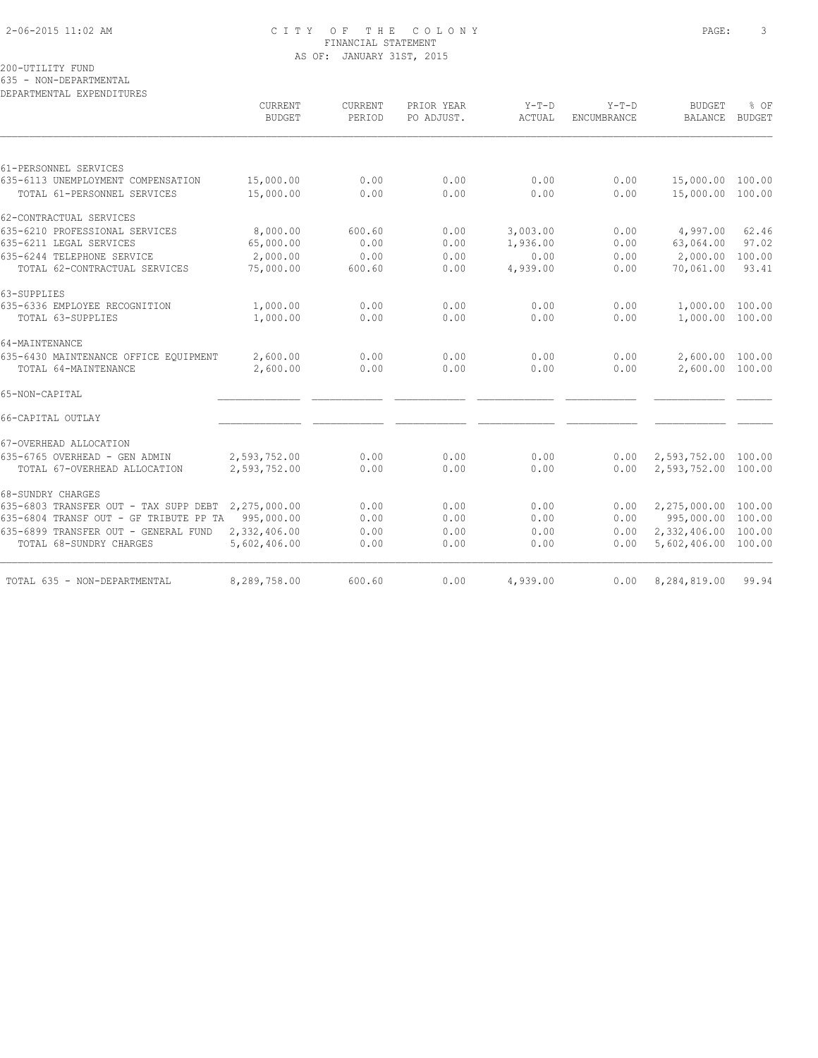# 2-06-2015 11:02 AM C I T Y O F T H E C O L O N Y PAGE: 3 FINANCIAL STATEMENT AS OF: JANUARY 31ST, 2015

200-UTILITY FUND

635 - NON-DEPARTMENTAL

| DEPARTMENTAL EXPENDITURES                          | CURRENT<br><b>BUDGET</b> | <b>CURRENT</b><br>PERIOD | PRIOR YEAR<br>PO ADJUST. | $Y-T-D$<br>ACTUAL | $Y-T-D$<br>ENCUMBRANCE | <b>BUDGET</b><br><b>BALANCE</b> | % OF<br><b>BUDGET</b> |
|----------------------------------------------------|--------------------------|--------------------------|--------------------------|-------------------|------------------------|---------------------------------|-----------------------|
|                                                    |                          |                          |                          |                   |                        |                                 |                       |
| 61-PERSONNEL SERVICES                              |                          |                          |                          |                   |                        |                                 |                       |
| 635-6113 UNEMPLOYMENT COMPENSATION                 | 15,000.00                | 0.00                     | 0.00                     | 0.00              | 0.00                   | 15,000.00 100.00                |                       |
| TOTAL 61-PERSONNEL SERVICES                        | 15,000.00                | 0.00                     | 0.00                     | 0.00              | 0.00                   | 15,000.00 100.00                |                       |
| 62-CONTRACTUAL SERVICES                            |                          |                          |                          |                   |                        |                                 |                       |
| 635-6210 PROFESSIONAL SERVICES                     | 8,000.00                 | 600.60                   | 0.00                     | 3,003.00          | 0.00                   | 4,997.00                        | 62.46                 |
| 635-6211 LEGAL SERVICES                            | 65,000.00                | 0.00                     | 0.00                     | 1,936.00          | 0.00                   | 63,064.00                       | 97.02                 |
| 635-6244 TELEPHONE SERVICE                         | 2,000.00                 | 0.00                     | 0.00                     | 0.00              | 0.00                   | 2,000.00                        | 100.00                |
| TOTAL 62-CONTRACTUAL SERVICES                      | 75,000.00                | 600.60                   | 0.00                     | 4,939.00          | 0.00                   | 70,061.00                       | 93.41                 |
| 63-SUPPLIES                                        |                          |                          |                          |                   |                        |                                 |                       |
| 635-6336 EMPLOYEE RECOGNITION                      | 1,000.00                 | 0.00                     | 0.00                     | 0.00              | 0.00                   | 1,000.00 100.00                 |                       |
| TOTAL 63-SUPPLIES                                  | 1,000.00                 | 0.00                     | 0.00                     | 0.00              | 0.00                   | 1,000.00 100.00                 |                       |
| 64-MAINTENANCE                                     |                          |                          |                          |                   |                        |                                 |                       |
| 635-6430 MAINTENANCE OFFICE EQUIPMENT              | 2,600.00                 | 0.00                     | 0.00                     | 0.00              | 0.00                   | 2,600.00 100.00                 |                       |
| TOTAL 64-MAINTENANCE                               | 2,600.00                 | 0.00                     | 0.00                     | 0.00              | 0.00                   | 2,600.00 100.00                 |                       |
| 65-NON-CAPITAL                                     |                          |                          |                          |                   |                        |                                 |                       |
| 66-CAPITAL OUTLAY                                  |                          |                          |                          |                   |                        |                                 |                       |
| 67-OVERHEAD ALLOCATION                             |                          |                          |                          |                   |                        |                                 |                       |
| 635-6765 OVERHEAD - GEN ADMIN                      | 2,593,752.00             | 0.00                     | 0.00                     | 0.00              | 0.00                   | 2,593,752.00 100.00             |                       |
| TOTAL 67-OVERHEAD ALLOCATION                       | 2,593,752.00             | 0.00                     | 0.00                     | 0.00              | 0.00                   | 2,593,752.00 100.00             |                       |
| 68-SUNDRY CHARGES                                  |                          |                          |                          |                   |                        |                                 |                       |
| 635-6803 TRANSFER OUT - TAX SUPP DEBT 2,275,000.00 |                          | 0.00                     | 0.00                     | 0.00              | 0.00                   | 2,275,000.00 100.00             |                       |
| 635-6804 TRANSF OUT - GF TRIBUTE PP TA 995,000.00  |                          | 0.00                     | 0.00                     | 0.00              | 0.00                   | 995,000.00 100.00               |                       |
| 635-6899 TRANSFER OUT - GENERAL FUND               | 2,332,406.00             | 0.00                     | 0.00                     | 0.00              | 0.00                   | 2,332,406.00 100.00             |                       |
| TOTAL 68-SUNDRY CHARGES                            | 5,602,406.00             | 0.00                     | 0.00                     | 0.00              | 0.00                   | 5,602,406.00 100.00             |                       |
| TOTAL 635 - NON-DEPARTMENTAL                       | 8,289,758.00             | 600.60                   | 0.00                     | 4,939.00          | 0.00                   | 8,284,819.00                    | 99.94                 |
|                                                    |                          |                          |                          |                   |                        |                                 |                       |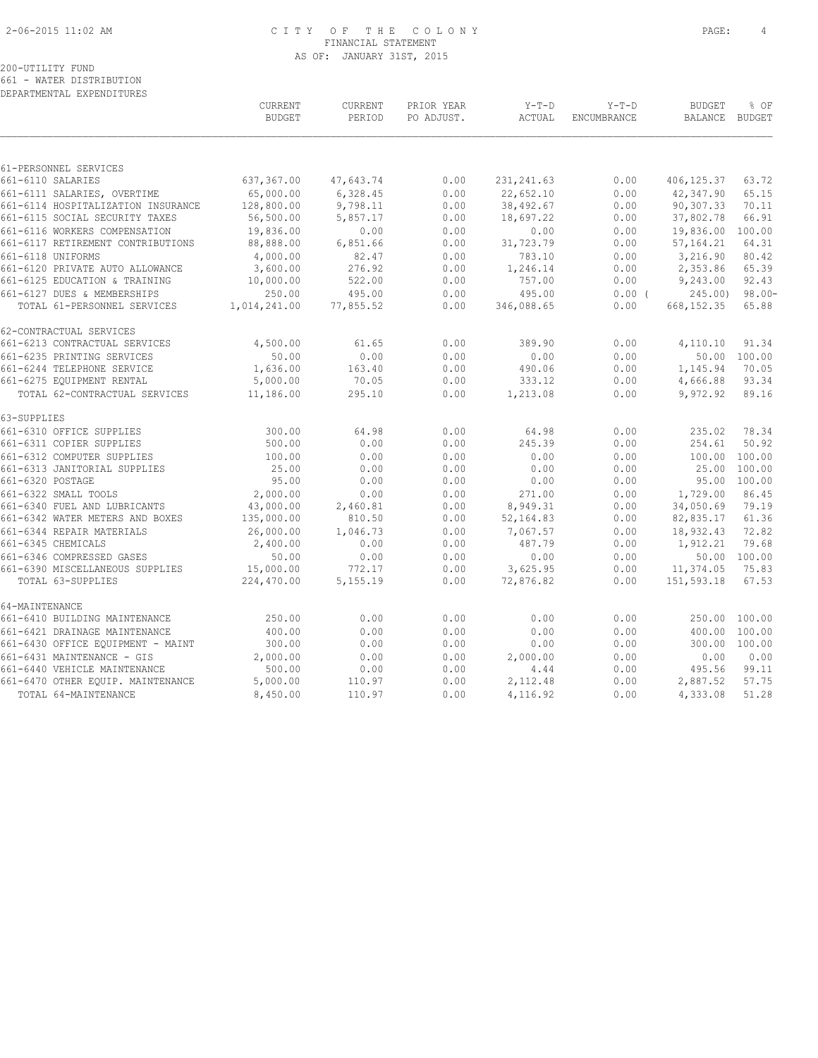# 2-06-2015 11:02 AM C I T Y O F T H E C O L O N Y PAGE: 4 FINANCIAL STATEMENT AS OF: JANUARY 31ST, 2015

# 200-UTILITY FUND

661 - WATER DISTRIBUTION

| DEPARTMENTAL EXPENDITURES                            |                          |                   |                          |                          |                        |                          |                |
|------------------------------------------------------|--------------------------|-------------------|--------------------------|--------------------------|------------------------|--------------------------|----------------|
|                                                      | CURRENT<br><b>BUDGET</b> | CURRENT<br>PERIOD | PRIOR YEAR<br>PO ADJUST. | $Y-T-D$<br>ACTUAL        | $Y-T-D$<br>ENCUMBRANCE | <b>BUDGET</b><br>BALANCE | % OF<br>BUDGET |
|                                                      |                          |                   |                          |                          |                        |                          |                |
| 61-PERSONNEL SERVICES<br>661-6110 SALARIES           | 637,367.00               | 47,643.74         | 0.00                     |                          | 0.00                   | 406, 125.37              | 63.72          |
| 661-6111 SALARIES, OVERTIME                          | 65,000.00                | 6,328.45          | 0.00                     | 231, 241.63<br>22,652.10 | 0.00                   | 42,347.90                | 65.15          |
| 661-6114 HOSPITALIZATION INSURANCE                   | 128,800.00               | 9,798.11          | 0.00                     | 38,492.67                | 0.00                   | 90,307.33                | 70.11          |
| 661-6115 SOCIAL SECURITY TAXES                       | 56,500.00                | 5,857.17          | 0.00                     | 18,697.22                | 0.00                   | 37,802.78                | 66.91          |
| 661-6116 WORKERS COMPENSATION                        | 19,836.00                | 0.00              | 0.00                     | 0.00                     | 0.00                   | 19,836.00                | 100.00         |
| 661-6117 RETIREMENT CONTRIBUTIONS                    | 88,888.00                | 6,851.66          | 0.00                     | 31,723.79                | 0.00                   | 57, 164.21               | 64.31          |
| 661-6118 UNIFORMS                                    | 4,000.00                 | 82.47             | 0.00                     | 783.10                   | 0.00                   | 3,216.90                 | 80.42          |
| 661-6120 PRIVATE AUTO ALLOWANCE                      | 3,600.00                 | 276.92            | 0.00                     | 1,246.14                 | 0.00                   | 2,353.86                 | 65.39          |
| 661-6125 EDUCATION & TRAINING                        | 10,000.00                | 522.00            | 0.00                     | 757.00                   | 0.00                   | 9,243.00                 | 92.43          |
| 661-6127 DUES & MEMBERSHIPS                          | 250.00                   | 495.00            | 0.00                     | 495.00                   | $0.00$ (               | 245.00                   | $98.00 -$      |
| TOTAL 61-PERSONNEL SERVICES                          | 1,014,241.00             | 77,855.52         | 0.00                     | 346,088.65               | 0.00                   | 668, 152.35              | 65.88          |
| 62-CONTRACTUAL SERVICES                              |                          |                   |                          |                          |                        |                          |                |
| 661-6213 CONTRACTUAL SERVICES                        | 4,500.00                 | 61.65             | 0.00                     | 389.90                   | 0.00                   | 4,110.10                 | 91.34          |
| 661-6235 PRINTING SERVICES                           | 50.00                    | 0.00              | 0.00                     | 0.00                     | 0.00                   | 50.00                    | 100.00         |
| 661-6244 TELEPHONE SERVICE                           | 1,636.00                 | 163.40            | 0.00                     | 490.06                   | 0.00                   | 1,145.94                 | 70.05          |
| 661-6275 EQUIPMENT RENTAL                            | 5,000.00                 | 70.05             | 0.00                     | 333.12                   | 0.00                   | 4,666.88                 | 93.34          |
| TOTAL 62-CONTRACTUAL SERVICES                        | 11,186.00                | 295.10            | 0.00                     | 1,213.08                 | 0.00                   | 9,972.92                 | 89.16          |
| 63-SUPPLIES                                          |                          |                   |                          |                          |                        |                          |                |
| 661-6310 OFFICE SUPPLIES                             | 300.00                   | 64.98             | 0.00                     | 64.98                    | 0.00                   | 235.02                   | 78.34          |
| 661-6311 COPIER SUPPLIES                             | 500.00                   | 0.00              | 0.00                     | 245.39                   | 0.00                   | 254.61                   | 50.92          |
| 661-6312 COMPUTER SUPPLIES                           | 100.00                   | 0.00              | 0.00                     | 0.00                     | 0.00                   | 100.00                   | 100.00         |
| 661-6313 JANITORIAL SUPPLIES                         | 25.00                    | 0.00              | 0.00                     | 0.00                     | 0.00                   | 25.00                    | 100.00         |
| 661-6320 POSTAGE                                     | 95.00                    | 0.00              | 0.00                     | 0.00                     | 0.00                   | 95.00                    | 100.00         |
| 661-6322 SMALL TOOLS<br>661-6340 FUEL AND LUBRICANTS | 2,000.00<br>43,000.00    | 0.00<br>2,460.81  | 0.00<br>0.00             | 271.00<br>8,949.31       | 0.00<br>0.00           | 1,729.00<br>34,050.69    | 86.45<br>79.19 |
| 661-6342 WATER METERS AND BOXES                      | 135,000.00               | 810.50            | 0.00                     | 52,164.83                | 0.00                   | 82,835.17                | 61.36          |
| 661-6344 REPAIR MATERIALS                            | 26,000.00                | 1,046.73          | 0.00                     | 7,067.57                 | 0.00                   | 18,932.43                | 72.82          |
| 661-6345 CHEMICALS                                   | 2,400.00                 | 0.00              | 0.00                     | 487.79                   | 0.00                   | 1,912.21                 | 79.68          |
| 661-6346 COMPRESSED GASES                            | 50.00                    | 0.00              | 0.00                     | 0.00                     | 0.00                   |                          | 50.00 100.00   |
| 661-6390 MISCELLANEOUS SUPPLIES                      | 15,000.00                | 772.17            | 0.00                     | 3,625.95                 | 0.00                   | 11,374.05                | 75.83          |
| TOTAL 63-SUPPLIES                                    | 224,470.00               | 5,155.19          | 0.00                     | 72,876.82                | 0.00                   | 151,593.18               | 67.53          |
| 64-MAINTENANCE                                       |                          |                   |                          |                          |                        |                          |                |
| 661-6410 BUILDING MAINTENANCE                        | 250.00                   | 0.00              | 0.00                     | 0.00                     | 0.00                   | 250.00                   | 100.00         |
| 661-6421 DRAINAGE MAINTENANCE                        | 400.00                   | 0.00              | 0.00                     | 0.00                     | 0.00                   | 400.00                   | 100.00         |
| 661-6430 OFFICE EQUIPMENT - MAINT                    | 300.00                   | 0.00              | 0.00                     | 0.00                     | 0.00                   | 300.00                   | 100.00         |
| 661-6431 MAINTENANCE - GIS                           | 2,000.00                 | 0.00              | 0.00                     | 2,000.00                 | 0.00                   | 0.00                     | 0.00           |
| 661-6440 VEHICLE MAINTENANCE                         | 500.00                   | 0.00              | 0.00                     | 4.44                     | 0.00                   | 495.56                   | 99.11          |
| 661-6470 OTHER EQUIP. MAINTENANCE                    | 5,000.00                 | 110.97            | 0.00                     | 2,112.48                 | 0.00                   | 2,887.52                 | 57.75          |
| TOTAL 64-MAINTENANCE                                 | 8,450.00                 | 110.97            | 0.00                     | 4,116.92                 | 0.00                   | 4,333.08                 | 51.28          |
|                                                      |                          |                   |                          |                          |                        |                          |                |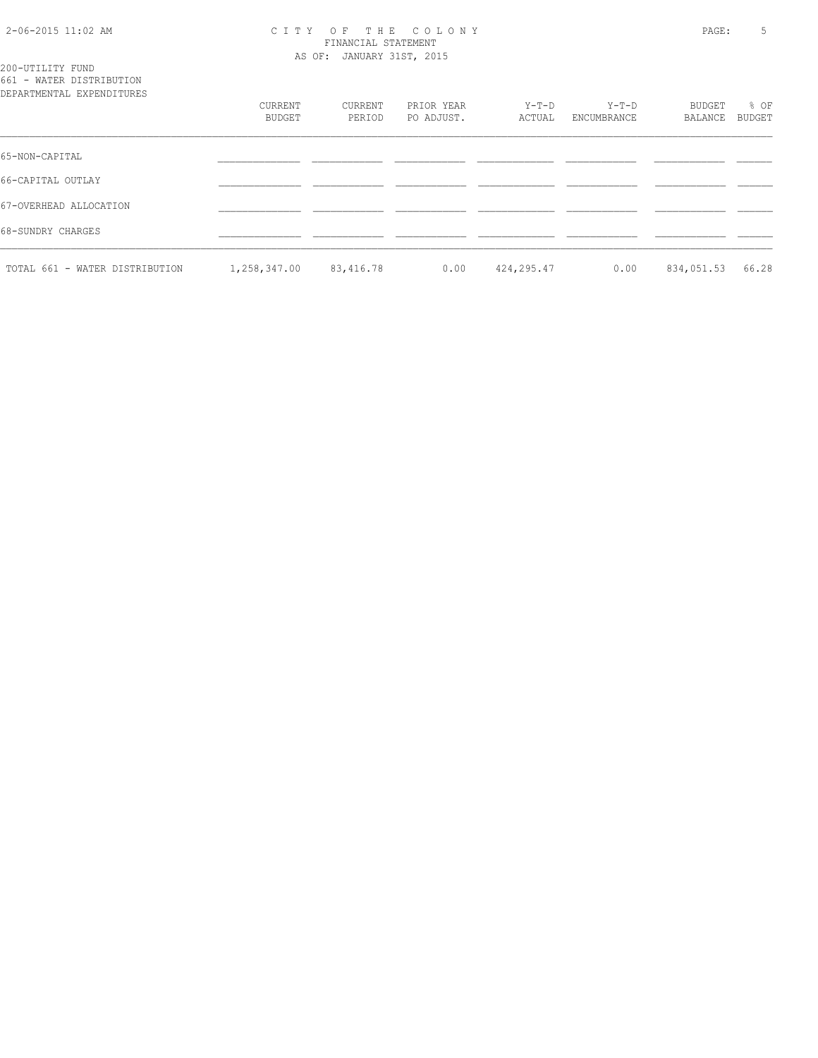## 2-06-2015 11:02 AM C I T Y O F T H E C O L O N Y PAGE: 5 FINANCIAL STATEMENT AS OF: JANUARY 31ST, 2015

# 200-UTILITY FUND 661 - WATER DISTRIBUTION

| DEPARTMENTAL EXPENDITURES      |                   |                   |                          |                 |                        |                   |                       |
|--------------------------------|-------------------|-------------------|--------------------------|-----------------|------------------------|-------------------|-----------------------|
|                                | CURRENT<br>BUDGET | CURRENT<br>PERIOD | PRIOR YEAR<br>PO ADJUST. | Y-T-D<br>ACTUAL | $Y-T-D$<br>ENCUMBRANCE | BUDGET<br>BALANCE | % OF<br><b>BUDGET</b> |
| 65-NON-CAPITAL                 |                   |                   |                          |                 |                        |                   |                       |
| 66-CAPITAL OUTLAY              |                   |                   |                          |                 |                        |                   |                       |
| 67-OVERHEAD ALLOCATION         |                   |                   |                          |                 |                        |                   |                       |
| 68-SUNDRY CHARGES              |                   |                   |                          |                 |                        |                   |                       |
| TOTAL 661 - WATER DISTRIBUTION | 1,258,347.00      | 83,416.78         | 0.00                     | 424,295.47      | 0.00                   | 834,051.53        | 66.28                 |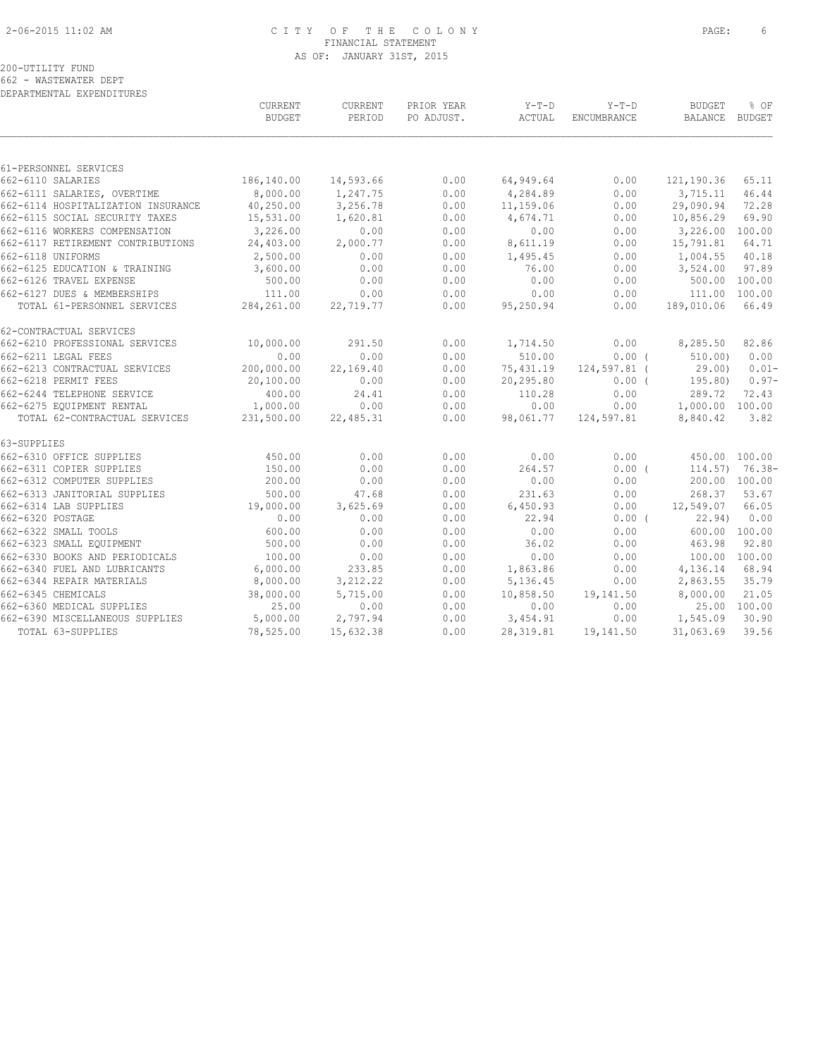# 2-06-2015 11:02 AM C I T Y O F T H E C O L O N Y PAGE: 6 FINANCIAL STATEMENT AS OF: JANUARY 31ST, 2015

200-UTILITY FUND 662 - WASTEWATER DEPT

DEPARTMENTAL EXPENDITURES

|                                    | CURRENT<br><b>BUDGET</b> | CURRENT<br>PERIOD | PRIOR YEAR<br>PO ADJUST. | $Y-T-D$<br>ACTUAL | $Y-T-D$<br>ENCUMBRANCE | <b>BUDGET</b><br>BALANCE | % OF<br>BUDGET    |
|------------------------------------|--------------------------|-------------------|--------------------------|-------------------|------------------------|--------------------------|-------------------|
|                                    |                          |                   |                          |                   |                        |                          |                   |
| 61-PERSONNEL SERVICES              |                          |                   |                          |                   |                        |                          |                   |
| 662-6110 SALARIES                  | 186,140.00               | 14,593.66         | 0.00                     | 64,949.64         | 0.00                   | 121,190.36               | 65.11             |
| 662-6111 SALARIES, OVERTIME        | 8,000.00                 | 1,247.75          | 0.00                     | 4,284.89          | 0.00                   | 3,715.11                 | 46.44             |
| 662-6114 HOSPITALIZATION INSURANCE | 40,250.00                | 3,256.78          | 0.00                     | 11,159.06         | 0.00                   | 29,090.94                | 72.28             |
| 662-6115 SOCIAL SECURITY TAXES     | 15,531.00                | 1,620.81          | 0.00                     | 4,674.71          | 0.00                   | 10,856.29                | 69.90             |
| 662-6116 WORKERS COMPENSATION      | 3,226.00                 | 0.00              | 0.00                     | 0.00              | 0.00                   | 3,226.00 100.00          |                   |
| 662-6117 RETIREMENT CONTRIBUTIONS  | 24,403.00                | 2,000.77          | 0.00                     | 8,611.19          | 0.00                   | 15,791.81                | 64.71             |
| 662-6118 UNIFORMS                  | 2,500.00                 | 0.00              | 0.00                     | 1,495.45          | 0.00                   | 1,004.55                 | 40.18             |
| 662-6125 EDUCATION & TRAINING      | 3,600.00                 | 0.00              | 0.00                     | 76.00             | 0.00                   | 3,524.00                 | 97.89             |
| 662-6126 TRAVEL EXPENSE            | 500.00                   | 0.00              | 0.00                     | 0.00              | 0.00                   | 500.00 100.00            |                   |
| 662-6127 DUES & MEMBERSHIPS        | 111.00                   | 0.00              | 0.00                     | 0.00              | 0.00                   | 111.00                   | 100.00            |
| TOTAL 61-PERSONNEL SERVICES        | 284, 261.00              | 22,719.77         | 0.00                     | 95,250.94         | 0.00                   | 189,010.06               | 66.49             |
| 62-CONTRACTUAL SERVICES            |                          |                   |                          |                   |                        |                          |                   |
| 662-6210 PROFESSIONAL SERVICES     | 10,000.00                | 291.50            | 0.00                     | 1,714.50          | 0.00                   | 8,285.50                 | 82.86             |
| 662-6211 LEGAL FEES                | 0.00                     | 0.00              | 0.00                     | 510.00            | 0.00(                  | 510.00                   | 0.00              |
| 662-6213 CONTRACTUAL SERVICES      | 200,000.00               | 22,169.40         | 0.00                     | 75,431.19         | 124,597.81 (           | 29.00                    | $0.01 -$          |
| 662-6218 PERMIT FEES               | 20,100.00                | 0.00              | 0.00                     | 20,295.80         | 0.00(                  | 195.80)                  | $0.97-$           |
| 662-6244 TELEPHONE SERVICE         | 400.00                   | 24.41             | 0.00                     | 110.28            | 0.00                   | 289.72                   | 72.43             |
| 662-6275 EQUIPMENT RENTAL          | 1,000.00                 | 0.00              | 0.00                     | 0.00              | 0.00                   | 1,000.00 100.00          |                   |
| TOTAL 62-CONTRACTUAL SERVICES      | 231,500.00               | 22,485.31         | 0.00                     | 98,061.77         | 124,597.81             | 8,840.42                 | 3.82              |
| 63-SUPPLIES                        |                          |                   |                          |                   |                        |                          |                   |
| 662-6310 OFFICE SUPPLIES           | 450.00                   | 0.00              | 0.00                     | 0.00              | 0.00                   | 450.00 100.00            |                   |
| 662-6311 COPIER SUPPLIES           | 150.00                   | 0.00              | 0.00                     | 264.57            | 0.00(                  |                          | $114.57$ ) 76.38- |
| 662-6312 COMPUTER SUPPLIES         | 200.00                   | 0.00              | 0.00                     | 0.00              | 0.00                   | 200.00 100.00            |                   |
| 662-6313 JANITORIAL SUPPLIES       | 500.00                   | 47.68             | 0.00                     | 231.63            | 0.00                   | 268.37                   | 53.67             |
| 662-6314 LAB SUPPLIES              | 19,000.00                | 3,625.69          | 0.00                     | 6,450.93          | 0.00                   | 12,549.07                | 66.05             |
| 662-6320 POSTAGE                   | 0.00                     | 0.00              | 0.00                     | 22.94             | $0.00$ (               | 22.94)                   | 0.00              |
| 662-6322 SMALL TOOLS               | 600.00                   | 0.00              | 0.00                     | 0.00              | 0.00                   | 600.00 100.00            |                   |
| 662-6323 SMALL EQUIPMENT           | 500.00                   | 0.00              | 0.00                     | 36.02             | 0.00                   | 463.98                   | 92.80             |
| 662-6330 BOOKS AND PERIODICALS     | 100.00                   | 0.00              | 0.00                     | 0.00              | 0.00                   | 100.00 100.00            |                   |
| 662-6340 FUEL AND LUBRICANTS       | 6,000.00                 | 233.85            | 0.00                     | 1,863.86          | 0.00                   | 4,136.14                 | 68.94             |
| 662-6344 REPAIR MATERIALS          | 8,000.00                 | 3, 212.22         | 0.00                     | 5,136.45          | 0.00                   | 2,863.55                 | 35.79             |
| 662-6345 CHEMICALS                 | 38,000.00                | 5,715.00          | 0.00                     | 10,858.50         | 19,141.50              | 8,000.00                 | 21.05             |
| 662-6360 MEDICAL SUPPLIES          | 25.00                    | 0.00              | 0.00                     | 0.00              | 0.00                   |                          | 25.00 100.00      |
| 662-6390 MISCELLANEOUS SUPPLIES    | 5,000.00                 | 2,797.94          | 0.00                     | 3,454.91          | 0.00                   | 1,545.09                 | 30.90             |
| TOTAL 63-SUPPLIES                  | 78,525.00                | 15,632.38         | 0.00                     | 28, 319.81        | 19,141.50              | 31,063.69                | 39.56             |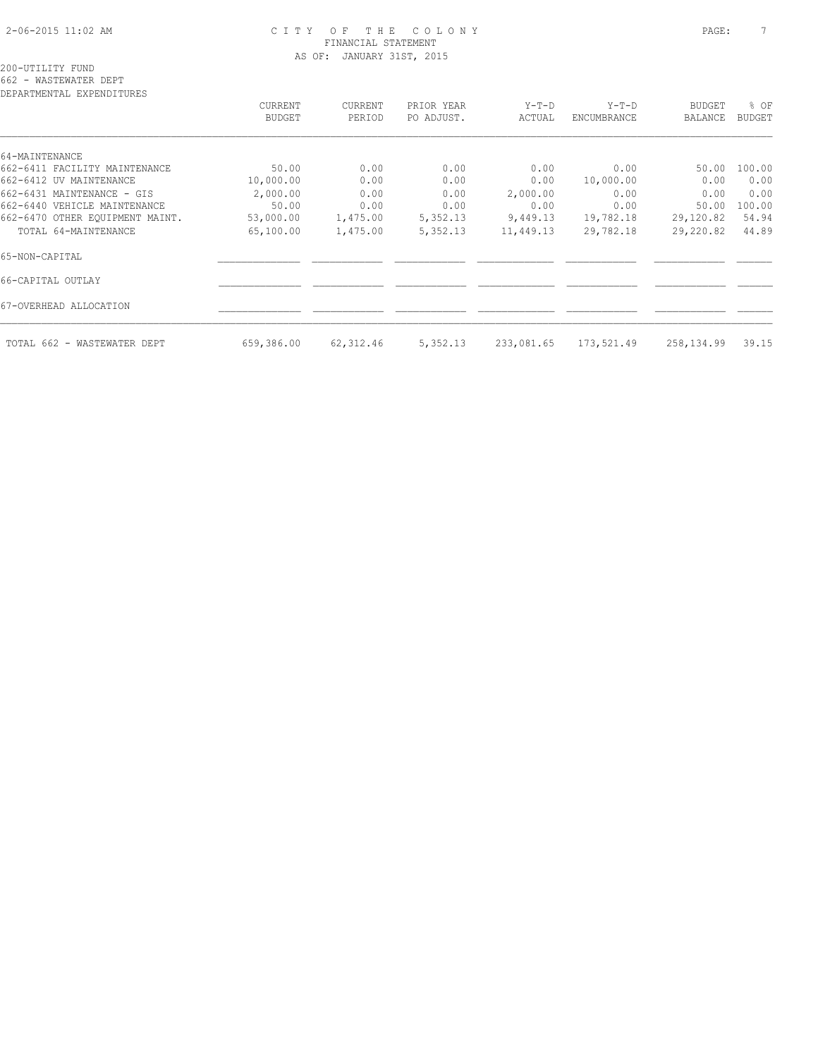# 2-06-2015 11:02 AM C I T Y O F T H E C O L O N Y PAGE: 7 FINANCIAL STATEMENT AS OF: JANUARY 31ST, 2015

| CURRENT       | CURRENT   | PRIOR YEAR | $Y-T-D$    | $Y-T-D$     | <b>BUDGET</b> | % OF   |
|---------------|-----------|------------|------------|-------------|---------------|--------|
| <b>BUDGET</b> | PERIOD    | PO ADJUST. | ACTUAL     | ENCUMBRANCE | BALANCE       | BUDGET |
|               |           |            |            |             |               |        |
|               |           |            |            |             |               |        |
| 50.00         | 0.00      | 0.00       | 0.00       | 0.00        | 50.00         | 100.00 |
| 10,000.00     | 0.00      | 0.00       | 0.00       | 10,000.00   | 0.00          | 0.00   |
| 2,000.00      | 0.00      | 0.00       | 2,000.00   | 0.00        | 0.00          | 0.00   |
| 50.00         | 0.00      | 0.00       | 0.00       | 0.00        | 50.00         | 100.00 |
| 53,000.00     | 1,475.00  | 5,352.13   | 9,449.13   | 19,782.18   | 29,120.82     | 54.94  |
| 65,100.00     | 1,475.00  | 5,352.13   | 11,449.13  | 29,782.18   | 29,220.82     | 44.89  |
|               |           |            |            |             |               |        |
|               |           |            |            |             |               |        |
|               |           |            |            |             |               |        |
| 659,386.00    | 62,312.46 | 5,352.13   | 233,081.65 | 173,521.49  | 258,134.99    | 39.15  |
|               |           |            |            |             |               |        |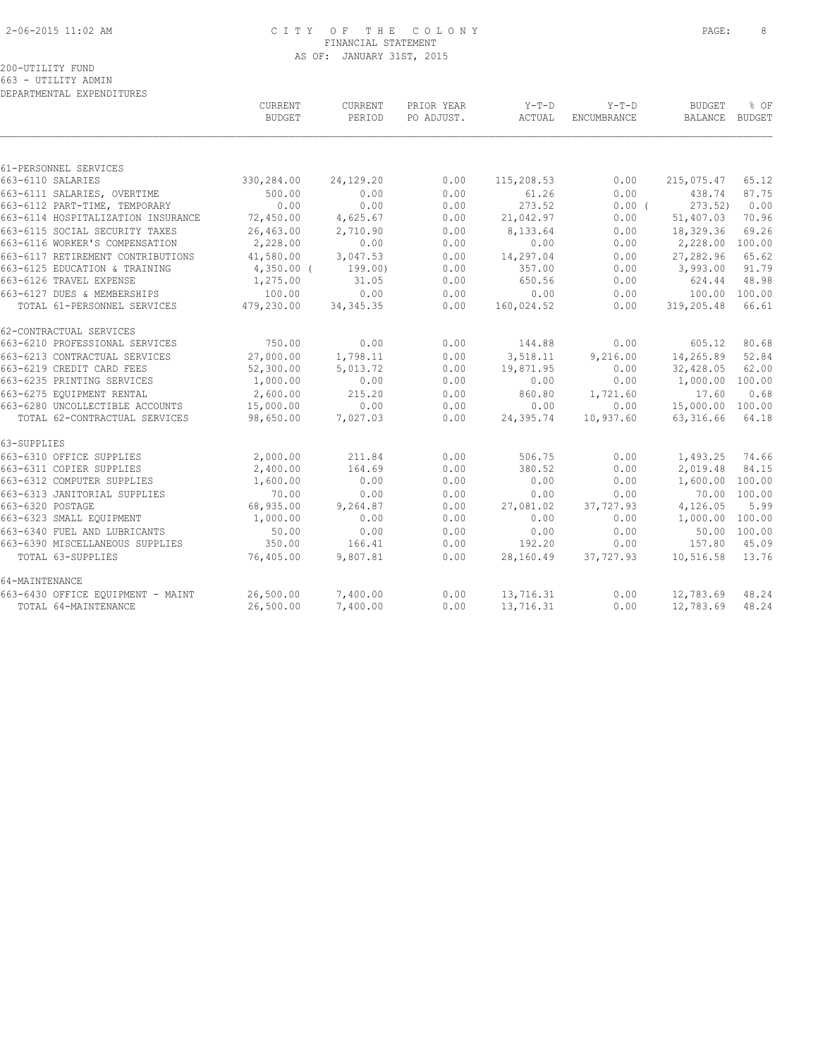# 2-06-2015 11:02 AM C I T Y O F T H E C O L O N Y PAGE: 8 FINANCIAL STATEMENT AS OF: JANUARY 31ST, 2015

| DEPARTMENTAL EXPENDITURES          |                          |                   |                          |                   |                               |                          |                |
|------------------------------------|--------------------------|-------------------|--------------------------|-------------------|-------------------------------|--------------------------|----------------|
|                                    | CURRENT<br><b>BUDGET</b> | CURRENT<br>PERIOD | PRIOR YEAR<br>PO ADJUST. | $Y-T-D$<br>ACTUAL | $Y-T-D$<br><b>ENCUMBRANCE</b> | <b>BUDGET</b><br>BALANCE | % OF<br>BUDGET |
|                                    |                          |                   |                          |                   |                               |                          |                |
| 61-PERSONNEL SERVICES              |                          |                   |                          |                   |                               |                          |                |
| 663-6110 SALARIES                  | 330,284.00               | 24,129.20         | 0.00                     | 115,208.53        | 0.00                          | 215,075.47               | 65.12          |
| 663-6111 SALARIES, OVERTIME        | 500.00                   | 0.00              | 0.00                     | 61.26             | 0.00                          | 438.74                   | 87.75          |
| 663-6112 PART-TIME, TEMPORARY      | 0.00                     | 0.00              | 0.00                     | 273.52            | 0.00(                         | 273.52)                  | 0.00           |
| 663-6114 HOSPITALIZATION INSURANCE | 72,450.00                | 4,625.67          | 0.00                     | 21,042.97         | 0.00                          | 51,407.03                | 70.96          |
| 663-6115 SOCIAL SECURITY TAXES     | 26,463.00                | 2,710.90          | 0.00                     | 8,133.64          | 0.00                          | 18,329.36                | 69.26          |
| 663-6116 WORKER'S COMPENSATION     | 2,228.00                 | 0.00              | 0.00                     | 0.00              | 0.00                          | 2,228.00                 | 100.00         |
| 663-6117 RETIREMENT CONTRIBUTIONS  | 41,580.00                | 3,047.53          | 0.00                     | 14,297.04         | 0.00                          | 27,282.96                | 65.62          |
| 663-6125 EDUCATION & TRAINING      | $4,350.00$ (             | 199.00)           | 0.00                     | 357.00            | 0.00                          | 3,993.00                 | 91.79          |
| 663-6126 TRAVEL EXPENSE            | 1,275.00                 | 31.05             | 0.00                     | 650.56            | 0.00                          | 624.44                   | 48.98          |
| 663-6127 DUES & MEMBERSHIPS        | 100.00                   | 0.00              | 0.00                     | 0.00              | 0.00                          | 100.00                   | 100.00         |
| TOTAL 61-PERSONNEL SERVICES        | 479,230.00               | 34, 345.35        | 0.00                     | 160,024.52        | 0.00                          | 319,205.48               | 66.61          |
| 62-CONTRACTUAL SERVICES            |                          |                   |                          |                   |                               |                          |                |
| 663-6210 PROFESSIONAL SERVICES     | 750.00                   | 0.00              | 0.00                     | 144.88            | 0.00                          | 605.12                   | 80.68          |
| 663-6213 CONTRACTUAL SERVICES      | 27,000.00                | 1,798.11          | 0.00                     | 3,518.11          | 9,216.00                      | 14,265.89                | 52.84          |
| 663-6219 CREDIT CARD FEES          | 52,300.00                | 5,013.72          | 0.00                     | 19,871.95         | 0.00                          | 32,428.05                | 62.00          |
| 663-6235 PRINTING SERVICES         | 1,000.00                 | 0.00              | 0.00                     | 0.00              | 0.00                          | 1,000.00                 | 100.00         |
| 663-6275 EOUIPMENT RENTAL          | 2,600.00                 | 215.20            | 0.00                     | 860.80            | 1,721.60                      | 17.60                    | 0.68           |
| 663-6280 UNCOLLECTIBLE ACCOUNTS    | 15,000.00                | 0.00              | 0.00                     | 0.00              | 0.00                          | 15,000.00                | 100.00         |
| TOTAL 62-CONTRACTUAL SERVICES      | 98,650.00                | 7,027.03          | 0.00                     | 24,395.74         | 10,937.60                     | 63, 316.66               | 64.18          |
| 63-SUPPLIES                        |                          |                   |                          |                   |                               |                          |                |
| 663-6310 OFFICE SUPPLIES           | 2,000.00                 | 211.84            | 0.00                     | 506.75            | 0.00                          | 1,493.25                 | 74.66          |
| 663-6311 COPIER SUPPLIES           | 2,400.00                 | 164.69            | 0.00                     | 380.52            | 0.00                          | 2,019.48                 | 84.15          |
| 663-6312 COMPUTER SUPPLIES         | 1,600.00                 | 0.00              | 0.00                     | 0.00              | 0.00                          | 1,600.00                 | 100.00         |
| 663-6313 JANITORIAL SUPPLIES       | 70.00                    | 0.00              | 0.00                     | 0.00              | 0.00                          |                          | 70.00 100.00   |
| 663-6320 POSTAGE                   | 68,935.00                | 9,264.87          | 0.00                     | 27,081.02         | 37,727.93                     | 4,126.05                 | 5.99           |
| 663-6323 SMALL EQUIPMENT           | 1,000.00                 | 0.00              | 0.00                     | 0.00              | 0.00                          | 1,000.00 100.00          |                |
| 663-6340 FUEL AND LUBRICANTS       | 50.00                    | 0.00              | 0.00                     | 0.00              | 0.00                          |                          | 50.00 100.00   |
| 663-6390 MISCELLANEOUS SUPPLIES    | 350.00                   | 166.41            | 0.00                     | 192.20            | 0.00                          | 157.80                   | 45.09          |
| TOTAL 63-SUPPLIES                  | 76,405.00                | 9,807.81          | 0.00                     | 28,160.49         | 37,727.93                     | 10,516.58                | 13.76          |
| 64-MAINTENANCE                     |                          |                   |                          |                   |                               |                          |                |
| 663-6430 OFFICE EQUIPMENT - MAINT  | 26,500.00                | 7,400.00          | 0.00                     | 13,716.31         | 0.00                          | 12,783.69                | 48.24          |
| TOTAL 64-MAINTENANCE               | 26,500.00                | 7,400.00          | 0.00                     | 13,716.31         | 0.00                          | 12,783.69                | 48.24          |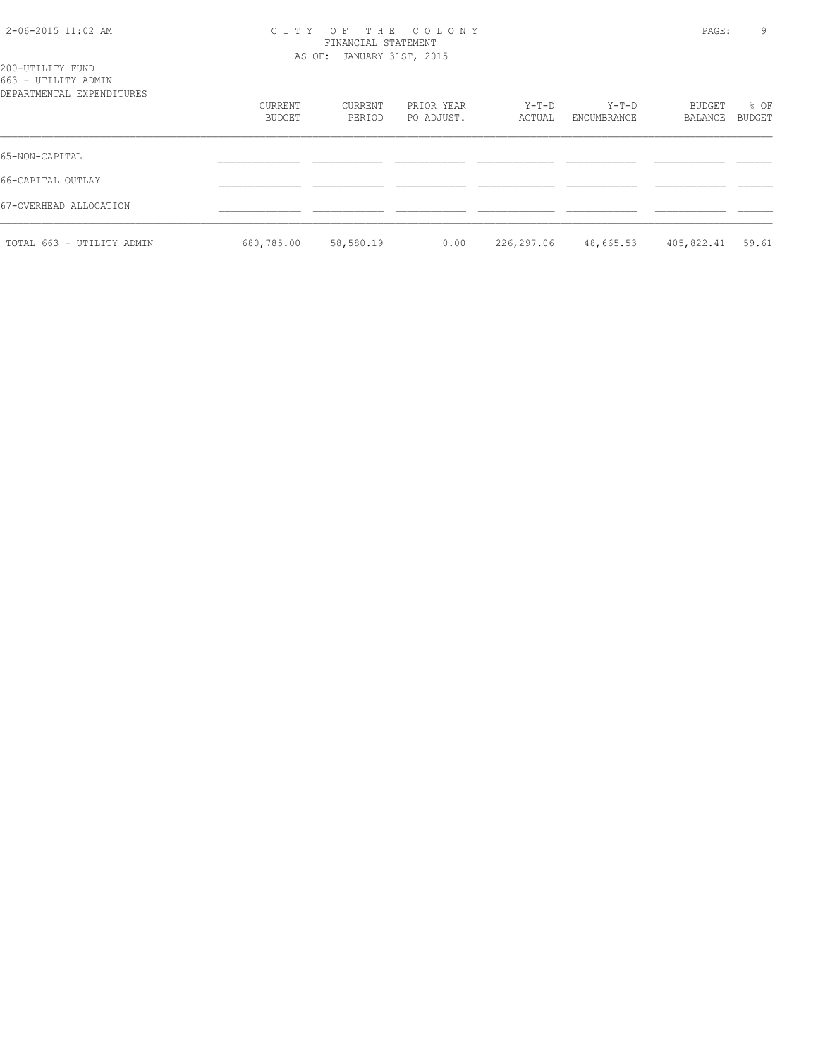# 2-06-2015 11:02 AM C I T Y O F T H E C O L O N Y PAGE: 9 FINANCIAL STATEMENT AS OF: JANUARY 31ST, 2015

| 200-UTILITY FUND          |         |         |            |         |             |         |        |
|---------------------------|---------|---------|------------|---------|-------------|---------|--------|
| 663 - UTILITY ADMIN       |         |         |            |         |             |         |        |
| DEPARTMENTAL EXPENDITURES |         |         |            |         |             |         |        |
|                           | CURRENT | CURRENT | PRIOR YEAR | $Y-T-D$ | $Y-T-D$     | BUDGET  | % OF   |
|                           | BUDGET  | PERIOD  | PO ADJUST. | ACTUAL  | ENCUMBRANCE | BALANCE | BUDGET |
|                           |         |         |            |         |             |         |        |
|                           |         |         |            |         |             |         |        |

|                           | BUDGET     | PERIOD    | PO ADJUST. |                   | ACTUAL ENCUMBRANCE | BALANCE BUDGET   |  |
|---------------------------|------------|-----------|------------|-------------------|--------------------|------------------|--|
| 65-NON-CAPITAL            |            |           |            |                   |                    |                  |  |
| 66-CAPITAL OUTLAY         |            |           |            |                   |                    |                  |  |
| 67-OVERHEAD ALLOCATION    |            |           |            |                   |                    |                  |  |
| TOTAL 663 - UTILITY ADMIN | 680,785.00 | 58,580.19 |            | $0.00$ 226,297.06 | 48,665.53          | 405,822.41 59.61 |  |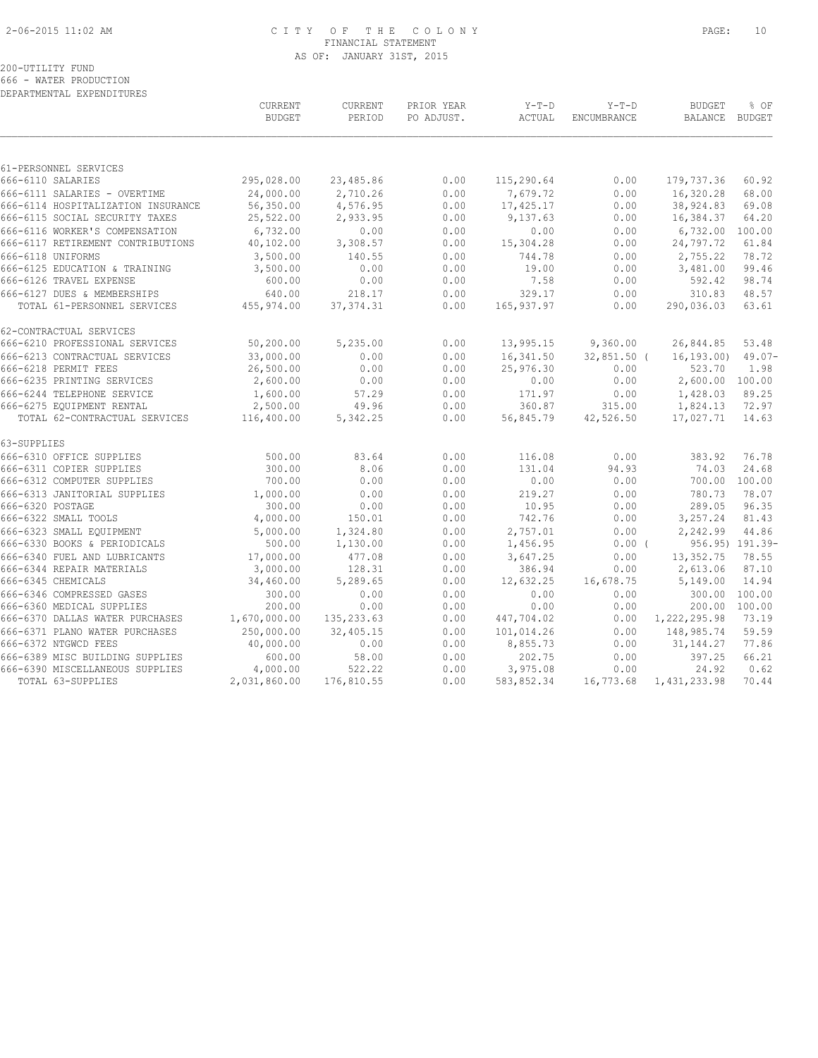# 2-06-2015 11:02 AM C I T Y O F T H E C O L O N Y PAGE: 10 FINANCIAL STATEMENT AS OF: JANUARY 31ST, 2015

# 200-UTILITY FUND

666 - WATER PRODUCTION DEPARTMENTAL EXPENDITURES

|                                    | CURRENT<br><b>BUDGET</b> | CURRENT<br>PERIOD | PRIOR YEAR<br>PO ADJUST. | $Y-T-D$<br>ACTUAL | $Y-T-D$<br><b>ENCUMBRANCE</b> | <b>BUDGET</b><br><b>BALANCE</b> | % OF<br>BUDGET  |
|------------------------------------|--------------------------|-------------------|--------------------------|-------------------|-------------------------------|---------------------------------|-----------------|
|                                    |                          |                   |                          |                   |                               |                                 |                 |
| 61-PERSONNEL SERVICES              |                          |                   |                          |                   |                               |                                 |                 |
| 666-6110 SALARIES                  | 295,028.00               | 23,485.86         | 0.00                     | 115,290.64        | 0.00                          | 179,737.36                      | 60.92           |
| 666-6111 SALARIES - OVERTIME       | 24,000.00                | 2,710.26          | 0.00                     | 7,679.72          | 0.00                          | 16,320.28                       | 68.00           |
| 666-6114 HOSPITALIZATION INSURANCE | 56,350.00                | 4,576.95          | 0.00                     | 17,425.17         | 0.00                          | 38,924.83                       | 69.08           |
| 666-6115 SOCIAL SECURITY TAXES     | 25,522.00                | 2,933.95          | 0.00                     | 9,137.63          | 0.00                          | 16,384.37                       | 64.20           |
| 666-6116 WORKER'S COMPENSATION     | 6,732.00                 | 0.00              | 0.00                     | 0.00              | 0.00                          | 6,732.00                        | 100.00          |
| 666-6117 RETIREMENT CONTRIBUTIONS  | 40,102.00                | 3,308.57          | 0.00                     | 15,304.28         | 0.00                          | 24,797.72                       | 61.84           |
| 666-6118 UNIFORMS                  | 3,500.00                 | 140.55            | 0.00                     | 744.78            | 0.00                          | 2,755.22                        | 78.72           |
| 666-6125 EDUCATION & TRAINING      | 3,500.00                 | 0.00              | 0.00                     | 19.00             | 0.00                          | 3,481.00                        | 99.46           |
| 666-6126 TRAVEL EXPENSE            | 600.00                   | 0.00              | 0.00                     | 7.58              | 0.00                          | 592.42                          | 98.74           |
| 666-6127 DUES & MEMBERSHIPS        | 640.00                   | 218.17            | 0.00                     | 329.17            | 0.00                          | 310.83                          | 48.57           |
| TOTAL 61-PERSONNEL SERVICES        | 455,974.00               | 37, 374.31        | 0.00                     | 165, 937.97       | 0.00                          | 290,036.03                      | 63.61           |
| 62-CONTRACTUAL SERVICES            |                          |                   |                          |                   |                               |                                 |                 |
| 666-6210 PROFESSIONAL SERVICES     | 50,200.00                | 5,235.00          | 0.00                     | 13,995.15         | 9,360.00                      | 26,844.85                       | 53.48           |
| 666-6213 CONTRACTUAL SERVICES      | 33,000.00                | 0.00              | 0.00                     | 16,341.50         | $32,851.50$ (                 | 16, 193, 00)                    | $49.07 -$       |
| 666-6218 PERMIT FEES               | 26,500.00                | 0.00              | 0.00                     | 25,976.30         | 0.00                          | 523.70                          | 1.98            |
| 666-6235 PRINTING SERVICES         | 2,600.00                 | 0.00              | 0.00                     | 0.00              | 0.00                          | 2,600.00 100.00                 |                 |
| 666-6244 TELEPHONE SERVICE         | 1,600.00                 | 57.29             | 0.00                     | 171.97            | 0.00                          | 1,428.03                        | 89.25           |
| 666-6275 EQUIPMENT RENTAL          | 2,500.00                 | 49.96             | 0.00                     | 360.87            | 315.00                        | 1,824.13                        | 72.97           |
| TOTAL 62-CONTRACTUAL SERVICES      | 116,400.00               | 5,342.25          | 0.00                     | 56,845.79         | 42,526.50                     | 17,027.71                       | 14.63           |
| 63-SUPPLIES                        |                          |                   |                          |                   |                               |                                 |                 |
| 666-6310 OFFICE SUPPLIES           | 500.00                   | 83.64             | 0.00                     | 116.08            | 0.00                          | 383.92                          | 76.78           |
| 666-6311 COPIER SUPPLIES           | 300.00                   | 8.06              | 0.00                     | 131.04            | 94.93                         | 74.03                           | 24.68           |
| 666-6312 COMPUTER SUPPLIES         | 700.00                   | 0.00              | 0.00                     | 0.00              | 0.00                          | 700.00                          | 100.00          |
| 666-6313 JANITORIAL SUPPLIES       | 1,000.00                 | 0.00              | 0.00                     | 219.27            | 0.00                          | 780.73                          | 78.07           |
| 666-6320 POSTAGE                   | 300.00                   | 0.00              | 0.00                     | 10.95             | 0.00                          | 289.05                          | 96.35           |
| 666-6322 SMALL TOOLS               | 4,000.00                 | 150.01            | 0.00                     | 742.76            | 0.00                          | 3,257.24                        | 81.43           |
| 666-6323 SMALL EQUIPMENT           | 5,000.00                 | 1,324.80          | 0.00                     | 2,757.01          | 0.00                          | 2,242.99                        | 44.86           |
| 666-6330 BOOKS & PERIODICALS       | 500.00                   | 1,130.00          | 0.00                     | 1,456.95          | $0.00$ (                      |                                 | 956.95) 191.39- |
| 666-6340 FUEL AND LUBRICANTS       | 17,000.00                | 477.08            | 0.00                     | 3,647.25          | 0.00                          | 13, 352.75                      | 78.55           |
| 666-6344 REPAIR MATERIALS          | 3,000.00                 | 128.31            | 0.00                     | 386.94            | 0.00                          | 2,613.06                        | 87.10           |
| 666-6345 CHEMICALS                 | 34,460.00                | 5,289.65          | 0.00                     | 12,632.25         | 16,678.75                     | 5,149.00                        | 14.94           |
| 666-6346 COMPRESSED GASES          | 300.00                   | 0.00              | 0.00                     | 0.00              | 0.00                          | 300.00                          | 100.00          |
| 666-6360 MEDICAL SUPPLIES          | 200.00                   | 0.00              | 0.00                     | 0.00              | 0.00                          | 200.00                          | 100.00          |
| 666-6370 DALLAS WATER PURCHASES    | 1,670,000.00             | 135, 233.63       | 0.00                     | 447,704.02        | 0.00                          | 1,222,295.98                    | 73.19           |
| 666-6371 PLANO WATER PURCHASES     | 250,000.00               | 32,405.15         | 0.00                     | 101,014.26        | 0.00                          | 148,985.74                      | 59.59           |
| 666-6372 NTGWCD FEES               | 40,000.00                | 0.00              | 0.00                     | 8,855.73          | 0.00                          | 31, 144. 27                     | 77.86           |
| 666-6389 MISC BUILDING SUPPLIES    | 600.00                   | 58.00             | 0.00                     | 202.75            | 0.00                          | 397.25                          | 66.21           |
| 666-6390 MISCELLANEOUS SUPPLIES    | 4,000.00                 | 522.22            | 0.00                     | 3,975.08          | 0.00                          | 24.92                           | 0.62            |
| TOTAL 63-SUPPLIES                  | 2,031,860.00             | 176,810.55        | 0.00                     | 583,852.34        | 16,773.68                     | 1,431,233.98                    | 70.44           |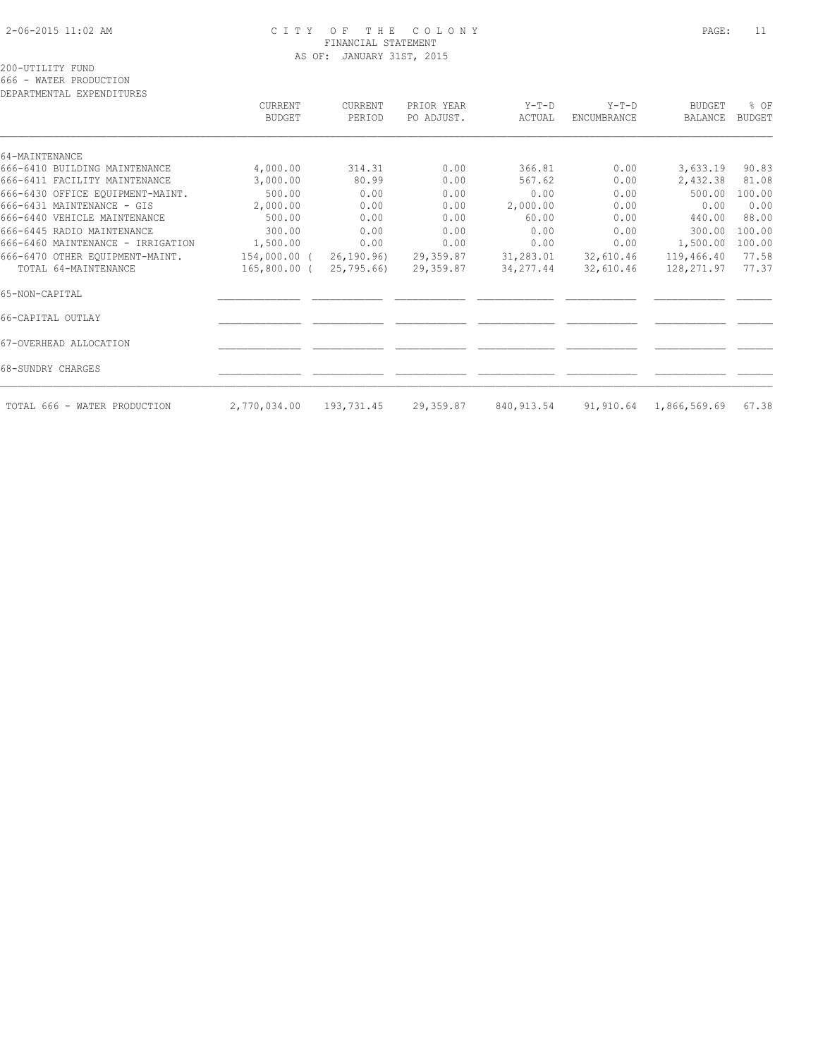# 2-06-2015 11:02 AM C I T Y O F T H E C O L O N Y PAGE: 11 FINANCIAL STATEMENT AS OF: JANUARY 31ST, 2015

| DEPARTMENTAL EXPENDITURES         |                          |                   |                          |                 |                               |                                 |                       |
|-----------------------------------|--------------------------|-------------------|--------------------------|-----------------|-------------------------------|---------------------------------|-----------------------|
|                                   | CURRENT<br><b>BUDGET</b> | CURRENT<br>PERIOD | PRIOR YEAR<br>PO ADJUST. | Y-T-D<br>ACTUAL | $Y-T-D$<br><b>ENCUMBRANCE</b> | <b>BUDGET</b><br><b>BALANCE</b> | % OF<br><b>BUDGET</b> |
|                                   |                          |                   |                          |                 |                               |                                 |                       |
| 64-MAINTENANCE                    |                          |                   |                          |                 |                               |                                 |                       |
| 666-6410 BUILDING MAINTENANCE     | 4,000.00                 | 314.31            | 0.00                     | 366.81          | 0.00                          | 3,633.19                        | 90.83                 |
| 666-6411 FACILITY MAINTENANCE     | 3,000.00                 | 80.99             | 0.00                     | 567.62          | 0.00                          | 2,432.38                        | 81.08                 |
| 666-6430 OFFICE EQUIPMENT-MAINT.  | 500.00                   | 0.00              | 0.00                     | 0.00            | 0.00                          | 500.00                          | 100.00                |
| 666-6431 MAINTENANCE - GIS        | 2,000.00                 | 0.00              | 0.00                     | 2,000.00        | 0.00                          | 0.00                            | 0.00                  |
| 666-6440 VEHICLE MAINTENANCE      | 500.00                   | 0.00              | 0.00                     | 60.00           | 0.00                          | 440.00                          | 88.00                 |
| 666-6445 RADIO MAINTENANCE        | 300.00                   | 0.00              | 0.00                     | 0.00            | 0.00                          | 300.00                          | 100.00                |
| 666-6460 MAINTENANCE - IRRIGATION | 1,500.00                 | 0.00              | 0.00                     | 0.00            | 0.00                          | 1,500.00                        | 100.00                |
| 666-6470 OTHER EQUIPMENT-MAINT.   | 154,000.00 (             | 26, 190.96        | 29,359.87                | 31,283.01       | 32,610.46                     | 119,466.40                      | 77.58                 |
| TOTAL 64-MAINTENANCE              | 165,800.00 (             | 25,795.66)        | 29,359.87                | 34, 277.44      | 32,610.46                     | 128,271.97                      | 77.37                 |
| 65-NON-CAPITAL                    |                          |                   |                          |                 |                               |                                 |                       |
| 66-CAPITAL OUTLAY                 |                          |                   |                          |                 |                               |                                 |                       |
| 67-OVERHEAD ALLOCATION            |                          |                   |                          |                 |                               |                                 |                       |
| 68-SUNDRY CHARGES                 |                          |                   |                          |                 |                               |                                 |                       |
| TOTAL 666 - WATER PRODUCTION      | 2,770,034.00             | 193,731.45        | 29,359.87                | 840, 913.54     |                               | 91,910.64 1,866,569.69          | 67.38                 |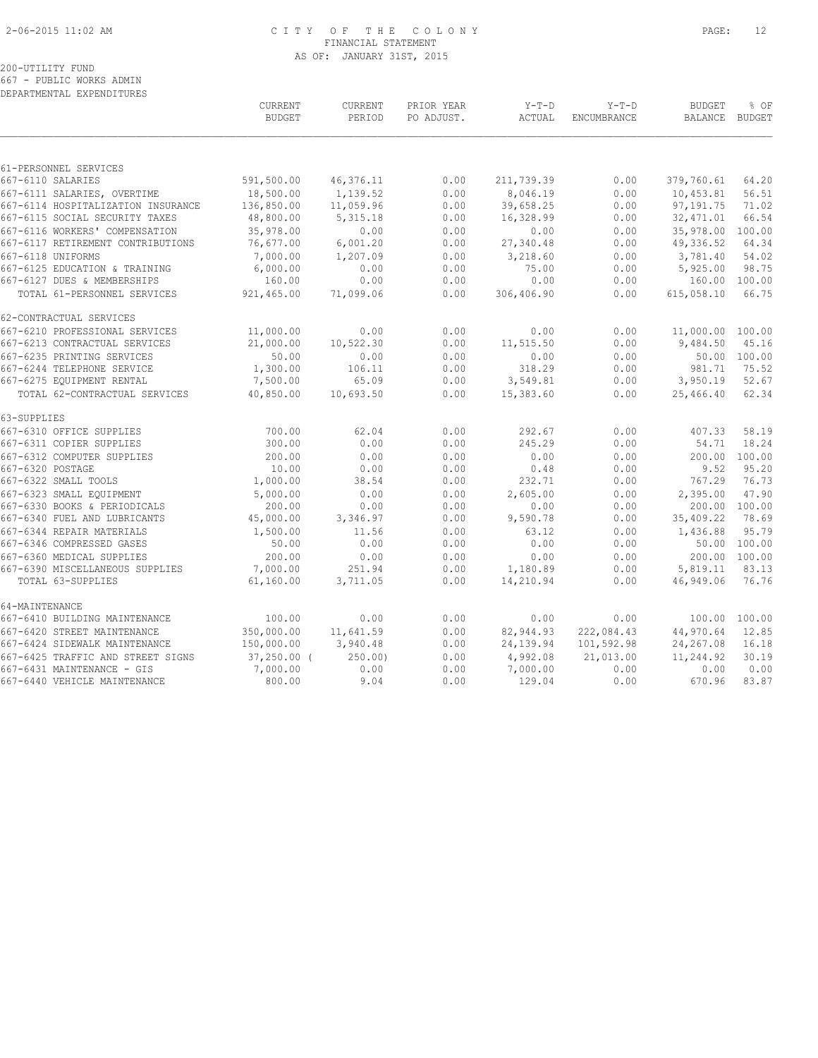# 2-06-2015 11:02 AM C I T Y O F T H E C O L O N Y PAGE: 12 FINANCIAL STATEMENT AS OF: JANUARY 31ST, 2015

# 200-UTILITY FUND 667 - PUBLIC WORKS ADMIN

DEPARTMENTAL EXPENDITURES

|                                    | <b>CURRENT</b><br><b>BUDGET</b> | <b>CURRENT</b><br>PERIOD | PRIOR YEAR<br>PO ADJUST. | $Y-T-D$<br>ACTUAL | $Y-T-D$<br><b>ENCUMBRANCE</b> | <b>BUDGET</b><br><b>BALANCE</b> | % OF<br>BUDGET |
|------------------------------------|---------------------------------|--------------------------|--------------------------|-------------------|-------------------------------|---------------------------------|----------------|
|                                    |                                 |                          |                          |                   |                               |                                 |                |
| 61-PERSONNEL SERVICES              |                                 |                          |                          |                   |                               |                                 |                |
| 667-6110 SALARIES                  | 591,500.00                      | 46,376.11                | 0.00                     | 211,739.39        | 0.00                          | 379,760.61                      | 64.20          |
| 667-6111 SALARIES, OVERTIME        | 18,500.00                       | 1,139.52                 | 0.00                     | 8,046.19          | 0.00                          | 10,453.81                       | 56.51          |
| 667-6114 HOSPITALIZATION INSURANCE | 136,850.00                      | 11,059.96                | 0.00                     | 39,658.25         | 0.00                          | 97,191.75                       | 71.02          |
| 667-6115 SOCIAL SECURITY TAXES     | 48,800.00                       | 5, 315.18                | 0.00                     | 16,328.99         | 0.00                          | 32, 471.01                      | 66.54          |
| 667-6116 WORKERS' COMPENSATION     | 35,978.00                       | 0.00                     | 0.00                     | 0.00              | 0.00                          | 35,978.00                       | 100.00         |
| 667-6117 RETIREMENT CONTRIBUTIONS  | 76,677.00                       | 6,001.20                 | 0.00                     | 27,340.48         | 0.00                          | 49,336.52                       | 64.34          |
| 667-6118 UNIFORMS                  | 7,000.00                        | 1,207.09                 | 0.00                     | 3,218.60          | 0.00                          | 3,781.40                        | 54.02          |
| 667-6125 EDUCATION & TRAINING      | 6,000.00                        | 0.00                     | 0.00                     | 75.00             | 0.00                          | 5,925.00                        | 98.75          |
| 667-6127 DUES & MEMBERSHIPS        | 160.00                          | 0.00                     | 0.00                     | 0.00              | 0.00                          | 160.00                          | 100.00         |
| TOTAL 61-PERSONNEL SERVICES        | 921,465.00                      | 71,099.06                | 0.00                     | 306,406.90        | 0.00                          | 615,058.10                      | 66.75          |
| 62-CONTRACTUAL SERVICES            |                                 |                          |                          |                   |                               |                                 |                |
| 667-6210 PROFESSIONAL SERVICES     | 11,000.00                       | 0.00                     | 0.00                     | 0.00              | 0.00                          | 11,000.00 100.00                |                |
| 667-6213 CONTRACTUAL SERVICES      | 21,000.00                       | 10,522.30                | 0.00                     | 11,515.50         | 0.00                          | 9,484.50                        | 45.16          |
| 667-6235 PRINTING SERVICES         | 50.00                           | 0.00                     | 0.00                     | 0.00              | 0.00                          |                                 | 50.00 100.00   |
| 667-6244 TELEPHONE SERVICE         | 1,300.00                        | 106.11                   | 0.00                     | 318.29            | 0.00                          | 981.71                          | 75.52          |
| 667-6275 EQUIPMENT RENTAL          | 7,500.00                        | 65.09                    | 0.00                     | 3,549.81          | 0.00                          | 3,950.19                        | 52.67          |
| TOTAL 62-CONTRACTUAL SERVICES      | 40,850.00                       | 10,693.50                | 0.00                     | 15,383.60         | 0.00                          | 25,466.40                       | 62.34          |
| 63-SUPPLIES                        |                                 |                          |                          |                   |                               |                                 |                |
| 667-6310 OFFICE SUPPLIES           | 700.00                          | 62.04                    | 0.00                     | 292.67            | 0.00                          | 407.33                          | 58.19          |
| 667-6311 COPIER SUPPLIES           | 300.00                          | 0.00                     | 0.00                     | 245.29            | 0.00                          | 54.71                           | 18.24          |
| 667-6312 COMPUTER SUPPLIES         | 200.00                          | 0.00                     | 0.00                     | 0.00              | 0.00                          | 200.00                          | 100.00         |
| 667-6320 POSTAGE                   | 10.00                           | 0.00                     | 0.00                     | 0.48              | 0.00                          | 9.52                            | 95.20          |
| 667-6322 SMALL TOOLS               | 1,000.00                        | 38.54                    | 0.00                     | 232.71            | 0.00                          | 767.29                          | 76.73          |
| 667-6323 SMALL EQUIPMENT           | 5,000.00                        | 0.00                     | 0.00                     | 2,605.00          | 0.00                          | 2,395.00                        | 47.90          |
| 667-6330 BOOKS & PERIODICALS       | 200.00                          | 0.00                     | 0.00                     | 0.00              | 0.00                          | 200.00                          | 100.00         |
| 667-6340 FUEL AND LUBRICANTS       | 45,000.00                       | 3,346.97                 | 0.00                     | 9,590.78          | 0.00                          | 35,409.22                       | 78.69          |
| 667-6344 REPAIR MATERIALS          | 1,500.00                        | 11.56                    | 0.00                     | 63.12             | 0.00                          | 1,436.88                        | 95.79          |
| 667-6346 COMPRESSED GASES          | 50.00                           | 0.00                     | 0.00                     | 0.00              | 0.00                          | 50.00                           | 100.00         |
| 667-6360 MEDICAL SUPPLIES          | 200.00                          | 0.00                     | 0.00                     | 0.00              | 0.00                          | 200.00                          | 100.00         |
| 667-6390 MISCELLANEOUS SUPPLIES    | 7,000.00                        | 251.94                   | 0.00                     | 1,180.89          | 0.00                          | 5,819.11                        | 83.13          |
| TOTAL 63-SUPPLIES                  | 61,160.00                       | 3,711.05                 | 0.00                     | 14,210.94         | 0.00                          | 46,949.06                       | 76.76          |
| 64-MAINTENANCE                     |                                 |                          |                          |                   |                               |                                 |                |
| 667-6410 BUILDING MAINTENANCE      | 100.00                          | 0.00                     | 0.00                     | 0.00              | 0.00                          |                                 | 100.00 100.00  |
| 667-6420 STREET MAINTENANCE        | 350,000.00                      | 11,641.59                | 0.00                     | 82,944.93         | 222,084.43                    | 44,970.64                       | 12.85          |
| 667-6424 SIDEWALK MAINTENANCE      | 150,000.00                      | 3,940.48                 | 0.00                     | 24,139.94         | 101,592.98                    | 24,267.08                       | 16.18          |
| 667-6425 TRAFFIC AND STREET SIGNS  | $37,250.00$ (                   | 250.00                   | 0.00                     | 4,992.08          | 21,013.00                     | 11,244.92                       | 30.19          |
| 667-6431 MAINTENANCE - GIS         | 7,000.00                        | 0.00                     | 0.00                     | 7,000.00          | 0.00                          | 0.00                            | 0.00           |
| 667-6440 VEHICLE MAINTENANCE       | 800.00                          | 9.04                     | 0.00                     | 129.04            | 0.00                          | 670.96                          | 83.87          |
|                                    |                                 |                          |                          |                   |                               |                                 |                |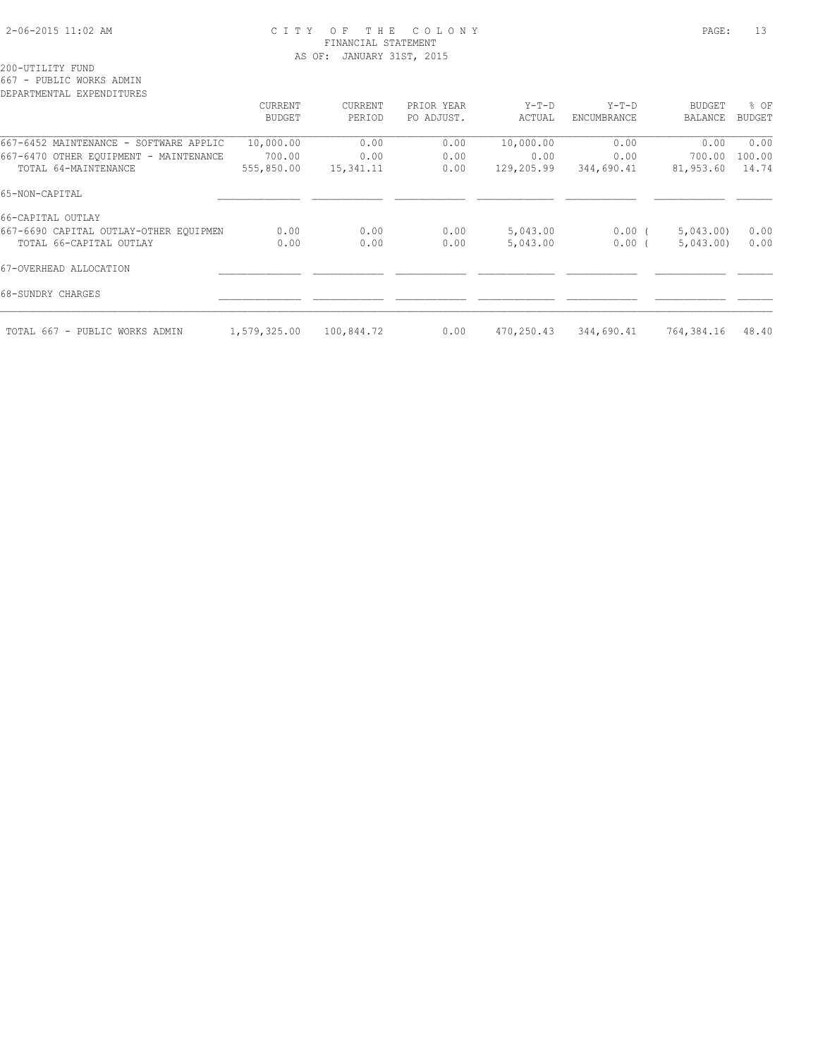# 2-06-2015 11:02 AM C I T Y O F T H E C O L O N Y PAGE: 13 FINANCIAL STATEMENT AS OF: JANUARY 31ST, 2015

200-UTILITY FUND

667 - PUBLIC WORKS ADMIN

| DEPARTMENTAL EXPENDITURES              |                |            |            |            |             |               |               |
|----------------------------------------|----------------|------------|------------|------------|-------------|---------------|---------------|
|                                        | <b>CURRENT</b> | CURRENT    | PRIOR YEAR | $Y-T-D$    | $Y-T-D$     | <b>BUDGET</b> | % OF          |
|                                        | <b>BUDGET</b>  | PERIOD     | PO ADJUST. | ACTUAL     | ENCUMBRANCE | BALANCE       | <b>BUDGET</b> |
| 667-6452 MAINTENANCE - SOFTWARE APPLIC | 10,000.00      | 0.00       | 0.00       | 10,000.00  | 0.00        | 0.00          | 0.00          |
| 667-6470 OTHER EQUIPMENT - MAINTENANCE | 700.00         | 0.00       | 0.00       | 0.00       | 0.00        | 700.00        | 100.00        |
| TOTAL 64-MAINTENANCE                   | 555,850.00     | 15,341.11  | 0.00       | 129,205.99 | 344,690.41  | 81,953.60     | 14.74         |
| 65-NON-CAPITAL                         |                |            |            |            |             |               |               |
| 66-CAPITAL OUTLAY                      |                |            |            |            |             |               |               |
| 667-6690 CAPITAL OUTLAY-OTHER EOUIPMEN | 0.00           | 0.00       | 0.00       | 5,043.00   | $0.00$ (    | 5,043.00      | 0.00          |
| TOTAL 66-CAPITAL OUTLAY                | 0.00           | 0.00       | 0.00       | 5,043.00   | 0.00(       | 5,043.00      | 0.00          |
| 67-OVERHEAD ALLOCATION                 |                |            |            |            |             |               |               |
| 68-SUNDRY CHARGES                      |                |            |            |            |             |               |               |
| TOTAL 667 - PUBLIC WORKS ADMIN         | 1,579,325.00   | 100,844.72 | 0.00       | 470,250.43 | 344,690.41  | 764,384.16    | 48.40         |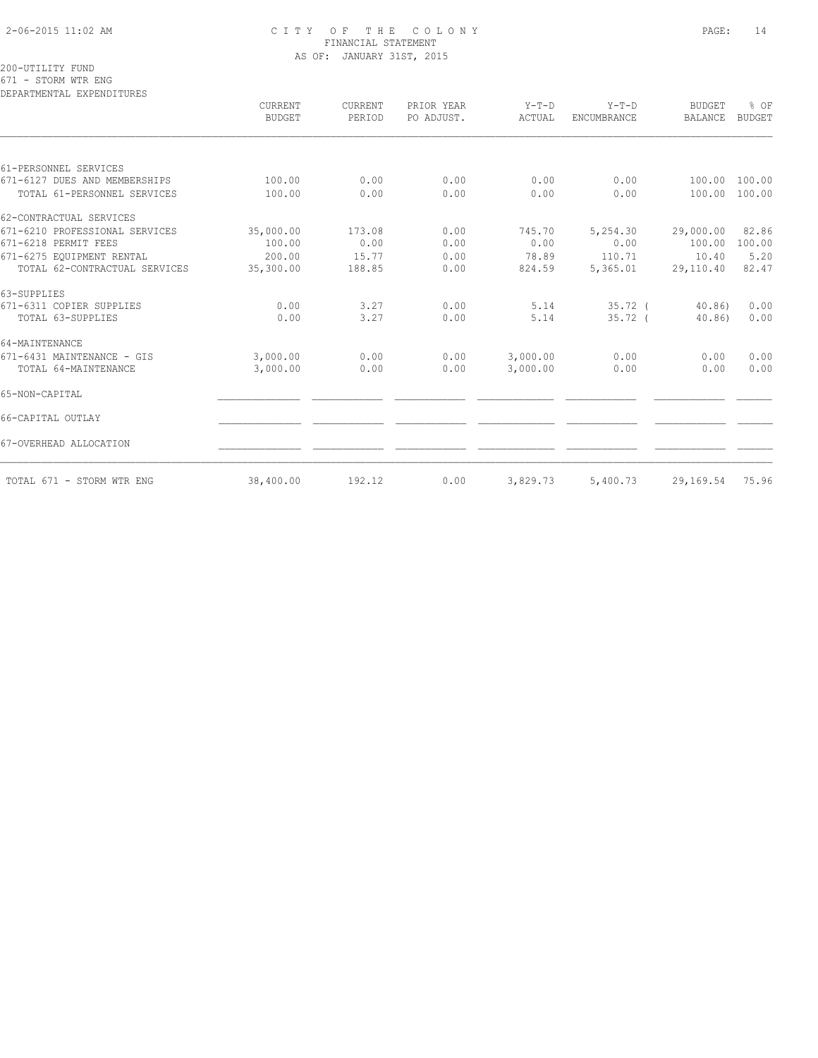# 2-06-2015 11:02 AM C I T Y O F T H E C O L O N Y PAGE: 14 FINANCIAL STATEMENT AS OF: JANUARY 31ST, 2015

200-UTILITY FUND 671 - STORM WTR ENG

DEPARTMENTAL EXPENDITURES

|                                | CURRENT<br><b>BUDGET</b> | CURRENT<br>PERIOD | PRIOR YEAR<br>PO ADJUST. | $Y-T-D$<br>ACTUAL | $Y-T-D$<br>ENCUMBRANCE | <b>BUDGET</b><br><b>BALANCE</b> | % OF<br><b>BUDGET</b> |
|--------------------------------|--------------------------|-------------------|--------------------------|-------------------|------------------------|---------------------------------|-----------------------|
|                                |                          |                   |                          |                   |                        |                                 |                       |
| 61-PERSONNEL SERVICES          |                          |                   |                          |                   |                        |                                 |                       |
| 671-6127 DUES AND MEMBERSHIPS  | 100.00                   | 0.00              | 0.00                     | 0.00              | 0.00                   | 100.00                          | 100.00                |
| TOTAL 61-PERSONNEL SERVICES    | 100.00                   | 0.00              | 0.00                     | 0.00              | 0.00                   | 100.00                          | 100.00                |
| 62-CONTRACTUAL SERVICES        |                          |                   |                          |                   |                        |                                 |                       |
| 671-6210 PROFESSIONAL SERVICES | 35,000.00                | 173.08            | 0.00                     | 745.70            | 5,254.30               | 29,000.00                       | 82.86                 |
| 671-6218 PERMIT FEES           | 100.00                   | 0.00              | 0.00                     | 0.00              | 0.00                   | 100.00                          | 100.00                |
| 671-6275 EOUIPMENT RENTAL      | 200.00                   | 15.77             | 0.00                     | 78.89             | 110.71                 | 10.40                           | 5.20                  |
| TOTAL 62-CONTRACTUAL SERVICES  | 35,300.00                | 188.85            | 0.00                     | 824.59            | 5,365.01               | 29,110.40                       | 82.47                 |
| 63-SUPPLIES                    |                          |                   |                          |                   |                        |                                 |                       |
| 671-6311 COPIER SUPPLIES       | 0.00                     | 3.27              | 0.00                     | 5.14              | $35.72$ (              | 40.86                           | 0.00                  |
| TOTAL 63-SUPPLIES              | 0.00                     | 3.27              | 0.00                     | 5.14              | $35.72-$               | 40.86                           | 0.00                  |
| 64-MAINTENANCE                 |                          |                   |                          |                   |                        |                                 |                       |
| 671-6431 MAINTENANCE - GIS     | 3,000.00                 | 0.00              | 0.00                     | 3,000.00          | 0.00                   | 0.00                            | 0.00                  |
| TOTAL 64-MAINTENANCE           | 3,000.00                 | 0.00              | 0.00                     | 3,000.00          | 0.00                   | 0.00                            | 0.00                  |
| 65-NON-CAPITAL                 |                          |                   |                          |                   |                        |                                 |                       |
| 66-CAPITAL OUTLAY              |                          |                   |                          |                   |                        |                                 |                       |
| 67-OVERHEAD ALLOCATION         |                          |                   |                          |                   |                        |                                 |                       |
| TOTAL 671 - STORM WTR ENG      | 38,400.00                | 192.12            | 0.00                     | 3,829.73          | 5,400.73               | 29,169.54                       | 75.96                 |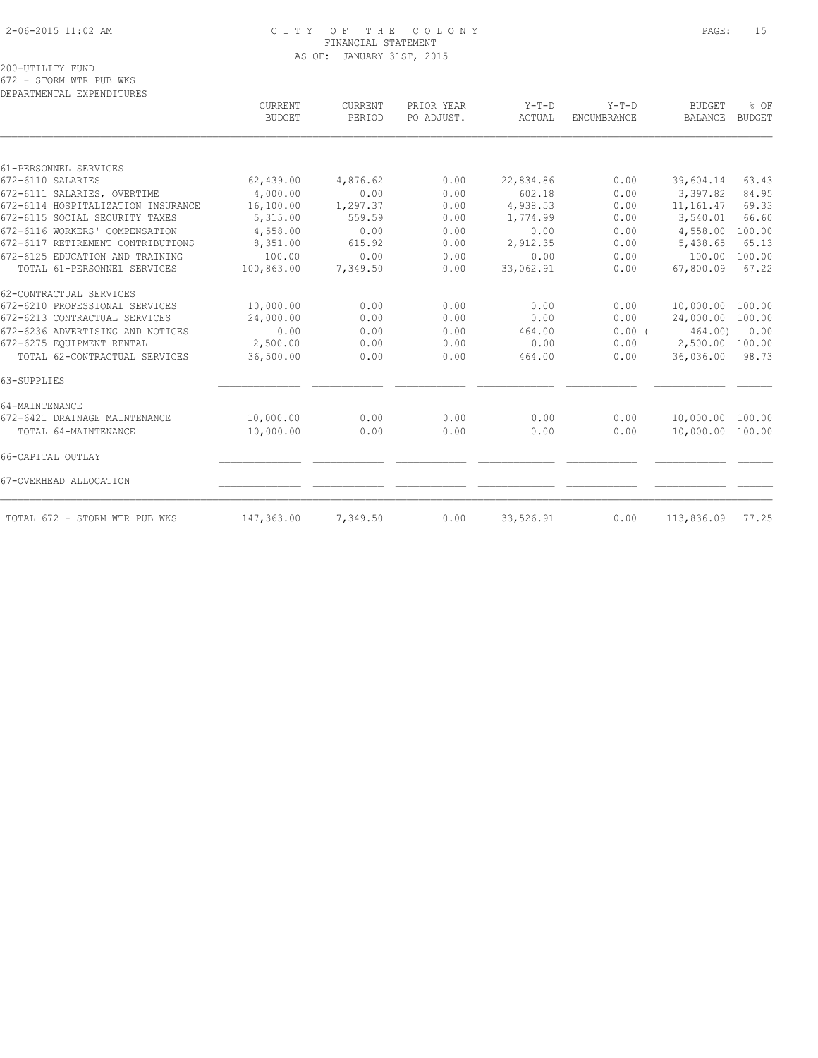# 2-06-2015 11:02 AM C I T Y O F T H E C O L O N Y PAGE: 15 FINANCIAL STATEMENT AS OF: JANUARY 31ST, 2015

200-UTILITY FUND 672 - STORM WTR PUB WKS

DEPARTMENTAL EXPENDITURES

|                                    | CURRENT<br><b>BUDGET</b> | CURRENT<br>PERIOD | PRIOR YEAR<br>PO ADJUST. | $Y-T-D$<br>ACTUAL | $Y-T-D$<br>ENCUMBRANCE | <b>BUDGET</b><br><b>BALANCE</b> | % OF<br><b>BUDGET</b> |
|------------------------------------|--------------------------|-------------------|--------------------------|-------------------|------------------------|---------------------------------|-----------------------|
|                                    |                          |                   |                          |                   |                        |                                 |                       |
| 61-PERSONNEL SERVICES              |                          |                   |                          |                   |                        |                                 |                       |
| 672-6110 SALARIES                  | 62,439.00                | 4,876.62          | 0.00                     | 22,834.86         | 0.00                   | 39,604.14                       | 63.43                 |
| 672-6111 SALARIES, OVERTIME        | 4,000.00                 | 0.00              | 0.00                     | 602.18            | 0.00                   | 3,397.82                        | 84.95                 |
| 672-6114 HOSPITALIZATION INSURANCE | 16,100.00                | 1,297.37          | 0.00                     | 4,938.53          | 0.00                   | 11,161.47                       | 69.33                 |
| 672-6115 SOCIAL SECURITY TAXES     | 5,315.00                 | 559.59            | 0.00                     | 1,774.99          | 0.00                   | 3,540.01                        | 66.60                 |
| 672-6116 WORKERS' COMPENSATION     | 4,558.00                 | 0.00              | 0.00                     | 0.00              | 0.00                   | 4,558.00                        | 100.00                |
| 672-6117 RETIREMENT CONTRIBUTIONS  | 8,351.00                 | 615.92            | 0.00                     | 2,912.35          | 0.00                   | 5,438.65                        | 65.13                 |
| 672-6125 EDUCATION AND TRAINING    | 100.00                   | 0.00              | 0.00                     | 0.00              | 0.00                   | 100.00                          | 100.00                |
| TOTAL 61-PERSONNEL SERVICES        | 100,863.00               | 7,349.50          | 0.00                     | 33,062.91         | 0.00                   | 67,800.09                       | 67.22                 |
| 62-CONTRACTUAL SERVICES            |                          |                   |                          |                   |                        |                                 |                       |
| 672-6210 PROFESSIONAL SERVICES     | 10,000.00                | 0.00              | 0.00                     | 0.00              | 0.00                   | 10,000.00                       | 100.00                |
| 672-6213 CONTRACTUAL SERVICES      | 24,000.00                | 0.00              | 0.00                     | 0.00              | 0.00                   | 24,000.00                       | 100.00                |
| 672-6236 ADVERTISING AND NOTICES   | 0.00                     | 0.00              | 0.00                     | 464.00            | 0.00(                  | 464.00)                         | 0.00                  |
| 672-6275 EQUIPMENT RENTAL          | 2,500.00                 | 0.00              | 0.00                     | 0.00              | 0.00                   | 2,500.00                        | 100.00                |
| TOTAL 62-CONTRACTUAL SERVICES      | 36,500.00                | 0.00              | 0.00                     | 464.00            | 0.00                   | 36,036.00                       | 98.73                 |
| 63-SUPPLIES                        |                          |                   |                          |                   |                        |                                 |                       |
| 64-MAINTENANCE                     |                          |                   |                          |                   |                        |                                 |                       |
| 672-6421 DRAINAGE MAINTENANCE      | 10,000.00                | 0.00              | 0.00                     | 0.00              | 0.00                   | 10,000.00 100.00                |                       |
| TOTAL 64-MAINTENANCE               | 10,000.00                | 0.00              | 0.00                     | 0.00              | 0.00                   | 10,000.00                       | 100.00                |
| 66-CAPITAL OUTLAY                  |                          |                   |                          |                   |                        |                                 |                       |
| 67-OVERHEAD ALLOCATION             |                          |                   |                          |                   |                        |                                 |                       |
| TOTAL 672 - STORM WTR PUB WKS      | 147,363.00               | 7,349.50          | 0.00                     | 33,526.91         | 0.00                   | 113,836.09                      | 77.25                 |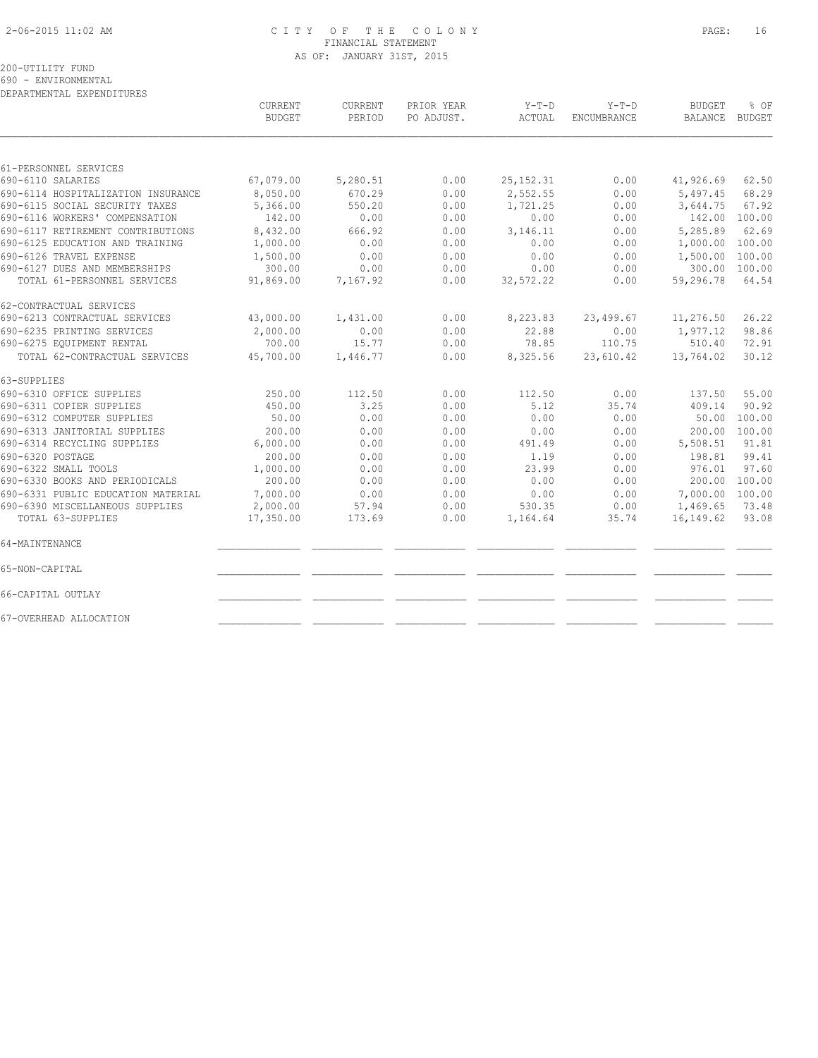# 2-06-2015 11:02 AM C I T Y O F T H E C O L O N Y PAGE: 16 FINANCIAL STATEMENT AS OF: JANUARY 31ST, 2015

200-UTILITY FUND

690 - ENVIRONMENTAL DEPARTMENTAL EXPENDITURES

|                                    | <b>CURRENT</b><br><b>BUDGET</b> | <b>CURRENT</b><br>PERIOD | PRIOR YEAR<br>PO ADJUST. | $Y-T-D$<br>ACTUAL | $Y-T-D$<br>ENCUMBRANCE | <b>BUDGET</b><br>BALANCE | % OF<br><b>BUDGET</b> |
|------------------------------------|---------------------------------|--------------------------|--------------------------|-------------------|------------------------|--------------------------|-----------------------|
|                                    |                                 |                          |                          |                   |                        |                          |                       |
| 61-PERSONNEL SERVICES              |                                 |                          |                          |                   |                        |                          |                       |
| 690-6110 SALARIES                  | 67,079.00                       | 5,280.51                 | 0.00                     | 25, 152.31        | 0.00                   | 41,926.69                | 62.50                 |
| 690-6114 HOSPITALIZATION INSURANCE | 8,050.00                        | 670.29                   | 0.00                     | 2,552.55          | 0.00                   | 5,497.45                 | 68.29                 |
| 690-6115 SOCIAL SECURITY TAXES     | 5,366.00                        | 550.20                   | 0.00                     | 1,721.25          | 0.00                   | 3,644.75                 | 67.92                 |
| 690-6116 WORKERS' COMPENSATION     | 142.00                          | 0.00                     | 0.00                     | 0.00              | 0.00                   |                          | 142.00 100.00         |
| 690-6117 RETIREMENT CONTRIBUTIONS  | 8,432.00                        | 666.92                   | 0.00                     | 3,146.11          | 0.00                   | 5,285.89                 | 62.69                 |
| 690-6125 EDUCATION AND TRAINING    | 1,000.00                        | 0.00                     | 0.00                     | 0.00              | 0.00                   | 1,000.00                 | 100.00                |
| 690-6126 TRAVEL EXPENSE            | 1,500.00                        | 0.00                     | 0.00                     | 0.00              | 0.00                   | 1,500.00                 | 100.00                |
| 690-6127 DUES AND MEMBERSHIPS      | 300.00                          | 0.00                     | 0.00                     | 0.00              | 0.00                   |                          | 300.00 100.00         |
| TOTAL 61-PERSONNEL SERVICES        | 91,869.00                       | 7,167.92                 | 0.00                     | 32,572.22         | 0.00                   | 59,296.78                | 64.54                 |
| 62-CONTRACTUAL SERVICES            |                                 |                          |                          |                   |                        |                          |                       |
| 690-6213 CONTRACTUAL SERVICES      | 43,000.00                       | 1,431.00                 | 0.00                     | 8,223.83          | 23,499.67              | 11,276.50                | 26.22                 |
| 690-6235 PRINTING SERVICES         | 2,000.00                        | 0.00                     | 0.00                     | 22.88             | 0.00                   | 1,977.12                 | 98.86                 |
| 690-6275 EQUIPMENT RENTAL          | 700.00                          | 15.77                    | 0.00                     | 78.85             | 110.75                 | 510.40                   | 72.91                 |
| TOTAL 62-CONTRACTUAL SERVICES      | 45,700.00                       | 1,446.77                 | 0.00                     | 8,325.56          | 23,610.42              | 13,764.02                | 30.12                 |
| 63-SUPPLIES                        |                                 |                          |                          |                   |                        |                          |                       |
| 690-6310 OFFICE SUPPLIES           | 250.00                          | 112.50                   | 0.00                     | 112.50            | 0.00                   | 137.50                   | 55.00                 |
| 690-6311 COPIER SUPPLIES           | 450.00                          | 3.25                     | 0.00                     | 5.12              | 35.74                  | 409.14                   | 90.92                 |
| 690-6312 COMPUTER SUPPLIES         | 50.00                           | 0.00                     | 0.00                     | 0.00              | 0.00                   | 50.00                    | 100.00                |
| 690-6313 JANITORIAL SUPPLIES       | 200.00                          | 0.00                     | 0.00                     | 0.00              | 0.00                   | 200.00                   | 100.00                |
| 690-6314 RECYCLING SUPPLIES        | 6,000.00                        | 0.00                     | 0.00                     | 491.49            | 0.00                   | 5,508.51                 | 91.81                 |
| 690-6320 POSTAGE                   | 200.00                          | 0.00                     | 0.00                     | 1.19              | 0.00                   | 198.81                   | 99.41                 |
| 690-6322 SMALL TOOLS               | 1,000.00                        | 0.00                     | 0.00                     | 23.99             | 0.00                   | 976.01                   | 97.60                 |
| 690-6330 BOOKS AND PERIODICALS     | 200.00                          | 0.00                     | 0.00                     | 0.00              | 0.00                   | 200.00                   | 100.00                |
| 690-6331 PUBLIC EDUCATION MATERIAL | 7,000.00                        | 0.00                     | 0.00                     | 0.00              | 0.00                   | 7,000.00                 | 100.00                |
| 690-6390 MISCELLANEOUS SUPPLIES    | 2,000.00                        | 57.94                    | 0.00                     | 530.35            | 0.00                   | 1,469.65                 | 73.48                 |
| TOTAL 63-SUPPLIES                  | 17,350.00                       | 173.69                   | 0.00                     | 1,164.64          | 35.74                  | 16,149.62                | 93.08                 |
| 64-MAINTENANCE                     |                                 |                          |                          |                   |                        |                          |                       |
| 65-NON-CAPITAL                     |                                 |                          |                          |                   |                        |                          |                       |
| 66-CAPITAL OUTLAY                  |                                 |                          |                          |                   |                        |                          |                       |
| 67-OVERHEAD ALLOCATION             |                                 |                          |                          |                   |                        |                          |                       |